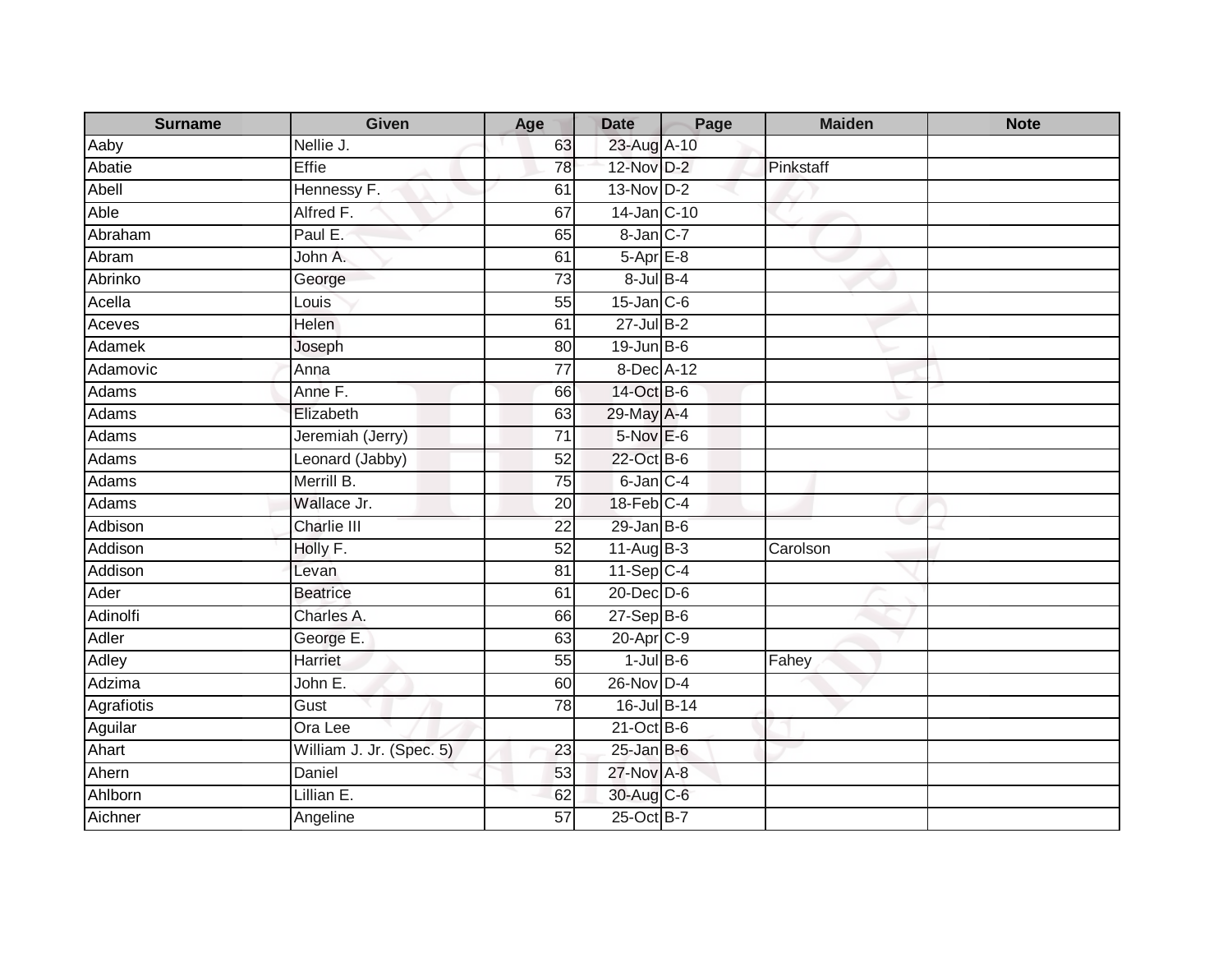| <b>Surname</b> | Given                    | Age             | <b>Date</b>           | Page | <b>Maiden</b> | <b>Note</b> |
|----------------|--------------------------|-----------------|-----------------------|------|---------------|-------------|
| Aaby           | Nellie J.                | 63              | 23-Aug A-10           |      |               |             |
| Abatie         | Effie                    | 78              | 12-Nov D-2            |      | Pinkstaff     |             |
| Abell          | Hennessy F.              | 61              | $13-Nov$ D-2          |      |               |             |
| Able           | Alfred F.                | 67              | 14-Jan C-10           |      |               |             |
| Abraham        | Paul E.                  | 65              | 8-Jan C-7             |      |               |             |
| Abram          | John A.                  | 61              | $5-Apr \nE-8$         |      |               |             |
| Abrinko        | George                   | $\overline{73}$ | $8$ -Jul $B-4$        |      |               |             |
| Acella         | Louis                    | 55              | $15$ -Jan $C$ -6      |      |               |             |
| Aceves         | <b>Helen</b>             | 61              | $27$ -Jul $B-2$       |      |               |             |
| Adamek         | Joseph                   | 80              | $19$ -Jun $B$ -6      |      |               |             |
| Adamovic       | Anna                     | $\overline{77}$ | 8-Dec A-12            |      |               |             |
| Adams          | Anne F.                  | 66              | 14-Oct B-6            |      |               |             |
| Adams          | Elizabeth                | 63              | 29-May A-4            |      |               |             |
| <b>Adams</b>   | Jeremiah (Jerry)         | $\overline{71}$ | 5-Nov E-6             |      |               |             |
| Adams          | Leonard (Jabby)          | 52              | 22-Oct B-6            |      |               |             |
| Adams          | Merrill B.               | 75              | $6$ -Jan $C-4$        |      |               |             |
| Adams          | Wallace Jr.              | 20              | 18-Feb C-4            |      |               |             |
| Adbison        | <b>Charlie III</b>       | $\overline{22}$ | $29$ -Jan B-6         |      |               |             |
| Addison        | Holly F.                 | 52              | $11-Aug$ B-3          |      | Carolson      |             |
| Addison        | Levan                    | $\overline{81}$ | 11-Sep C-4            |      |               |             |
| Ader           | <b>Beatrice</b>          | 61              | $20 - Dec$ $D-6$      |      |               |             |
| Adinolfi       | Charles A.               | 66              | $27-Sep B-6$          |      |               |             |
| Adler          | George E.                | 63              | 20-Apr <sub>C-9</sub> |      |               |             |
| Adley          | Harriet                  | 55              | $1$ -Jul $B$ -6       |      | Fahey         |             |
| Adzima         | John E.                  | 60              | 26-Nov D-4            |      |               |             |
| Agrafiotis     | Gust                     | 78              | 16-Jul B-14           |      |               |             |
| Aguilar        | Ora Lee                  |                 | $21$ -Oct B-6         |      |               |             |
| Ahart          | William J. Jr. (Spec. 5) | 23              | $25$ -Jan B-6         |      |               |             |
| Ahern          | Daniel                   | 53              | 27-Nov A-8            |      |               |             |
| Ahlborn        | Lillian E.               | 62              | 30-Aug C-6            |      |               |             |
| Aichner        | Angeline                 | $\overline{57}$ | 25-Oct B-7            |      |               |             |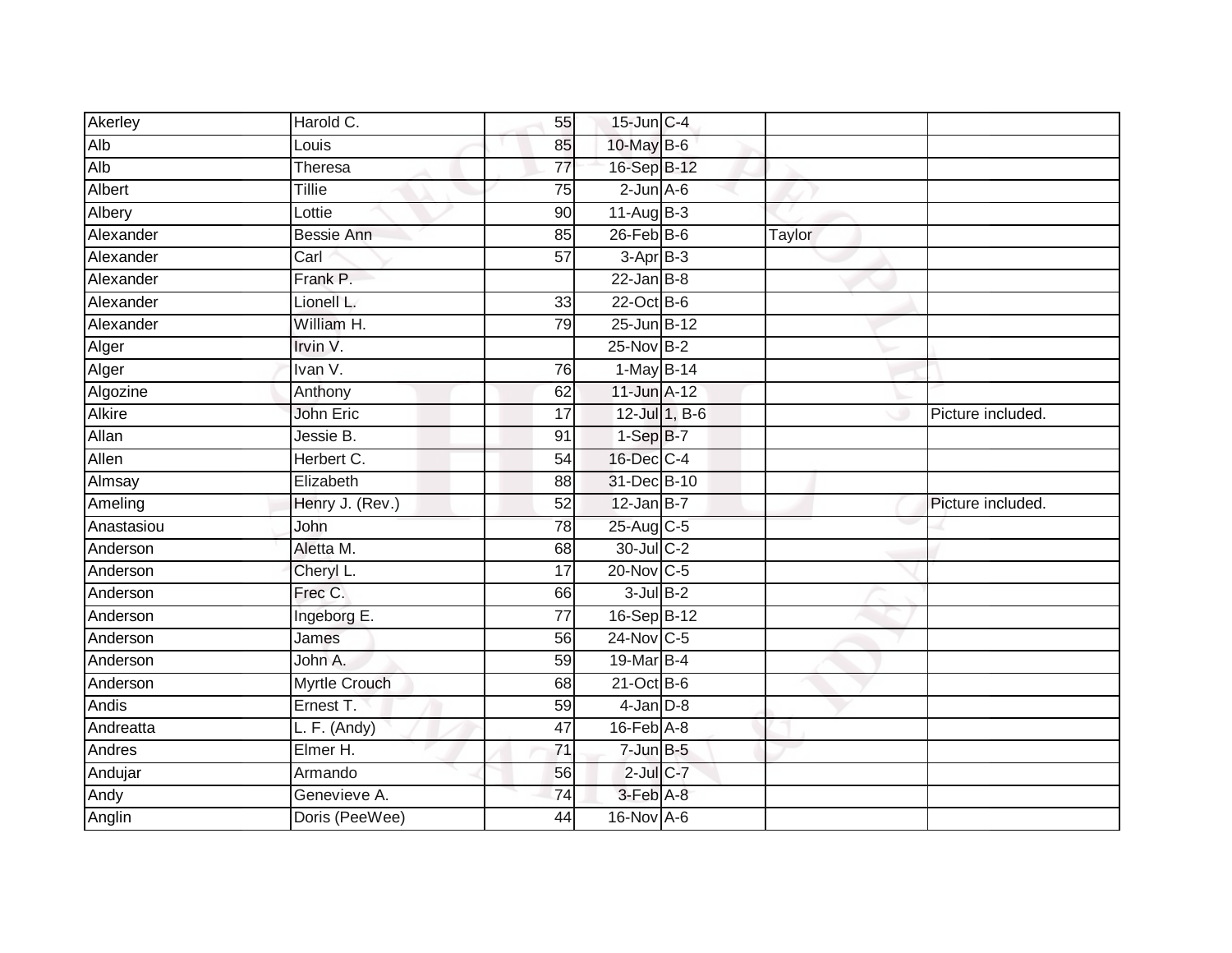| Akerley       | Harold C.            | 55              | 15-Jun C-4                  |               |        |                   |
|---------------|----------------------|-----------------|-----------------------------|---------------|--------|-------------------|
| Alb           | Louis                | 85              | 10-May B-6                  |               |        |                   |
| Alb           | Theresa              | $\overline{77}$ | 16-Sep B-12                 |               |        |                   |
| Albert        | <b>Tillie</b>        | 75              | $2$ -Jun $A$ -6             |               |        |                   |
| Albery        | Lottie               | $\overline{90}$ | $11-Aug$ B-3                |               |        |                   |
| Alexander     | <b>Bessie Ann</b>    | 85              | $26$ -Feb $B$ -6            |               | Taylor |                   |
| Alexander     | Carl                 | 57              | $3-AprB-3$                  |               |        |                   |
| Alexander     | Frank P.             |                 | $22$ -Jan B-8               |               |        |                   |
| Alexander     | Lionell L.           | 33              | $22$ -Oct B-6               |               |        |                   |
| Alexander     | William H.           | 79              | 25-Jun B-12                 |               |        |                   |
| Alger         | Irvin V.             |                 | 25-Nov B-2                  |               |        |                   |
| Alger         | Ivan V.              | 76              | 1-May B-14                  |               |        |                   |
| Algozine      | Anthony              | 62              | 11-Jun A-12                 |               |        |                   |
| <b>Alkire</b> | John Eric            | $\overline{17}$ |                             | 12-Jul 1, B-6 |        | Picture included. |
| Allan         | Jessie B.            | 91              | $1-SepB-7$                  |               |        |                   |
| Allen         | Herbert C.           | 54              | 16-Dec C-4                  |               |        |                   |
| Almsay        | Elizabeth            | 88              | 31-Dec B-10                 |               |        |                   |
| Ameling       | Henry J. (Rev.)      | 52              | $12$ -Jan B-7               |               |        | Picture included. |
| Anastasiou    | John                 | 78              | 25-Aug C-5                  |               |        |                   |
| Anderson      | Aletta M.            | 68              | 30-Jul C-2                  |               |        |                   |
| Anderson      | Cheryl L.            | 17              | 20-Nov C-5                  |               |        |                   |
| Anderson      | Frec C.              | 66              | $3$ -Jul $B-2$              |               |        |                   |
| Anderson      | Ingeborg E.          | 77              | 16-Sep B-12                 |               |        |                   |
| Anderson      | James                | 56              | 24-Nov C-5                  |               |        |                   |
| Anderson      | John A.              | 59              | 19-Mar B-4                  |               |        |                   |
| Anderson      | <b>Myrtle Crouch</b> | 68              | $21$ -Oct B-6               |               |        |                   |
| Andis         | Ernest T.            | 59              | $4$ -Jan $D-8$              |               |        |                   |
| Andreatta     | L. F. (Andy)         | 47              | $16$ -Feb $\overline{A}$ -8 |               |        |                   |
| Andres        | Elmer H.             | $\overline{71}$ | $7 - Jun$ B-5               |               |        |                   |
| Andujar       | Armando              | 56              | $2$ -Jul $C$ -7             |               |        |                   |
| Andy          | Genevieve A.         | 74              | 3-Feb A-8                   |               |        |                   |
| Anglin        | Doris (PeeWee)       | 44              | 16-Nov A-6                  |               |        |                   |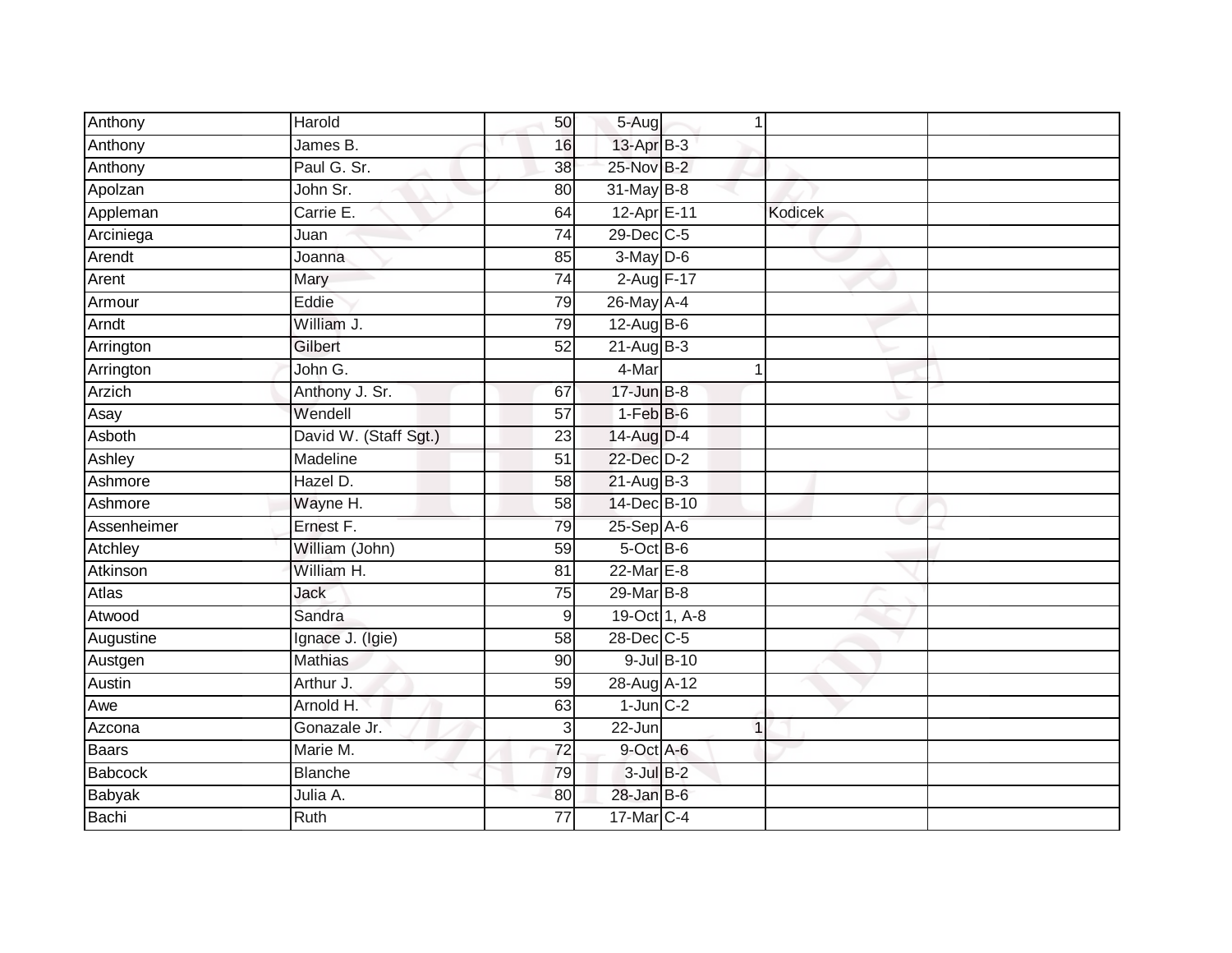| Anthony      | Harold                | 50              | 5-Aug           |            | 1              |  |
|--------------|-----------------------|-----------------|-----------------|------------|----------------|--|
| Anthony      | James B.              | 16              | 13-Apr B-3      |            |                |  |
| Anthony      | Paul G. Sr.           | 38              | 25-Nov B-2      |            |                |  |
| Apolzan      | John Sr.              | 80              | 31-May B-8      |            |                |  |
| Appleman     | Carrie E.             | 64              | 12-Apr E-11     |            | <b>Kodicek</b> |  |
| Arciniega    | Juan                  | 74              | 29-Dec C-5      |            |                |  |
| Arendt       | Joanna                | 85              | $3-May$ $D-6$   |            |                |  |
| Arent        | Mary                  | $\overline{74}$ | 2-Aug F-17      |            |                |  |
| Armour       | Eddie                 | 79              | 26-May A-4      |            |                |  |
| Arndt        | William J.            | 79              | 12-Aug B-6      |            |                |  |
| Arrington    | Gilbert               | 52              | $21-Aug$ B-3    |            |                |  |
| Arrington    | John G.               |                 | 4-Mar           |            | 1              |  |
| Arzich       | Anthony J. Sr.        | 67              | $17 - Jun$ B-8  |            |                |  |
| Asay         | Wendell               | $\overline{57}$ | $1-FebB-6$      |            |                |  |
| Asboth       | David W. (Staff Sgt.) | $\overline{23}$ | 14-Aug D-4      |            |                |  |
| Ashley       | Madeline              | $\overline{51}$ | 22-Dec D-2      |            |                |  |
| Ashmore      | Hazel D.              | 58              | $21-AugB-3$     |            |                |  |
| Ashmore      | Wayne H.              | 58              | 14-Dec B-10     |            |                |  |
| Assenheimer  | Ernest F.             | 79              | 25-Sep A-6      |            |                |  |
| Atchley      | William (John)        | 59              | 5-Oct B-6       |            |                |  |
| Atkinson     | William H.            | 81              | $22$ -Mar $E-8$ |            |                |  |
| <b>Atlas</b> | <b>Jack</b>           | 75              | 29-Mar B-8      |            |                |  |
| Atwood       | Sandra                | 9               | 19-Oct 1, A-8   |            |                |  |
| Augustine    | Ignace J. (Igie)      | 58              | 28-Dec C-5      |            |                |  |
| Austgen      | <b>Mathias</b>        | 90              |                 | 9-Jul B-10 |                |  |
| Austin       | Arthur J.             | 59              | 28-Aug A-12     |            |                |  |
| Awe          | Arnold H.             | 63              | $1$ -Jun $C-2$  |            |                |  |
| Azcona       | Gonazale Jr.          | $\overline{3}$  | 22-Jun          |            | 1              |  |
| Baars        | Marie M.              | $\overline{72}$ | 9-Oct A-6       |            |                |  |
| Babcock      | <b>Blanche</b>        | 79              | $3$ -Jul $B-2$  |            |                |  |
| Babyak       | Julia A.              | 80              | $28$ -Jan B-6   |            |                |  |
| Bachi        | Ruth                  | $\overline{77}$ | 17-Mar C-4      |            |                |  |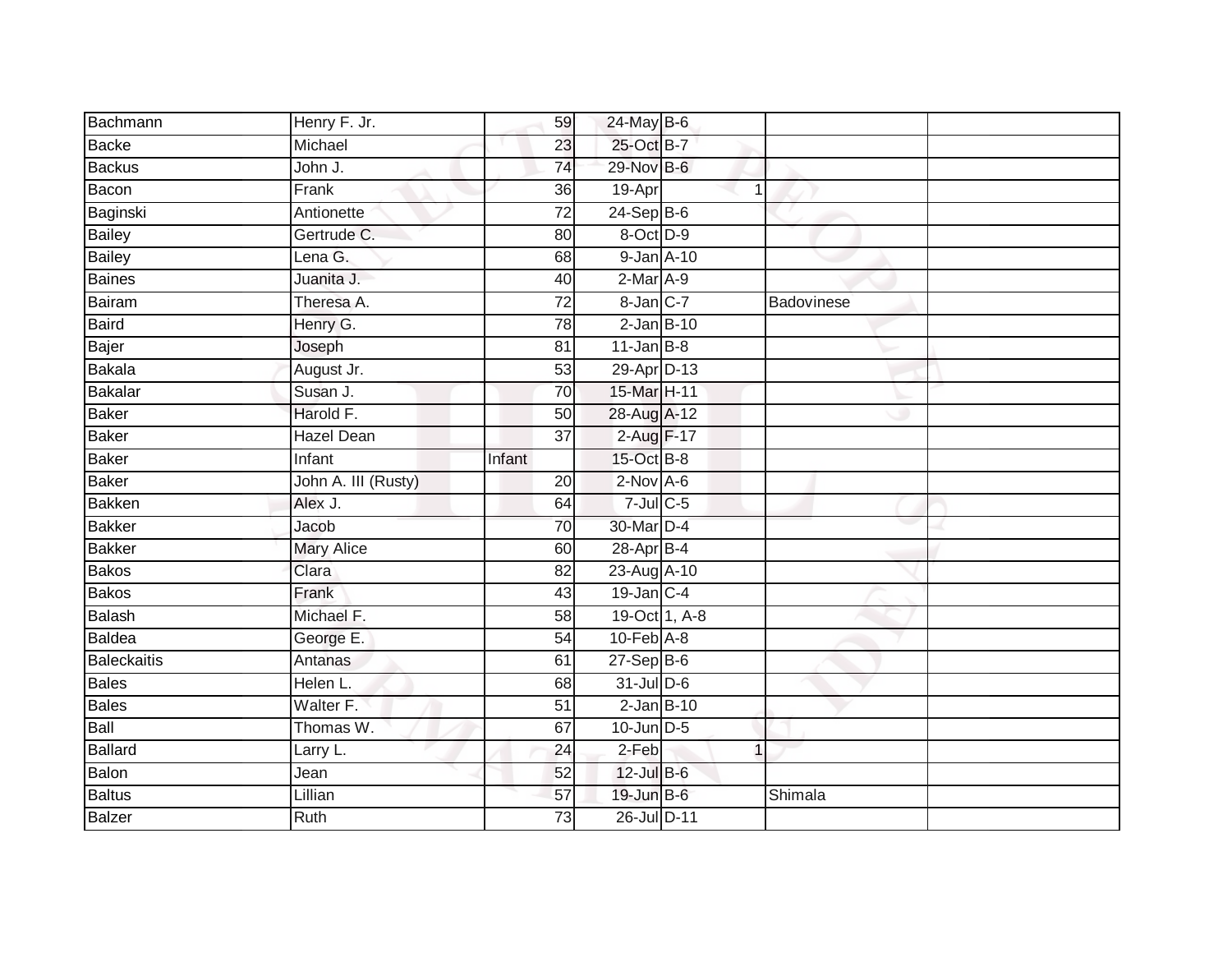| Bachmann           | Henry F. Jr.        | 59              | 24-May B-6       |   |            |  |
|--------------------|---------------------|-----------------|------------------|---|------------|--|
| <b>Backe</b>       | Michael             | 23              | 25-Oct B-7       |   |            |  |
| <b>Backus</b>      | John J.             | $\overline{74}$ | 29-Nov B-6       |   |            |  |
| Bacon              | Frank               | 36              | 19-Apr           | 1 |            |  |
| Baginski           | Antionette          | $\overline{72}$ | $24-Sep$ B-6     |   |            |  |
| <b>Bailey</b>      | Gertrude C.         | 80              | 8-Oct D-9        |   |            |  |
| <b>Bailey</b>      | Lena G.             | 68              | 9-Jan A-10       |   |            |  |
| <b>Baines</b>      | Juanita J.          | 40              | 2-Mar A-9        |   |            |  |
| Bairam             | Theresa A.          | 72              | 8-Jan C-7        |   | Badovinese |  |
| <b>Baird</b>       | Henry G.            | 78              | $2$ -Jan B-10    |   |            |  |
| Bajer              | Joseph              | 81              | $11$ -Jan B-8    |   |            |  |
| <b>Bakala</b>      | August Jr.          | 53              | 29-Apr D-13      |   |            |  |
| Bakalar            | Susan J.            | 70              | 15-Mar H-11      |   |            |  |
| <b>Baker</b>       | Harold F.           | 50              | 28-Aug A-12      |   |            |  |
| <b>Baker</b>       | <b>Hazel Dean</b>   | $\overline{37}$ | 2-Aug F-17       |   |            |  |
| <b>Baker</b>       | Infant              | Infant          | 15-Oct B-8       |   |            |  |
| <b>Baker</b>       | John A. III (Rusty) | 20              | $2-NovA-6$       |   |            |  |
| <b>Bakken</b>      | Alex J.             | 64              | $7$ -Jul $C$ -5  |   |            |  |
| <b>Bakker</b>      | Jacob               | 70              | 30-Mar D-4       |   |            |  |
| <b>Bakker</b>      | <b>Mary Alice</b>   | 60              | $28$ -Apr $B-4$  |   |            |  |
| <b>Bakos</b>       | Clara               | 82              | 23-Aug A-10      |   |            |  |
| <b>Bakos</b>       | Frank               | 43              | $19$ -Jan C-4    |   |            |  |
| Balash             | Michael F.          | 58              | 19-Oct 1, A-8    |   |            |  |
| <b>Baldea</b>      | George E.           | 54              | $10$ -Feb $A$ -8 |   |            |  |
| <b>Baleckaitis</b> | Antanas             | 61              | $27-SepB-6$      |   |            |  |
| <b>Bales</b>       | Helen L.            | 68              | 31-Jul D-6       |   |            |  |
| <b>Bales</b>       | Walter F.           | $\overline{51}$ | $2$ -Jan $B-10$  |   |            |  |
| Ball               | Thomas W.           | 67              | $10$ -Jun $D-5$  |   |            |  |
| Ballard            | Larry L.            | 24              | $2-Feb$          | 1 |            |  |
| Balon              | Jean                | 52              | 12-Jul B-6       |   |            |  |
| <b>Baltus</b>      | Lillian             | 57              | 19-Jun B-6       |   | Shimala    |  |
| <b>Balzer</b>      | Ruth                | 73              | 26-Jul D-11      |   |            |  |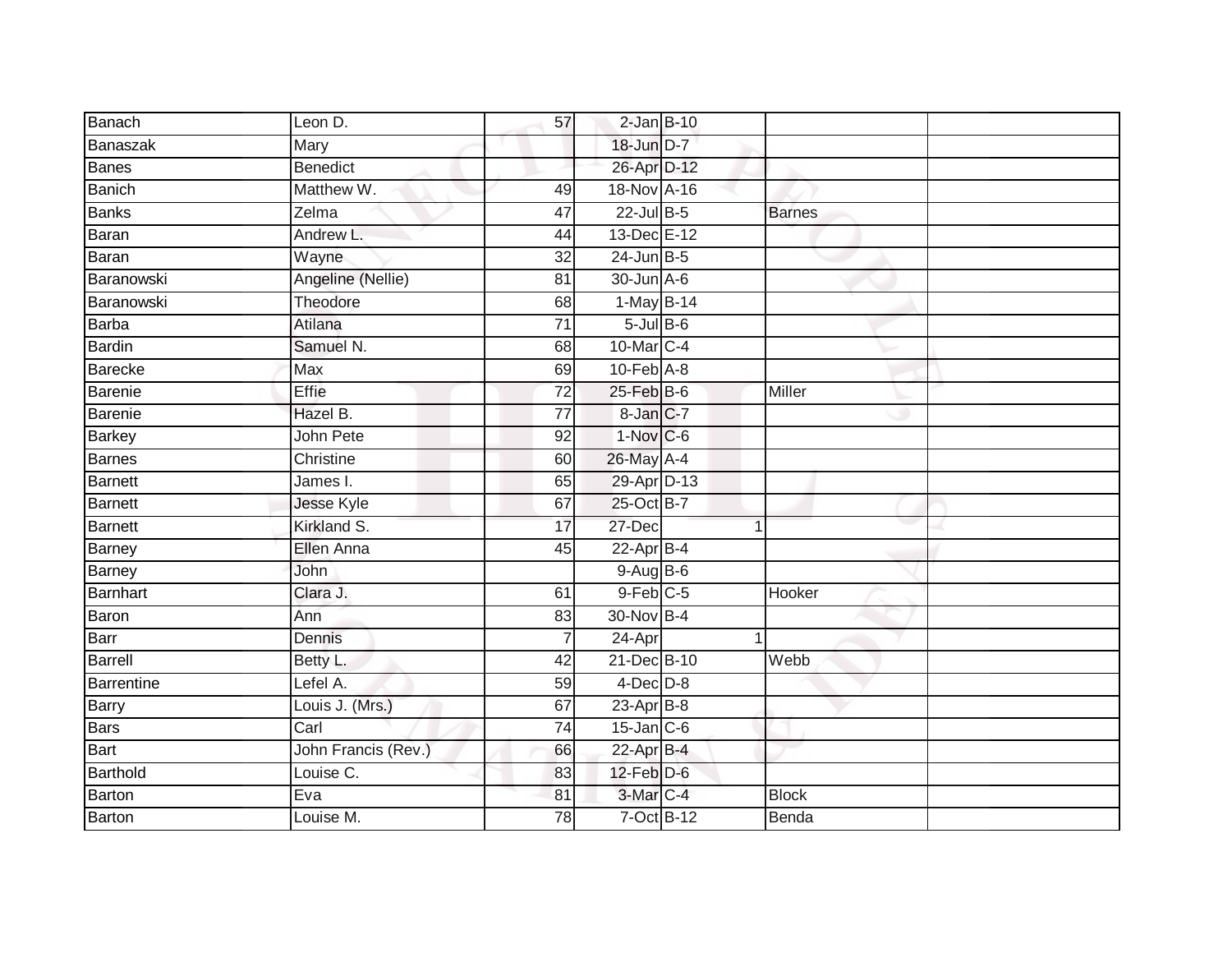| Banach        | Leon D.             | 57              | $2$ -Jan $B-10$  |               |  |
|---------------|---------------------|-----------------|------------------|---------------|--|
| Banaszak      | Mary                |                 | 18-Jun D-7       |               |  |
| <b>Banes</b>  | Benedict            |                 | 26-Apr D-12      |               |  |
| <b>Banich</b> | Matthew W.          | 49              | 18-Nov A-16      |               |  |
| <b>Banks</b>  | Zelma               | $\overline{47}$ | 22-Jul B-5       | <b>Barnes</b> |  |
| Baran         | Andrew L.           | 44              | 13-Dec E-12      |               |  |
| Baran         | Wayne               | $\overline{32}$ | $24$ -Jun B-5    |               |  |
| Baranowski    | Angeline (Nellie)   | 81              | 30-Jun A-6       |               |  |
| Baranowski    | Theodore            | 68              | $1-May$ B-14     |               |  |
| <b>Barba</b>  | Atilana             | $\overline{71}$ | $5$ -Jul $B$ -6  |               |  |
| <b>Bardin</b> | Samuel N.           | 68              | 10-Mar C-4       |               |  |
| Barecke       | Max                 | 69              | $10$ -Feb $A$ -8 |               |  |
| Barenie       | Effie               | $\overline{72}$ | $25$ -Feb $B$ -6 | Miller        |  |
| Barenie       | Hazel B.            | $\overline{77}$ | 8-Jan C-7        |               |  |
| <b>Barkey</b> | John Pete           | $\overline{92}$ | $1-Nov$ $C-6$    |               |  |
| <b>Barnes</b> | Christine           | 60              | 26-May A-4       |               |  |
| Barnett       | James I.            | 65              | 29-Apr D-13      |               |  |
| Barnett       | Jesse Kyle          | 67              | 25-Oct B-7       |               |  |
| Barnett       | Kirkland S.         | 17              | 27-Dec           | 1             |  |
| Barney        | <b>Ellen Anna</b>   | 45              | $22$ -Apr $B-4$  |               |  |
| Barney        | <b>John</b>         |                 | 9-Aug B-6        |               |  |
| Barnhart      | Clara J.            | 61              | $9$ -Feb $C$ -5  | Hooker        |  |
| Baron         | Ann                 | 83              | $30$ -Nov $B-4$  |               |  |
| Barr          | Dennis              | $\overline{7}$  | $24$ -Apr        |               |  |
| Barrell       | Betty L.            | 42              | 21-Dec B-10      | Webb          |  |
| Barrentine    | Lefel A.            | 59              | $4$ -Dec $D-8$   |               |  |
| <b>Barry</b>  | Louis J. (Mrs.)     | 67              | $23$ -Apr $B$ -8 |               |  |
| <b>Bars</b>   | Carl                | 74              | $15$ -Jan $C$ -6 |               |  |
| Bart          | John Francis (Rev.) | 66              | 22-Apr B-4       |               |  |
| Barthold      | Louise C.           | 83              | $12$ -Feb $D-6$  |               |  |
| Barton        | Eva                 | 81              | 3-Mar C-4        | <b>Block</b>  |  |
| Barton        | Louise M.           | 78              | $7-Oct$ B-12     | Benda         |  |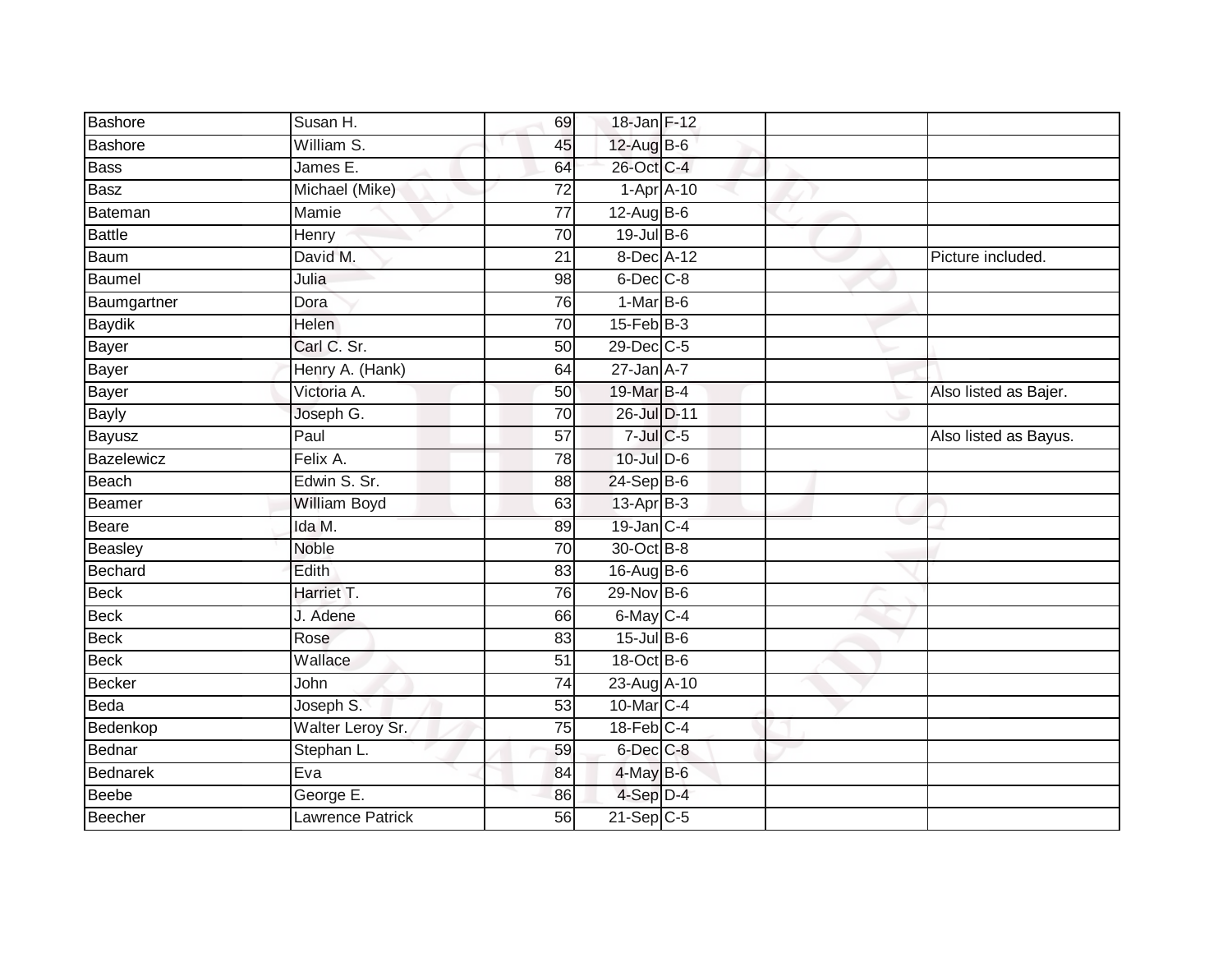| <b>Bashore</b> | Susan H.                | 69              | 18-Jan F-12      |                |                       |
|----------------|-------------------------|-----------------|------------------|----------------|-----------------------|
| Bashore        | William S.              | 45              | 12-Aug B-6       |                |                       |
| Bass           | James E.                | 64              | 26-Oct C-4       |                |                       |
| Basz           | Michael (Mike)          | 72              |                  | $1-Apr$ $A-10$ |                       |
| Bateman        | Mamie                   | $\overline{77}$ | 12-Aug B-6       |                |                       |
| <b>Battle</b>  | Henry                   | 70              | 19-Jul B-6       |                |                       |
| Baum           | David M.                | 21              | 8-Dec A-12       |                | Picture included.     |
| Baumel         | Julia                   | 98              | $6$ -Dec $C$ -8  |                |                       |
| Baumgartner    | Dora                    | 76              | $1-MarB-6$       |                |                       |
| <b>Baydik</b>  | <b>Helen</b>            | $\overline{70}$ | $15$ -Feb $B$ -3 |                |                       |
| Bayer          | Carl C. Sr.             | 50              | 29-Dec C-5       |                |                       |
| Bayer          | Henry A. (Hank)         | 64              | $27$ -Jan $A-7$  |                |                       |
| Bayer          | Victoria A.             | 50              | 19-Mar B-4       |                | Also listed as Bajer. |
| <b>Bayly</b>   | Joseph G.               | $\overline{70}$ | 26-Jul D-11      |                |                       |
| Bayusz         | Paul                    | $\overline{57}$ | $7$ -Jul $C$ -5  |                | Also listed as Bayus. |
| Bazelewicz     | Felix A.                | $\overline{78}$ | 10-Jul D-6       |                |                       |
| Beach          | Edwin S. Sr.            | 88              | 24-Sep B-6       |                |                       |
| Beamer         | <b>William Boyd</b>     | 63              | 13-Apr B-3       |                |                       |
| Beare          | Ida M.                  | 89              | 19-Jan C-4       |                |                       |
| Beasley        | <b>Noble</b>            | 70              | 30-Oct B-8       |                |                       |
| Bechard        | Edith                   | 83              | 16-Aug B-6       |                |                       |
| Beck           | Harriet T.              | 76              | 29-Nov B-6       |                |                       |
| Beck           | J. Adene                | 66              | 6-May C-4        |                |                       |
| Beck           | Rose                    | 83              | $15$ -Jul B-6    |                |                       |
| Beck           | Wallace                 | 51              | 18-Oct B-6       |                |                       |
| <b>Becker</b>  | John                    | 74              | 23-Aug A-10      |                |                       |
| Beda           | Joseph S.               | 53              | 10-Mar C-4       |                |                       |
| Bedenkop       | Walter Leroy Sr.        | 75              | $18$ -Feb $C-4$  |                |                       |
| Bednar         | Stephan L.              | 59              | 6-Dec C-8        |                |                       |
| Bednarek       | Eva                     | 84              | $4$ -May $B$ -6  |                |                       |
| <b>Beebe</b>   | George E.               | 86              | 4-Sep D-4        |                |                       |
| Beecher        | <b>Lawrence Patrick</b> | 56              | $21-Sep$ C-5     |                |                       |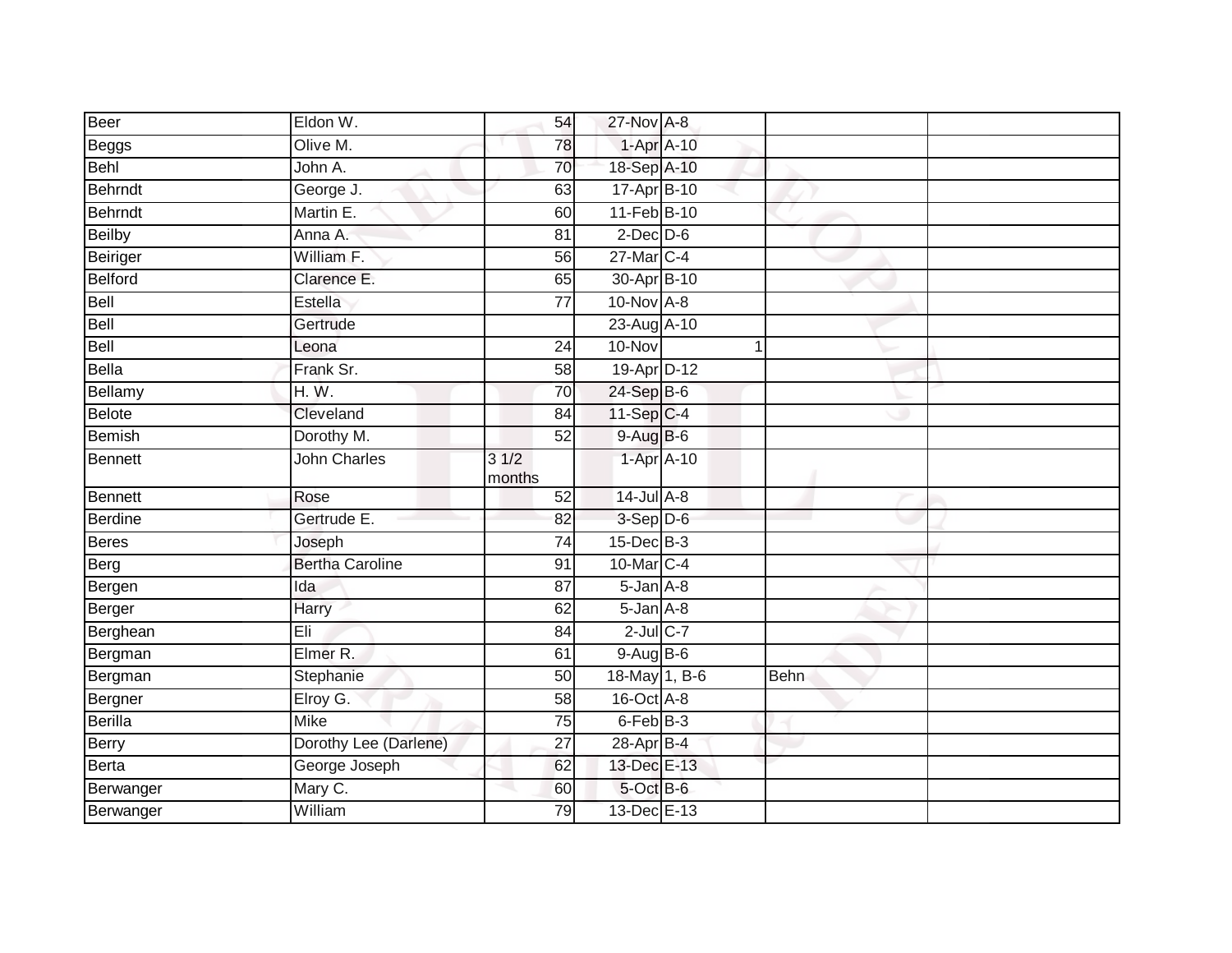| Beer           | Eldon W.               | 54              | 27-Nov A-8        |             |             |  |
|----------------|------------------------|-----------------|-------------------|-------------|-------------|--|
| Beggs          | Olive M.               | 78              | 1-Apr A-10        |             |             |  |
| Behl           | John A.                | 70              | 18-Sep A-10       |             |             |  |
| Behrndt        | George J.              | 63              | 17-Apr B-10       |             |             |  |
| Behrndt        | Martin E.              | 60              | 11-Feb B-10       |             |             |  |
| Beilby         | Anna A.                | 81              | $2$ -Dec $D$ -6   |             |             |  |
| Beiriger       | William F.             | 56              | 27-Mar C-4        |             |             |  |
| Belford        | Clarence E.            | 65              | 30-Apr B-10       |             |             |  |
| Bell           | Estella                | 77              | 10-Nov A-8        |             |             |  |
| Bell           | Gertrude               |                 | 23-Aug A-10       |             |             |  |
| Bell           | Leona                  | $\overline{24}$ | $10 - Nov$        | $\mathbf 1$ |             |  |
| Bella          | Frank Sr.              | 58              | 19-Apr D-12       |             |             |  |
| Bellamy        | H. W.                  | 70              | 24-Sep B-6        |             |             |  |
| Belote         | Cleveland              | 84              | $11-Sep C-4$      |             |             |  |
| <b>Bemish</b>  | Dorothy M.             | $\overline{52}$ | $9-AugB-6$        |             |             |  |
| Bennett        | <b>John Charles</b>    | 31/2<br>months  | 1-Apr A-10        |             |             |  |
| <b>Bennett</b> | Rose                   | $\overline{52}$ | $14$ -Jul $A-8$   |             |             |  |
| Berdine        | Gertrude E.            | 82              | 3-Sep D-6         |             |             |  |
| Beres          | Joseph                 | 74              | $15$ -Dec $B$ -3  |             |             |  |
| Berg           | <b>Bertha Caroline</b> | 91              | 10-Mar C-4        |             |             |  |
| Bergen         | Ida                    | 87              | $5 - Jan$ $A - 8$ |             |             |  |
| Berger         | Harry                  | 62              | $5$ -Jan $A$ -8   |             |             |  |
| Berghean       | Eli                    | 84              | $2$ -Jul $C$ -7   |             |             |  |
| Bergman        | Elmer R.               | 61              | 9-Aug B-6         |             |             |  |
| Bergman        | Stephanie              | 50              | 18-May 1, B-6     |             | <b>Behn</b> |  |
| Bergner        | Elroy G.               | 58              | 16-Oct A-8        |             |             |  |
| Berilla        | <b>Mike</b>            | 75              | 6-Feb B-3         |             |             |  |
| Berry          | Dorothy Lee (Darlene)  | 27              | 28-Apr B-4        |             |             |  |
| Berta          | George Joseph          | 62              | 13-Dec E-13       |             |             |  |
| Berwanger      | Mary C.                | 60              | 5-Oct B-6         |             |             |  |
| Berwanger      | William                | 79              | 13-Dec E-13       |             |             |  |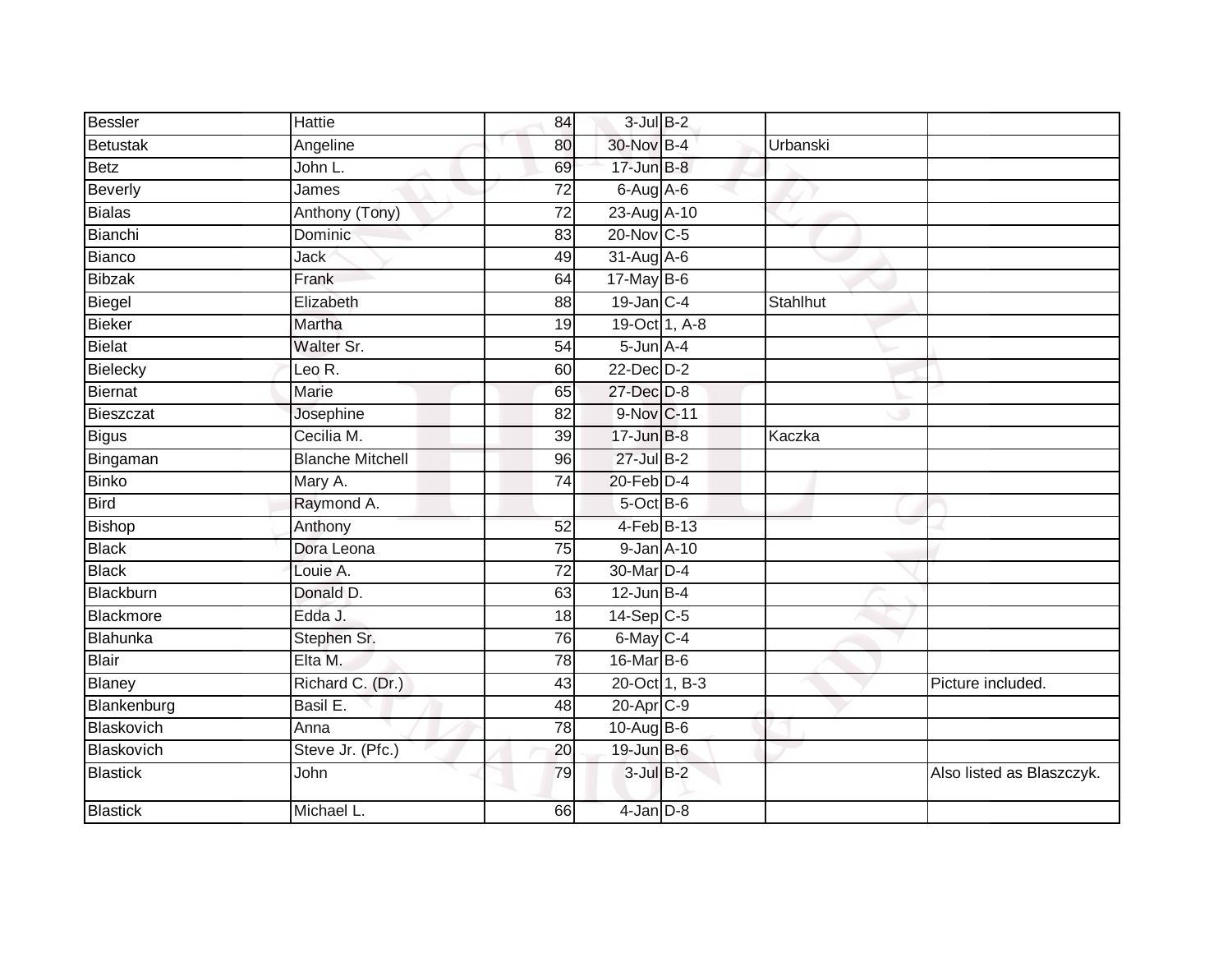| Bessler         | <b>Hattie</b>           | 84              | $3$ -Jul $B-2$  |          |                           |
|-----------------|-------------------------|-----------------|-----------------|----------|---------------------------|
| Betustak        | Angeline                | 80              | 30-Nov B-4      | Urbanski |                           |
| Betz            | John L.                 | 69              | 17-Jun B-8      |          |                           |
| Beverly         | James                   | 72              | $6$ -Aug $A$ -6 |          |                           |
| Bialas          | Anthony (Tony)          | $\overline{72}$ | 23-Aug A-10     |          |                           |
| Bianchi         | Dominic                 | 83              | $20$ -Nov $C-5$ |          |                           |
| Bianco          | Jack                    | 49              | $31-AugA-6$     |          |                           |
| <b>Bibzak</b>   | Frank                   | 64              | $17$ -May B-6   |          |                           |
| Biegel          | Elizabeth               | 88              | $19$ -Jan C-4   | Stahlhut |                           |
| <b>Bieker</b>   | Martha                  | 19              | 19-Oct 1, A-8   |          |                           |
| Bielat          | Walter Sr.              | 54              | $5$ -Jun $A$ -4 |          |                           |
| Bielecky        | Leo R.                  | 60              | $22$ -Dec $D-2$ |          |                           |
| <b>Biernat</b>  | Marie                   | 65              | 27-Dec D-8      |          |                           |
| Bieszczat       | Josephine               | 82              | 9-Nov C-11      |          |                           |
| Bigus           | Cecilia M.              | 39              | 17-Jun B-8      | Kaczka   |                           |
| Bingaman        | <b>Blanche Mitchell</b> | 96              | 27-Jul B-2      |          |                           |
| <b>Binko</b>    | Mary A.                 | $\overline{74}$ | 20-Feb D-4      |          |                           |
| <b>Bird</b>     | Raymond A.              |                 | 5-Oct B-6       |          |                           |
| Bishop          | Anthony                 | 52              | 4-Feb B-13      |          |                           |
| <b>Black</b>    | Dora Leona              | 75              | 9-Jan A-10      |          |                           |
| <b>Black</b>    | Louie A.                | $\overline{72}$ | 30-Mar D-4      |          |                           |
| Blackburn       | Donald D.               | 63              | $12$ -Jun B-4   |          |                           |
| Blackmore       | Edda J.                 | 18              | $14-Sep$ C-5    |          |                           |
| Blahunka        | Stephen Sr.             | 76              | $6$ -May $C-4$  |          |                           |
| Blair           | Elta M.                 | $\overline{78}$ | 16-Mar B-6      |          |                           |
| Blaney          | Richard C. (Dr.)        | 43              | 20-Oct 1, B-3   |          | Picture included.         |
| Blankenburg     | Basil E.                | 48              | 20-Apr C-9      |          |                           |
| Blaskovich      | Anna                    | 78              | $10-Auq$ B-6    |          |                           |
| Blaskovich      | Steve Jr. (Pfc.)        | 20              | 19-Jun B-6      |          |                           |
| <b>Blastick</b> | John                    | 79              | $3$ -Jul $B-2$  |          | Also listed as Blaszczyk. |
| Blastick        | Michael L.              | 66              | $4$ -Jan $D-8$  |          |                           |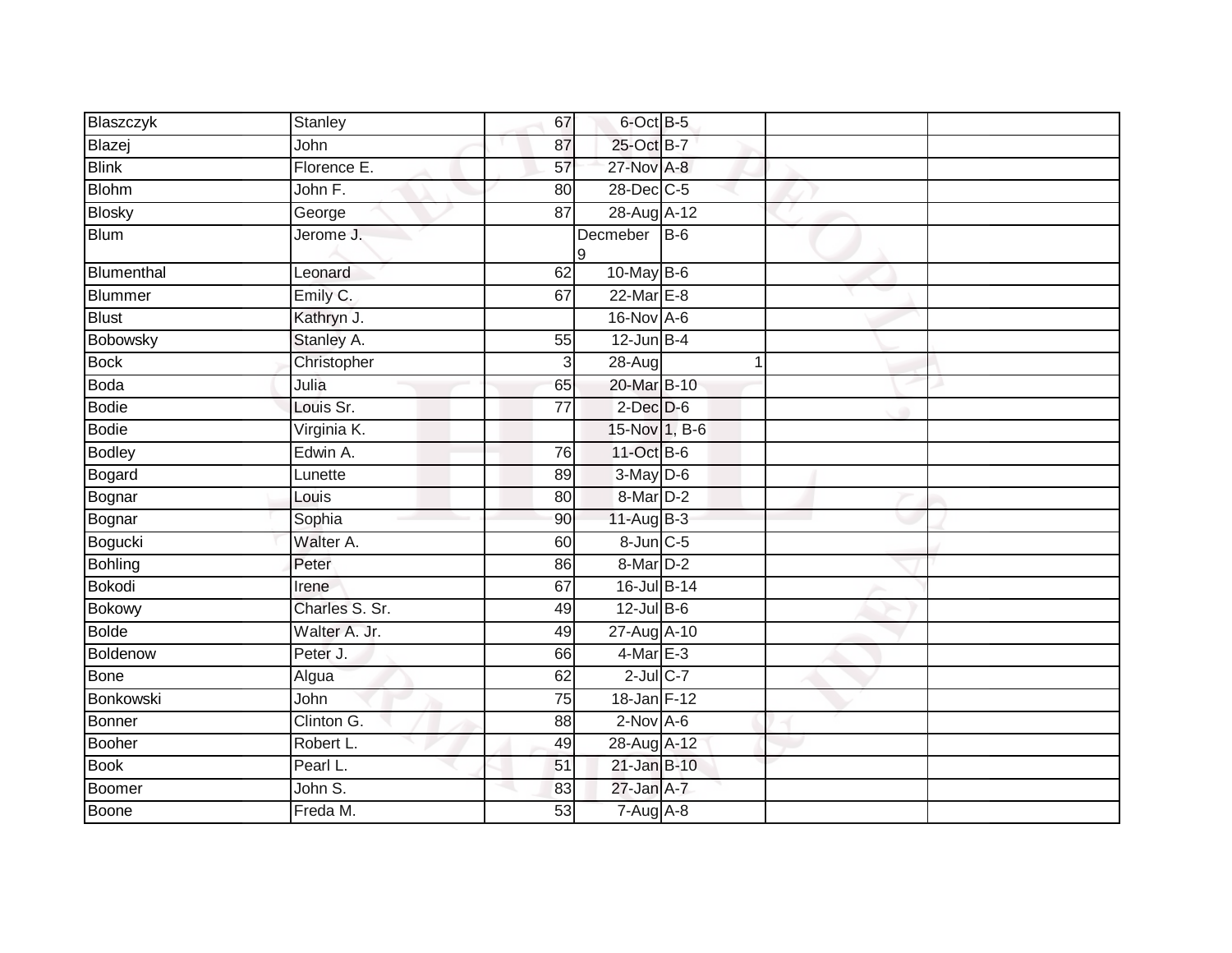| Blaszczyk      | Stanley        | 67              | 6-Oct B-5         |   |  |
|----------------|----------------|-----------------|-------------------|---|--|
| Blazej         | John           | 87              | 25-Oct B-7        |   |  |
| <b>Blink</b>   | Florence E.    | 57              | 27-Nov A-8        |   |  |
| <b>Blohm</b>   | John F.        | 80              | 28-Dec C-5        |   |  |
| <b>Blosky</b>  | George         | $\overline{87}$ | 28-Aug A-12       |   |  |
| <b>Blum</b>    | Jerome J.      |                 | Decmeber B-6<br>9 |   |  |
| Blumenthal     | Leonard        | 62              | 10-May B-6        |   |  |
| <b>Blummer</b> | Emily C.       | 67              | 22-Mar E-8        |   |  |
| <b>Blust</b>   | Kathryn J.     |                 | 16-Nov A-6        |   |  |
| Bobowsky       | Stanley A.     | 55              | $12$ -Jun B-4     |   |  |
| <b>Bock</b>    | Christopher    | 3               | 28-Aug            | 1 |  |
| <b>Boda</b>    | Julia          | 65              | 20-Mar B-10       |   |  |
| <b>Bodie</b>   | Louis Sr.      | $\overline{77}$ | $2$ -Dec $D$ -6   |   |  |
| <b>Bodie</b>   | Virginia K.    |                 | 15-Nov 1, B-6     |   |  |
| <b>Bodley</b>  | Edwin A.       | 76              | 11-Oct B-6        |   |  |
| Bogard         | Lunette        | 89              | $3-May$ D-6       |   |  |
| Bognar         | Louis          | 80              | 8-Mar D-2         |   |  |
| Bognar         | Sophia         | 90              | 11-Aug B-3        |   |  |
| Bogucki        | Walter A.      | 60              | 8-Jun C-5         |   |  |
| <b>Bohling</b> | Peter          | 86              | 8-Mar D-2         |   |  |
| <b>Bokodi</b>  | Irene          | 67              | 16-Jul B-14       |   |  |
| <b>Bokowy</b>  | Charles S. Sr. | 49              | $12$ -Jul $B-6$   |   |  |
| <b>Bolde</b>   | Walter A. Jr.  | 49              | 27-Aug A-10       |   |  |
| Boldenow       | Peter J.       | 66              | $4$ -Mar $E-3$    |   |  |
| <b>Bone</b>    | Algua          | 62              | $2$ -Jul $C$ -7   |   |  |
| Bonkowski      | John           | 75              | 18-Jan F-12       |   |  |
| <b>Bonner</b>  | Clinton G.     | 88              | $2-NovA-6$        |   |  |
| <b>Booher</b>  | Robert L.      | 49              | 28-Aug A-12       |   |  |
| <b>Book</b>    | Pearl L.       | 51              | 21-Jan B-10       |   |  |
| Boomer         | John S.        | 83              | 27-Jan A-7        |   |  |
| Boone          | Freda M.       | 53              | $7 - Aug$ A-8     |   |  |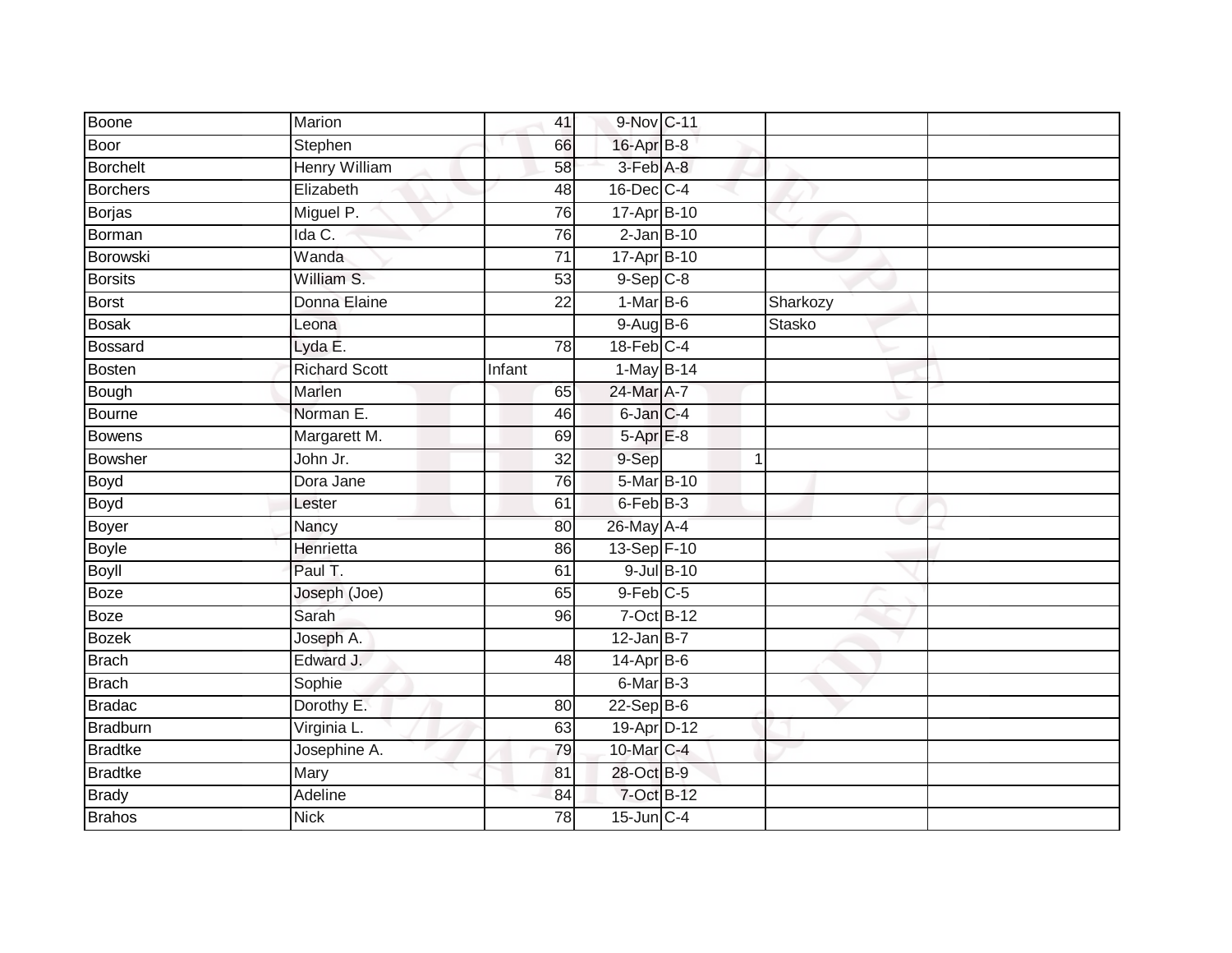| Boone           | Marion               |        | 41                             | 9-Nov C-11      |          |  |
|-----------------|----------------------|--------|--------------------------------|-----------------|----------|--|
| Boor            | Stephen              |        | 16-Apr B-8<br>66               |                 |          |  |
| <b>Borchelt</b> | <b>Henry William</b> |        | 3-Feb A-8<br>58                |                 |          |  |
| Borchers        | Elizabeth            |        | 16-Dec C-4<br>48               |                 |          |  |
| <b>Borjas</b>   | Miguel P.            |        | 17-Apr B-10<br>76              |                 |          |  |
| <b>Borman</b>   | Ida C.               |        | 76                             | $2$ -Jan $B-10$ |          |  |
| Borowski        | Wanda                |        | 17-Apr B-10<br>$\overline{71}$ |                 |          |  |
| <b>Borsits</b>  | William S.           |        | $9-Sep$ $C-8$<br>53            |                 |          |  |
| Borst           | Donna Elaine         |        | $1-MarB-6$<br>22               |                 | Sharkozy |  |
| <b>Bosak</b>    | Leona                |        | $9-AugB-6$                     |                 | Stasko   |  |
| Bossard         | Lyda E.              |        | $18$ -Feb $C-4$<br>78          |                 |          |  |
| Bosten          | <b>Richard Scott</b> | Infant |                                | 1-May B-14      |          |  |
| Bough           | Marlen               |        | 24-Mar A-7<br>65               |                 |          |  |
| Bourne          | Norman E.            |        | 6-Jan C-4<br>46                |                 |          |  |
| <b>Bowens</b>   | Margarett M.         |        | $5-AprE-8$<br>69               |                 |          |  |
| <b>Bowsher</b>  | John Jr.             |        | 9-Sep<br>$\overline{32}$       |                 | 1        |  |
| Boyd            | Dora Jane            |        | 76                             | 5-Mar B-10      |          |  |
| Boyd            | Lester               |        | $6$ -Feb $B-3$<br>61           |                 |          |  |
| Boyer           | Nancy                |        | 26-May A-4<br>80               |                 |          |  |
| <b>Boyle</b>    | Henrietta            |        | 13-Sep F-10<br>86              |                 |          |  |
| <b>Boyll</b>    | Paul T.              |        | 61                             | 9-Jul B-10      |          |  |
| Boze            | Joseph (Joe)         |        | $9$ -Feb $C$ -5<br>65          |                 |          |  |
| <b>Boze</b>     | Sarah                |        | 96                             | 7-Oct B-12      |          |  |
| <b>Bozek</b>    | Joseph A.            |        | $12$ -Jan B-7                  |                 |          |  |
| Brach           | Edward J.            |        | 14-Apr B-6<br>48               |                 |          |  |
| <b>Brach</b>    | Sophie               |        | 6-Mar B-3                      |                 |          |  |
| <b>Bradac</b>   | Dorothy E.           |        | $22-Sep$ B-6<br>80             |                 |          |  |
| Bradburn        | Virginia L.          |        | 63                             | 19-Apr D-12     |          |  |
| <b>Bradtke</b>  | Josephine A.         |        | 10-Mar C-4<br>79               |                 |          |  |
| <b>Bradtke</b>  | Mary                 |        | 28-Oct B-9<br>81               |                 |          |  |
| <b>Brady</b>    | Adeline              |        | 84                             | 7-Oct B-12      |          |  |
| <b>Brahos</b>   | <b>Nick</b>          |        | 78<br>$15$ -Jun $C-4$          |                 |          |  |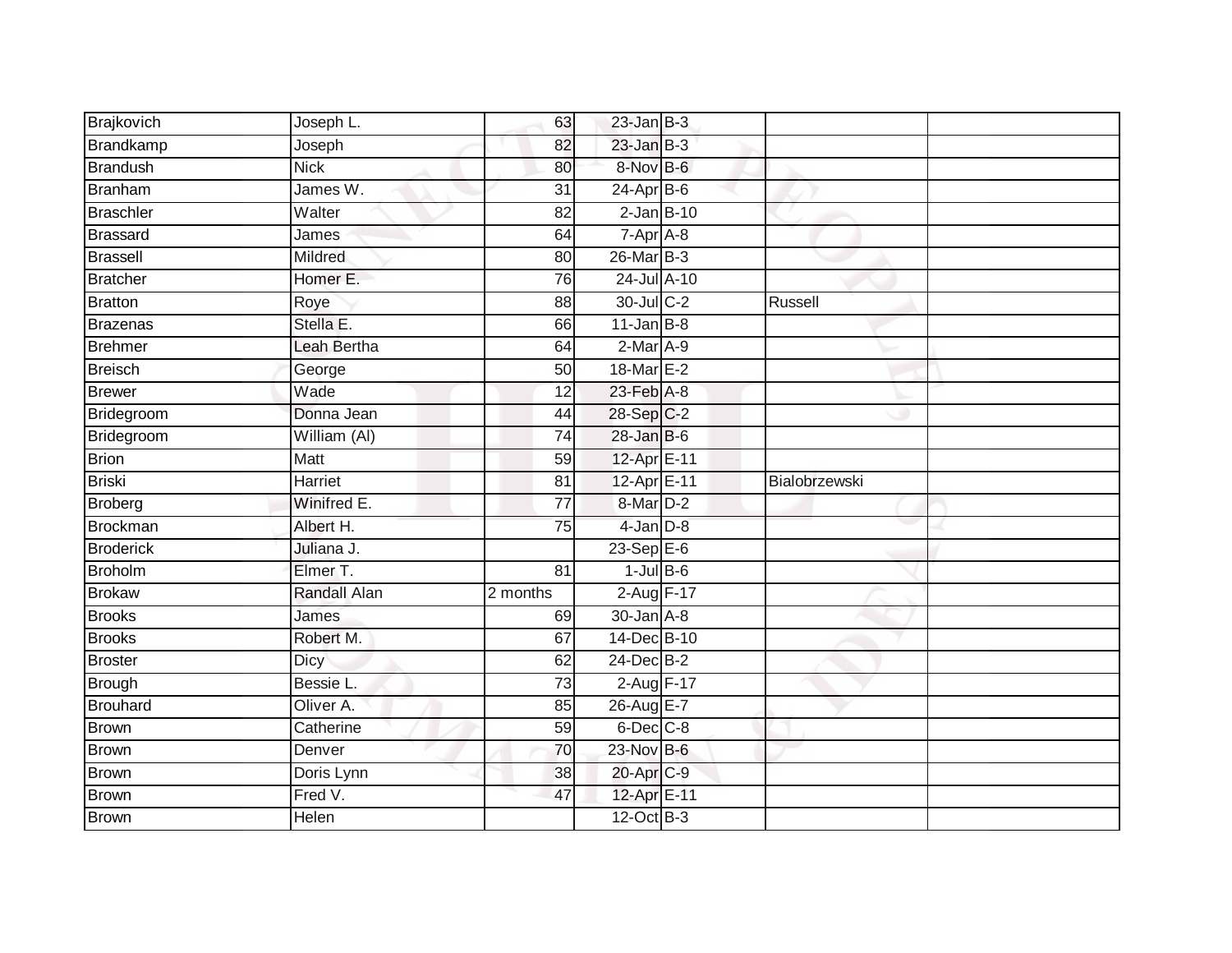| Brajkovich       | Joseph L.          | 63              | $23$ -Jan B-3                |               |  |
|------------------|--------------------|-----------------|------------------------------|---------------|--|
| Brandkamp        | Joseph             | 82              | $23$ -Jan $B-3$              |               |  |
| <b>Brandush</b>  | <b>Nick</b>        | 80              | 8-Nov B-6                    |               |  |
| Branham          | James W.           | 31              | $24-Apr$ B-6                 |               |  |
| <b>Braschler</b> | Walter             | $\overline{82}$ | $2$ -Jan $B-10$              |               |  |
| <b>Brassard</b>  | James              | 64              | $7 - \overline{Apr \n  A-8}$ |               |  |
| <b>Brassell</b>  | <b>Mildred</b>     | 80              | $26$ -Mar $B-3$              |               |  |
| <b>Bratcher</b>  | Homer E.           | 76              | 24-Jul A-10                  |               |  |
| <b>Bratton</b>   | Roye               | 88              | 30-Jul C-2                   | Russell       |  |
| <b>Brazenas</b>  | Stella E.          | 66              | $11$ -Jan B-8                |               |  |
| <b>Brehmer</b>   | <b>Leah Bertha</b> | 64              | $2-Mar A-9$                  |               |  |
| <b>Breisch</b>   | George             | 50              | 18-Mar E-2                   |               |  |
| <b>Brewer</b>    | Wade               | 12              | 23-Feb A-8                   |               |  |
| Bridegroom       | Donna Jean         | 44              | 28-Sep C-2                   |               |  |
| Bridegroom       | William (AI)       | 74              | $28$ -Jan B-6                |               |  |
| <b>Brion</b>     | Matt               | 59              | 12-Apr E-11                  |               |  |
| <b>Briski</b>    | Harriet            | $\overline{81}$ | 12-Apr E-11                  | Bialobrzewski |  |
| <b>Broberg</b>   | Winifred E.        | $\overline{77}$ | 8-Mar D-2                    |               |  |
| <b>Brockman</b>  | Albert H.          | 75              | $4$ -Jan $D-8$               |               |  |
| <b>Broderick</b> | Juliana J.         |                 | $23-Sep$ $E-6$               |               |  |
| <b>Broholm</b>   | Elmer T.           | 81              | $1$ -Jul B-6                 |               |  |
| <b>Brokaw</b>    | Randall Alan       | 2 months        | 2-Aug F-17                   |               |  |
| <b>Brooks</b>    | James              | 69              | $30 - Jan$ $A - 8$           |               |  |
| <b>Brooks</b>    | Robert M.          | 67              | 14-Dec B-10                  |               |  |
| <b>Broster</b>   | <b>Dicy</b>        | 62              | 24-Dec B-2                   |               |  |
| <b>Brough</b>    | Bessie L.          | 73              | $2-Aug$ F-17                 |               |  |
| <b>Brouhard</b>  | Oliver A.          | 85              | 26-Aug E-7                   |               |  |
| <b>Brown</b>     | Catherine          | 59              | $6$ -Dec $C$ -8              |               |  |
| <b>Brown</b>     | Denver             | 70              | $23-Nov$ B-6                 |               |  |
| <b>Brown</b>     | Doris Lynn         | 38              | 20-Apr C-9                   |               |  |
| <b>Brown</b>     | Fred V.            | 47              | 12-Apr E-11                  |               |  |
| <b>Brown</b>     | Helen              |                 | 12-Oct B-3                   |               |  |
|                  |                    |                 |                              |               |  |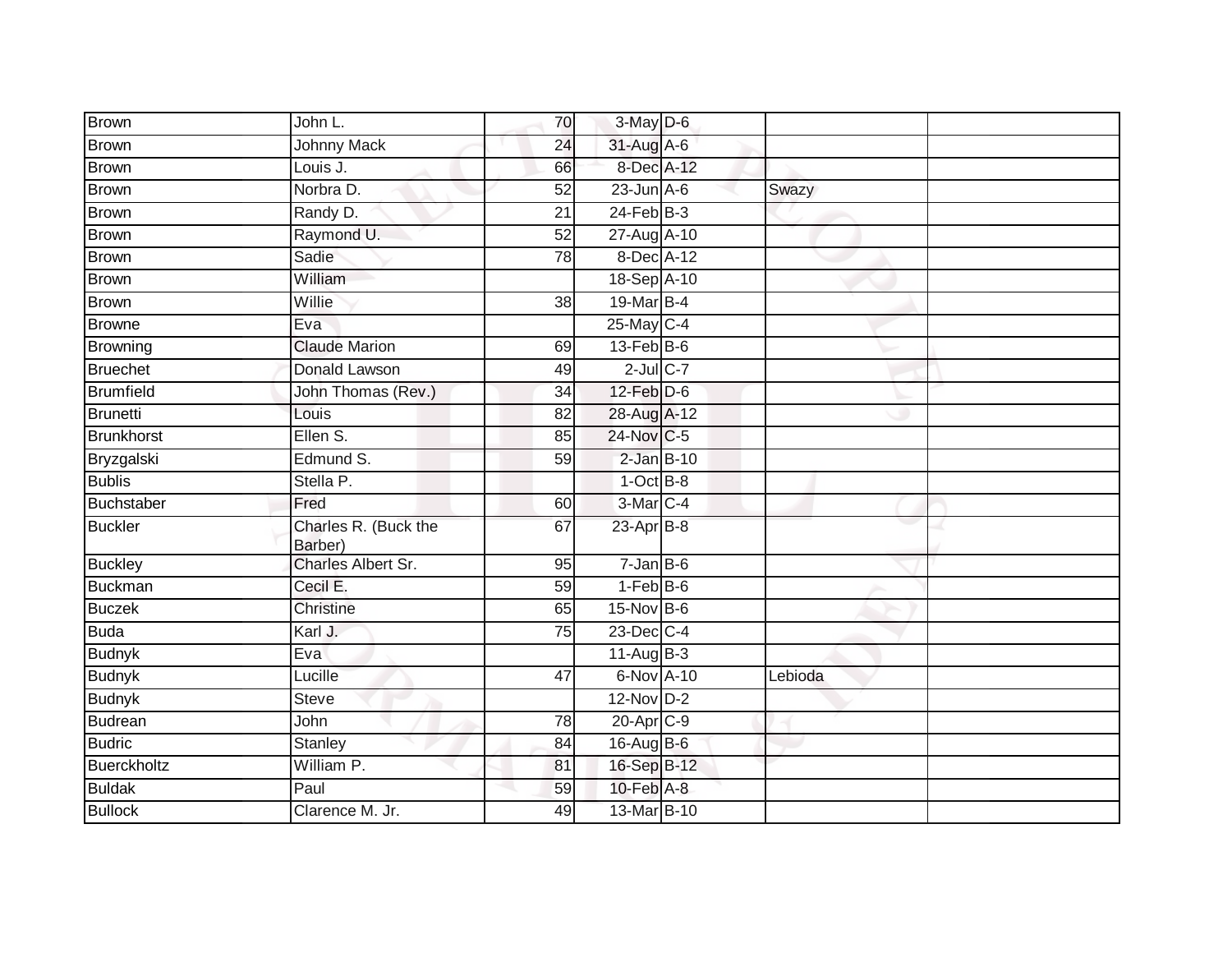| <b>Brown</b>      | John L.                         | 70              | 3-May D-6         |         |  |
|-------------------|---------------------------------|-----------------|-------------------|---------|--|
| <b>Brown</b>      | <b>Johnny Mack</b>              | 24              | 31-Aug A-6        |         |  |
| <b>Brown</b>      | Louis J.                        | 66              | 8-Dec A-12        |         |  |
| <b>Brown</b>      | Norbra D.                       | 52              | $23$ -Jun $A-6$   | Swazy   |  |
| <b>Brown</b>      | Randy D.                        | $\overline{21}$ | $24$ -Feb $B-3$   |         |  |
| Brown             | Raymond U.                      | 52              | 27-Aug A-10       |         |  |
| <b>Brown</b>      | Sadie                           | 78              | 8-Dec A-12        |         |  |
| <b>Brown</b>      | William                         |                 | 18-Sep A-10       |         |  |
| <b>Brown</b>      | Willie                          | 38              | 19-Mar B-4        |         |  |
| <b>Browne</b>     | Eva                             |                 | 25-May C-4        |         |  |
| Browning          | <b>Claude Marion</b>            | 69              | $13$ -Feb $B$ -6  |         |  |
| <b>Bruechet</b>   | Donald Lawson                   | 49              | $2$ -Jul $C$ -7   |         |  |
| <b>Brumfield</b>  | John Thomas (Rev.)              | 34              | $12$ -Feb $D-6$   |         |  |
| <b>Brunetti</b>   | Louis                           | 82              | 28-Aug A-12       |         |  |
| <b>Brunkhorst</b> | Ellen S.                        | 85              | 24-Nov C-5        |         |  |
| Bryzgalski        | Edmund S.                       | 59              | $2$ -Jan $B-10$   |         |  |
| <b>Bublis</b>     | Stella P.                       |                 | $1-Oct$ B-8       |         |  |
| Buchstaber        | Fred                            | 60              | 3-Mar C-4         |         |  |
| <b>Buckler</b>    | Charles R. (Buck the<br>Barber) | 67              | $23$ -Apr $B-8$   |         |  |
| <b>Buckley</b>    | Charles Albert Sr.              | 95              | $7 - Jan$ $B - 6$ |         |  |
| <b>Buckman</b>    | Cecil E.                        | 59              | $1-FebB-6$        |         |  |
| <b>Buczek</b>     | Christine                       | 65              | 15-Nov B-6        |         |  |
| <b>Buda</b>       | Karl J.                         | 75              | 23-Dec C-4        |         |  |
| <b>Budnyk</b>     | Eva                             |                 | $11-AugB-3$       |         |  |
| <b>Budnyk</b>     | Lucille                         | 47              | 6-Nov A-10        | Lebioda |  |
| <b>Budnyk</b>     | <b>Steve</b>                    |                 | $12-NovD-2$       |         |  |
| <b>Budrean</b>    | John                            | 78              | 20-Apr C-9        |         |  |
| <b>Budric</b>     | Stanley                         | 84              | 16-Aug B-6        |         |  |
| Buerckholtz       | William P.                      | 81              | 16-Sep B-12       |         |  |
| <b>Buldak</b>     | Paul                            | 59              | 10-Feb A-8        |         |  |
| <b>Bullock</b>    | Clarence M. Jr.                 | 49              | 13-Mar B-10       |         |  |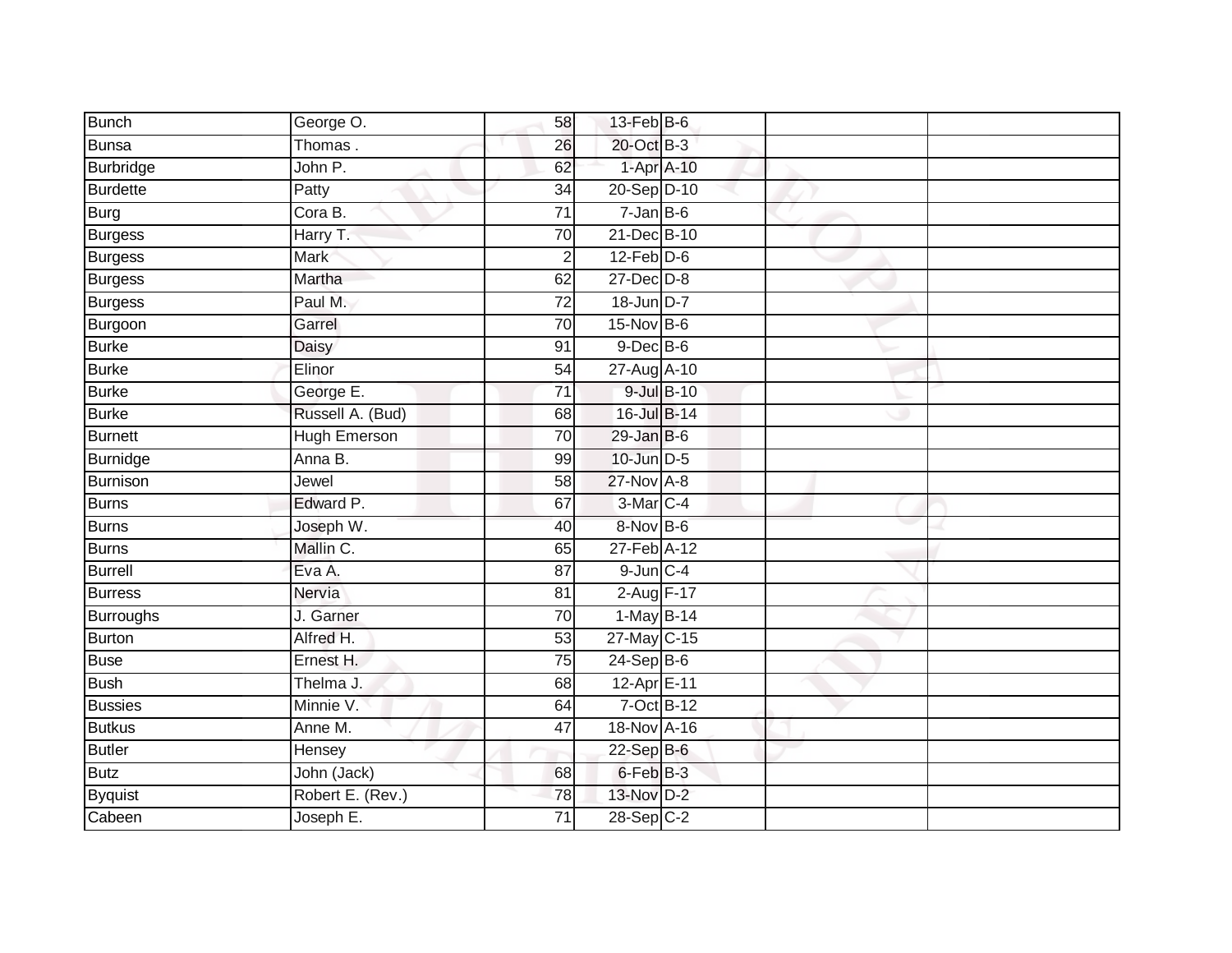| Bunch           | George O.           | 58              | $13$ -Feb $B$ -6  |  |  |
|-----------------|---------------------|-----------------|-------------------|--|--|
| Bunsa           | Thomas.             | 26              | 20-Oct B-3        |  |  |
| Burbridge       | John P.             | 62              | 1-Apr A-10        |  |  |
| <b>Burdette</b> | Patty               | 34              | 20-Sep D-10       |  |  |
| Burg            | Cora B.             | $\overline{71}$ | $7 - Jan$ $B - 6$ |  |  |
| Burgess         | Harry T.            | 70              | 21-Dec B-10       |  |  |
| <b>Burgess</b>  | Mark                | $\overline{2}$  | $12$ -Feb $D-6$   |  |  |
| <b>Burgess</b>  | Martha              | 62              | $27 - Dec$ $D-8$  |  |  |
| Burgess         | Paul M.             | $\overline{72}$ | 18-Jun D-7        |  |  |
| Burgoon         | Garrel              | 70              | 15-Nov B-6        |  |  |
| <b>Burke</b>    | Daisy               | 91              | $9$ -Dec $B$ -6   |  |  |
| <b>Burke</b>    | Elinor              | 54              | 27-Aug A-10       |  |  |
| <b>Burke</b>    | George E.           | 71              | 9-Jul B-10        |  |  |
| <b>Burke</b>    | Russell A. (Bud)    | 68              | 16-Jul B-14       |  |  |
| Burnett         | <b>Hugh Emerson</b> | $\overline{70}$ | $29$ -Jan B-6     |  |  |
| Burnidge        | Anna B.             | 99              | 10-Jun D-5        |  |  |
| Burnison        | Jewel               | $\overline{58}$ | $27$ -Nov $A-8$   |  |  |
| Burns           | Edward P.           | 67              | 3-Mar C-4         |  |  |
| Burns           | Joseph W.           | 40              | 8-Nov B-6         |  |  |
| <b>Burns</b>    | Mallin C.           | 65              | 27-Feb A-12       |  |  |
| Burrell         | Eva A.              | 87              | $9$ -Jun $C - 4$  |  |  |
| <b>Burress</b>  | Nervia              | 81              | 2-Aug F-17        |  |  |
| Burroughs       | J. Garner           | 70              | 1-May B-14        |  |  |
| Burton          | Alfred H.           | 53              | 27-May C-15       |  |  |
| Buse            | Ernest H.           | 75              | $24-Sep$ B-6      |  |  |
| <b>Bush</b>     | Thelma J.           | 68              | 12-Apr E-11       |  |  |
| <b>Bussies</b>  | Minnie V.           | 64              | 7-Oct B-12        |  |  |
| <b>Butkus</b>   | Anne M.             | 47              | 18-Nov A-16       |  |  |
| Butler          | Hensey              |                 | 22-Sep B-6        |  |  |
| <b>Butz</b>     | John (Jack)         | 68              | 6-Feb B-3         |  |  |
| <b>Byquist</b>  | Robert E. (Rev.)    | 78              | 13-Nov D-2        |  |  |
| Cabeen          | Joseph E.           | $\overline{71}$ | $28-Sep$ C-2      |  |  |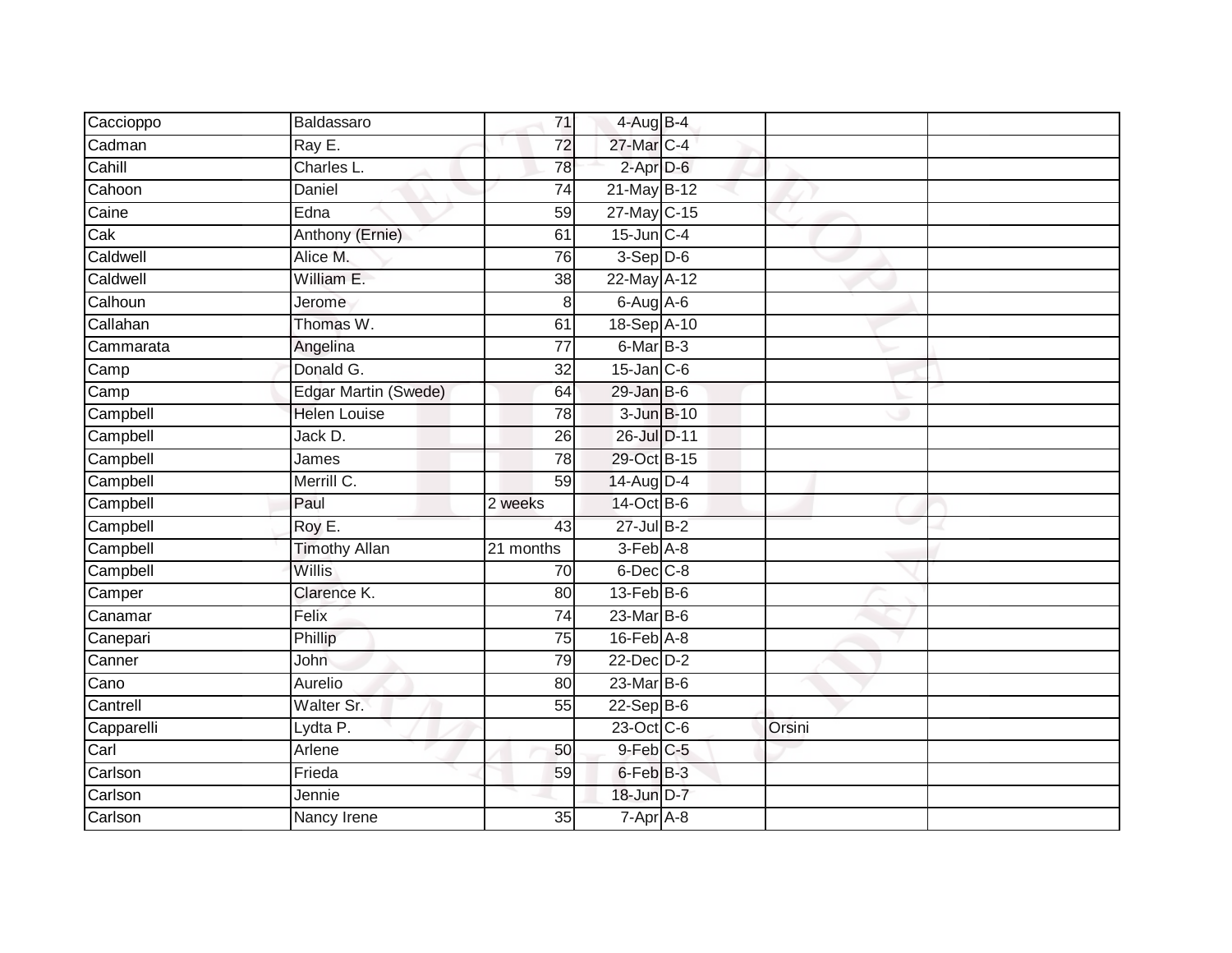| Caccioppo  | Baldassaro           | 71              | $4$ -Aug B-4     |        |  |
|------------|----------------------|-----------------|------------------|--------|--|
| Cadman     | Ray E.               | 72              | 27-Mar C-4       |        |  |
| Cahill     | Charles L.           | 78              | $2$ -Apr $D-6$   |        |  |
| Cahoon     | Daniel               | 74              | $21$ -May B-12   |        |  |
| Caine      | Edna                 | 59              | 27-May C-15      |        |  |
| Cak        | Anthony (Ernie)      | 61              | $15$ -Jun $C-4$  |        |  |
| Caldwell   | Alice M.             | $\overline{76}$ | $3-Sep$ D-6      |        |  |
| Caldwell   | William E.           | 38              | 22-May A-12      |        |  |
| Calhoun    | Jerome               | 8               | $6$ -Aug $A$ -6  |        |  |
| Callahan   | Thomas W.            | 61              | 18-Sep A-10      |        |  |
| Cammarata  | Angelina             | 77              | 6-Mar B-3        |        |  |
| Camp       | Donald G.            | 32              | $15$ -Jan $C$ -6 |        |  |
| Camp       | Edgar Martin (Swede) | 64              | $29$ -Jan B-6    |        |  |
| Campbell   | Helen Louise         | 78              | 3-Jun B-10       |        |  |
| Campbell   | Jack D.              | $\overline{26}$ | 26-Jul D-11      |        |  |
| Campbell   | James                | 78              | 29-Oct B-15      |        |  |
| Campbell   | Merrill C.           | 59              | 14-Aug D-4       |        |  |
| Campbell   | Paul                 | 2 weeks         | 14-Oct B-6       |        |  |
| Campbell   | Roy E.               | 43              | 27-Jul B-2       |        |  |
| Campbell   | <b>Timothy Allan</b> | 21 months       | $3-Feb$ $A-8$    |        |  |
| Campbell   | <b>Willis</b>        | 70              | $6$ -Dec $C$ -8  |        |  |
| Camper     | Clarence K.          | $\overline{80}$ | $13$ -Feb $B$ -6 |        |  |
| Canamar    | Felix                | 74              | 23-Mar B-6       |        |  |
| Canepari   | Phillip              | $\overline{75}$ | $16$ -Feb $A$ -8 |        |  |
| Canner     | John                 | 79              | 22-Dec D-2       |        |  |
| Cano       | Aurelio              | 80              | $23$ -Mar $B$ -6 |        |  |
| Cantrell   | Walter Sr.           | 55              | $22-Sep$ B-6     |        |  |
| Capparelli | Lydta P.             |                 | 23-Oct C-6       | Orsini |  |
| $C$ arl    | Arlene               | 50              | 9-Feb C-5        |        |  |
| Carlson    | Frieda               | 59              | 6-Feb B-3        |        |  |
| Carlson    | Jennie               |                 | 18-Jun D-7       |        |  |
| Carlson    | Nancy Irene          | $\overline{35}$ | $7-Apr$ A-8      |        |  |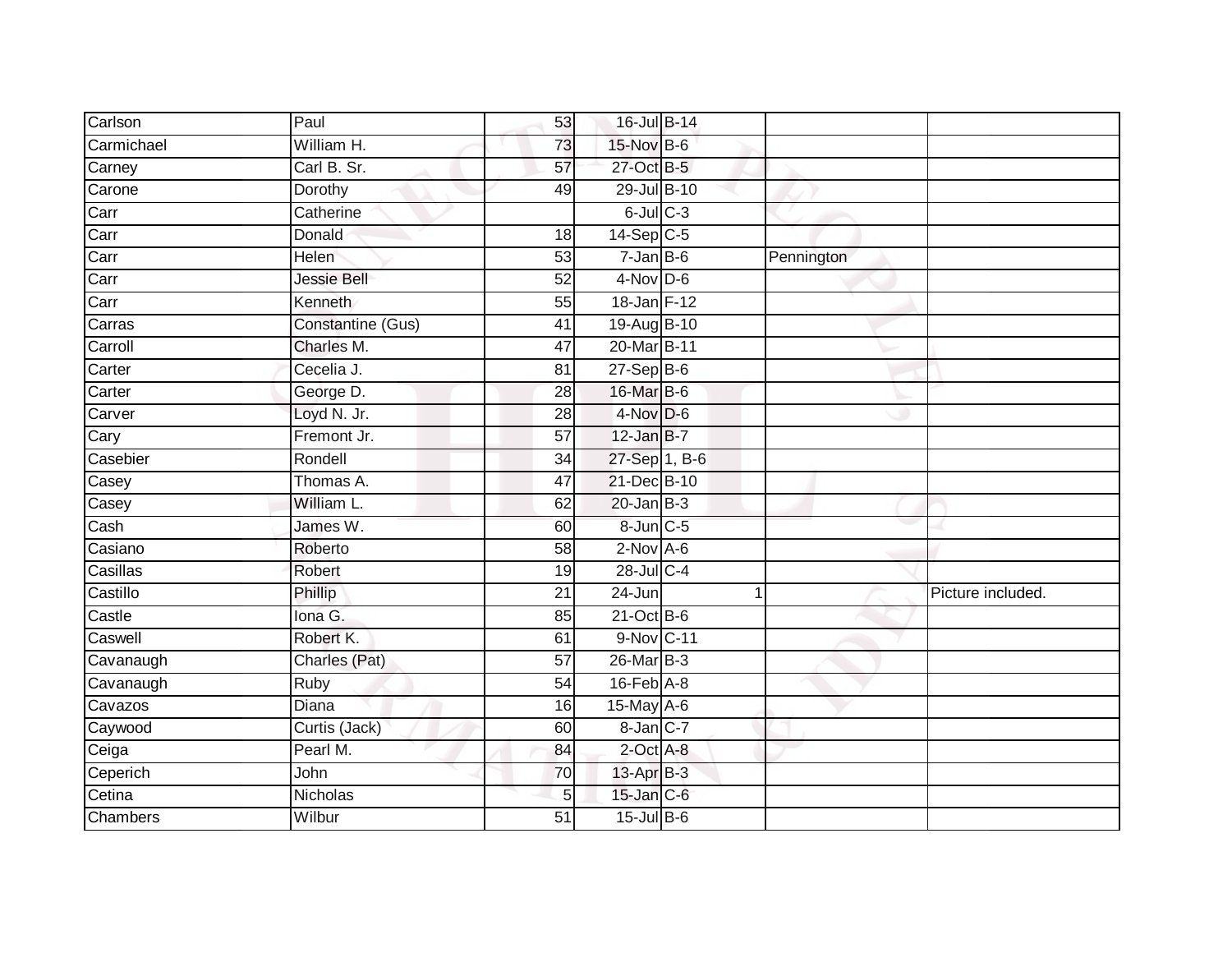| Carlson    | Paul              | 53              | 16-Jul B-14      |   |            |                   |
|------------|-------------------|-----------------|------------------|---|------------|-------------------|
| Carmichael | William H.        | 73              | 15-Nov B-6       |   |            |                   |
| Carney     | Carl B. Sr.       | 57              | 27-Oct B-5       |   |            |                   |
| Carone     | Dorothy           | 49              | 29-Jul B-10      |   |            |                   |
| Carr       | Catherine         |                 | $6$ -Jul $C$ -3  |   |            |                   |
| Carr       | Donald            | 18              | $14-Sep$ C-5     |   |            |                   |
| Carr       | <b>Helen</b>      | 53              | $7 - Jan$ B-6    |   | Pennington |                   |
| Carr       | Jessie Bell       | 52              | $4-Nov$ D-6      |   |            |                   |
| Carr       | Kenneth           | 55              | 18-Jan F-12      |   |            |                   |
| Carras     | Constantine (Gus) | 41              | 19-Aug B-10      |   |            |                   |
| Carroll    | Charles M.        | 47              | 20-Mar B-11      |   |            |                   |
| Carter     | Cecelia J.        | 81              | $27-$ Sep $B-6$  |   |            |                   |
| Carter     | George D.         | 28              | 16-Mar B-6       |   |            |                   |
| Carver     | Loyd N. Jr.       | 28              | $4$ -Nov D-6     |   |            |                   |
| Cary       | Fremont Jr.       | $\overline{57}$ | $12$ -Jan B-7    |   |            |                   |
| Casebier   | Rondell           | 34              | 27-Sep 1, B-6    |   |            |                   |
| Casey      | Thomas A.         | 47              | 21-Dec B-10      |   |            |                   |
| Casey      | William L.        | 62              | $20$ -Jan B-3    |   |            |                   |
| Cash       | James W.          | 60              | 8-Jun C-5        |   |            |                   |
| Casiano    | Roberto           | 58              | $2$ -Nov $A-6$   |   |            |                   |
| Casillas   | Robert            | 19              | 28-Jul C-4       |   |            |                   |
| Castillo   | Phillip           | $\overline{21}$ | $24 - Jun$       | 1 |            | Picture included. |
| Castle     | Iona G.           | 85              | $21$ -Oct B-6    |   |            |                   |
| Caswell    | Robert K.         | 61              | 9-Nov C-11       |   |            |                   |
| Cavanaugh  | Charles (Pat)     | 57              | 26-Mar B-3       |   |            |                   |
| Cavanaugh  | Ruby              | 54              | $16$ -Feb $A$ -8 |   |            |                   |
| Cavazos    | Diana             | 16              | 15-May A-6       |   |            |                   |
| Caywood    | Curtis (Jack)     | 60              | 8-Jan C-7        |   |            |                   |
| Ceiga      | Pearl M.          | 84              | 2-Oct A-8        |   |            |                   |
| Ceperich   | John              | 70              | 13-Apr B-3       |   |            |                   |
| Cetina     | Nicholas          | 5               | 15-Jan C-6       |   |            |                   |
| Chambers   | Wilbur            | $\overline{51}$ | $15$ -Jul $B$ -6 |   |            |                   |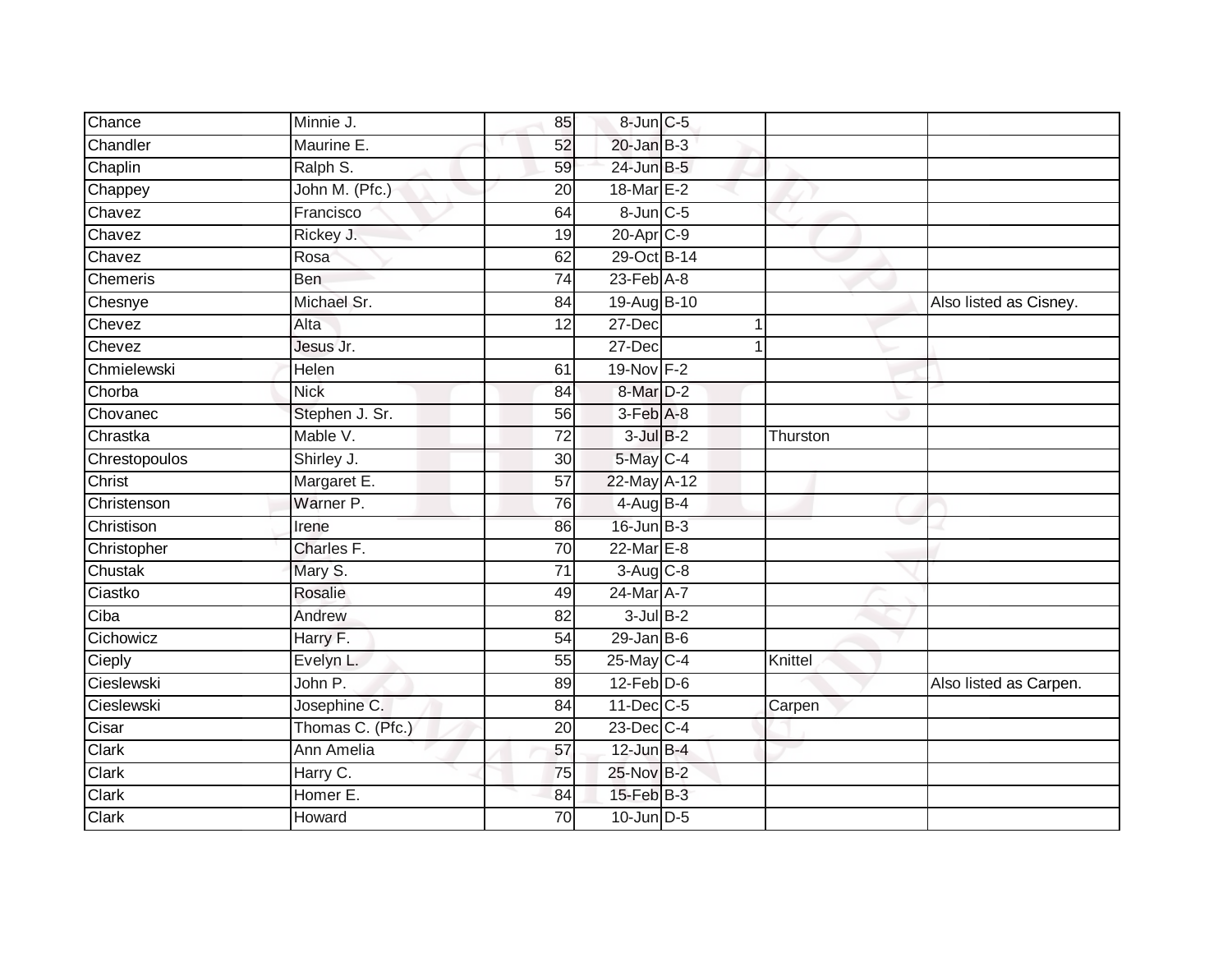| Chance        | Minnie J.        | 85              | 8-Jun C-5        |          |                        |
|---------------|------------------|-----------------|------------------|----------|------------------------|
| Chandler      | Maurine E.       | 52              | $20$ -Jan $B-3$  |          |                        |
| Chaplin       | Ralph S.         | 59              | 24-Jun B-5       |          |                        |
| Chappey       | John M. (Pfc.)   | $\overline{20}$ | 18-Mar E-2       |          |                        |
| Chavez        | Francisco        | 64              | 8-Jun C-5        |          |                        |
| Chavez        | Rickey J.        | 19              | 20-Apr C-9       |          |                        |
| Chavez        | Rosa             | 62              | 29-Oct B-14      |          |                        |
| Chemeris      | <b>Ben</b>       | 74              | $23$ -Feb $A-8$  |          |                        |
| Chesnye       | Michael Sr.      | 84              | 19-Aug B-10      |          | Also listed as Cisney. |
| Chevez        | Alta             | 12              | 27-Dec           |          |                        |
| Chevez        | Jesus Jr.        |                 | 27-Dec           |          |                        |
| Chmielewski   | Helen            | 61              | 19-Nov F-2       |          |                        |
| Chorba        | <b>Nick</b>      | 84              | 8-Mar D-2        |          |                        |
| Chovanec      | Stephen J. Sr.   | 56              | $3-Feb$ $A-8$    |          |                        |
| Chrastka      | Mable V.         | $\overline{72}$ | $3$ -Jul $B-2$   | Thurston |                        |
| Chrestopoulos | Shirley J.       | 30              | 5-May C-4        |          |                        |
| Christ        | Margaret E.      | $\overline{57}$ | 22-May A-12      |          |                        |
| Christenson   | Warner P.        | 76              | 4-Aug B-4        |          |                        |
| Christison    | Irene            | 86              | $16$ -Jun $B-3$  |          |                        |
| Christopher   | Charles F.       | 70              | $22$ -Mar $E-8$  |          |                        |
| Chustak       | Mary S.          | 71              | 3-Aug C-8        |          |                        |
| Ciastko       | Rosalie          | 49              | 24-Mar A-7       |          |                        |
| Ciba          | Andrew           | 82              | $3$ -Jul $B-2$   |          |                        |
| Cichowicz     | Harry F.         | 54              | $29$ -Jan B-6    |          |                        |
| Cieply        | Evelyn L.        | 55              | $25$ -May C-4    | Knittel  |                        |
| Cieslewski    | John P.          | 89              | $12$ -Feb $D-6$  |          | Also listed as Carpen. |
| Cieslewski    | Josephine C.     | 84              | 11-Dec C-5       | Carpen   |                        |
| Cisar         | Thomas C. (Pfc.) | 20              | 23-Dec C-4       |          |                        |
| Clark         | Ann Amelia       | 57              | $12$ -Jun $B-4$  |          |                        |
| Clark         | Harry C.         | 75              | 25-Nov B-2       |          |                        |
| Clark         | Homer E.         | 84              | $15$ -Feb $B$ -3 |          |                        |
| Clark         | Howard           | 70              | $10$ -Jun $D-5$  |          |                        |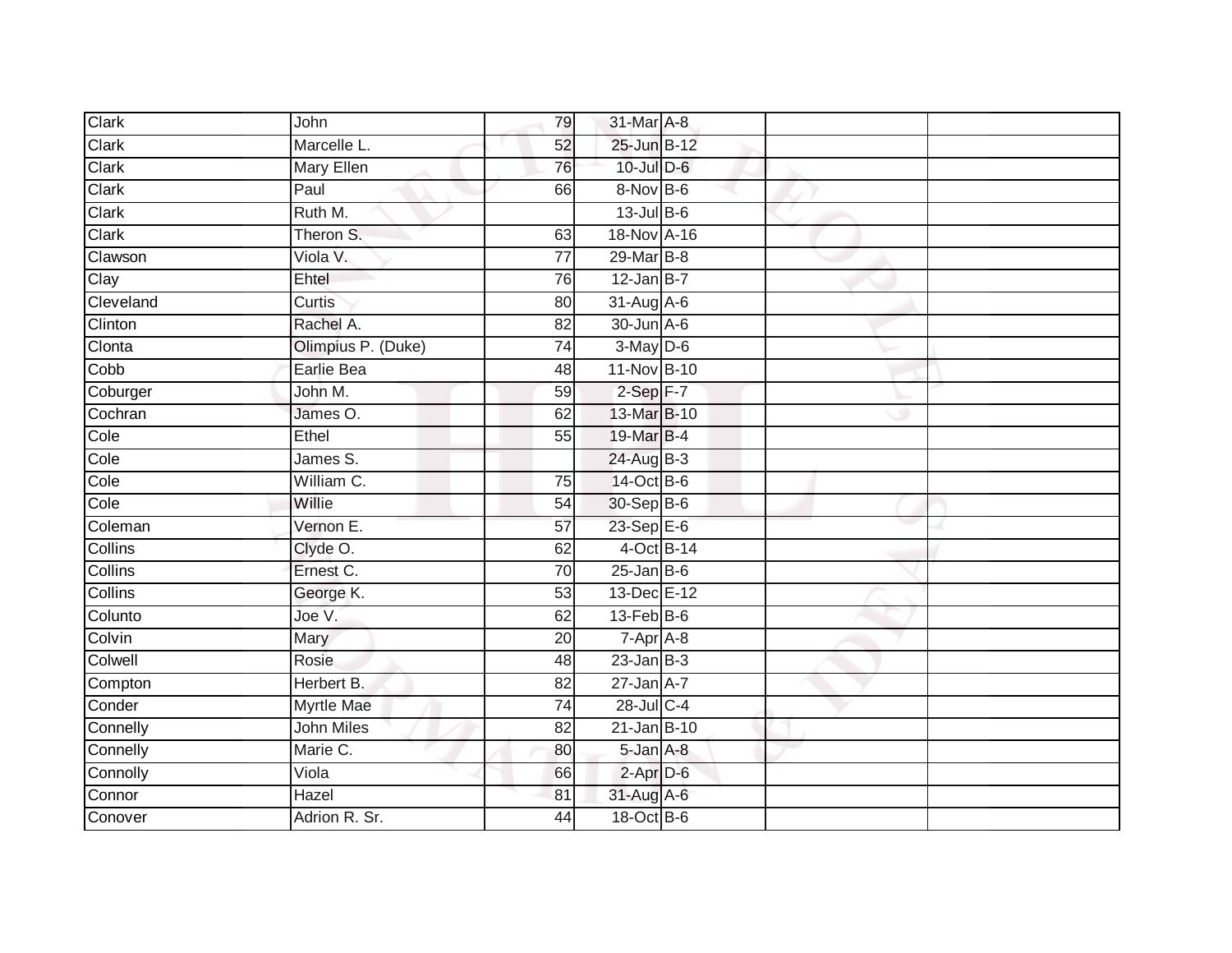| Clark          | John               | 79              | 31-Mar A-8                    |  |  |
|----------------|--------------------|-----------------|-------------------------------|--|--|
| Clark          | Marcelle L.        | 52              | 25-Jun B-12                   |  |  |
| Clark          | <b>Mary Ellen</b>  | 76              | 10-Jul D-6                    |  |  |
| Clark          | Paul               | 66              | 8-Nov B-6                     |  |  |
| Clark          | Ruth M.            |                 | 13-Jul B-6                    |  |  |
| Clark          | Theron S.          | 63              | 18-Nov A-16                   |  |  |
| Clawson        | Viola V.           | $\overline{77}$ | 29-Mar B-8                    |  |  |
| Clay           | Ehtel              | 76              | $12$ -Jan B-7                 |  |  |
| Cleveland      | Curtis             | 80              | 31-Aug A-6                    |  |  |
| Clinton        | Rachel A.          | $\overline{82}$ | 30-Jun A-6                    |  |  |
| Clonta         | Olimpius P. (Duke) | 74              | $3-May$ D-6                   |  |  |
| Cobb           | Earlie Bea         | 48              | 11-Nov B-10                   |  |  |
| Coburger       | John M.            | 59              | $2-Sep$ F-7                   |  |  |
| Cochran        | James O.           | 62              | 13-Mar B-10                   |  |  |
| Cole           | Ethel              | 55              | 19-Mar B-4                    |  |  |
| Cole           | James S.           |                 | 24-Aug B-3                    |  |  |
| Cole           | William C.         | 75              | 14-Oct B-6                    |  |  |
| Cole           | Willie             | 54              | 30-Sep B-6                    |  |  |
| Coleman        | Vernon E.          | 57              | 23-Sep E-6                    |  |  |
| Collins        | Clyde O.           | 62              | 4-Oct B-14                    |  |  |
| Collins        | Ernest C.          | 70              | $25$ -Jan B-6                 |  |  |
| <b>Collins</b> | George K.          | 53              | 13-Dec E-12                   |  |  |
| Colunto        | Joe V.             | 62              | $13$ -Feb $B$ -6              |  |  |
| Colvin         | Mary               | 20              | $7 - \overline{Apr \mid A-8}$ |  |  |
| Colwell        | Rosie              | 48              | $23$ -Jan B-3                 |  |  |
| Compton        | Herbert B.         | $\overline{82}$ | $27$ -Jan $A-7$               |  |  |
| Conder         | <b>Myrtle Mae</b>  | 74              | 28-Jul C-4                    |  |  |
| Connelly       | <b>John Miles</b>  | 82              | $21$ -Jan B-10                |  |  |
| Connelly       | Marie C.           | 80              | 5-Jan A-8                     |  |  |
| Connolly       | Viola              | 66              | $2$ -Apr $D-6$                |  |  |
| Connor         | Hazel              | 81              | 31-Aug A-6                    |  |  |
| Conover        | Adrion R. Sr.      | 44              | 18-Oct B-6                    |  |  |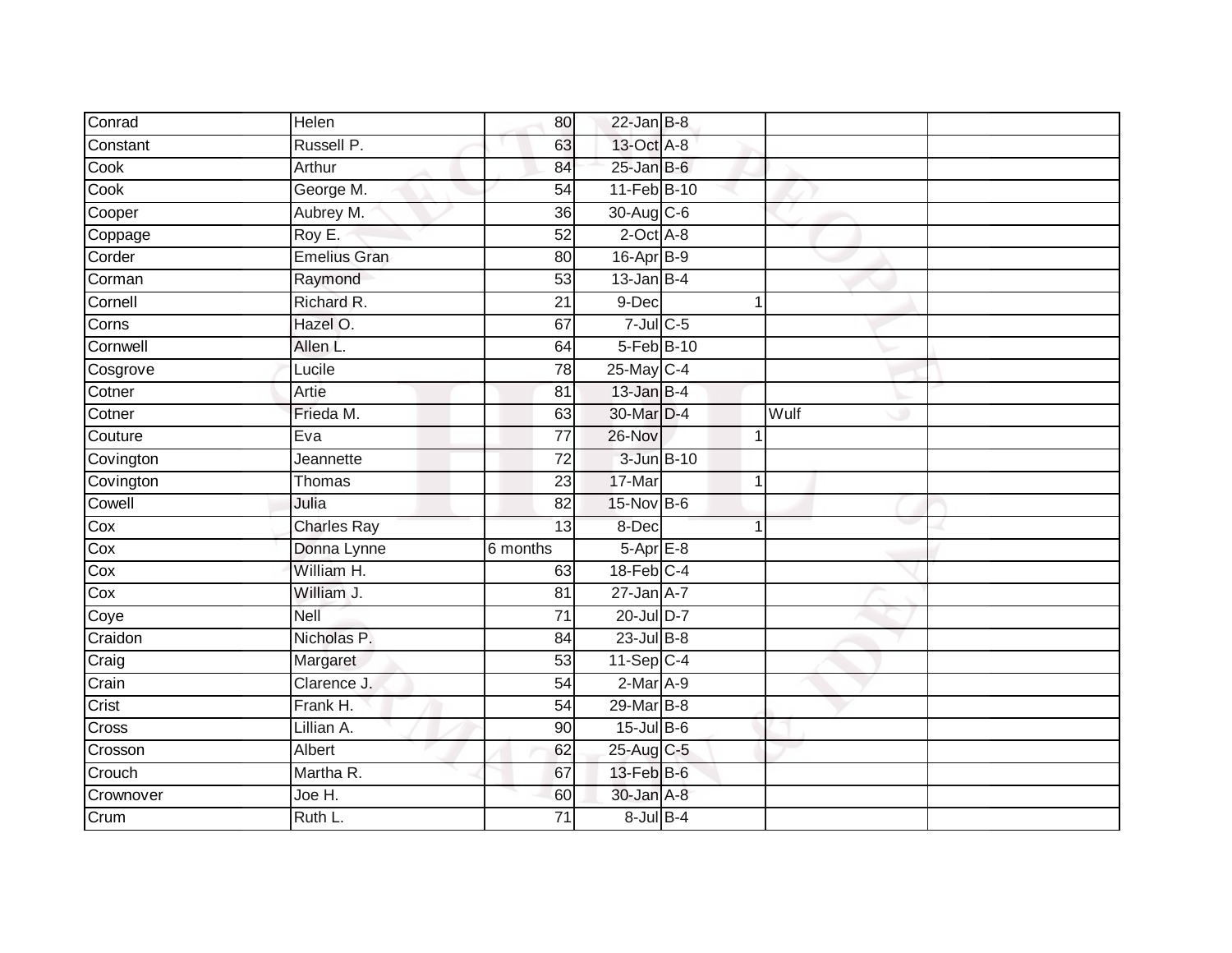| Conrad    | Helen               | 80              | $22$ -Jan B-8    |              |  |
|-----------|---------------------|-----------------|------------------|--------------|--|
| Constant  | Russell P.          | 63              | 13-Oct A-8       |              |  |
| Cook      | Arthur              | 84              | $25 - Jan$ $B-6$ |              |  |
| Cook      | George M.           | 54              | 11-Feb B-10      |              |  |
| Cooper    | Aubrey M.           | $\overline{36}$ | 30-Aug C-6       |              |  |
| Coppage   | Roy E.              | 52              | $2$ -Oct $A-8$   |              |  |
| Corder    | <b>Emelius Gran</b> | 80              | $16$ -Apr $B$ -9 |              |  |
| Corman    | Raymond             | 53              | $13$ -Jan B-4    |              |  |
| Cornell   | Richard R.          | 21              | 9-Dec            | 1            |  |
| Corns     | Hazel O.            | 67              | $7$ -Jul $C$ -5  |              |  |
| Cornwell  | Allen L.            | 64              | 5-Feb B-10       |              |  |
| Cosgrove  | Lucile              | $\overline{78}$ | 25-May C-4       |              |  |
| Cotner    | Artie               | 81              | $13$ -Jan B-4    |              |  |
| Cotner    | Frieda M.           | 63              | 30-Mar D-4       | Wulf         |  |
| Couture   | Eva                 | $\overline{77}$ | 26-Nov           | $\mathbf 1$  |  |
| Covington | Jeannette           | 72              | 3-Jun B-10       |              |  |
| Covington | Thomas              | $\overline{23}$ | 17-Mar           | $\mathbf{1}$ |  |
| Cowell    | Julia               | 82              | 15-Nov B-6       |              |  |
| Cox       | Charles Ray         | 13              | 8-Dec            |              |  |
| Cox       | Donna Lynne         | 6 months        | $5-AprE-8$       |              |  |
| Cox       | William H.          | 63              | $18$ -Feb $C-4$  |              |  |
| Cox       | William J.          | 81              | $27$ -Jan $A-7$  |              |  |
| Coye      | Nell                | 71              | 20-Jul D-7       |              |  |
| Craidon   | Nicholas P.         | 84              | $23$ -Jul $B-8$  |              |  |
| Craig     | Margaret            | $\overline{53}$ | $11-Sep C-4$     |              |  |
| Crain     | Clarence J.         | 54              | $2-Mar A-9$      |              |  |
| Crist     | Frank H.            | 54              | 29-Mar B-8       |              |  |
| Cross     | Lillian A.          | 90              | $15$ -Jul B-6    |              |  |
| Crosson   | Albert              | 62              | 25-Aug C-5       |              |  |
| Crouch    | Martha R.           | 67              | 13-Feb B-6       |              |  |
| Crownover | Joe H.              | 60              | 30-Jan A-8       |              |  |
| Crum      | Ruth L.             | $\overline{71}$ | $8$ -Jul $B$ -4  |              |  |
|           |                     |                 |                  |              |  |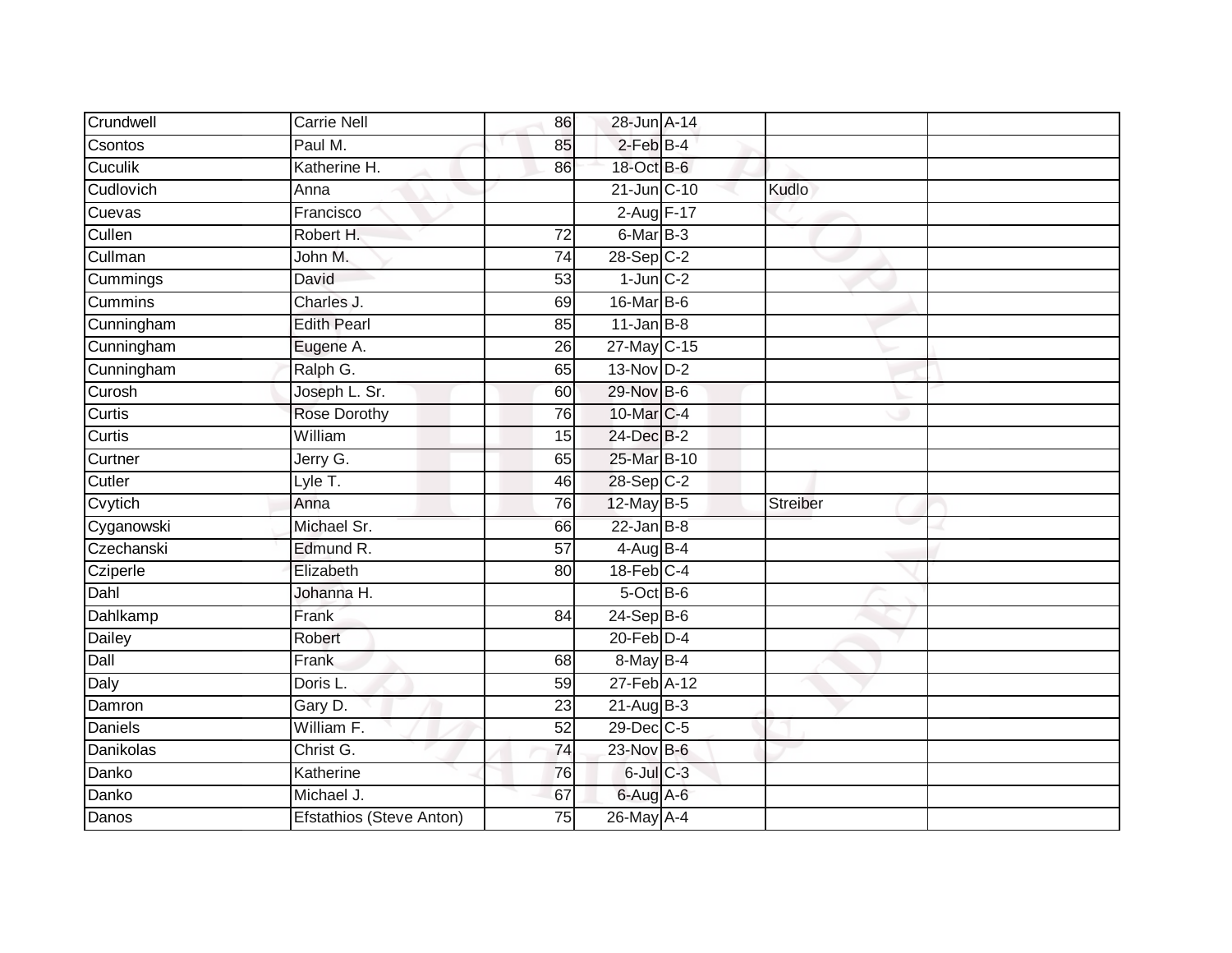| Crundwell      | <b>Carrie Nell</b>              | 86              | 28-Jun A-14     |                 |  |
|----------------|---------------------------------|-----------------|-----------------|-----------------|--|
| Csontos        | Paul M.                         | 85              | $2$ -Feb $B-4$  |                 |  |
| Cuculik        | Katherine H.                    | 86              | 18-Oct B-6      |                 |  |
| Cudlovich      | Anna                            |                 | 21-Jun C-10     | Kudlo           |  |
| Cuevas         | Francisco                       |                 | 2-Aug F-17      |                 |  |
| Cullen         | Robert H.                       | 72              | $6$ -Mar $B-3$  |                 |  |
| Cullman        | John M.                         | 74              | $28-SepC-2$     |                 |  |
| Cummings       | David                           | 53              | $1$ -Jun $C-2$  |                 |  |
| <b>Cummins</b> | Charles J.                      | 69              | 16-Mar B-6      |                 |  |
| Cunningham     | <b>Edith Pearl</b>              | 85              | $11$ -Jan B-8   |                 |  |
| Cunningham     | Eugene A.                       | 26              | 27-May C-15     |                 |  |
| Cunningham     | Ralph G.                        | 65              | $13-Nov$ D-2    |                 |  |
| Curosh         | Joseph L. Sr.                   | 60              | 29-Nov B-6      |                 |  |
| Curtis         | Rose Dorothy                    | 76              | 10-Mar C-4      |                 |  |
| Curtis         | William                         | 15              | 24-Dec B-2      |                 |  |
| Curtner        | Jerry G.                        | 65              | 25-Mar B-10     |                 |  |
| Cutler         | Lyle T.                         | 46              | 28-Sep C-2      |                 |  |
| Cvytich        | Anna                            | 76              | 12-May B-5      | <b>Streiber</b> |  |
| Cyganowski     | Michael Sr.                     | 66              | $22$ -Jan B-8   |                 |  |
| Czechanski     | Edmund R.                       | $\overline{57}$ | $4$ -Aug B-4    |                 |  |
| Cziperle       | Elizabeth                       | 80              | $18$ -Feb $C-4$ |                 |  |
| Dahl           | Johanna H.                      |                 | 5-Oct B-6       |                 |  |
| Dahlkamp       | Frank                           | 84              | $24-Sep$ B-6    |                 |  |
| Dailey         | Robert                          |                 | $20$ -Feb $D-4$ |                 |  |
| Dall           | Frank                           | 68              | 8-May B-4       |                 |  |
| Daly           | Doris L.                        | 59              | 27-Feb A-12     |                 |  |
| Damron         | Gary D.                         | 23              | $21-Aug$ B-3    |                 |  |
| <b>Daniels</b> | William F.                      | 52              | 29-Dec C-5      |                 |  |
| Danikolas      | Christ G.                       | 74              | 23-Nov B-6      |                 |  |
| Danko          | Katherine                       | 76              | $6$ -Jul $C$ -3 |                 |  |
| Danko          | Michael J.                      | 67              | 6-Aug A-6       |                 |  |
| Danos          | <b>Efstathios (Steve Anton)</b> | 75              | 26-May A-4      |                 |  |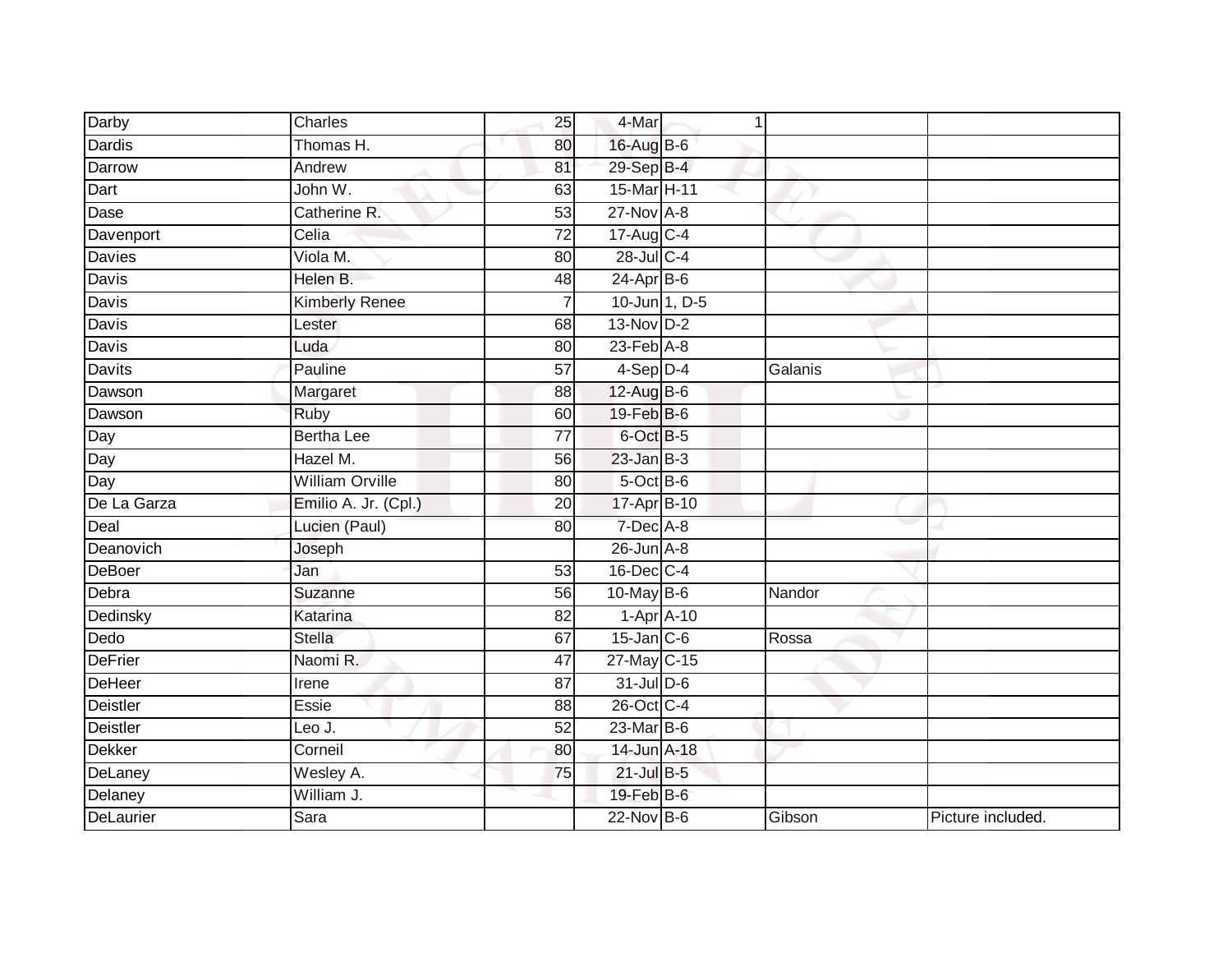| Darby           | Charles                | 25              | 4-Mar                       | $\mathbf{1}$ |         |                   |
|-----------------|------------------------|-----------------|-----------------------------|--------------|---------|-------------------|
| <b>Dardis</b>   | Thomas H.              | 80              | 16-Aug B-6                  |              |         |                   |
| Darrow          | Andrew                 | 81              | 29-Sep B-4                  |              |         |                   |
| Dart            | John W.                | 63              | 15-Mar H-11                 |              |         |                   |
| Dase            | Catherine R.           | $\overline{53}$ | $27$ -Nov $A-8$             |              |         |                   |
| Davenport       | Celia                  | 72              | 17-Aug C-4                  |              |         |                   |
| Davies          | Viola M.               | 80              | $28$ -Jul C-4               |              |         |                   |
| Davis           | Helen B.               | 48              | $24-Apr$ B-6                |              |         |                   |
| Davis           | <b>Kimberly Renee</b>  | $\overline{7}$  | 10-Jun 1, D-5               |              |         |                   |
| Davis           | Lester                 | 68              | $13-Nov$ D-2                |              |         |                   |
| Davis           | Luda                   | 80              | $23$ -Feb $\overline{A}$ -8 |              |         |                   |
| Davits          | Pauline                | $\overline{57}$ | $4-Sep$ D-4                 |              | Galanis |                   |
| Dawson          | Margaret               | 88              | $12$ -Aug B-6               |              |         |                   |
| Dawson          | Ruby                   | 60              | 19-Feb B-6                  |              |         |                   |
| Day             | <b>Bertha Lee</b>      | $\overline{77}$ | 6-Oct B-5                   |              |         |                   |
| Day             | Hazel M.               | 56              | $23$ -Jan B-3               |              |         |                   |
| Day             | <b>William Orville</b> | 80              | $5$ -Oct $B$ -6             |              |         |                   |
| De La Garza     | Emilio A. Jr. (Cpl.)   | 20              | 17-Apr B-10                 |              |         |                   |
| Deal            | Lucien (Paul)          | 80              | $7$ -Dec $A-8$              |              |         |                   |
| Deanovich       | Joseph                 |                 | $26$ -Jun $A-8$             |              |         |                   |
| DeBoer          | Jan                    | 53              | $16$ -Dec $C-4$             |              |         |                   |
| Debra           | Suzanne                | 56              | 10-May B-6                  |              | Nandor  |                   |
| Dedinsky        | Katarina               | 82              | $1-Apr$ A-10                |              |         |                   |
| Dedo            | Stella                 | 67              | $15$ -Jan $C$ -6            |              | Rossa   |                   |
| <b>DeFrier</b>  | Naomi R.               | 47              | 27-May C-15                 |              |         |                   |
| DeHeer          | Irene                  | 87              | 31-Jul D-6                  |              |         |                   |
| Deistler        | <b>Essie</b>           | 88              | 26-Oct C-4                  |              |         |                   |
| <b>Deistler</b> | Leo J.                 | 52              | $23$ -Mar $B$ -6            |              |         |                   |
| Dekker          | Corneil                | 80              | 14-Jun A-18                 |              |         |                   |
| DeLaney         | Wesley A.              | 75              | $21$ -Jul B-5               |              |         |                   |
| Delaney         | William J.             |                 | $19$ -Feb $B$ -6            |              |         |                   |
| DeLaurier       | Sara                   |                 | $22$ -Nov $B-6$             |              | Gibson  | Picture included. |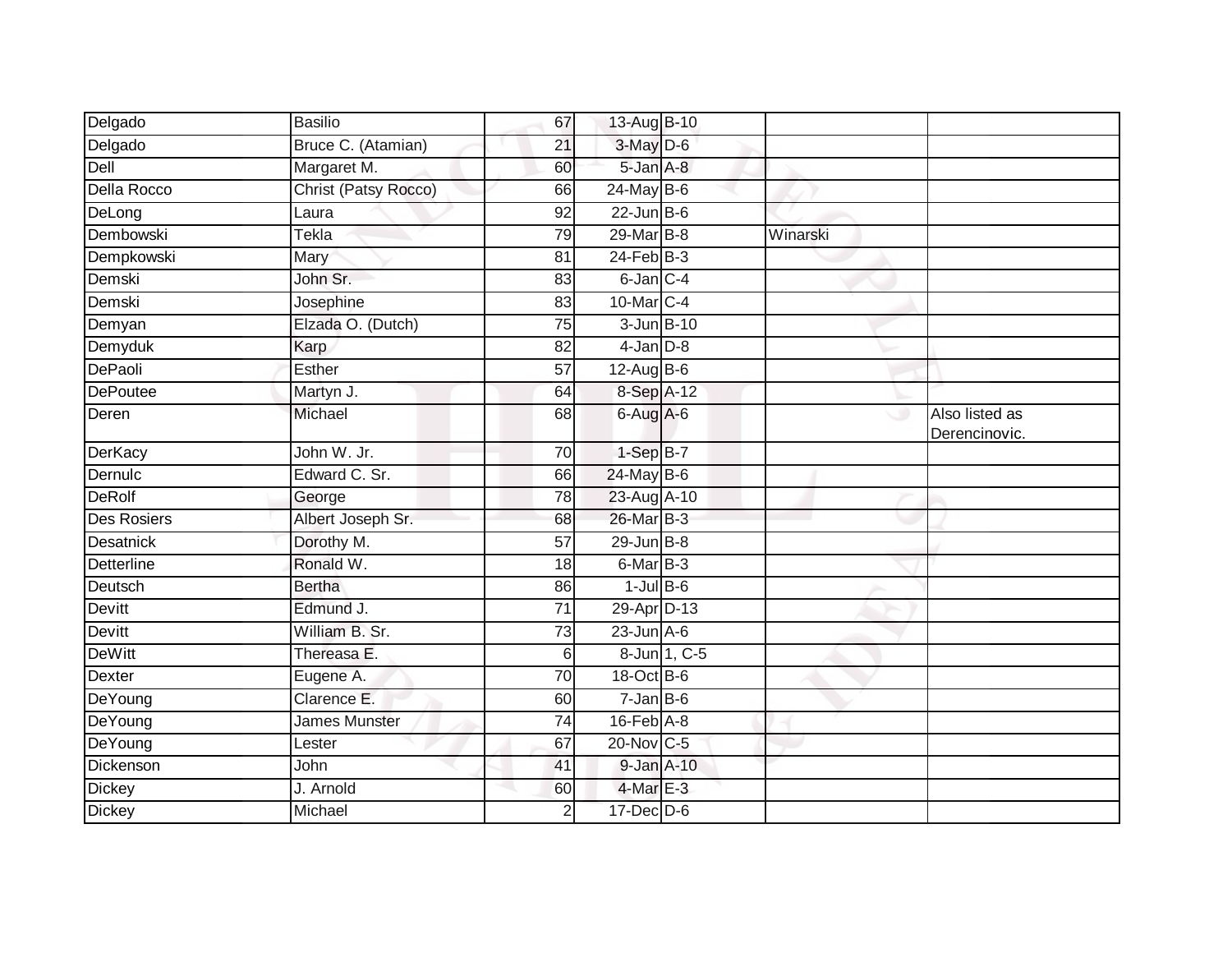| Delgado            | <b>Basilio</b>       | 67              | 13-Aug B-10       |              |          |                                 |
|--------------------|----------------------|-----------------|-------------------|--------------|----------|---------------------------------|
| Delgado            | Bruce C. (Atamian)   | 21              | 3-May D-6         |              |          |                                 |
| Dell               | Margaret M.          | 60              | 5-Jan A-8         |              |          |                                 |
| Della Rocco        | Christ (Patsy Rocco) | 66              | 24-May B-6        |              |          |                                 |
| DeLong             | Laura                | $\overline{92}$ | $22$ -Jun B-6     |              |          |                                 |
| Dembowski          | Tekla                | 79              | 29-Mar B-8        |              | Winarski |                                 |
| Dempkowski         | Mary                 | 81              | $24$ -Feb $B-3$   |              |          |                                 |
| Demski             | John Sr.             | 83              | 6-Jan C-4         |              |          |                                 |
| Demski             | Josephine            | 83              | 10-Mar C-4        |              |          |                                 |
| Demyan             | Elzada O. (Dutch)    | $\overline{75}$ | 3-Jun B-10        |              |          |                                 |
| Demyduk            | Karp                 | 82              | $4$ -Jan $D-8$    |              |          |                                 |
| DePaoli            | Esther               | 57              | $12$ -AugB-6      |              |          |                                 |
| <b>DePoutee</b>    | Martyn J.            | 64              | 8-Sep A-12        |              |          |                                 |
| Deren              | Michael              | 68              | 6-Aug A-6         |              | ی        | Also listed as<br>Derencinovic. |
| <b>DerKacy</b>     | John W. Jr.          | 70              | $1-SepB-7$        |              |          |                                 |
| Dernulc            | Edward C. Sr.        | 66              | 24-May B-6        |              |          |                                 |
| <b>DeRolf</b>      | George               | 78              | 23-Aug A-10       |              |          |                                 |
| <b>Des Rosiers</b> | Albert Joseph Sr.    | 68              | 26-Mar B-3        |              |          |                                 |
| Desatnick          | Dorothy M.           | 57              | $29$ -Jun $B - 8$ |              |          |                                 |
| Detterline         | Ronald W.            | 18              | $6$ -Mar $B-3$    |              |          |                                 |
| Deutsch            | <b>Bertha</b>        | 86              | $1$ -Jul $B$ -6   |              |          |                                 |
| Devitt             | Edmund J.            | 71              | 29-Apr D-13       |              |          |                                 |
| Devitt             | William B. Sr.       | 73              | $23$ -Jun $A-6$   |              |          |                                 |
| <b>DeWitt</b>      | Thereasa E.          | 6               |                   | 8-Jun 1, C-5 |          |                                 |
| Dexter             | Eugene A.            | 70              | 18-Oct B-6        |              |          |                                 |
| DeYoung            | Clarence E.          | 60              | $7 - Jan$ B-6     |              |          |                                 |
| DeYoung            | <b>James Munster</b> | $\overline{74}$ | $16$ -Feb $A$ -8  |              |          |                                 |
| DeYoung            | Lester               | 67              | 20-Nov C-5        |              |          |                                 |
| Dickenson          | John                 | 41              | 9-Jan A-10        |              |          |                                 |
| Dickey             | J. Arnold            | 60              | $4$ -Mar $E-3$    |              |          |                                 |
| <b>Dickey</b>      | Michael              | 2               | $17$ -Dec $D-6$   |              |          |                                 |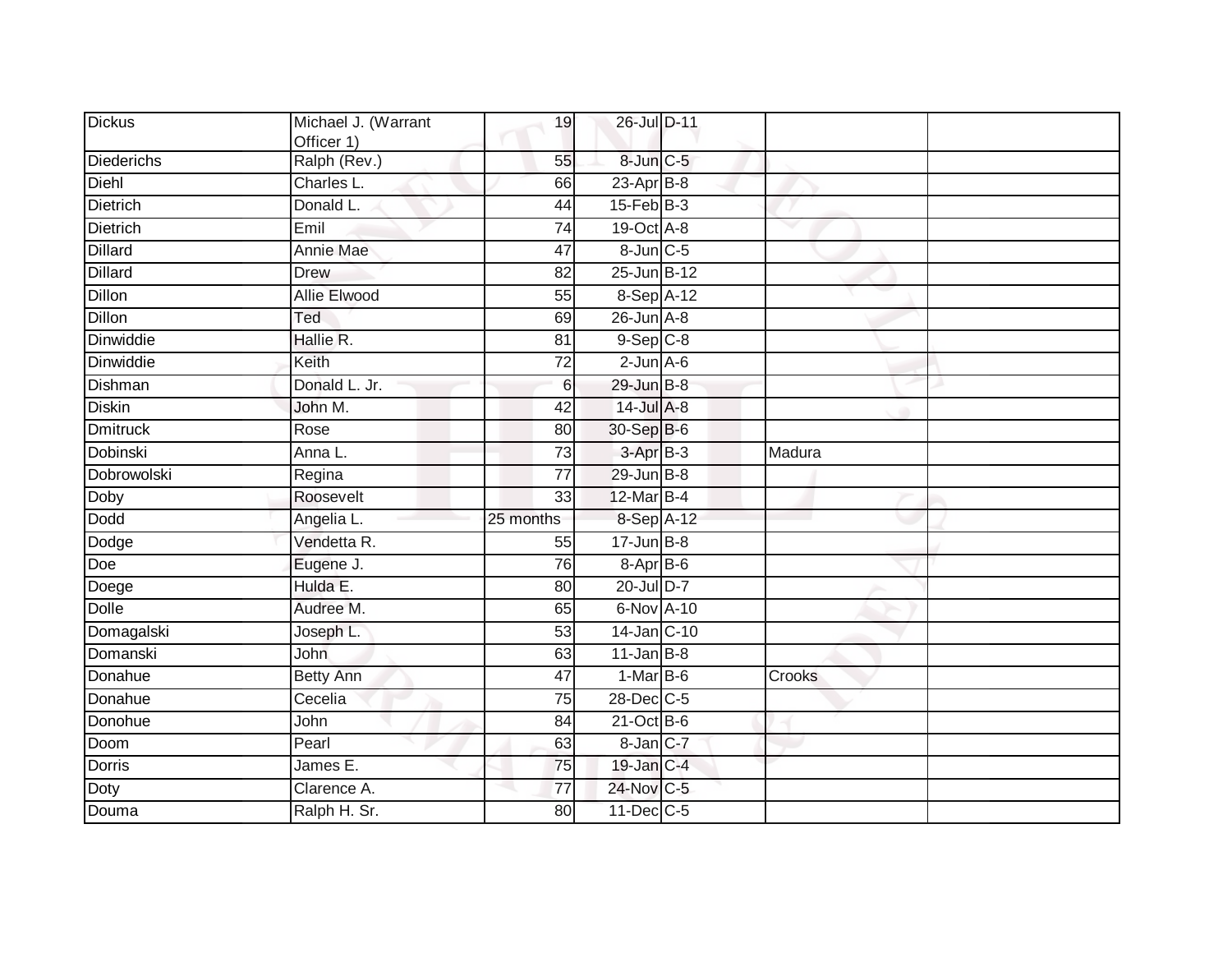| <b>Dickus</b>     | Michael J. (Warrant<br>Officer 1) | 19              | 26-Jul D-11                 |        |  |
|-------------------|-----------------------------------|-----------------|-----------------------------|--------|--|
| <b>Diederichs</b> | Ralph (Rev.)                      | 55              | 8-Jun C-5                   |        |  |
| Diehl             | Charles L.                        | 66              | $23$ -Apr $B-8$             |        |  |
| <b>Dietrich</b>   | Donald L.                         | 44              | $15$ -Feb $B$ -3            |        |  |
| <b>Dietrich</b>   | Emil                              | 74              | 19-Oct A-8                  |        |  |
| <b>Dillard</b>    | Annie Mae                         | 47              | 8-Jun C-5                   |        |  |
| <b>Dillard</b>    | Drew                              | 82              | 25-Jun B-12                 |        |  |
| <b>Dillon</b>     | <b>Allie Elwood</b>               | $\overline{55}$ | 8-Sep A-12                  |        |  |
| <b>Dillon</b>     | Ted                               | 69              | $26$ -Jun $A-8$             |        |  |
| Dinwiddie         | Hallie R.                         | 81              | $9-Sep$ $C-8$               |        |  |
| Dinwiddie         | Keith                             | 72              | $2$ -Jun $A$ -6             |        |  |
| <b>Dishman</b>    | Donald L. Jr.                     | 6               | 29-Jun B-8                  |        |  |
| <b>Diskin</b>     | John M.                           | 42              | 14-Jul A-8                  |        |  |
| <b>Dmitruck</b>   | Rose                              | 80              | 30-Sep B-6                  |        |  |
| Dobinski          | Anna L.                           | $\overline{73}$ | $3-AprB-3$                  | Madura |  |
| Dobrowolski       | Regina                            | $\overline{77}$ | 29-Jun B-8                  |        |  |
| Doby              | Roosevelt                         | 33              | $12$ -Mar $B-4$             |        |  |
| <b>Dodd</b>       | Angelia L.                        | 25 months       | 8-Sep A-12                  |        |  |
| Dodge             | Vendetta R.                       | 55              | $17 - Jun$ $B-8$            |        |  |
| Doe               | Eugene J.                         | $\overline{76}$ | 8-Apr B-6                   |        |  |
| Doege             | Hulda E.                          | 80              | 20-Jul D-7                  |        |  |
| <b>Dolle</b>      | Audree M.                         | 65              | 6-Nov A-10                  |        |  |
| Domagalski        | Joseph L.                         | 53              | 14-Jan C-10                 |        |  |
| Domanski          | John                              | 63              | $11$ -Jan B-8               |        |  |
| Donahue           | <b>Betty Ann</b>                  | 47              | $1-MarB-6$                  | Crooks |  |
| Donahue           | Cecelia                           | $\overline{75}$ | 28-Dec C-5                  |        |  |
| Donohue           | John                              | 84              | $21$ -Oct $\overline{B}$ -6 |        |  |
| Doom              | Pearl                             | 63              | 8-Jan C-7                   |        |  |
| <b>Dorris</b>     | James E.                          | 75              | 19-Jan C-4                  |        |  |
| Doty              | Clarence A.                       | 77              | 24-Nov C-5                  |        |  |
| Douma             | Ralph H. Sr.                      | 80              | 11-Dec C-5                  |        |  |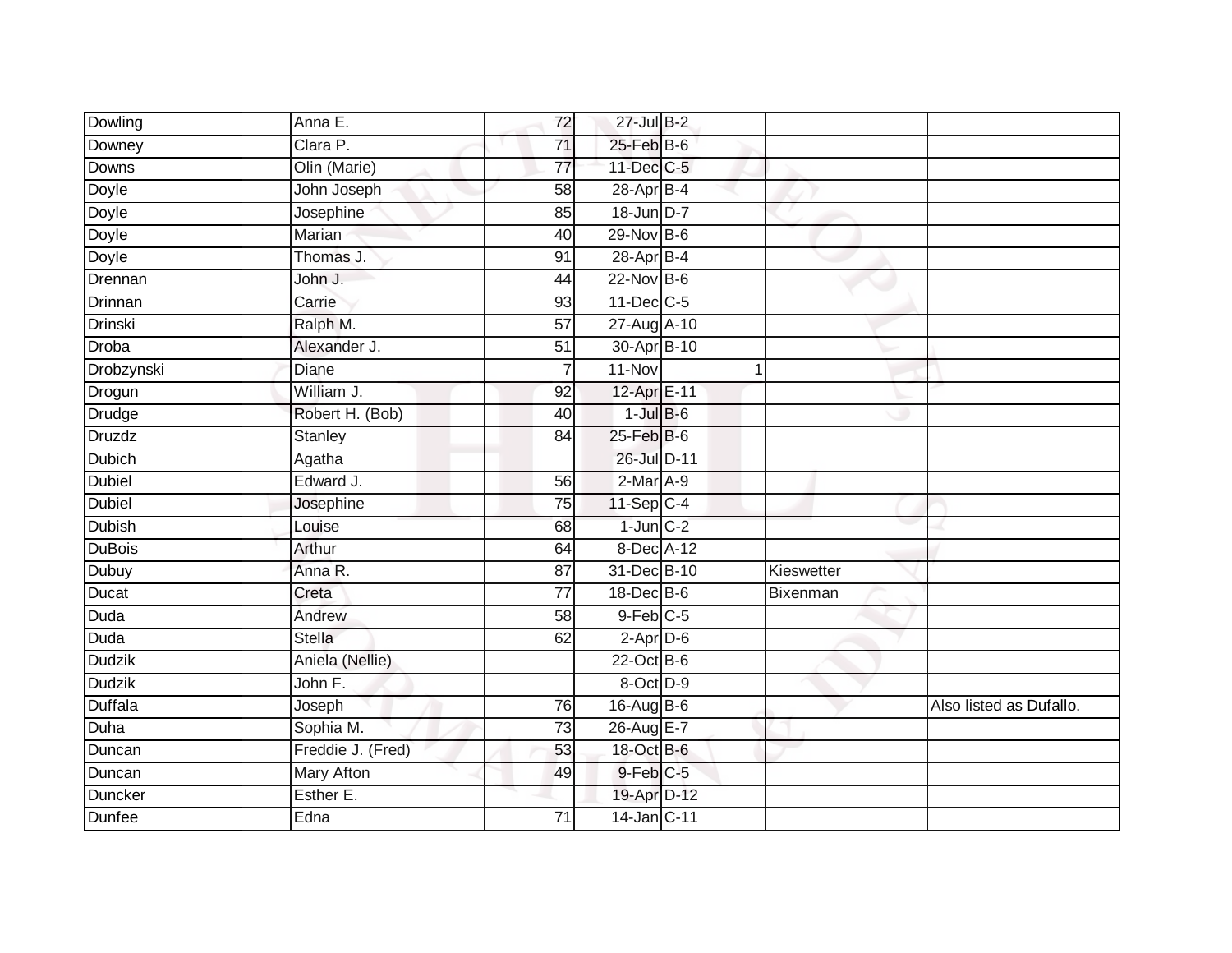| Dowling        | Anna E.           | 72              | 27-Jul B-2            |            |                         |
|----------------|-------------------|-----------------|-----------------------|------------|-------------------------|
| Downey         | Clara P.          | $\overline{71}$ | 25-Feb B-6            |            |                         |
| Downs          | Olin (Marie)      | $\overline{77}$ | 11-Dec C-5            |            |                         |
| Doyle          | John Joseph       | 58              | 28-Apr B-4            |            |                         |
| Doyle          | Josephine         | 85              | 18-Jun D-7            |            |                         |
| Doyle          | Marian            | 40              | $29-Nov$ B-6          |            |                         |
| Doyle          | Thomas J.         | 91              | 28-Apr B-4            |            |                         |
| Drennan        | John J.           | 44              | 22-Nov B-6            |            |                         |
| Drinnan        | Carrie            | 93              | $11$ -Dec $C$ -5      |            |                         |
| <b>Drinski</b> | Ralph M.          | $\overline{57}$ | 27-Aug A-10           |            |                         |
| Droba          | Alexander J.      | $\overline{51}$ | 30-Apr B-10           |            |                         |
| Drobzynski     | Diane             | $\overline{7}$  | 11-Nov                | 1          |                         |
| Drogun         | William J.        | 92              | 12-Apr E-11           |            |                         |
| Drudge         | Robert H. (Bob)   | 40              | $1$ -Jul $B$ -6       |            |                         |
| Druzdz         | <b>Stanley</b>    | $\overline{84}$ | $25$ -Feb $B$ -6      |            |                         |
| <b>Dubich</b>  | Agatha            |                 | 26-Jul D-11           |            |                         |
| Dubiel         | Edward J.         | 56              | $2-Mar A-9$           |            |                         |
| <b>Dubiel</b>  | Josephine         | 75              | $11-Sep C-4$          |            |                         |
| Dubish         | Louise            | 68              | $1$ -Jun $C-2$        |            |                         |
| <b>DuBois</b>  | Arthur            | 64              | 8-Dec A-12            |            |                         |
| Dubuy          | Anna R.           | 87              | 31-Dec B-10           | Kieswetter |                         |
| Ducat          | Creta             | $\overline{77}$ | 18-Dec B-6            | Bixenman   |                         |
| <b>Duda</b>    | Andrew            | 58              | $9$ -Feb $C$ -5       |            |                         |
| Duda           | Stella            | 62              | $2-Apr\overline{D-6}$ |            |                         |
| <b>Dudzik</b>  | Aniela (Nellie)   |                 | $22$ -Oct B-6         |            |                         |
| <b>Dudzik</b>  | John F.           |                 | 8-Oct D-9             |            |                         |
| <b>Duffala</b> | Joseph            | 76              | 16-Aug B-6            |            | Also listed as Dufallo. |
| <b>Duha</b>    | Sophia M.         | 73              | 26-Aug E-7            |            |                         |
| Duncan         | Freddie J. (Fred) | 53              | 18-Oct B-6            |            |                         |
| Duncan         | <b>Mary Afton</b> | 49              | 9-Feb C-5             |            |                         |
| Duncker        | Esther E.         |                 | 19-Apr D-12           |            |                         |
| Dunfee         | Edna              | $\overline{71}$ | 14-Jan C-11           |            |                         |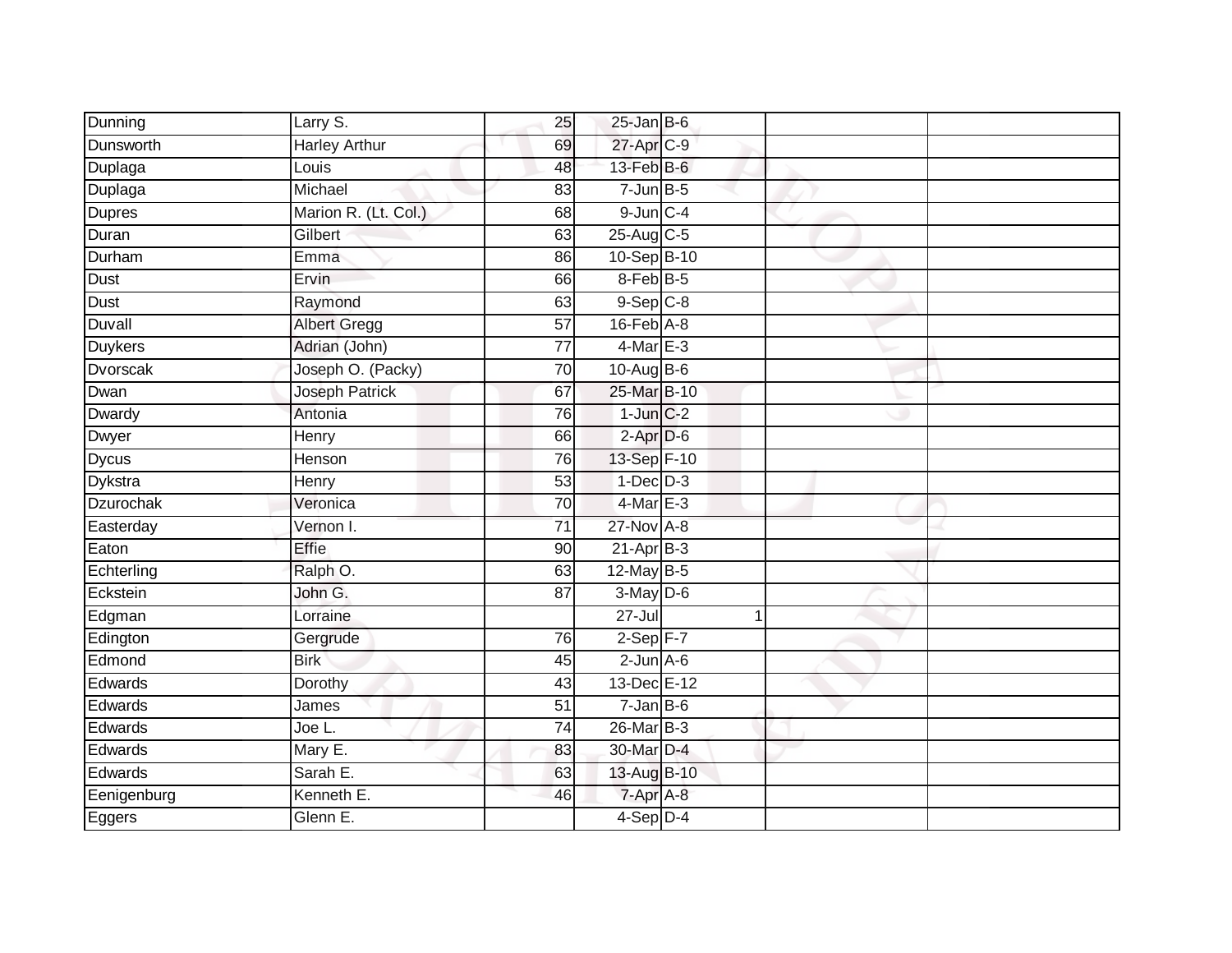|                |                       |                 | $25$ -Jan B-6     |   |  |
|----------------|-----------------------|-----------------|-------------------|---|--|
| Dunning        | Larry S.              | 25              |                   |   |  |
| Dunsworth      | <b>Harley Arthur</b>  | 69              | 27-Apr C-9        |   |  |
| Duplaga        | Louis                 | 48              | 13-Feb B-6        |   |  |
| Duplaga        | Michael               | 83              | $7$ -Jun $B$ -5   |   |  |
| <b>Dupres</b>  | Marion R. (Lt. Col.)  | 68              | $9$ -Jun $C - 4$  |   |  |
| Duran          | Gilbert               | 63              | 25-Aug C-5        |   |  |
| Durham         | Emma                  | 86              | 10-Sep B-10       |   |  |
| Dust           | Ervin                 | 66              | 8-Feb B-5         |   |  |
| Dust           | Raymond               | 63              | $9-Sep$ $C-8$     |   |  |
| Duvall         | <b>Albert Gregg</b>   | 57              | $16$ -Feb $A$ -8  |   |  |
| <b>Duykers</b> | Adrian (John)         | 77              | $4$ -Mar $E-3$    |   |  |
| Dvorscak       | Joseph O. (Packy)     | 70              | 10-Aug B-6        |   |  |
| Dwan           | <b>Joseph Patrick</b> | 67              | 25-Mar B-10       |   |  |
| Dwardy         | Antonia               | 76              | $1$ -Jun $C-2$    |   |  |
| Dwyer          | Henry                 | 66              | $2-AprD-6$        |   |  |
| <b>Dycus</b>   | Henson                | 76              | 13-Sep F-10       |   |  |
| Dykstra        | Henry                 | $\overline{53}$ | $1-Dec$ $D-3$     |   |  |
| Dzurochak      | Veronica              | 70              | $4$ -Mar E-3      |   |  |
| Easterday      | Vernon I.             | $\overline{71}$ | 27-Nov A-8        |   |  |
| Eaton          | <b>Effie</b>          | 90              | $21-AprB-3$       |   |  |
| Echterling     | Ralph O.              | 63              | 12-May B-5        |   |  |
| Eckstein       | John G.               | 87              | 3-May D-6         |   |  |
| Edgman         | Lorraine              |                 | $27 -$ Jul        | 1 |  |
| Edington       | Gergrude              | 76              | $2-Sep$ F-7       |   |  |
| Edmond         | <b>Birk</b>           | 45              | $2$ -Jun $A$ -6   |   |  |
| Edwards        | Dorothy               | 43              | 13-Dec E-12       |   |  |
| Edwards        | James                 | 51              | $7 - Jan$ $B - 6$ |   |  |
| Edwards        | Joe L.                | 74              | 26-Mar B-3        |   |  |
| Edwards        | Mary E.               | 83              | 30-Mar D-4        |   |  |
| Edwards        | Sarah E.              | 63              | 13-Aug B-10       |   |  |
| Eenigenburg    | Kenneth E.            | 46              | 7-Apr A-8         |   |  |
| Eggers         | Glenn E.              |                 | $4-Sep$ $D-4$     |   |  |
|                |                       |                 |                   |   |  |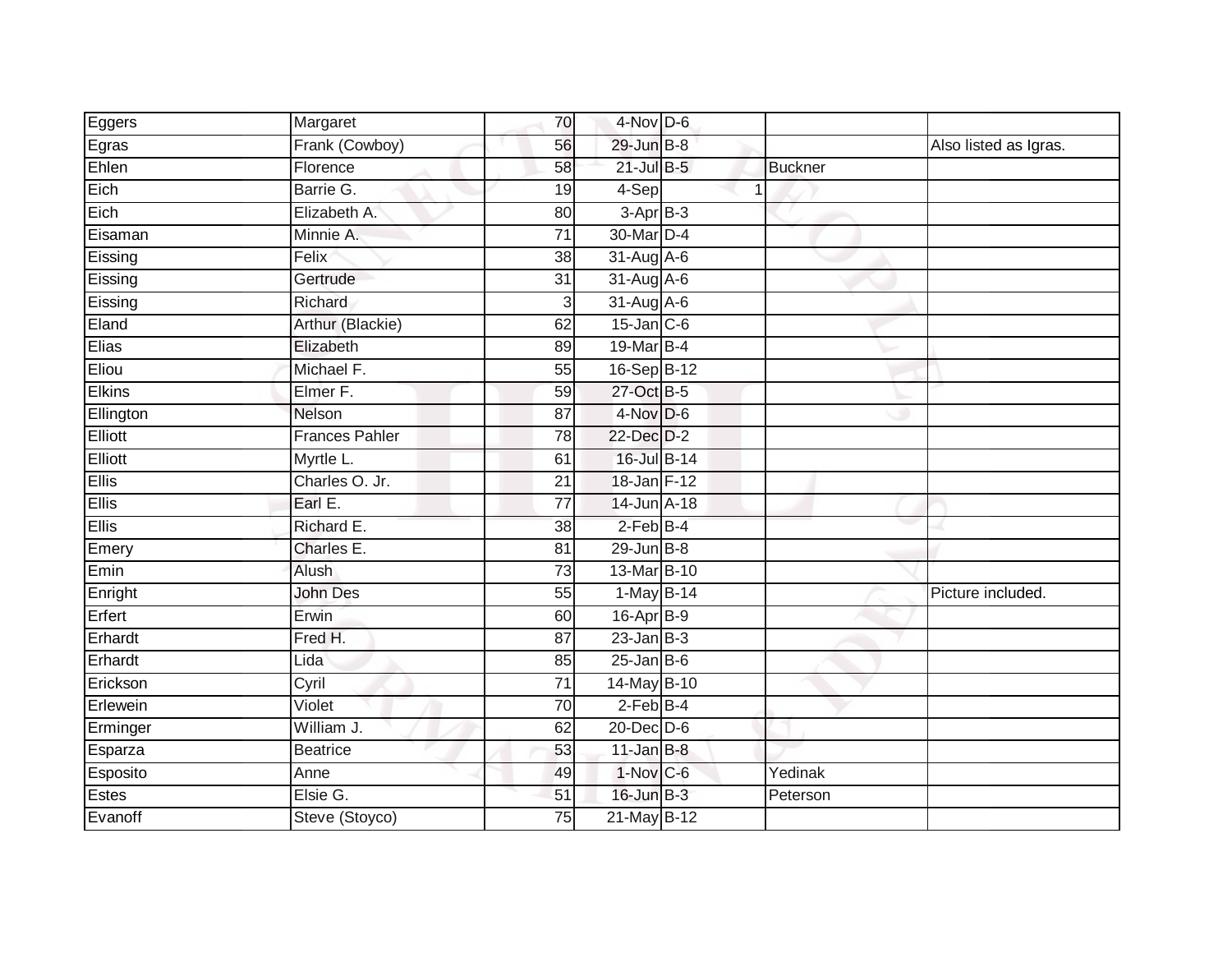| Eggers        | Margaret              | 70              | $4$ -Nov D-6     |   |                |                       |
|---------------|-----------------------|-----------------|------------------|---|----------------|-----------------------|
| Egras         | Frank (Cowboy)        | 56              | 29-Jun B-8       |   |                | Also listed as Igras. |
| Ehlen         | Florence              | 58              | $21$ -Jul B-5    |   | <b>Buckner</b> |                       |
| Eich          | Barrie G.             | 19              | 4-Sep            | 1 |                |                       |
| Eich          | Elizabeth A.          | 80              | $3-AprB-3$       |   |                |                       |
| Eisaman       | Minnie A.             | $\overline{71}$ | 30-Mar D-4       |   |                |                       |
| Eissing       | Felix                 | 38              | 31-Aug A-6       |   |                |                       |
| Eissing       | Gertrude              | 31              | 31-Aug A-6       |   |                |                       |
| Eissing       | Richard               | 3               | 31-Aug A-6       |   |                |                       |
| Eland         | Arthur (Blackie)      | 62              | $15$ -Jan $C$ -6 |   |                |                       |
| Elias         | Elizabeth             | 89              | 19-Mar B-4       |   |                |                       |
| Eliou         | Michael F.            | 55              | 16-Sep B-12      |   |                |                       |
| <b>Elkins</b> | Elmer F.              | 59              | 27-Oct B-5       |   |                |                       |
| Ellington     | Nelson                | $\overline{87}$ | $4-Nov$ D-6      |   |                |                       |
| Elliott       | <b>Frances Pahler</b> | 78              | 22-Dec D-2       |   |                |                       |
| Elliott       | Myrtle L.             | 61              | 16-Jul B-14      |   |                |                       |
| <b>Ellis</b>  | Charles O. Jr.        | 21              | 18-Jan F-12      |   |                |                       |
| <b>Ellis</b>  | Earl E.               | 77              | 14-Jun A-18      |   |                |                       |
| <b>Ellis</b>  | Richard E.            | 38              | $2$ -Feb B-4     |   |                |                       |
| Emery         | Charles E.            | 81              | $29$ -Jun $B-8$  |   |                |                       |
| Emin          | Alush                 | 73              | 13-Mar B-10      |   |                |                       |
| Enright       | <b>John Des</b>       | 55              | 1-May B-14       |   |                | Picture included.     |
| Erfert        | Erwin                 | 60              | 16-Apr B-9       |   |                |                       |
| Erhardt       | Fred H.               | $\overline{87}$ | $23$ -Jan B-3    |   |                |                       |
| Erhardt       | Lida                  | 85              | $25$ -Jan B-6    |   |                |                       |
| Erickson      | Cyril                 | 71              | 14-May B-10      |   |                |                       |
| Erlewein      | Violet                | 70              | $2$ -Feb $B-4$   |   |                |                       |
| Erminger      | William J.            | 62              | $20$ -Dec $D-6$  |   |                |                       |
| Esparza       | <b>Beatrice</b>       | 53              | $11$ -Jan B-8    |   |                |                       |
| Esposito      | Anne                  | 49              | $1-Nov$ C-6      |   | Yedinak        |                       |
| Estes         | Elsie G.              | 51              | 16-Jun B-3       |   | Peterson       |                       |
| Evanoff       | Steve (Stoyco)        | 75              | 21-May B-12      |   |                |                       |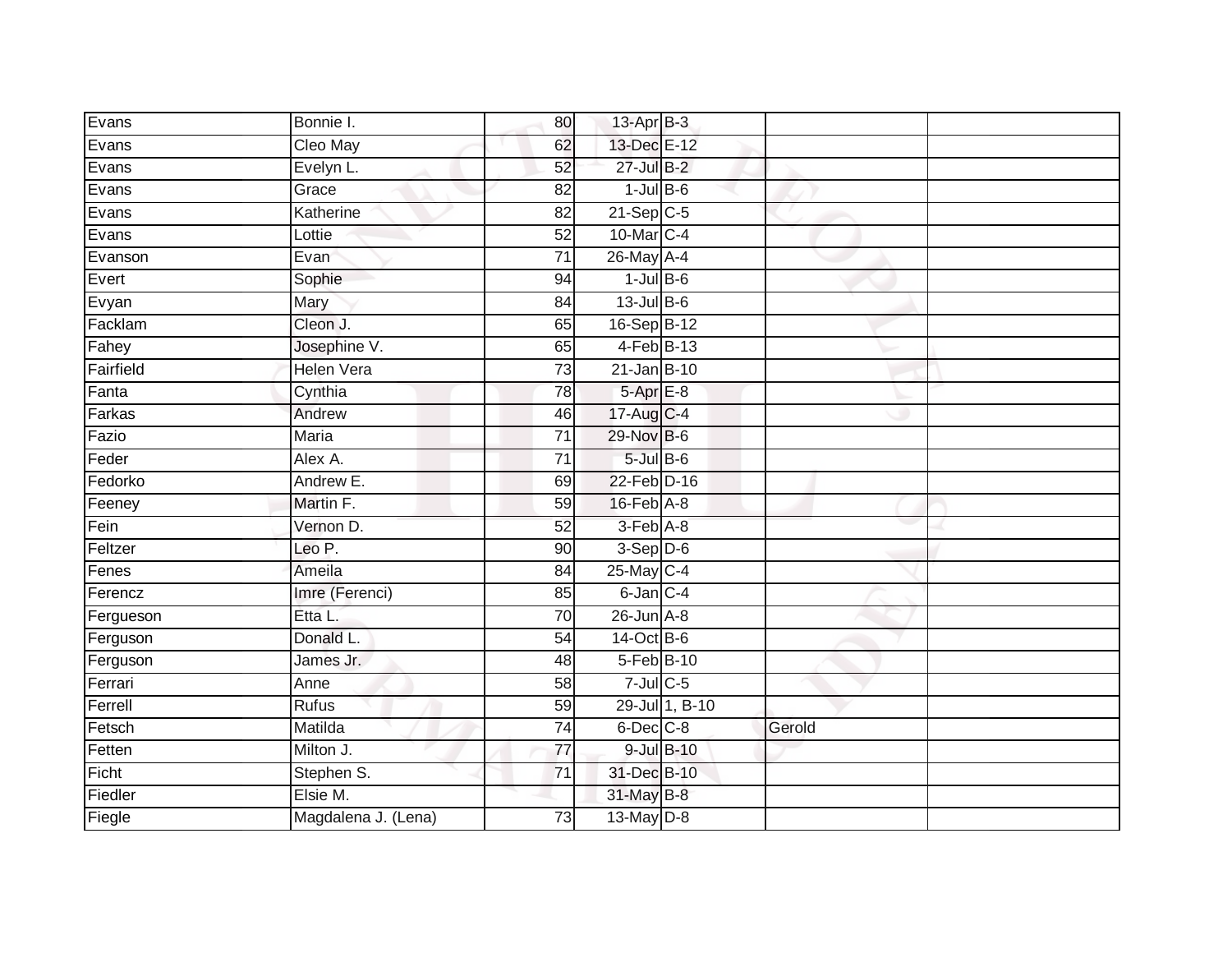| Evans     | Bonnie I.           | 80              | $13$ -Apr $B-3$             |                |        |  |
|-----------|---------------------|-----------------|-----------------------------|----------------|--------|--|
| Evans     | Cleo May            | 62              | 13-Dec E-12                 |                |        |  |
| Evans     | Evelyn L.           | 52              | 27-Jul B-2                  |                |        |  |
| Evans     | Grace               | 82              | $1$ -Jul $B$ -6             |                |        |  |
| Evans     | Katherine           | $\overline{82}$ | $21-Sep C-5$                |                |        |  |
| Evans     | Lottie              | 52              | 10-Mar C-4                  |                |        |  |
| Evanson   | Evan                | $\overline{71}$ | $26$ -May A-4               |                |        |  |
| Evert     | Sophie              | 94              | $1$ -Jul $B$ -6             |                |        |  |
| Evyan     | Mary                | 84              | $13$ -Jul $B-6$             |                |        |  |
| Facklam   | Cleon J.            | 65              | 16-Sep B-12                 |                |        |  |
| Fahey     | Josephine V.        | 65              | 4-Feb B-13                  |                |        |  |
| Fairfield | <b>Helen Vera</b>   | 73              | $21$ -Jan B-10              |                |        |  |
| Fanta     | Cynthia             | 78              | $5-Apr$ E-8                 |                |        |  |
| Farkas    | Andrew              | 46              | 17-Aug C-4                  |                |        |  |
| Fazio     | <b>Maria</b>        | $\overline{71}$ | 29-Nov B-6                  |                |        |  |
| Feder     | Alex A.             | 71              | $5$ -Jul $B$ -6             |                |        |  |
| Fedorko   | Andrew E.           | 69              | 22-Feb D-16                 |                |        |  |
| Feeney    | Martin F.           | 59              | $16$ -Feb $\overline{A}$ -8 |                |        |  |
| Fein      | Vernon D.           | 52              | 3-Feb A-8                   |                |        |  |
| Feltzer   | Leo P.              | 90              | $3-Sep$ $D-6$               |                |        |  |
| Fenes     | Ameila              | 84              | 25-May C-4                  |                |        |  |
| Ferencz   | Imre (Ferenci)      | 85              | 6-Jan C-4                   |                |        |  |
| Fergueson | Etta L.             | 70              | $26$ -Jun $A-8$             |                |        |  |
| Ferguson  | Donald L.           | 54              | 14-Oct B-6                  |                |        |  |
| Ferguson  | James Jr.           | 48              | 5-Feb B-10                  |                |        |  |
| Ferrari   | Anne                | 58              | $7$ -Jul $C$ -5             |                |        |  |
| Ferrell   | <b>Rufus</b>        | 59              |                             | 29-Jul 1, B-10 |        |  |
| Fetsch    | Matilda             | $\overline{74}$ | 6-Dec C-8                   |                | Gerold |  |
| Fetten    | Milton J.           | 77              | 9-Jul B-10                  |                |        |  |
| Ficht     | Stephen S.          | $\overline{71}$ | 31-Dec B-10                 |                |        |  |
| Fiedler   | Elsie M.            |                 | 31-May B-8                  |                |        |  |
| Fiegle    | Magdalena J. (Lena) | $\overline{73}$ | $13$ -May $D-8$             |                |        |  |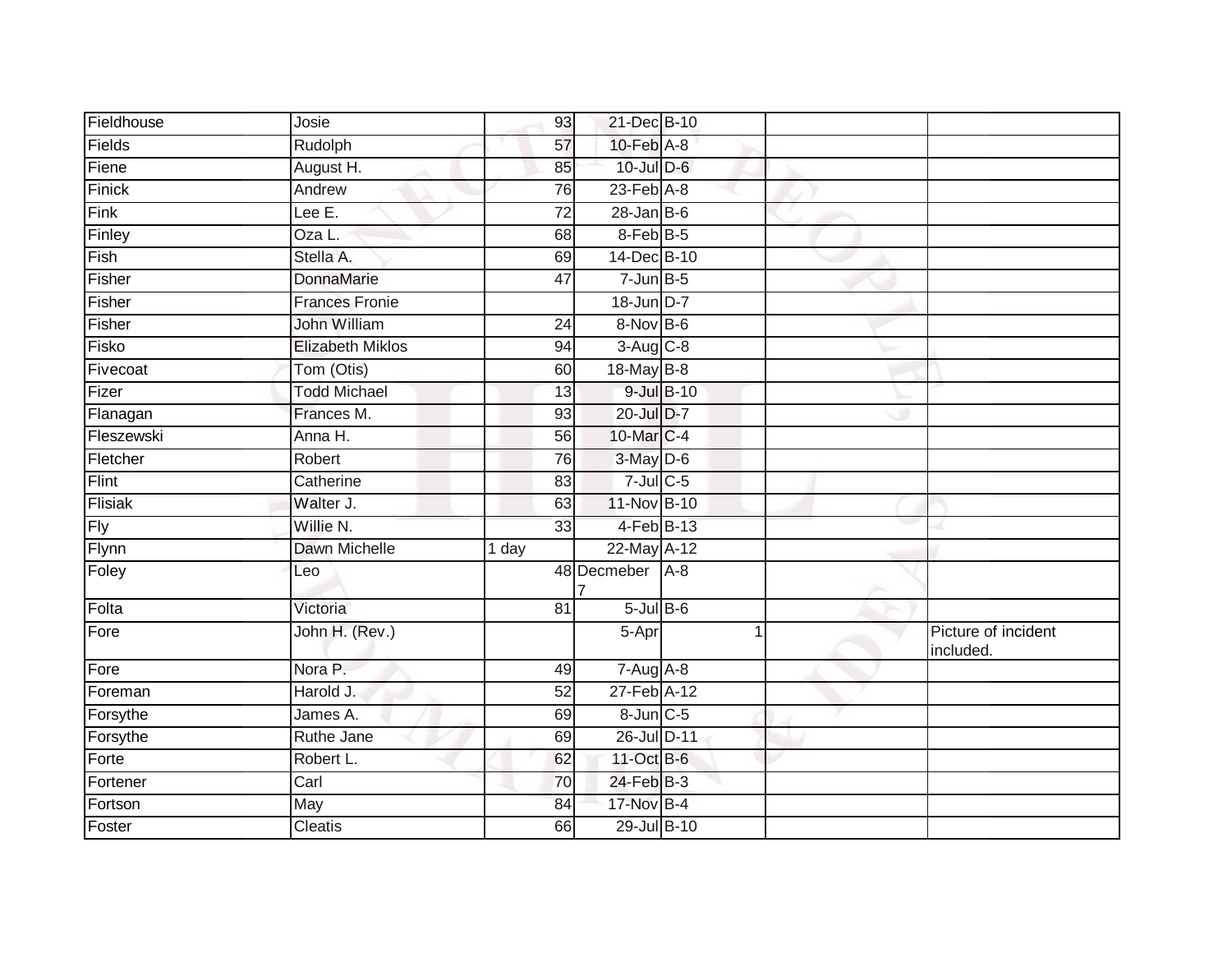| Fieldhouse | Josie                   | 93    | 21-Dec B-10      |            |                                  |
|------------|-------------------------|-------|------------------|------------|----------------------------------|
| Fields     | Rudolph                 | 57    | 10-Feb A-8       |            |                                  |
| Fiene      | August H.               | 85    | 10-Jul D-6       |            |                                  |
| Finick     | Andrew                  | 76    | 23-Feb A-8       |            |                                  |
| Fink       | Lee E.                  | 72    | $28 - Jan$ $B-6$ |            |                                  |
| Finley     | Oza L.                  | 68    | 8-Feb B-5        |            |                                  |
| Fish       | Stella A.               | 69    | 14-Dec B-10      |            |                                  |
| Fisher     | <b>DonnaMarie</b>       | 47    | $7$ -Jun $B$ -5  |            |                                  |
| Fisher     | <b>Frances Fronie</b>   |       | 18-Jun D-7       |            |                                  |
| Fisher     | <b>John William</b>     | 24    | 8-Nov B-6        |            |                                  |
| Fisko      | <b>Elizabeth Miklos</b> | 94    | $3-Aug$ $C-8$    |            |                                  |
| Fivecoat   | Tom (Otis)              | 60    | 18-May B-8       |            |                                  |
| Fizer      | <b>Todd Michael</b>     | 13    |                  | 9-Jul B-10 |                                  |
| Flanagan   | Frances M.              | 93    | 20-Jul D-7       |            |                                  |
| Fleszewski | Anna H.                 | 56    | 10-Mar C-4       |            |                                  |
| Fletcher   | Robert                  | 76    | 3-May D-6        |            |                                  |
| Flint      | Catherine               | 83    | $7$ -Jul $C$ -5  |            |                                  |
| Flisiak    | Walter J.               | 63    | 11-Nov B-10      |            |                                  |
| Fly        | Willie N.               | 33    | 4-Feb B-13       |            |                                  |
| Flynn      | Dawn Michelle           | 1 day | 22-May A-12      |            |                                  |
| Foley      | Leo                     |       | 48 Decmeber      | $A-8$      |                                  |
| Folta      | Victoria                | 81    | $5$ -Jul $B$ -6  |            |                                  |
| Fore       | John H. (Rev.)          |       | 5-Apr            |            | Picture of incident<br>included. |
| Fore       | Nora P.                 | 49    | $7 - Aug$ A-8    |            |                                  |
| Foreman    | Harold J.               | 52    | 27-Feb A-12      |            |                                  |
| Forsythe   | James A.                | 69    | 8-Jun C-5        |            |                                  |
| Forsythe   | Ruthe Jane              | 69    | 26-Jul D-11      |            |                                  |
| Forte      | Robert L.               | 62    | 11-Oct B-6       |            |                                  |
| Fortener   | Carl                    | 70    | $24$ -Feb $B-3$  |            |                                  |
| Fortson    | May                     | 84    | 17-Nov B-4       |            |                                  |
| Foster     | <b>Cleatis</b>          | 66    | 29-Jul B-10      |            |                                  |
|            |                         |       |                  |            |                                  |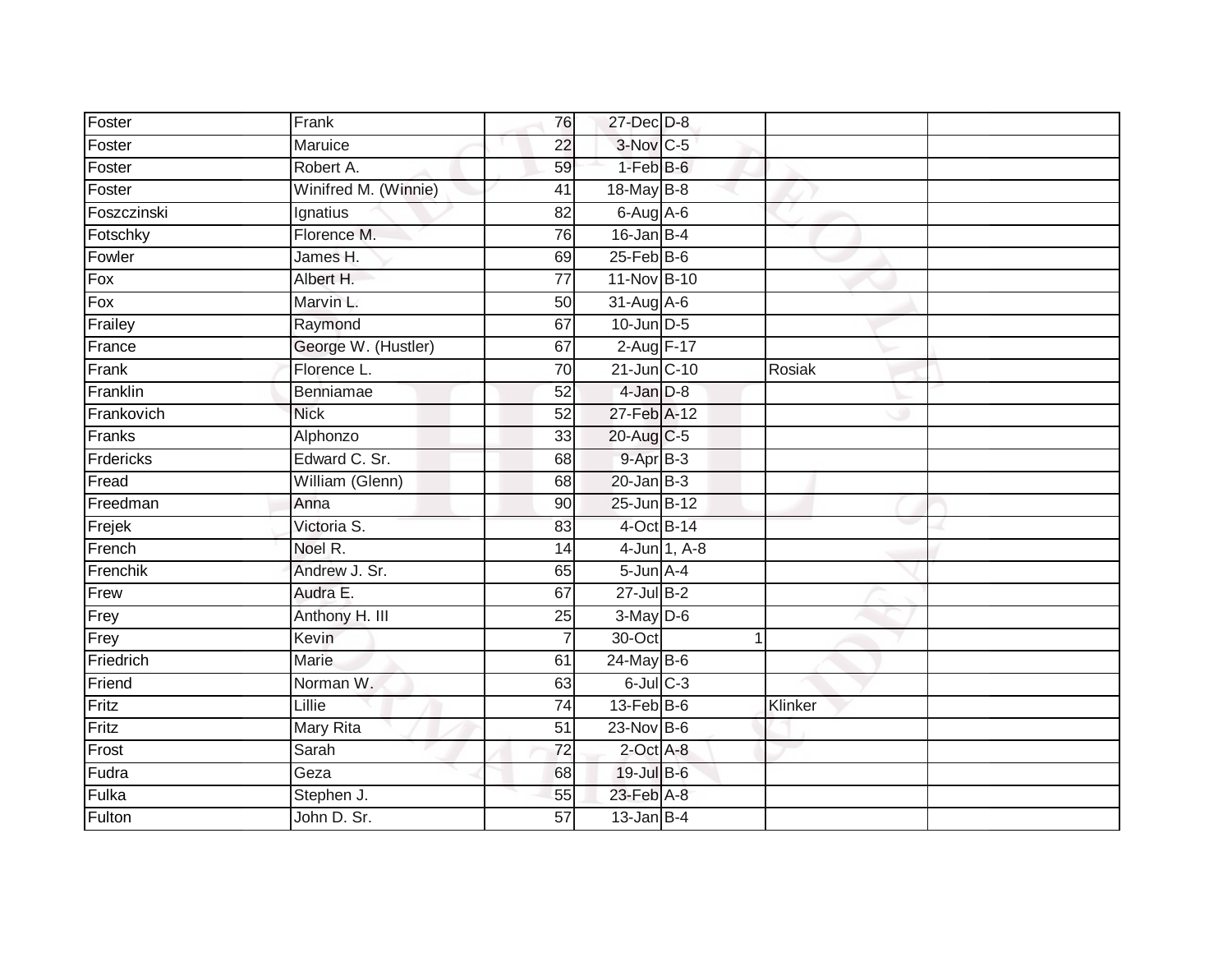| Foster            | Frank                | 76              | 27-Dec D-8             |              |         |  |
|-------------------|----------------------|-----------------|------------------------|--------------|---------|--|
| Foster            | Maruice              | 22              | $3-Nov$ <sub>C-5</sub> |              |         |  |
| Foster            | Robert A.            | 59              | $1-FebB-6$             |              |         |  |
| Foster            | Winifred M. (Winnie) | 41              | 18-May B-8             |              |         |  |
| Foszczinski       | Ignatius             | $\overline{82}$ | $6-Aug$ A-6            |              |         |  |
| Fotschky          | Florence M.          | 76              | $16$ -Jan B-4          |              |         |  |
| Fowler            | James H.             | 69              | $25$ -Feb $B$ -6       |              |         |  |
| $\overline{F}$ ox | Albert H.            | 77              | 11-Nov B-10            |              |         |  |
| Fox               | Marvin L.            | 50              | 31-Aug A-6             |              |         |  |
| Frailey           | Raymond              | 67              | $10$ -Jun $D-5$        |              |         |  |
| France            | George W. (Hustler)  | 67              | 2-Aug F-17             |              |         |  |
| Frank             | Florence L.          | 70              | 21-Jun C-10            |              | Rosiak  |  |
| Franklin          | Benniamae            | 52              | $4$ -Jan $D-8$         |              |         |  |
| Frankovich        | <b>Nick</b>          | 52              | 27-Feb A-12            |              |         |  |
| Franks            | Alphonzo             | $\overline{33}$ | 20-Aug C-5             |              |         |  |
| Frdericks         | Edward C. Sr.        | 68              | $9-AprB-3$             |              |         |  |
| Fread             | William (Glenn)      | 68              | $20$ -Jan $B-3$        |              |         |  |
| Freedman          | Anna                 | 90              | 25-Jun B-12            |              |         |  |
| Frejek            | Victoria S.          | 83              | 4-Oct B-14             |              |         |  |
| French            | Noel R.              | 14              |                        | 4-Jun 1, A-8 |         |  |
| Frenchik          | Andrew J. Sr.        | 65              | $5 - Jun$ $A - 4$      |              |         |  |
| Frew              | Audra E.             | 67              | $27 -$ Jul B-2         |              |         |  |
| Frey              | Anthony H. III       | 25              | $3-May$ $D-6$          |              |         |  |
| Frey              | Kevin                | $\overline{7}$  | 30-Oct                 |              | 1       |  |
| Friedrich         | Marie                | 61              | $24$ -May B-6          |              |         |  |
| Friend            | Norman W.            | 63              | $6$ -Jul $C$ -3        |              |         |  |
| Fritz             | Lillie               | $\overline{74}$ | $13$ -Feb $B$ -6       |              | Klinker |  |
| Fritz             | Mary Rita            | 51              | $23$ -Nov B-6          |              |         |  |
| Frost             | Sarah                | 72              | 2-Oct A-8              |              |         |  |
| Fudra             | Geza                 | 68              | 19-Jul B-6             |              |         |  |
| Fulka             | Stephen J.           | 55              | 23-Feb A-8             |              |         |  |
| Fulton            | John D. Sr.          | $\overline{57}$ | $13$ -Jan B-4          |              |         |  |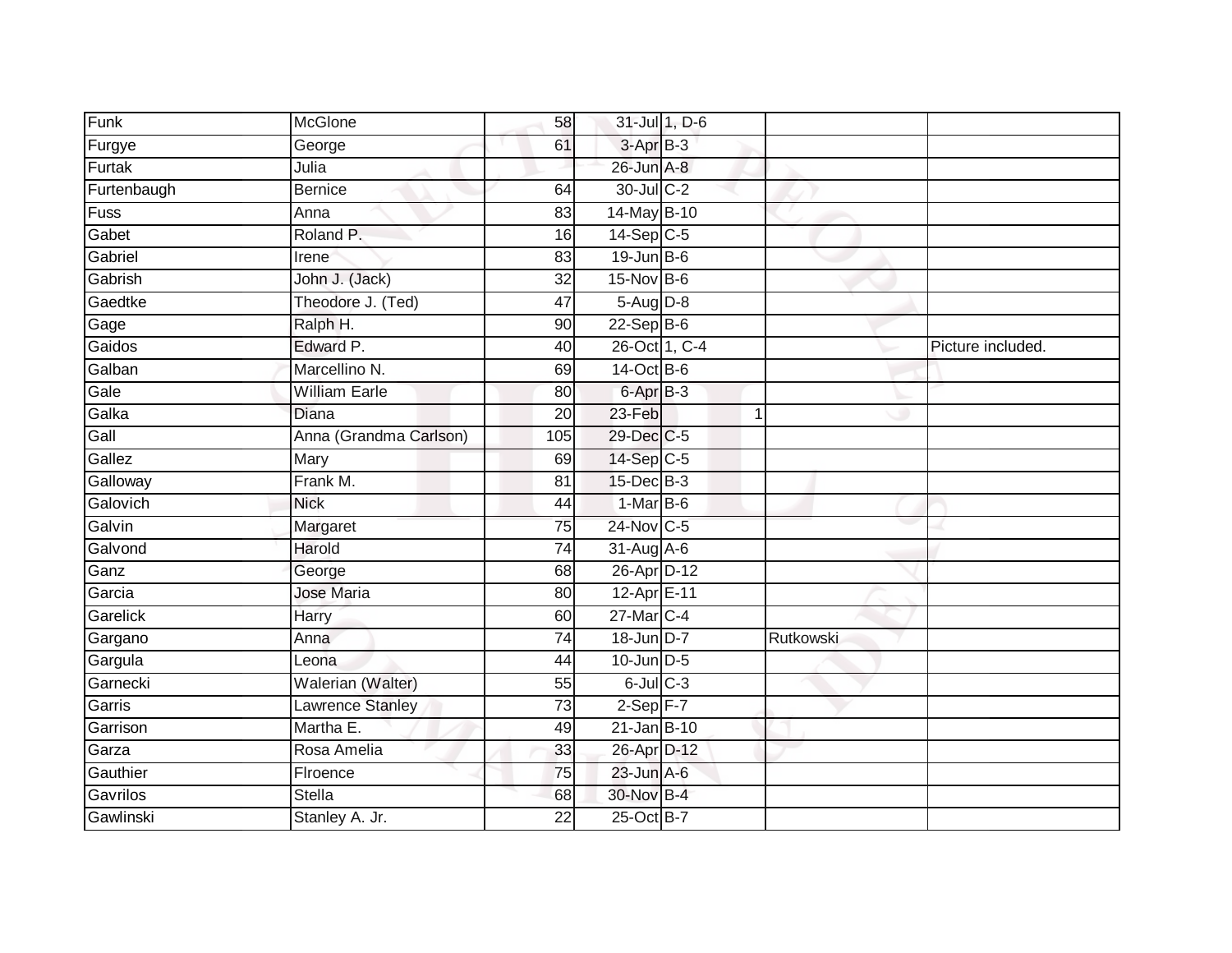| Funk        | McGlone                | 58              | 31-Jul 1, D-6        |                |                   |
|-------------|------------------------|-----------------|----------------------|----------------|-------------------|
| Furgye      | George                 | 61              | 3-Apr B-3            |                |                   |
| Furtak      | Julia                  |                 | 26-Jun A-8           |                |                   |
| Furtenbaugh | <b>Bernice</b>         | 64              | 30-Jul C-2           |                |                   |
| Fuss        | Anna                   | $\overline{83}$ | 14-May B-10          |                |                   |
| Gabet       | Roland P.              | 16              | $14-Sep$ C-5         |                |                   |
| Gabriel     | Irene                  | 83              | $19$ -Jun $B$ -6     |                |                   |
| Gabrish     | John J. (Jack)         | 32              | $15$ -Nov $B-6$      |                |                   |
| Gaedtke     | Theodore J. (Ted)      | 47              | 5-Aug D-8            |                |                   |
| Gage        | Ralph H.               | 90              | $22-Sep$ B-6         |                |                   |
| Gaidos      | Edward P.              | 40              | 26-Oct 1, C-4        |                | Picture included. |
| Galban      | Marcellino N.          | 69              | 14-Oct B-6           |                |                   |
| Gale        | <b>William Earle</b>   | 80              | 6-Apr <sub>B-3</sub> |                |                   |
| Galka       | <b>Diana</b>           | 20              | 23-Feb               | $\overline{1}$ |                   |
| Gall        | Anna (Grandma Carlson) | 105             | 29-Dec C-5           |                |                   |
| Gallez      | Mary                   | 69              | 14-Sep C-5           |                |                   |
| Galloway    | Frank M.               | 81              | 15-Dec B-3           |                |                   |
| Galovich    | <b>Nick</b>            | 44              | $1-MarB-6$           |                |                   |
| Galvin      | Margaret               | 75              | 24-Nov C-5           |                |                   |
| Galvond     | Harold                 | 74              | 31-Aug A-6           |                |                   |
| Ganz        | George                 | 68              | 26-Apr D-12          |                |                   |
| Garcia      | Jose Maria             | 80              | 12-Apr E-11          |                |                   |
| Garelick    | Harry                  | 60              | 27-Mar C-4           |                |                   |
| Gargano     | Anna                   | 74              | 18-Jun D-7           | Rutkowski      |                   |
| Gargula     | Leona                  | 44              | $10$ -Jun $D-5$      |                |                   |
| Garnecki    | Walerian (Walter)      | 55              | $6$ -Jul $C$ -3      |                |                   |
| Garris      | Lawrence Stanley       | $\overline{73}$ | $2-Sep$ F-7          |                |                   |
| Garrison    | Martha E.              | 49              | $21$ -Jan B-10       |                |                   |
| Garza       | Rosa Amelia            | 33              | 26-Apr D-12          |                |                   |
| Gauthier    | Firoence               | 75              | 23-Jun A-6           |                |                   |
| Gavrilos    | <b>Stella</b>          | 68              | 30-Nov B-4           |                |                   |
| Gawlinski   | Stanley A. Jr.         | $\overline{22}$ | 25-Oct B-7           |                |                   |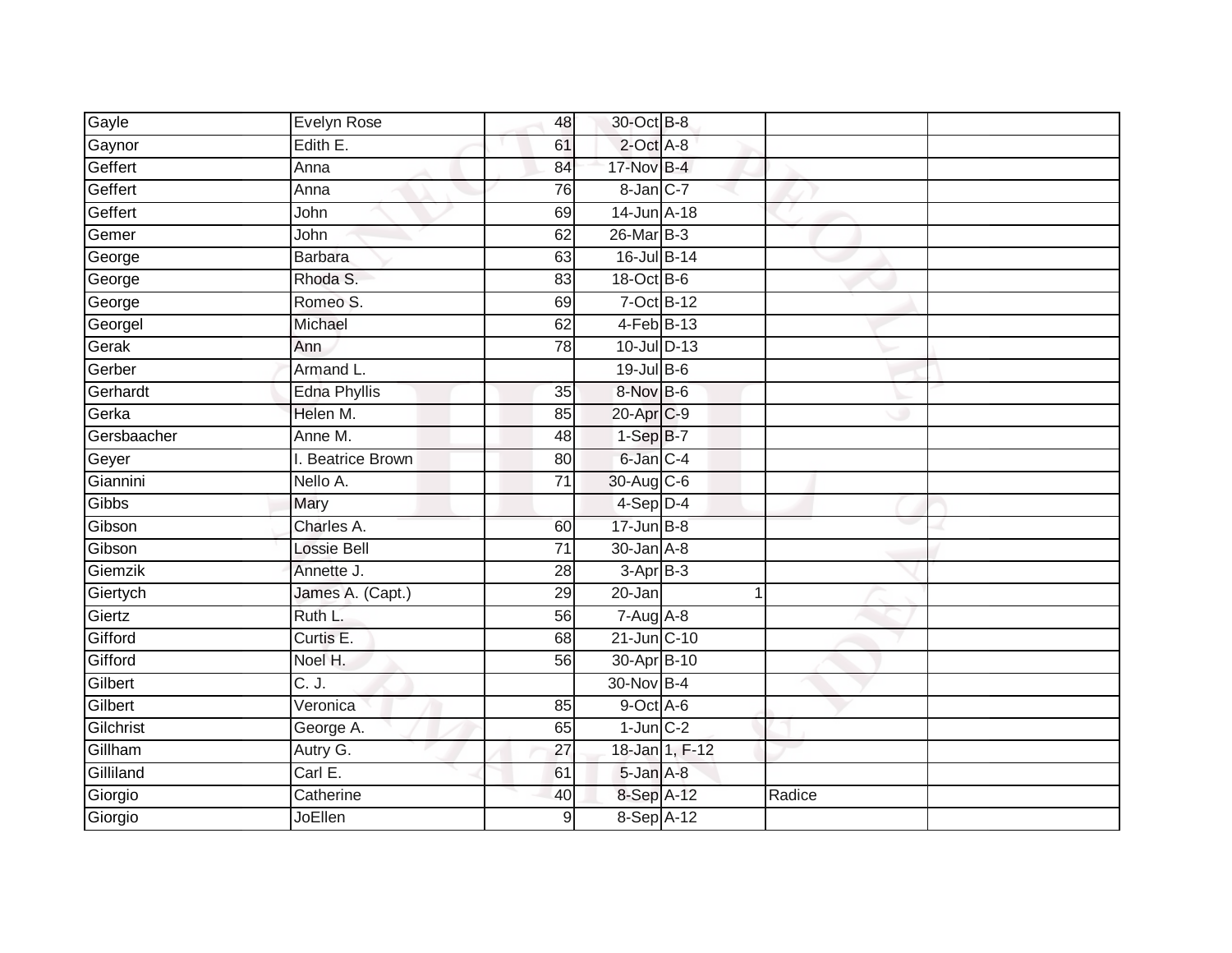| Gayle       | Evelyn Rose         | 48              | 30-Oct B-8       |        |  |
|-------------|---------------------|-----------------|------------------|--------|--|
| Gaynor      | Edith E.            | 61              | $2$ -Oct $A-8$   |        |  |
| Geffert     | Anna                | 84              | 17-Nov B-4       |        |  |
| Geffert     | Anna                | 76              | 8-Jan C-7        |        |  |
| Geffert     | John                | 69              | 14-Jun A-18      |        |  |
| Gemer       | John                | 62              | 26-Mar B-3       |        |  |
| George      | <b>Barbara</b>      | 63              | 16-Jul B-14      |        |  |
| George      | Rhoda S.            | 83              | 18-Oct B-6       |        |  |
| George      | Romeo S.            | 69              | 7-Oct B-12       |        |  |
| Georgel     | Michael             | 62              | $4-FebB-13$      |        |  |
| Gerak       | Ann                 | 78              | 10-Jul D-13      |        |  |
| Gerber      | Armand L.           |                 | 19-Jul B-6       |        |  |
| Gerhardt    | <b>Edna Phyllis</b> | 35              | 8-Nov B-6        |        |  |
| Gerka       | Helen M.            | 85              | 20-Apr C-9       |        |  |
| Gersbaacher | Anne M.             | 48              | $1-SepB-7$       |        |  |
| Geyer       | I. Beatrice Brown   | 80              | 6-Jan C-4        |        |  |
| Giannini    | Nello A.            | $\overline{71}$ | 30-Aug C-6       |        |  |
| Gibbs       | Mary                |                 | $4-Sep$ D-4      |        |  |
| Gibson      | Charles A.          | 60              | $17$ -Jun $B-8$  |        |  |
| Gibson      | Lossie Bell         | 71              | $30 - Jan A - 8$ |        |  |
| Giemzik     | Annette J.          | 28              | $3-AprB-3$       |        |  |
| Giertych    | James A. (Capt.)    | 29              | $20 - Jan$       | 1      |  |
| Giertz      | Ruth L.             | 56              | $7 - Aug$ A-8    |        |  |
| Gifford     | Curtis E.           | 68              | 21-Jun C-10      |        |  |
| Gifford     | Noel H.             | 56              | 30-Apr B-10      |        |  |
| Gilbert     | C. J.               |                 | 30-Nov B-4       |        |  |
| Gilbert     | Veronica            | 85              | $9$ -Oct $A$ -6  |        |  |
| Gilchrist   | George A.           | 65              | $1$ -Jun $C-2$   |        |  |
| Gillham     | Autry G.            | 27              | 18-Jan 1, F-12   |        |  |
| Gilliland   | Carl E.             | 61              | 5-Jan A-8        |        |  |
| Giorgio     | Catherine           | 40              | 8-Sep A-12       | Radice |  |
| Giorgio     | <b>JoEllen</b>      | 9               | 8-Sep A-12       |        |  |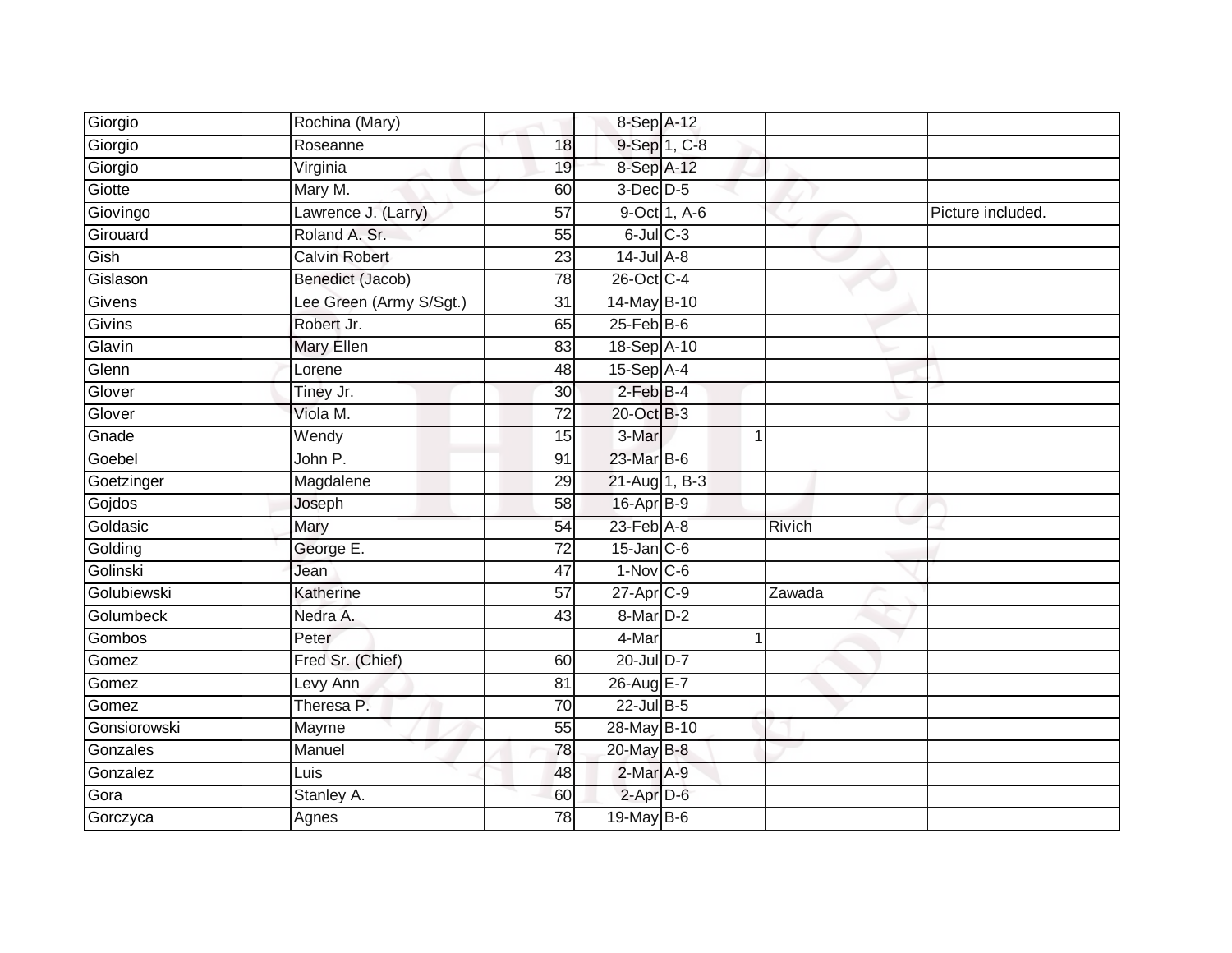| Giorgio      | Rochina (Mary)          |                 | 8-Sep A-12            |              |                |                   |
|--------------|-------------------------|-----------------|-----------------------|--------------|----------------|-------------------|
| Giorgio      | Roseanne                | 18              |                       | 9-Sep 1, C-8 |                |                   |
| Giorgio      | Virginia                | 19              | 8-Sep A-12            |              |                |                   |
| Giotte       | Mary M.                 | 60              | $3$ -Dec $D-5$        |              |                |                   |
| Giovingo     | Lawrence J. (Larry)     | $\overline{57}$ |                       | 9-Oct 1, A-6 |                | Picture included. |
| Girouard     | Roland A. Sr.           | 55              | $6$ -Jul $C$ -3       |              |                |                   |
| Gish         | <b>Calvin Robert</b>    | 23              | $14$ -Jul $A-8$       |              |                |                   |
| Gislason     | Benedict (Jacob)        | 78              | 26-Oct C-4            |              |                |                   |
| Givens       | Lee Green (Army S/Sgt.) | 31              | 14-May B-10           |              |                |                   |
| Givins       | Robert Jr.              | 65              | $25$ -Feb $B$ -6      |              |                |                   |
| Glavin       | Mary Ellen              | 83              | 18-Sep A-10           |              |                |                   |
| Glenn        | Lorene                  | 48              | 15-Sep A-4            |              |                |                   |
| Glover       | Tiney Jr.               | 30              | $2$ -Feb $B-4$        |              |                |                   |
| Glover       | Viola M.                | 72              | 20-Oct B-3            |              |                |                   |
| Gnade        | Wendy                   | 15              | 3-Mar                 |              | $\mathbf 1$    |                   |
| Goebel       | John P.                 | 91              | 23-Mar B-6            |              |                |                   |
| Goetzinger   | Magdalene               | 29              | 21-Aug 1, B-3         |              |                |                   |
| Gojdos       | Joseph                  | 58              | 16-Apr B-9            |              |                |                   |
| Goldasic     | Mary                    | 54              | 23-Feb A-8            |              | Rivich         |                   |
| Golding      | George E.               | 72              | $15$ -Jan $C$ -6      |              |                |                   |
| Golinski     | Jean                    | 47              | $1-Nov$ C-6           |              |                |                   |
| Golubiewski  | Katherine               | $\overline{57}$ | 27-Apr <sub>C-9</sub> |              | Zawada         |                   |
| Golumbeck    | Nedra A.                | 43              | 8-Mar D-2             |              |                |                   |
| Gombos       | Peter                   |                 | 4-Mar                 |              | $\overline{1}$ |                   |
| Gomez        | Fred Sr. (Chief)        | 60              | 20-Jul D-7            |              |                |                   |
| Gomez        | Levy Ann                | 81              | 26-Aug E-7            |              |                |                   |
| Gomez        | Theresa P.              | 70              | 22-Jul B-5            |              |                |                   |
| Gonsiorowski | Mayme                   | 55              | 28-May B-10           |              |                |                   |
| Gonzales     | Manuel                  | 78              | 20-May B-8            |              |                |                   |
| Gonzalez     | Luis                    | 48              | 2-Mar A-9             |              |                |                   |
| Gora         | Stanley A.              | 60              | $2$ -Apr $D-6$        |              |                |                   |
| Gorczyca     | Agnes                   | $\overline{78}$ | 19-May B-6            |              |                |                   |
|              |                         |                 |                       |              |                |                   |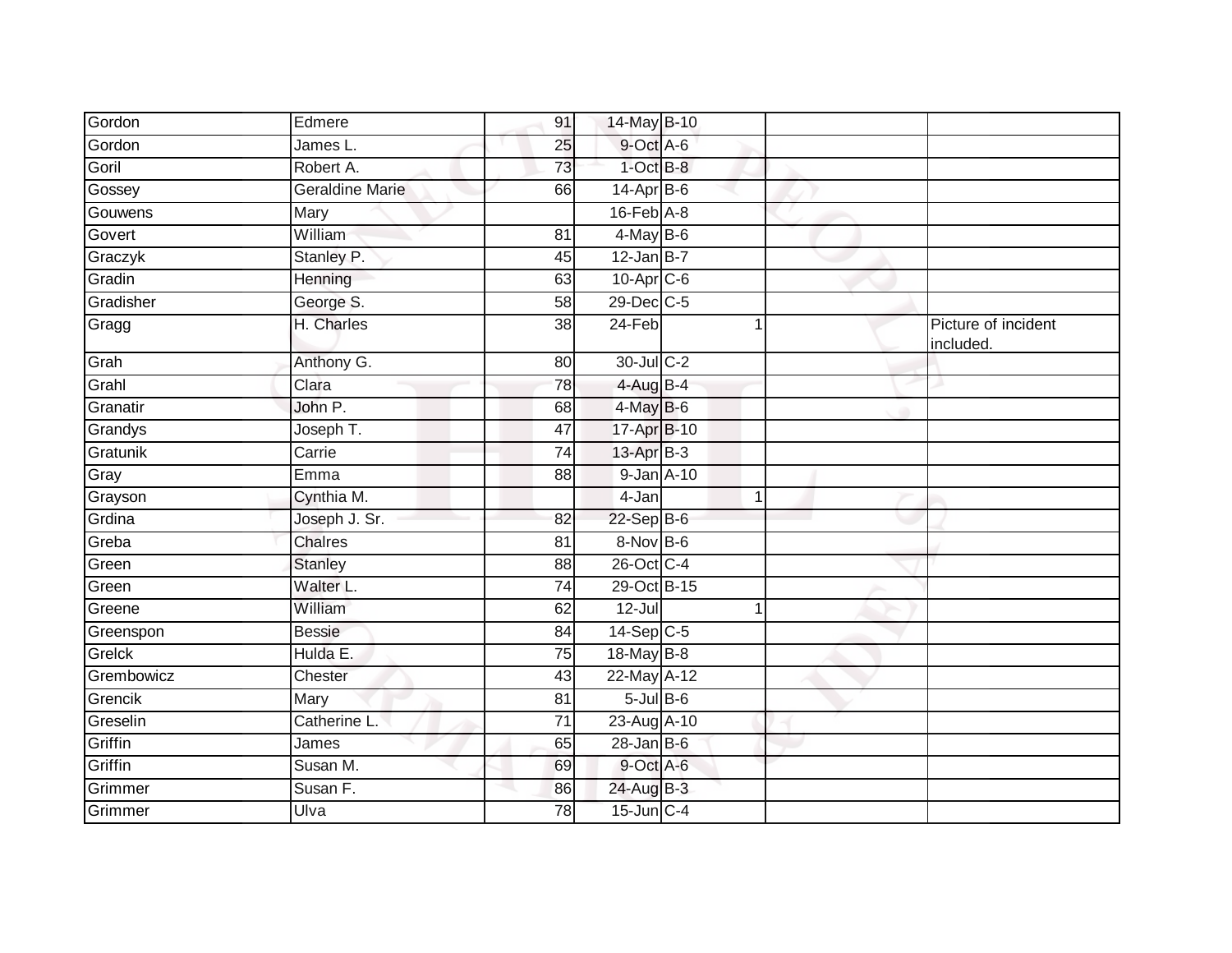| Gordon     | Edmere                 | 91              | 14-May B-10             |              |                                  |
|------------|------------------------|-----------------|-------------------------|--------------|----------------------------------|
| Gordon     | James L.               | 25              | 9-Oct A-6               |              |                                  |
| Goril      | Robert A.              | 73              | $1$ -Oct $B-8$          |              |                                  |
| Gossey     | <b>Geraldine Marie</b> | 66              | $14$ -Apr $B$ -6        |              |                                  |
| Gouwens    | Mary                   |                 | $16$ -Feb $A$ -8        |              |                                  |
| Govert     | William                | $\overline{81}$ | $4$ -May B-6            |              |                                  |
| Graczyk    | Stanley P.             | 45              | $12$ -Jan B-7           |              |                                  |
| Gradin     | Henning                | 63              | $10-Apr$ <sub>C-6</sub> |              |                                  |
| Gradisher  | George S.              | 58              | 29-Dec C-5              |              |                                  |
| Gragg      | H. Charles             | $\overline{38}$ | $24-Feb$                | 1            | Picture of incident<br>included. |
| Grah       | Anthony G.             | 80              | 30-Jul C-2              |              |                                  |
| Grahl      | Clara                  | $\overline{78}$ | $4$ -Aug B-4            |              |                                  |
| Granatir   | John P.                | 68              | 4-May B-6               |              |                                  |
| Grandys    | Joseph T.              | 47              | 17-Apr B-10             |              |                                  |
| Gratunik   | Carrie                 | 74              | 13-Apr B-3              |              |                                  |
| Gray       | Emma                   | 88              | $9$ -Jan $A$ -10        |              |                                  |
| Grayson    | Cynthia M.             |                 | 4-Jan                   | $\mathbf{1}$ |                                  |
| Grdina     | Joseph J. Sr.          | 82              | 22-Sep B-6              |              |                                  |
| Greba      | <b>Chalres</b>         | 81              | $8-Nov$ B-6             |              |                                  |
| Green      | <b>Stanley</b>         | 88              | 26-Oct C-4              |              |                                  |
| Green      | Walter L.              | 74              | 29-Oct B-15             |              |                                  |
| Greene     | William                | 62              | $12 -$ Jul              | 1            |                                  |
| Greenspon  | <b>Bessie</b>          | 84              | $14$ -Sep $C-5$         |              |                                  |
| Grelck     | Hulda E.               | 75              | 18-May B-8              |              |                                  |
| Grembowicz | Chester                | 43              | 22-May A-12             |              |                                  |
| Grencik    | Mary                   | 81              | $5$ -Jul $B$ -6         |              |                                  |
| Greselin   | Catherine L.           | 71              | 23-Aug A-10             |              |                                  |
| Griffin    | James                  | 65              | $28$ -Jan B-6           |              |                                  |
| Griffin    | Susan M.               | 69              | 9-Oct A-6               |              |                                  |
| Grimmer    | Susan F.               | 86              | 24-Aug B-3              |              |                                  |
| Grimmer    | Ulva                   | 78              | $15$ -Jun $C-4$         |              |                                  |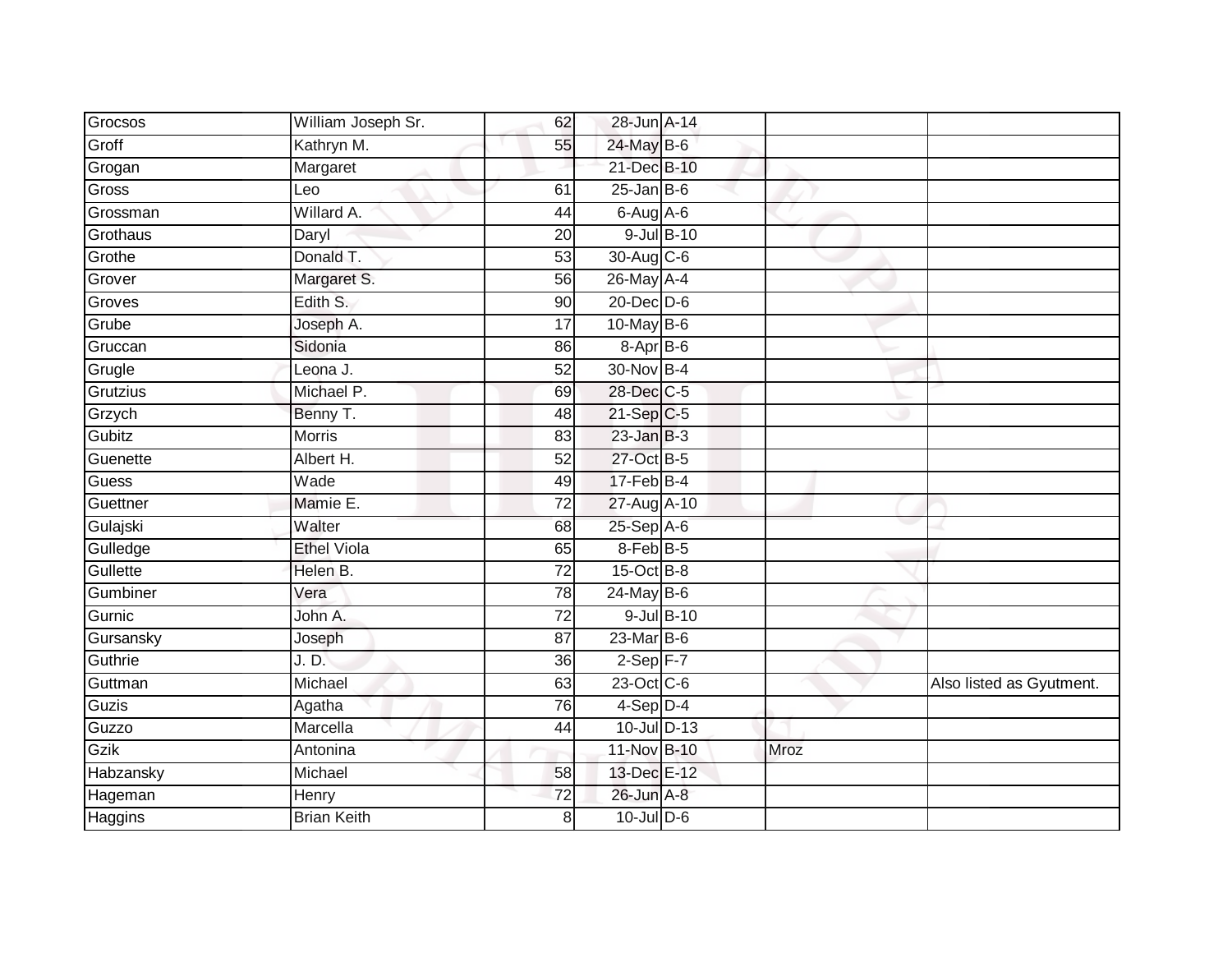| Grocsos        | William Joseph Sr. | 62              | 28-Jun A-14      |      |                          |
|----------------|--------------------|-----------------|------------------|------|--------------------------|
| Groff          | Kathryn M.         | 55              | 24-May B-6       |      |                          |
| Grogan         | Margaret           |                 | 21-Dec B-10      |      |                          |
| Gross          | Leo                | 61              | $25$ -Jan B-6    |      |                          |
| Grossman       | Willard A.         | 44              | 6-Aug A-6        |      |                          |
| Grothaus       | Daryl              | 20              | 9-Jul B-10       |      |                          |
| Grothe         | Donald T.          | 53              | 30-Aug C-6       |      |                          |
| Grover         | Margaret S.        | 56              | 26-May A-4       |      |                          |
| Groves         | Edith S.           | 90              | $20$ -Dec $D-6$  |      |                          |
| Grube          | Joseph A.          | 17              | $10$ -May B-6    |      |                          |
| Gruccan        | Sidonia            | 86              | $8-Apr$ B-6      |      |                          |
| Grugle         | Leona J.           | 52              | 30-Nov B-4       |      |                          |
| Grutzius       | Michael P.         | 69              | 28-Dec C-5       |      |                          |
| Grzych         | Benny T.           | 48              | 21-Sep C-5       |      |                          |
| Gubitz         | <b>Morris</b>      | 83              | $23$ -Jan $B-3$  |      |                          |
| Guenette       | Albert H.          | 52              | 27-Oct B-5       |      |                          |
| <b>Guess</b>   | Wade               | 49              | $17$ -Feb $B$ -4 |      |                          |
| Guettner       | Mamie E.           | $\overline{72}$ | 27-Aug A-10      |      |                          |
| Gulajski       | Walter             | 68              | 25-Sep A-6       |      |                          |
| Gulledge       | <b>Ethel Viola</b> | 65              | 8-Feb B-5        |      |                          |
| Gullette       | Helen B.           | $\overline{72}$ | $15$ -Oct B-8    |      |                          |
| Gumbiner       | Vera               | 78              | 24-May B-6       |      |                          |
| Gurnic         | John A.            | 72              | 9-Jul B-10       |      |                          |
| Gursansky      | Joseph             | 87              | 23-Mar B-6       |      |                          |
| Guthrie        | J. D.              | 36              | $2-Sep$ F-7      |      |                          |
| Guttman        | Michael            | 63              | 23-Oct C-6       |      | Also listed as Gyutment. |
| Guzis          | Agatha             | $\overline{76}$ | $4-Sep$ D-4      |      |                          |
| Guzzo          | Marcella           | 44              | 10-Jul D-13      |      |                          |
| Gzik           | Antonina           |                 | 11-Nov B-10      | Mroz |                          |
| Habzansky      | Michael            | 58              | 13-Dec E-12      |      |                          |
| Hageman        | Henry              | 72              | 26-Jun A-8       |      |                          |
| <b>Haggins</b> | <b>Brian Keith</b> | 8               | 10-Jul D-6       |      |                          |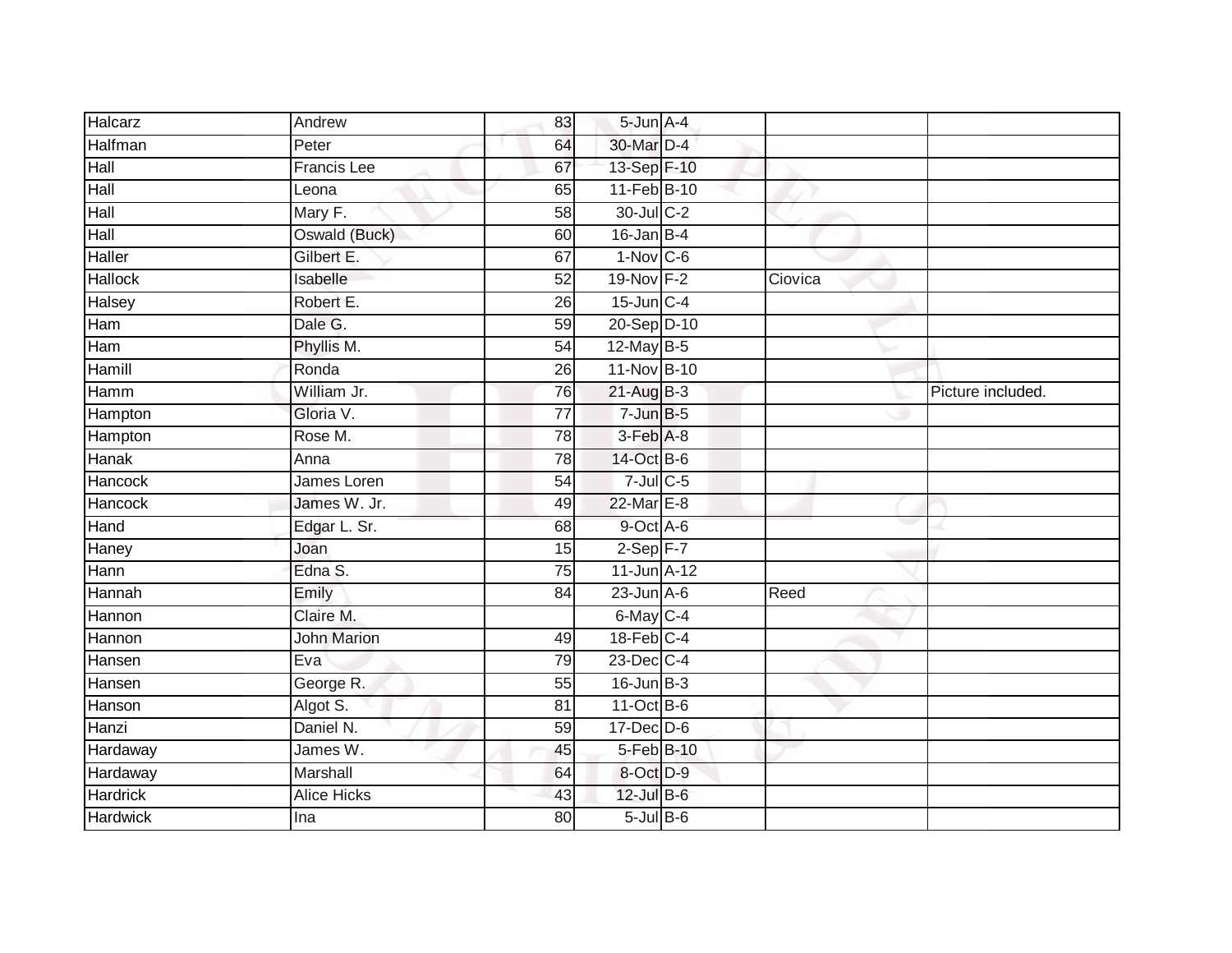| Halcarz         | Andrew             | 83              | 5-Jun A-4        |         |                   |
|-----------------|--------------------|-----------------|------------------|---------|-------------------|
| Halfman         | Peter              | 64              | 30-Mar D-4       |         |                   |
|                 |                    |                 |                  |         |                   |
| Hall            | <b>Francis Lee</b> | 67              | 13-Sep F-10      |         |                   |
| Hall            | Leona              | 65              | 11-Feb B-10      |         |                   |
| Hall            | Mary F.            | $\overline{58}$ | 30-Jul C-2       |         |                   |
| Hall            | Oswald (Buck)      | 60              | 16-Jan B-4       |         |                   |
| Haller          | Gilbert E.         | 67              | $1-Nov$ C-6      |         |                   |
| Hallock         | Isabelle           | 52              | 19-Nov F-2       | Ciovica |                   |
| <b>Halsey</b>   | Robert E.          | 26              | $15$ -Jun $C-4$  |         |                   |
| Ham             | Dale G.            | 59              | 20-Sep D-10      |         |                   |
| Ham             | Phyllis M.         | $\overline{54}$ | 12-May B-5       |         |                   |
| Hamill          | Ronda              | 26              | 11-Nov B-10      |         |                   |
| Hamm            | William Jr.        | 76              | $21-AugB-3$      |         | Picture included. |
| Hampton         | Gloria V.          | $\overline{77}$ | $7$ -Jun $B - 5$ |         |                   |
| Hampton         | Rose M.            | 78              | 3-Feb A-8        |         |                   |
| Hanak           | Anna               | 78              | 14-Oct B-6       |         |                   |
| <b>Hancock</b>  | James Loren        | 54              | $7$ -Jul $C$ -5  |         |                   |
| Hancock         | James W. Jr.       | 49              | 22-Mar E-8       |         |                   |
| Hand            | Edgar L. Sr.       | 68              | 9-Oct A-6        |         |                   |
| Haney           | Joan               | 15              | $2-Sep$ F-7      |         |                   |
| Hann            | Edna S.            | 75              | 11-Jun A-12      |         |                   |
| Hannah          | Emily              | $\overline{84}$ | $23$ -Jun $A-6$  | Reed    |                   |
| Hannon          | Claire M.          |                 | 6-May C-4        |         |                   |
| Hannon          | <b>John Marion</b> | 49              | 18-Feb C-4       |         |                   |
| Hansen          | Eva                | 79              | 23-Dec C-4       |         |                   |
| Hansen          | George R.          | 55              | $16$ -Jun $B-3$  |         |                   |
| Hanson          | Algot S.           | $\overline{81}$ | $11-Oct$ B-6     |         |                   |
| Hanzi           | Daniel N.          | 59              | $17 - Dec$ $D-6$ |         |                   |
| Hardaway        | James W.           | 45              | 5-Feb B-10       |         |                   |
| Hardaway        | Marshall           | 64              | 8-Oct D-9        |         |                   |
| Hardrick        | <b>Alice Hicks</b> | 43              | 12-Jul B-6       |         |                   |
| <b>Hardwick</b> | Ina                | 80              | $5$ -Jul $B$ -6  |         |                   |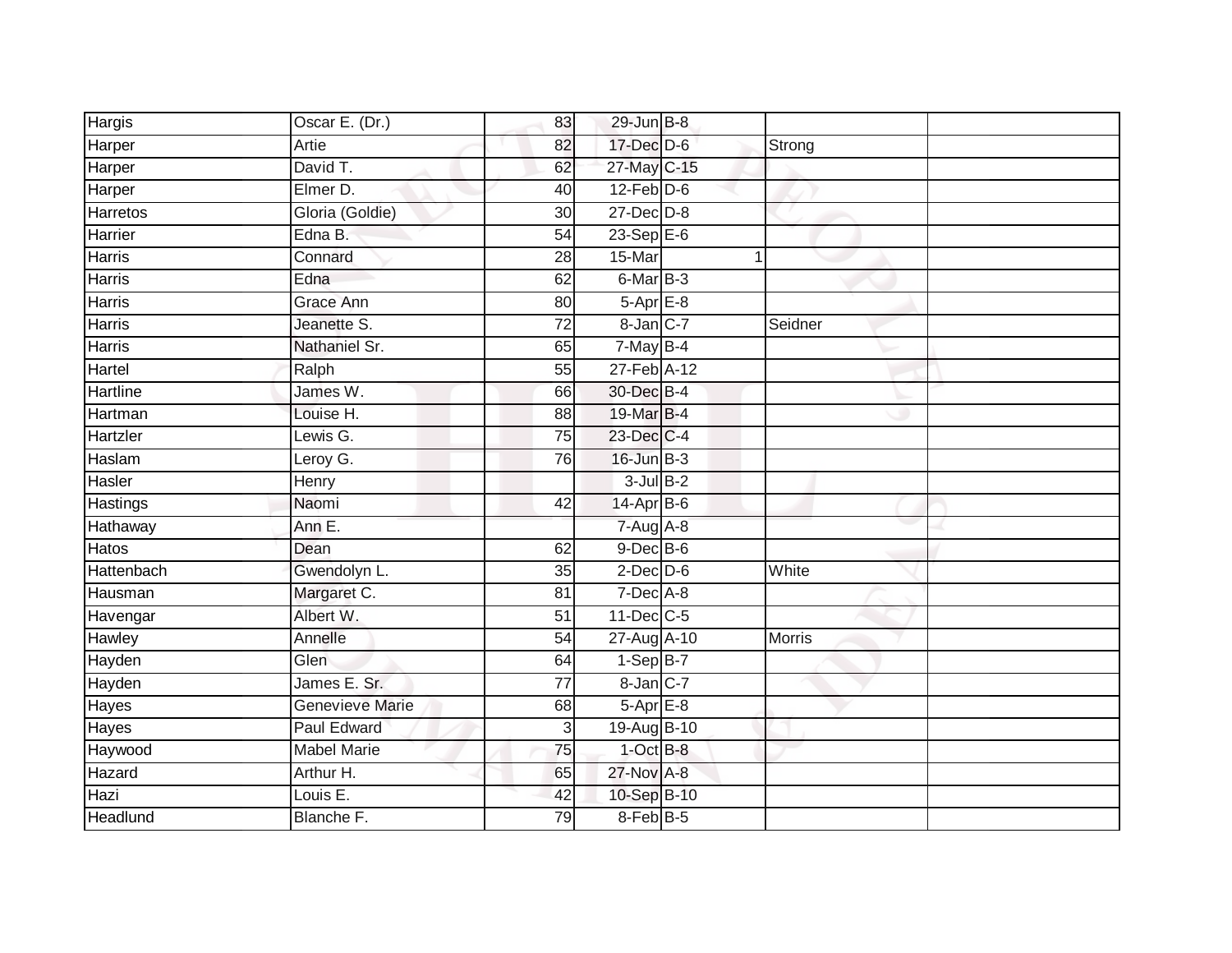| Hargis          | Oscar E. (Dr.)         | 83              | $29$ -Jun B-8    |         |  |
|-----------------|------------------------|-----------------|------------------|---------|--|
| Harper          | Artie                  | 82              | 17-Dec D-6       | Strong  |  |
| Harper          | David T.               | 62              | 27-May C-15      |         |  |
| Harper          | Elmer D.               | 40              | $12$ -Feb $D-6$  |         |  |
| Harretos        | Gloria (Goldie)        | 30              | 27-Dec D-8       |         |  |
| Harrier         | Edna B.                | $\overline{54}$ | $23-Sep$ $E-6$   |         |  |
| Harris          | Connard                | 28              | 15-Mar           | 1       |  |
| Harris          | Edna                   | 62              | 6-Mar B-3        |         |  |
| <b>Harris</b>   | Grace Ann              | 80              | $5-AprE-8$       |         |  |
| <b>Harris</b>   | Jeanette S.            | $\overline{72}$ | 8-Jan C-7        | Seidner |  |
| <b>Harris</b>   | Nathaniel Sr.          | 65              | 7-May B-4        |         |  |
| Hartel          | Ralph                  | $\overline{55}$ | 27-Feb A-12      |         |  |
| Hartline        | James W.               | 66              | 30-Dec B-4       |         |  |
| Hartman         | Louise H.              | 88              | 19-Mar B-4       |         |  |
| Hartzler        | Lewis G.               | 75              | 23-Dec C-4       |         |  |
| Haslam          | Leroy G.               | 76              | $16$ -Jun $B-3$  |         |  |
| Hasler          | Henry                  |                 | $3$ -Jul $B-2$   |         |  |
| <b>Hastings</b> | Naomi                  | 42              | $14$ -Apr $B$ -6 |         |  |
| Hathaway        | Ann E.                 |                 | $7-Aug$ A-8      |         |  |
| <b>Hatos</b>    | Dean                   | 62              | $9$ -Dec $B$ -6  |         |  |
| Hattenbach      | Gwendolyn L.           | 35              | $2$ -Dec $D-6$   | White   |  |
| Hausman         | Margaret C.            | 81              | $7-Dec$ A-8      |         |  |
| Havengar        | Albert W.              | 51              | $11$ -Dec $C$ -5 |         |  |
| Hawley          | Annelle                | $\overline{54}$ | 27-Aug A-10      | Morris  |  |
| Hayden          | Glen                   | 64              | $1-Sep$ B-7      |         |  |
| Hayden          | James E. Sr.           | $\overline{77}$ | 8-Jan C-7        |         |  |
| Hayes           | <b>Genevieve Marie</b> | 68              | $5-AprE-8$       |         |  |
| Hayes           | Paul Edward            | $\overline{3}$  | 19-Aug B-10      |         |  |
| Haywood         | <b>Mabel Marie</b>     | 75              | $1-OctB-8$       |         |  |
| Hazard          | Arthur H.              | 65              | 27-Nov A-8       |         |  |
| Hazi            | Louis E.               | 42              | 10-Sep B-10      |         |  |
| Headlund        | Blanche F.             | 79              | $8-Feb$ B-5      |         |  |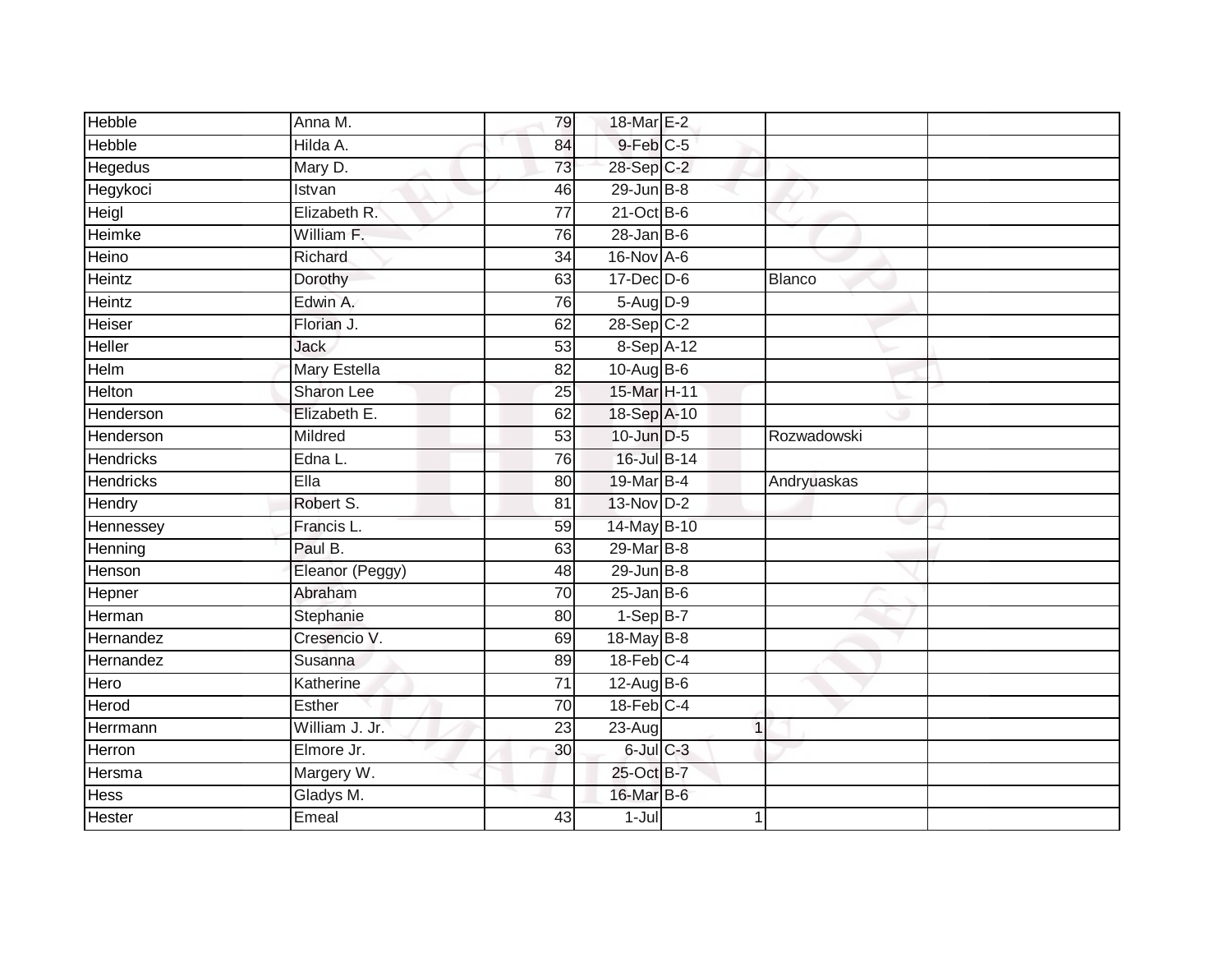| <b>Hebble</b>    | Anna M.             | 79              | 18-Mar E-2        |               |  |
|------------------|---------------------|-----------------|-------------------|---------------|--|
| <b>Hebble</b>    | Hilda A.            | 84              | 9-Feb C-5         |               |  |
| <b>Hegedus</b>   | Mary D.             | 73              | 28-Sep C-2        |               |  |
| Hegykoci         | Istvan              | 46              | $29$ -Jun $B - 8$ |               |  |
| Heigl            | Elizabeth R.        | $\overline{77}$ | $21-Oct$ B-6      |               |  |
| Heimke           | William F.          | 76              | $28$ -Jan B-6     |               |  |
| Heino            | Richard             | 34              | 16-Nov A-6        |               |  |
| Heintz           | Dorothy             | 63              | $17 - Dec$ $D-6$  | <b>Blanco</b> |  |
| Heintz           | Edwin A.            | 76              | 5-Aug D-9         |               |  |
| Heiser           | Florian J.          | 62              | 28-Sep C-2        |               |  |
| Heller           | <b>Jack</b>         | 53              | 8-Sep A-12        |               |  |
| Helm             | <b>Mary Estella</b> | $\overline{82}$ | $10-Aug$ B-6      |               |  |
| Helton           | Sharon Lee          | 25              | 15-Mar H-11       |               |  |
| Henderson        | Elizabeth E.        | 62              | 18-Sep A-10       |               |  |
| Henderson        | Mildred             | 53              | 10-Jun D-5        | Rozwadowski   |  |
| <b>Hendricks</b> | Edna L.             | 76              | 16-Jul B-14       |               |  |
| <b>Hendricks</b> | Ella                | 80              | 19-Mar B-4        | Andryuaskas   |  |
| Hendry           | Robert S.           | 81              | 13-Nov D-2        |               |  |
| Hennessey        | Francis L.          | 59              | 14-May B-10       |               |  |
| Henning          | Paul B.             | 63              | 29-Mar B-8        |               |  |
| Henson           | Eleanor (Peggy)     | 48              | $29$ -Jun $B - 8$ |               |  |
| Hepner           | Abraham             | 70              | $25$ -Jan B-6     |               |  |
| Herman           | Stephanie           | 80              | $1-Sep$ B-7       |               |  |
| Hernandez        | Cresencio V.        | 69              | 18-May B-8        |               |  |
| Hernandez        | Susanna             | 89              | $18$ -Feb $C-4$   |               |  |
| Hero             | Katherine           | $\overline{71}$ | $12$ -Aug B-6     |               |  |
| Herod            | Esther              | 70              | $18$ -Feb $C-4$   |               |  |
| Herrmann         | William J. Jr.      | 23              | 23-Aug            | 1             |  |
| Herron           | Elmore Jr.          | 30              | $6$ -Jul $C$ -3   |               |  |
| Hersma           | Margery W.          |                 | 25-Oct B-7        |               |  |
| Hess             | Gladys M.           |                 | 16-Mar B-6        |               |  |
| <b>Hester</b>    | Emeal               | 43              | $1 -$ Jul         | 1             |  |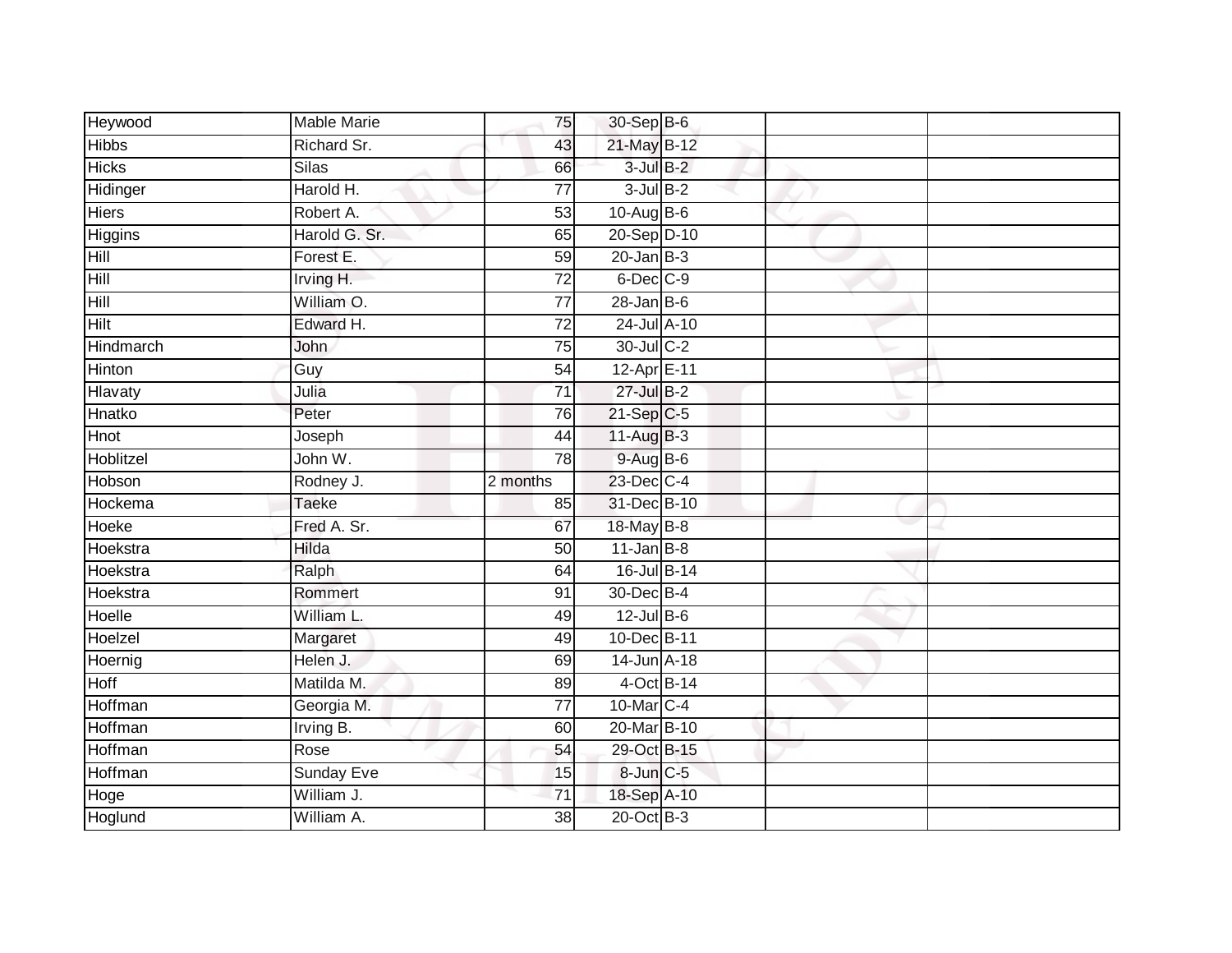| Heywood         | <b>Mable Marie</b>       | 75                    | 30-Sep B-6                |  |  |
|-----------------|--------------------------|-----------------------|---------------------------|--|--|
| <b>Hibbs</b>    | Richard Sr.              | 43                    | 21-May B-12               |  |  |
| <b>Hicks</b>    | <b>Silas</b>             | 66                    | $3$ -Jul $B-2$            |  |  |
| Hidinger        | Harold H.                | 77                    | $3$ -Jul $B-2$            |  |  |
| <b>Hiers</b>    | Robert A.                | $\overline{53}$       | 10-Aug B-6                |  |  |
| Higgins         | Harold G. Sr.            | 65                    | 20-Sep D-10               |  |  |
| Hill            | Forest E.                | $\overline{59}$       | $20$ -Jan B-3             |  |  |
| Hill            | Irving H.                | 72                    | $6$ -Dec $C$ -9           |  |  |
| Hill            | William O.               | 77                    | $28 - Jan$ $B-6$          |  |  |
| <b>Hilt</b>     | Edward H.                | $\overline{72}$       | 24-Jul A-10               |  |  |
| Hindmarch       | John                     | 75                    | 30-Jul C-2                |  |  |
| <b>Hinton</b>   | Guy                      | 54                    | 12-Apr E-11               |  |  |
| Hlavaty         | Julia                    | $\overline{71}$       | $27$ -Jul B-2             |  |  |
| Hnatko          | Peter                    | 76                    | $21-Sep C-5$              |  |  |
| <b>Hnot</b>     | Joseph                   | 44                    | $11-Aug$ B-3              |  |  |
| Hoblitzel       | John W.                  | 78                    | $9-Aug$ B-6               |  |  |
|                 |                          |                       |                           |  |  |
| Hobson          | Rodney J.                | 2 months              | 23-Dec C-4                |  |  |
| Hockema         | <b>Taeke</b>             | 85                    | 31-Dec B-10               |  |  |
| Hoeke           | Fred A. Sr.              | 67                    | 18-May B-8                |  |  |
| Hoekstra        | <b>Hilda</b>             | 50                    | $11$ -Jan B-8             |  |  |
| Hoekstra        | Ralph                    | 64                    | 16-Jul B-14               |  |  |
| Hoekstra        | Rommert                  | 91                    | 30-Dec B-4                |  |  |
| <b>Hoelle</b>   | William L.               | 49                    | $12$ -Jul B-6             |  |  |
| Hoelzel         | Margaret                 | 49                    | 10-Dec B-11               |  |  |
| Hoernig         | Helen J.                 | 69                    | 14-Jun A-18               |  |  |
| Hoff            | Matilda M.               | 89                    | 4-Oct B-14                |  |  |
| Hoffman         | Georgia M.               | $\overline{77}$       | 10-Mar C-4                |  |  |
| Hoffman         | Irving B.                | 60                    | 20-Mar B-10               |  |  |
| Hoffman         | Rose                     | 54                    | 29-Oct B-15               |  |  |
| Hoffman         | <b>Sunday Eve</b>        | 15                    | 8-Jun C-5                 |  |  |
| Hoge<br>Hoglund | William J.<br>William A. | 71<br>$\overline{38}$ | 18-Sep A-10<br>20-Oct B-3 |  |  |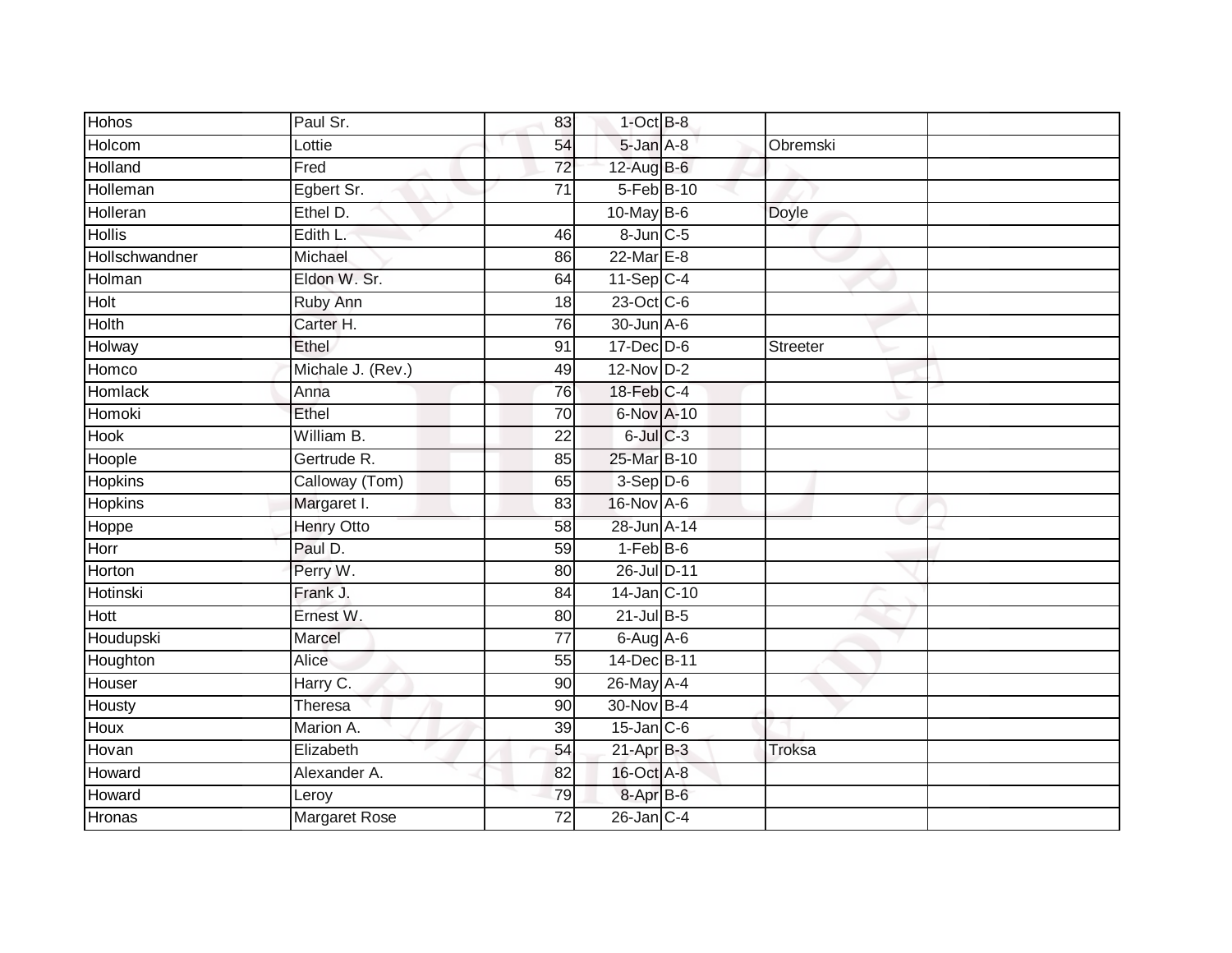| Hohos          | Paul Sr.             | 83              | $1$ -Oct $B-8$  |              |  |
|----------------|----------------------|-----------------|-----------------|--------------|--|
| Holcom         | Lottie               | 54              | 5-Jan A-8       | Obremski     |  |
| Holland        | Fred                 | $\overline{72}$ | 12-Aug B-6      |              |  |
| Holleman       | Egbert Sr.           | 71              | 5-Feb B-10      |              |  |
| Holleran       | Ethel D.             |                 | $10$ -May B-6   | <b>Doyle</b> |  |
| <b>Hollis</b>  | Edith L.             | 46              | $8$ -Jun $C$ -5 |              |  |
| Hollschwandner | Michael              | 86              | 22-Mar E-8      |              |  |
| Holman         | Eldon W. Sr.         | 64              | $11-Sep$ C-4    |              |  |
| Holt           | Ruby Ann             | 18              | 23-Oct C-6      |              |  |
| Holth          | Carter H.            | 76              | 30-Jun A-6      |              |  |
| Holway         | Ethel                | 91              | $17$ -Dec $D-6$ | Streeter     |  |
| Homco          | Michale J. (Rev.)    | 49              | 12-Nov D-2      |              |  |
| <b>Homlack</b> | Anna                 | 76              | 18-Feb C-4      |              |  |
| Homoki         | Ethel                | 70              | 6-Nov A-10      |              |  |
| <b>Hook</b>    | William B.           | $\overline{22}$ | $6$ -Jul $C$ -3 |              |  |
| Hoople         | Gertrude R.          | 85              | 25-Mar B-10     |              |  |
| <b>Hopkins</b> | Calloway (Tom)       | 65              | $3-Sep$ $D-6$   |              |  |
| <b>Hopkins</b> | Margaret I.          | 83              | 16-Nov A-6      |              |  |
| Hoppe          | <b>Henry Otto</b>    | 58              | 28-Jun A-14     |              |  |
| Horr           | Paul D.              | 59              | $1-FebB-6$      |              |  |
| Horton         | Perry W.             | 80              | 26-Jul D-11     |              |  |
| Hotinski       | Frank J.             | 84              | 14-Jan C-10     |              |  |
| Hott           | Ernest W.            | 80              | $21$ -Jul B-5   |              |  |
| Houdupski      | Marcel               | 77              | $6$ -Aug $A$ -6 |              |  |
| Houghton       | Alice                | 55              | 14-Dec B-11     |              |  |
| Houser         | Harry C.             | 90              | 26-May A-4      |              |  |
| Housty         | Theresa              | 90              | 30-Nov B-4      |              |  |
| Houx           | Marion A.            | 39              | $15$ -Jan C-6   |              |  |
| Hovan          | Elizabeth            | 54              | $21-Apr$ B-3    | Troksa       |  |
| Howard         | Alexander A.         | 82              | 16-Oct A-8      |              |  |
| Howard         | Leroy                | 79              | 8-Apr B-6       |              |  |
| Hronas         | <b>Margaret Rose</b> | $\overline{72}$ | $26$ -Jan $C-4$ |              |  |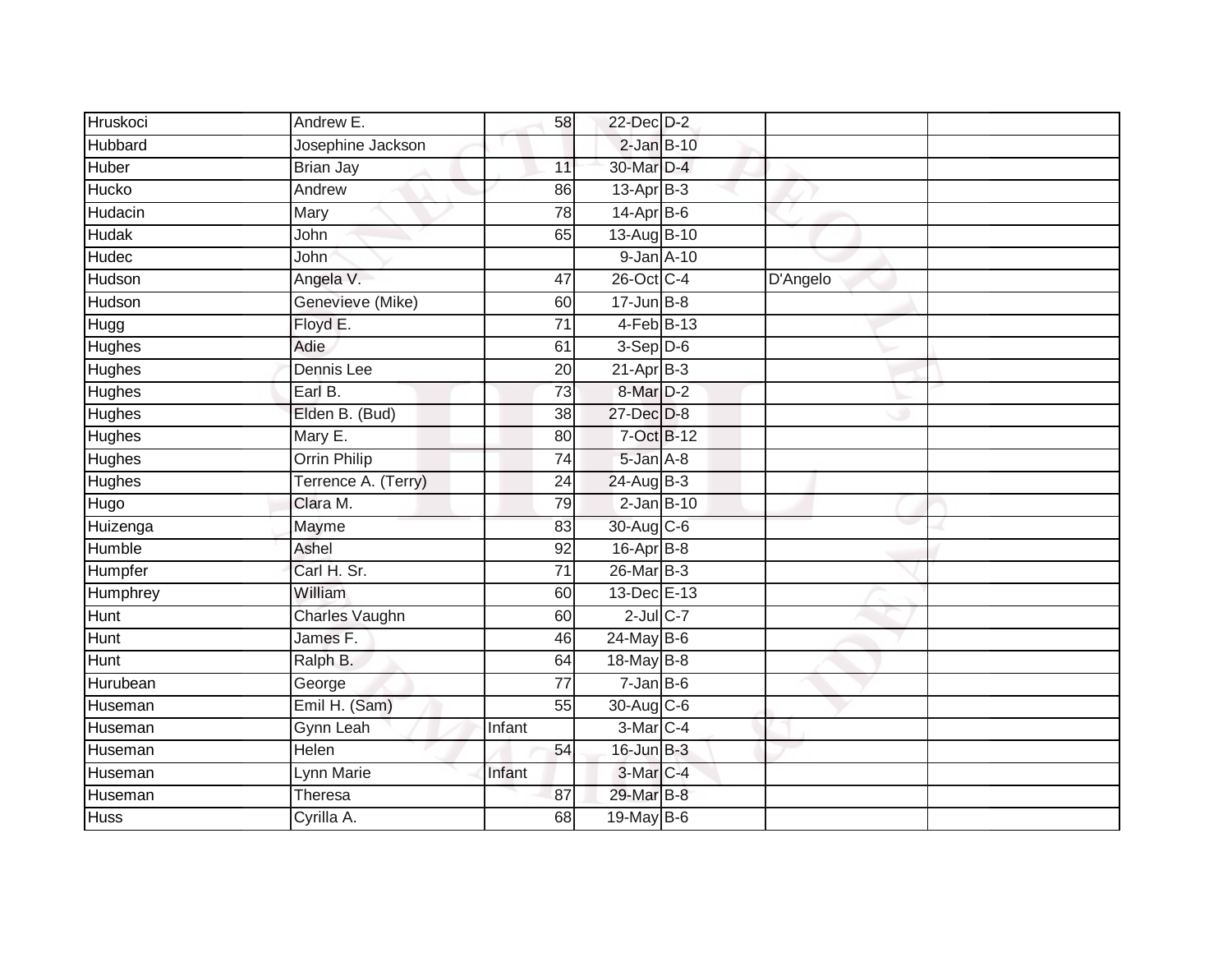| Hruskoci      | Andrew E.           | 58              | 22-Dec D-2           |          |  |
|---------------|---------------------|-----------------|----------------------|----------|--|
| Hubbard       | Josephine Jackson   |                 | $2$ -Jan $B-10$      |          |  |
| <b>Huber</b>  | <b>Brian Jay</b>    | 11              | 30-Mar D-4           |          |  |
| Hucko         | Andrew              | 86              | $13$ -Apr $B-3$      |          |  |
| Hudacin       | <b>Mary</b>         | $\overline{78}$ | $14$ -Apr $B$ -6     |          |  |
| <b>Hudak</b>  | John                | 65              | 13-Aug B-10          |          |  |
| Hudec         | John                |                 | 9-Jan A-10           |          |  |
| Hudson        | Angela V.           | 47              | 26-Oct C-4           | D'Angelo |  |
| Hudson        | Genevieve (Mike)    | 60              | $17 - Jun$ B-8       |          |  |
| Hugg          | Floyd E.            | $\overline{71}$ | $4-Feb$ B-13         |          |  |
| Hughes        | Adie                | 61              | $3-Sep$ $D-6$        |          |  |
| Hughes        | Dennis Lee          | 20              | $21-Apr$ B-3         |          |  |
| Hughes        | Earl B.             | 73              | 8-Mar <sub>D-2</sub> |          |  |
| Hughes        | Elden B. (Bud)      | 38              | 27-Dec D-8           |          |  |
| Hughes        | Mary E.             | 80              | 7-Oct B-12           |          |  |
| <b>Hughes</b> | Orrin Philip        | 74              | 5-Jan A-8            |          |  |
| <b>Hughes</b> | Terrence A. (Terry) | $\overline{24}$ | $24$ -Aug B-3        |          |  |
| Hugo          | Clara M.            | 79              | $2$ -Jan $B-10$      |          |  |
| Huizenga      | Mayme               | 83              | 30-Aug C-6           |          |  |
| Humble        | Ashel               | 92              | $16$ -Apr $B$ -8     |          |  |
| Humpfer       | Carl H. Sr.         | 71              | 26-Mar B-3           |          |  |
| Humphrey      | William             | 60              | 13-Dec E-13          |          |  |
| <b>Hunt</b>   | Charles Vaughn      | 60              | $2$ -Jul $C$ -7      |          |  |
| Hunt          | James F.            | 46              | 24-May B-6           |          |  |
| Hunt          | Ralph B.            | 64              | 18-May B-8           |          |  |
| Hurubean      | George              | 77              | $7 - Jan$ B-6        |          |  |
| Huseman       | Emil H. (Sam)       | 55              | 30-Aug C-6           |          |  |
| Huseman       | Gynn Leah           | Infant          | 3-Mar <sub>C-4</sub> |          |  |
| Huseman       | Helen               | 54              | $16$ -Jun $B-3$      |          |  |
| Huseman       | Lynn Marie          | Infant          | 3-Mar C-4            |          |  |
| Huseman       | <b>Theresa</b>      | 87              | 29-Mar B-8           |          |  |
| <b>Huss</b>   | Cyrilla A.          | 68              | $19$ -May B-6        |          |  |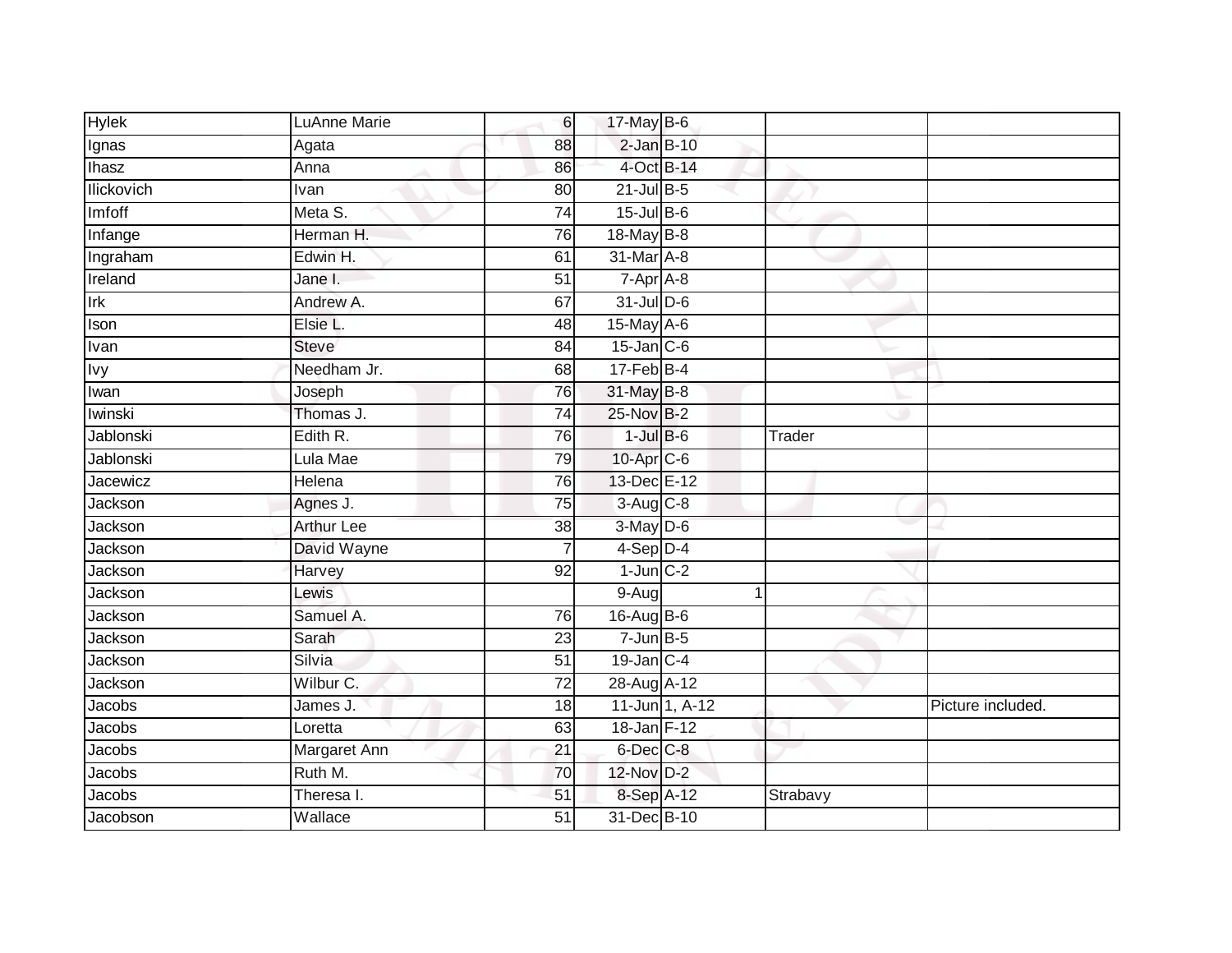| <b>Hylek</b> | <b>LuAnne Marie</b> | 6               | 17-May B-6       |                |          |                   |
|--------------|---------------------|-----------------|------------------|----------------|----------|-------------------|
| Ignas        | Agata               | 88              | $2$ -Jan $B-10$  |                |          |                   |
| <b>Ihasz</b> | Anna                | 86              | 4-Oct B-14       |                |          |                   |
| llickovich   | Ivan                | 80              | $21$ -Jul B-5    |                |          |                   |
| Imfoff       | Meta S.             | $\overline{74}$ | $15$ -Jul $B$ -6 |                |          |                   |
| Infange      | Herman H.           | 76              | 18-May B-8       |                |          |                   |
| Ingraham     | Edwin H.            | 61              | 31-Mar A-8       |                |          |                   |
| Ireland      | Jane I.             | 51              | $7-Apr$ A-8      |                |          |                   |
| Irk          | Andrew A.           | 67              | 31-Jul D-6       |                |          |                   |
| Ison         | Elsie L.            | 48              | 15-May A-6       |                |          |                   |
| Ivan         | <b>Steve</b>        | 84              | $15$ -Jan $C$ -6 |                |          |                   |
| <b>Ivy</b>   | Needham Jr.         | 68              | $17$ -Feb $B$ -4 |                |          |                   |
| Iwan         | Joseph              | 76              | 31-May B-8       |                |          |                   |
| Iwinski      | Thomas J.           | 74              | 25-Nov B-2       |                |          |                   |
| Jablonski    | Edith R.            | 76              | $1$ -Jul $B$ -6  |                | Trader   |                   |
| Jablonski    | Lula Mae            | 79              | $10$ -Apr $C$ -6 |                |          |                   |
| Jacewicz     | Helena              | 76              | 13-Dec E-12      |                |          |                   |
| Jackson      | Agnes J.            | $\overline{75}$ | $3-Aug$ $C-8$    |                |          |                   |
| Jackson      | <b>Arthur Lee</b>   | 38              | 3-May D-6        |                |          |                   |
| Jackson      | David Wayne         | $\overline{7}$  | $4-Sep$ D-4      |                |          |                   |
| Jackson      | Harvey              | 92              | $1$ -Jun $C-2$   |                |          |                   |
| Jackson      | Lewis               |                 | $9-Aug$          |                | 1        |                   |
| Jackson      | Samuel A.           | 76              | 16-Aug B-6       |                |          |                   |
| Jackson      | Sarah               | 23              | $7 - Jun$ B-5    |                |          |                   |
| Jackson      | Silvia              | 51              | $19$ -Jan C-4    |                |          |                   |
| Jackson      | Wilbur C.           | 72              | 28-Aug A-12      |                |          |                   |
| Jacobs       | James J.            | 18              |                  | 11-Jun 1, A-12 |          | Picture included. |
| Jacobs       | Loretta             | 63              | 18-Jan F-12      |                |          |                   |
| Jacobs       | Margaret Ann        | 21              | 6-Dec C-8        |                |          |                   |
| Jacobs       | Ruth M.             | 70              | 12-Nov D-2       |                |          |                   |
| Jacobs       | Theresa I.          | 51              | 8-Sep A-12       |                | Strabavy |                   |
| Jacobson     | Wallace             | $\overline{51}$ | 31-Dec B-10      |                |          |                   |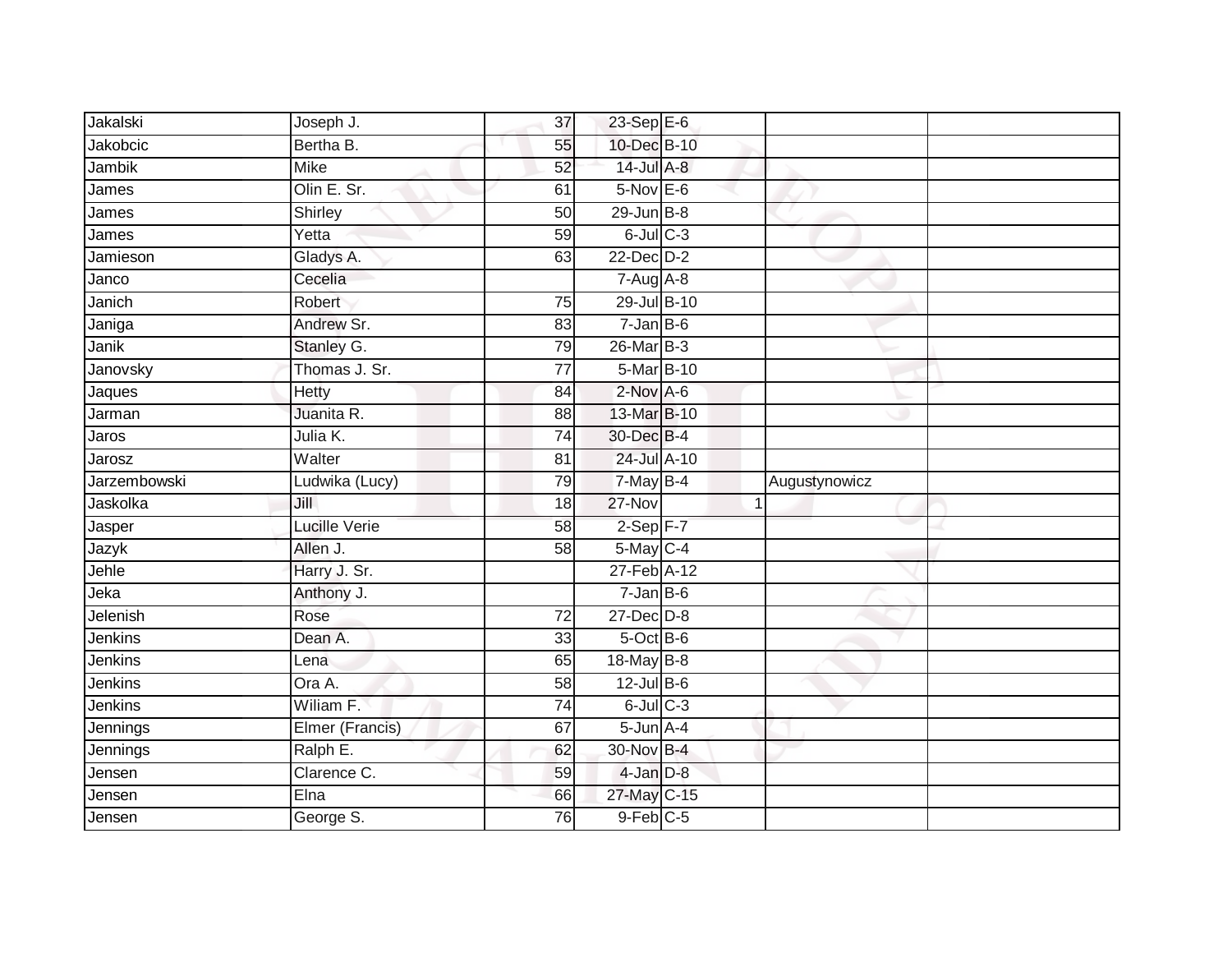| Jakalski            | Joseph J.         | 37              | $23$ -Sep $E-6$                |                |               |  |
|---------------------|-------------------|-----------------|--------------------------------|----------------|---------------|--|
| <b>Jakobcic</b>     | Bertha B.         | 55              | 10-Dec B-10                    |                |               |  |
| <b>Jambik</b>       | <b>Mike</b>       | 52              | 14-Jul A-8                     |                |               |  |
| James               | Olin E. Sr.       | 61              | $5-Nov$ E-6                    |                |               |  |
| James               | Shirley           | 50              | $29$ -Jun $B-8$                |                |               |  |
| James               | Yetta             | 59              | $6$ -Jul $C$ -3                |                |               |  |
| Jamieson            | Gladys A.         | 63              | 22-Dec D-2                     |                |               |  |
| Janco               | Cecelia           |                 | $7 - Aug$ $A-8$                |                |               |  |
| Janich              | Robert            | $\overline{75}$ | 29-Jul B-10                    |                |               |  |
| Janiga              | Andrew Sr.        | 83              | $7 - Jan$ B-6                  |                |               |  |
| Janik               | Stanley G.        | 79              | 26-Mar B-3                     |                |               |  |
| Janovsky            | Thomas J. Sr.     | 77              | 5-Mar B-10                     |                |               |  |
| Jaques              | Hetty             | 84              | $2$ -Nov $A$ -6                |                |               |  |
| Jarman              | Juanita R.        | 88              | 13-Mar B-10                    |                |               |  |
| Jaros               | Julia K.          | $\overline{74}$ | 30-Dec B-4                     |                |               |  |
| Jarosz              | Walter            | 81              | 24-Jul A-10                    |                |               |  |
|                     |                   |                 |                                |                |               |  |
| <b>Jarzembowski</b> | Ludwika (Lucy)    | 79              | 7-May B-4                      |                | Augustynowicz |  |
| Jaskolka            | Jill              | 18              | $27 - Nov$                     | $\overline{1}$ |               |  |
| Jasper              | Lucille Verie     | 58              | $2-Sep$ F-7                    |                |               |  |
| Jazyk               | Allen J.          | $\overline{58}$ | 5-May C-4                      |                |               |  |
| Jehle               | Harry J. Sr.      |                 | 27-Feb A-12                    |                |               |  |
| Jeka                | Anthony J.        |                 | $7 - Jan$ B-6                  |                |               |  |
| Jelenish            | Rose              | 72              | $27 - Dec$ $D-8$               |                |               |  |
| Jenkins             | Dean A.           | 33              | 5-Oct B-6                      |                |               |  |
| Jenkins             | Lena              | 65              | 18-May B-8                     |                |               |  |
| Jenkins             | Ora A.            | 58              | $12$ -Jul B-6                  |                |               |  |
| Jenkins             | Wiliam F.         | $\overline{74}$ | $6$ -Jul $C$ -3                |                |               |  |
| Jennings            | Elmer (Francis)   | 67              | $5$ -Jun $A-4$                 |                |               |  |
| Jennings            | Ralph E.          | 62              | 30-Nov B-4                     |                |               |  |
| Jensen              | Clarence C.       | 59              | 4-Jan D-8                      |                |               |  |
| Jensen              | Elna<br>George S. | 66              | 27-May C-15<br>$9$ -Feb $C$ -5 |                |               |  |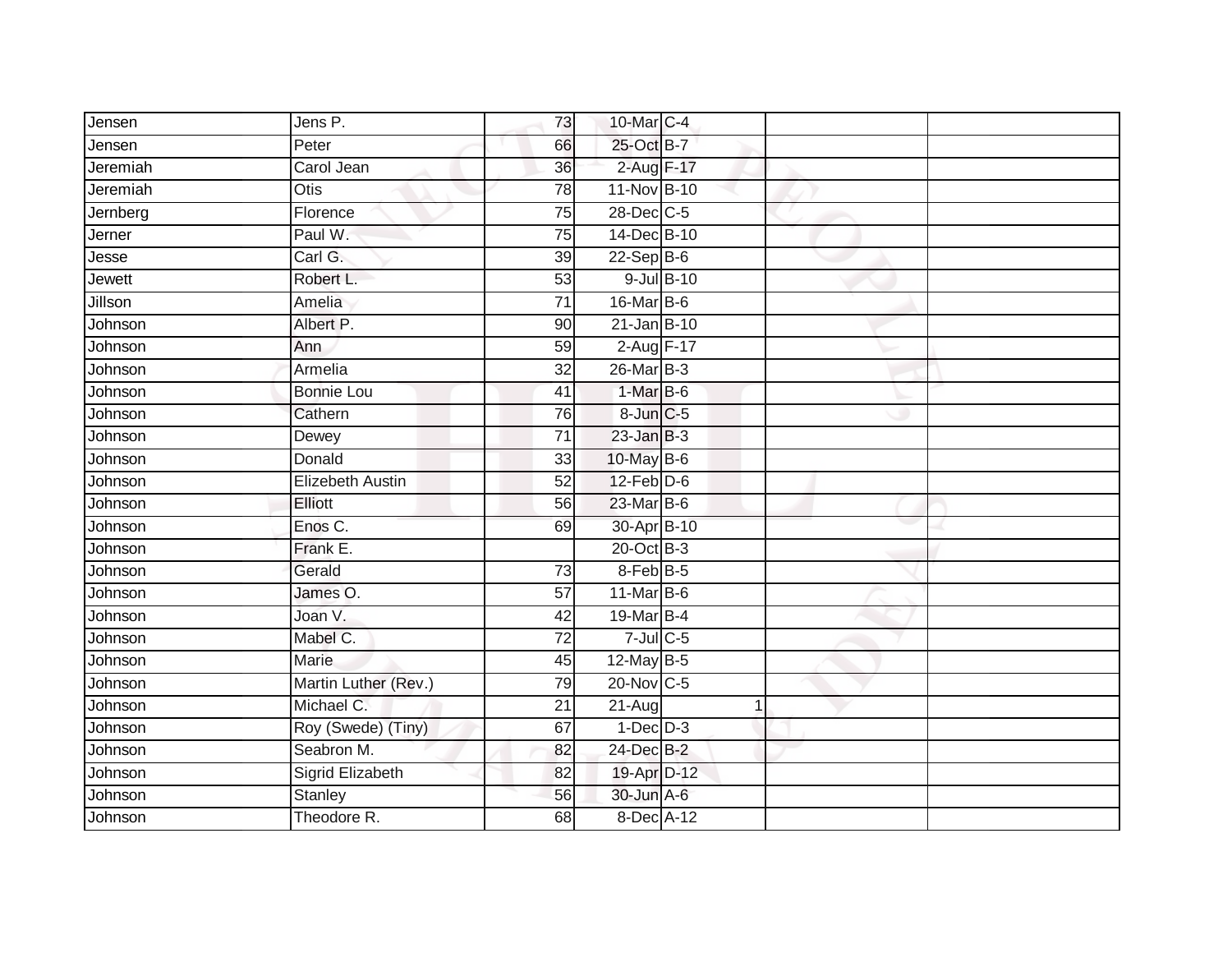| Jensen        | Jens P.                 | 73              | 10-Mar C-4      |            |  |
|---------------|-------------------------|-----------------|-----------------|------------|--|
| Jensen        | Peter                   | 66              | 25-Oct B-7      |            |  |
| Jeremiah      | Carol Jean              | $\overline{36}$ | 2-Aug F-17      |            |  |
| Jeremiah      | Otis                    | 78              | 11-Nov B-10     |            |  |
| Jernberg      | Florence                | 75              | 28-Dec C-5      |            |  |
| Jerner        | Paul W.                 | 75              | 14-Dec B-10     |            |  |
| Jesse         | Carl G.                 | 39              | $22-SepB-6$     |            |  |
| <b>Jewett</b> | Robert L.               | 53              |                 | 9-Jul B-10 |  |
| Jillson       | Amelia                  | $\overline{71}$ | 16-Mar B-6      |            |  |
| Johnson       | Albert P.               | 90              | $21$ -Jan B-10  |            |  |
| Johnson       | Ann                     | 59              | 2-Aug F-17      |            |  |
| Johnson       | Armelia                 | $\overline{32}$ | 26-Mar B-3      |            |  |
| Johnson       | <b>Bonnie Lou</b>       | 41              | 1-Mar B-6       |            |  |
| Johnson       | Cathern                 | 76              | 8-Jun C-5       |            |  |
| Johnson       | Dewey                   | $\overline{71}$ | $23$ -Jan $B-3$ |            |  |
| Johnson       | Donald                  | 33              | 10-May B-6      |            |  |
| Johnson       | <b>Elizebeth Austin</b> | 52              | $12$ -Feb $D-6$ |            |  |
| Johnson       | Elliott                 | 56              | 23-Mar B-6      |            |  |
| Johnson       | Enos C.                 | 69              | 30-Apr B-10     |            |  |
| Johnson       | Frank E.                |                 | 20-Oct B-3      |            |  |
| Johnson       | Gerald                  | 73              | 8-Feb B-5       |            |  |
| Johnson       | James O.                | $\overline{57}$ | 11-Mar B-6      |            |  |
| Johnson       | Joan V.                 | 42              | 19-Mar B-4      |            |  |
| Johnson       | Mabel C.                | $\overline{72}$ | $7$ -Jul $C$ -5 |            |  |
| Johnson       | Marie                   | 45              | 12-May B-5      |            |  |
| Johnson       | Martin Luther (Rev.)    | 79              | $20$ -Nov C-5   |            |  |
| Johnson       | Michael C.              | $\overline{21}$ | $21 - Aug$      |            |  |
| Johnson       | Roy (Swede) (Tiny)      | 67              | $1-Dec$ $D-3$   |            |  |
| Johnson       | Seabron M.              | 82              | 24-Dec B-2      |            |  |
| Johnson       | Sigrid Elizabeth        | 82              | 19-Apr D-12     |            |  |
| Johnson       | Stanley                 | 56              | 30-Jun A-6      |            |  |
| Johnson       | Theodore R.             | 68              | 8-Dec A-12      |            |  |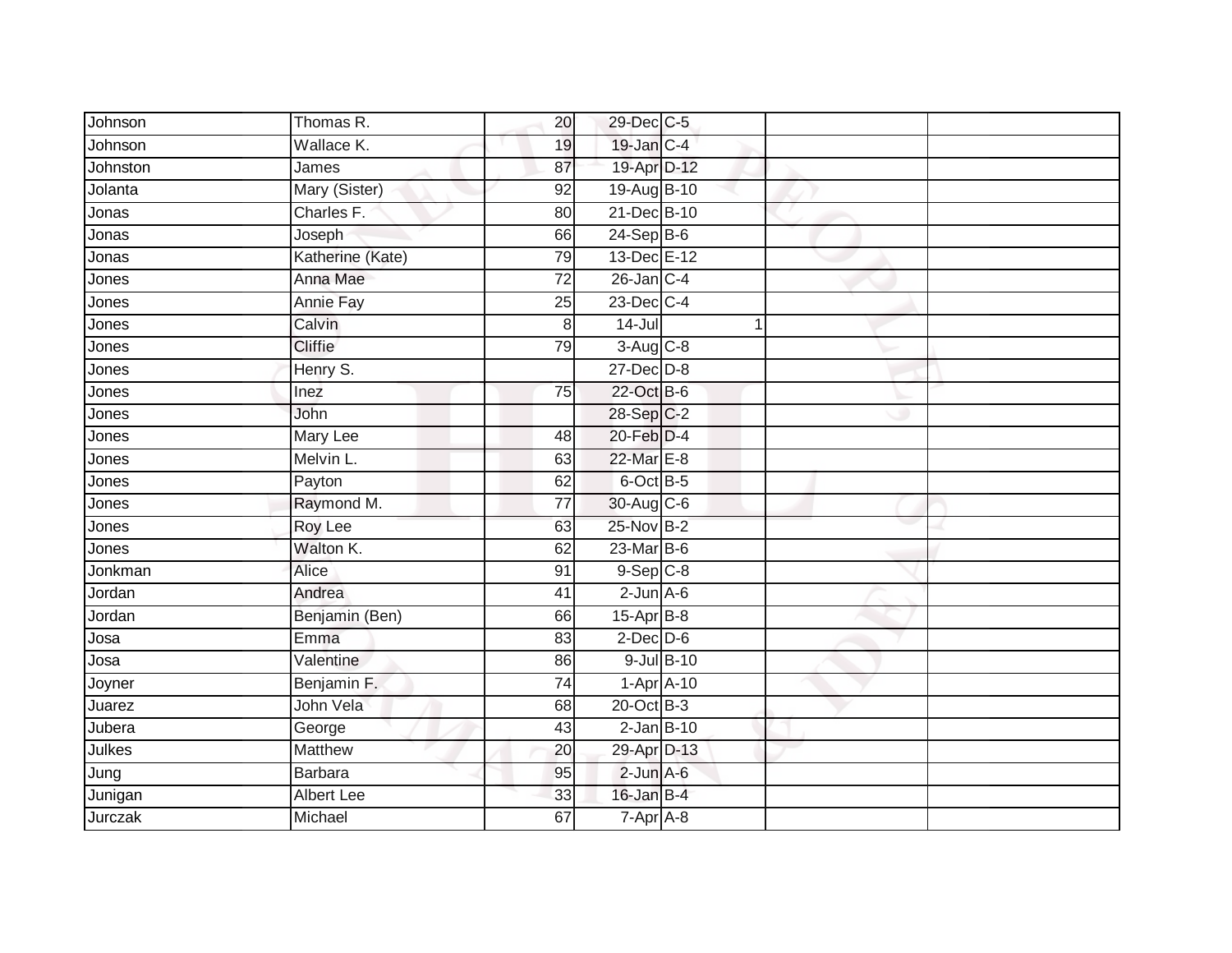| Johnson      | Thomas R.        | 20 | 29-Dec C-5       |  |  |
|--------------|------------------|----|------------------|--|--|
| Johnson      | Wallace K.       | 19 | 19-Jan C-4       |  |  |
| Johnston     | James            | 87 | 19-Apr D-12      |  |  |
| Jolanta      | Mary (Sister)    | 92 | 19-Aug B-10      |  |  |
| Jonas        | Charles F.       | 80 | 21-Dec B-10      |  |  |
| Jonas        | Joseph           | 66 | $24-Sep$ B-6     |  |  |
| Jonas        | Katherine (Kate) | 79 | 13-Dec E-12      |  |  |
| Jones        | Anna Mae         | 72 | $26$ -Jan $C-4$  |  |  |
| Jones        | Annie Fay        | 25 | $23$ -Dec $C-4$  |  |  |
| Jones        | Calvin           | 8  | $14 -$ Jul       |  |  |
| Jones        | <b>Cliffie</b>   | 79 | $3-Aug$ $C-8$    |  |  |
| Jones        | Henry S.         |    | $27 - Dec$ $D-8$ |  |  |
| Jones        | Inez             | 75 | 22-Oct B-6       |  |  |
| Jones        | John             |    | 28-Sep C-2       |  |  |
| <b>Jones</b> | Mary Lee         | 48 | 20-Feb D-4       |  |  |
| Jones        | Melvin L.        | 63 | 22-Mar E-8       |  |  |
| Jones        | Payton           | 62 | 6-Oct B-5        |  |  |
| Jones        | Raymond M.       | 77 | 30-Aug C-6       |  |  |
| Jones        | Roy Lee          | 63 | 25-Nov B-2       |  |  |
| Jones        | Walton K.        | 62 | $23$ -Mar $B-6$  |  |  |
| Jonkman      | Alice            | 91 | $9-Sep C-8$      |  |  |
| Jordan       | Andrea           | 41 | $2$ -Jun $A$ -6  |  |  |
| Jordan       | Benjamin (Ben)   | 66 | 15-Apr B-8       |  |  |
| Josa         | Emma             | 83 | $2$ -Dec $D$ -6  |  |  |
| Josa         | Valentine        | 86 | 9-Jul B-10       |  |  |
| Joyner       | Benjamin F.      | 74 | $1-Apr$ A-10     |  |  |
| Juarez       | John Vela        | 68 | 20-Oct B-3       |  |  |
| Jubera       | George           | 43 | $2$ -Jan $B-10$  |  |  |
| Julkes       | <b>Matthew</b>   | 20 | 29-Apr D-13      |  |  |
| Jung         | Barbara          | 95 | $2$ -Jun $A-6$   |  |  |
| Junigan      | Albert Lee       | 33 | 16-Jan B-4       |  |  |
| Jurczak      | Michael          | 67 | $7-Apr$ A-8      |  |  |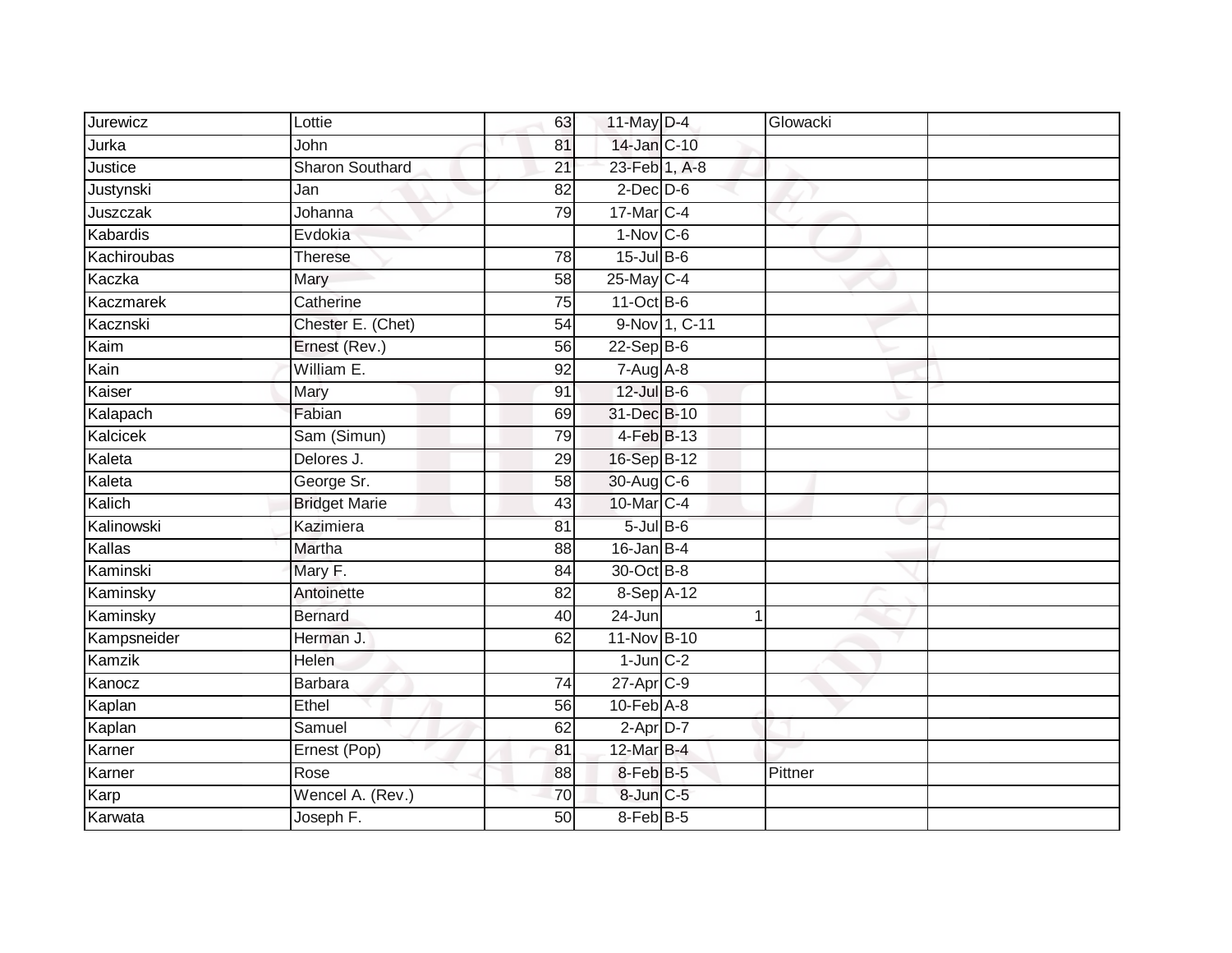| Jurewicz    | Lottie                 | 63              | 11-May $D-4$    |               | Glowacki |  |
|-------------|------------------------|-----------------|-----------------|---------------|----------|--|
| Jurka       | John                   | 81              | 14-Jan C-10     |               |          |  |
| Justice     | <b>Sharon Southard</b> | $\overline{21}$ | 23-Feb 1, A-8   |               |          |  |
| Justynski   | Jan                    | 82              | $2$ -Dec $D-6$  |               |          |  |
| Juszczak    | Johanna                | 79              | 17-Mar C-4      |               |          |  |
| Kabardis    | Evdokia                |                 | $1-Nov$ C-6     |               |          |  |
| Kachiroubas | <b>Therese</b>         | 78              | 15-Jul B-6      |               |          |  |
| Kaczka      | Mary                   | 58              | 25-May C-4      |               |          |  |
| Kaczmarek   | Catherine              | 75              | 11-Oct B-6      |               |          |  |
| Kacznski    | Chester E. (Chet)      | 54              |                 | 9-Nov 1, C-11 |          |  |
| Kaim        | Ernest (Rev.)          | 56              | $22-Sep$ B-6    |               |          |  |
| Kain        | William E.             | 92              | $7-Aug$ A-8     |               |          |  |
| Kaiser      | Mary                   | 91              | 12-Jul B-6      |               |          |  |
| Kalapach    | Fabian                 | 69              | 31-Dec B-10     |               |          |  |
| Kalcicek    | Sam (Simun)            | 79              | 4-Feb B-13      |               |          |  |
| Kaleta      | Delores J.             | 29              | 16-Sep B-12     |               |          |  |
| Kaleta      | George Sr.             | 58              | 30-Aug C-6      |               |          |  |
| Kalich      | <b>Bridget Marie</b>   | 43              | 10-Mar C-4      |               |          |  |
| Kalinowski  | Kazimiera              | 81              | $5$ -Jul B-6    |               |          |  |
| Kallas      | Martha                 | 88              | $16$ -Jan B-4   |               |          |  |
| Kaminski    | Mary F.                | 84              | 30-Oct B-8      |               |          |  |
| Kaminsky    | Antoinette             | 82              | 8-Sep A-12      |               |          |  |
| Kaminsky    | <b>Bernard</b>         | 40              | 24-Jun          |               | 1        |  |
| Kampsneider | Herman J.              | 62              | 11-Nov B-10     |               |          |  |
| Kamzik      | Helen                  |                 | $1$ -Jun $C-2$  |               |          |  |
| Kanocz      | <b>Barbara</b>         | 74              | $27$ -Apr $C-9$ |               |          |  |
| Kaplan      | Ethel                  | 56              | $10$ -Feb $A-8$ |               |          |  |
| Kaplan      | Samuel                 | 62              | $2-Apr$ D-7     |               |          |  |
| Karner      | Ernest (Pop)           | 81              | 12-Mar B-4      |               |          |  |
| Karner      | Rose                   | 88              | 8-Feb B-5       |               | Pittner  |  |
| Karp        | Wencel A. (Rev.)       | 70              | 8-Jun C-5       |               |          |  |
| Karwata     | Joseph F.              | 50              | $8$ -Feb $B$ -5 |               |          |  |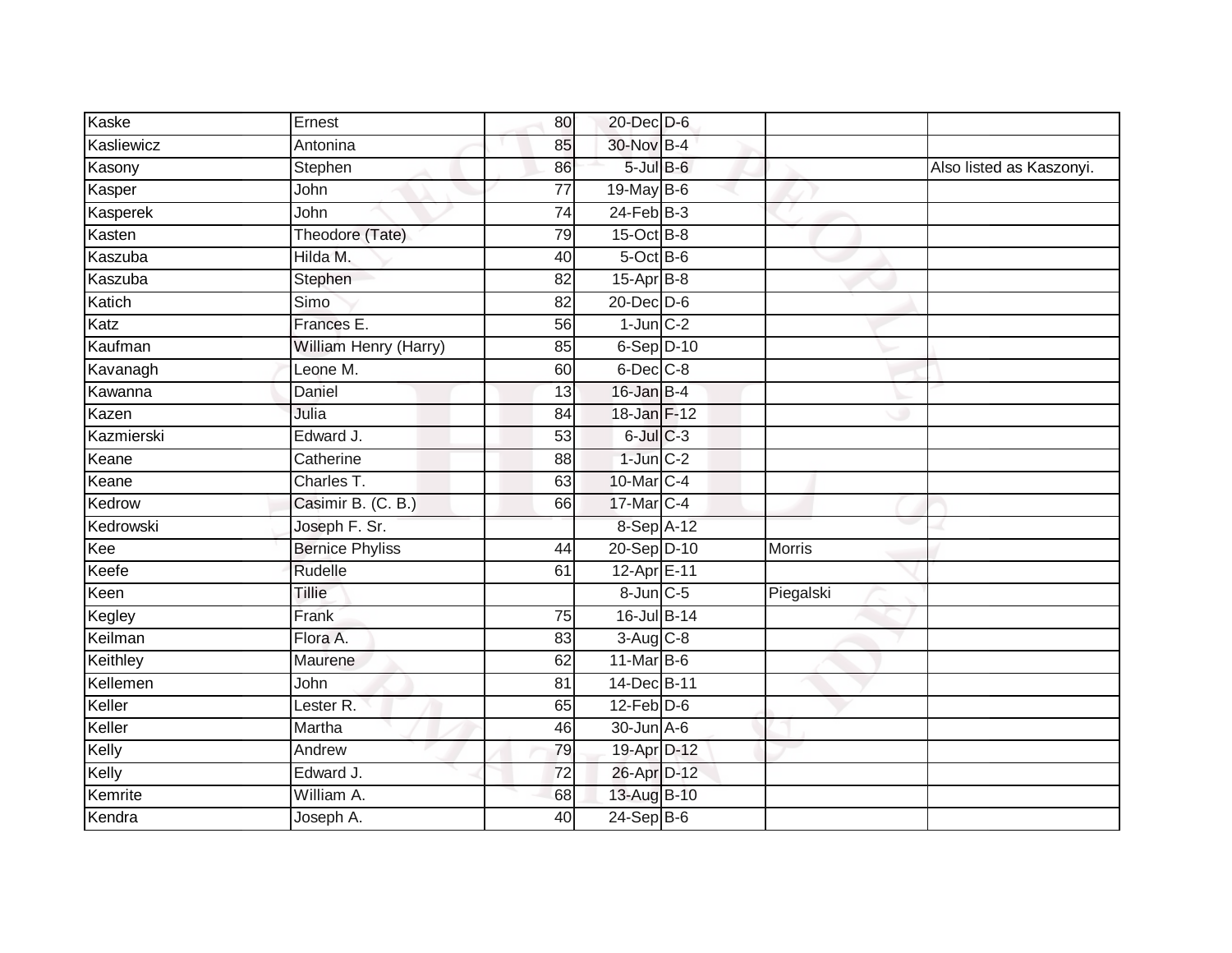| Ernest                 | 80              |  |                                                                                                                                                                                                                                                                                                                                                                                                                                                                                                                                          |                          |
|------------------------|-----------------|--|------------------------------------------------------------------------------------------------------------------------------------------------------------------------------------------------------------------------------------------------------------------------------------------------------------------------------------------------------------------------------------------------------------------------------------------------------------------------------------------------------------------------------------------|--------------------------|
| Antonina               | 85              |  |                                                                                                                                                                                                                                                                                                                                                                                                                                                                                                                                          |                          |
| Stephen                | 86              |  |                                                                                                                                                                                                                                                                                                                                                                                                                                                                                                                                          | Also listed as Kaszonyi. |
| John                   | 77              |  |                                                                                                                                                                                                                                                                                                                                                                                                                                                                                                                                          |                          |
| John                   | $\overline{74}$ |  |                                                                                                                                                                                                                                                                                                                                                                                                                                                                                                                                          |                          |
| Theodore (Tate)        | 79              |  |                                                                                                                                                                                                                                                                                                                                                                                                                                                                                                                                          |                          |
| Hilda M.               | 40              |  |                                                                                                                                                                                                                                                                                                                                                                                                                                                                                                                                          |                          |
| Stephen                | 82              |  |                                                                                                                                                                                                                                                                                                                                                                                                                                                                                                                                          |                          |
| Simo                   | 82              |  |                                                                                                                                                                                                                                                                                                                                                                                                                                                                                                                                          |                          |
| Frances E.             | 56              |  |                                                                                                                                                                                                                                                                                                                                                                                                                                                                                                                                          |                          |
| William Henry (Harry)  | 85              |  |                                                                                                                                                                                                                                                                                                                                                                                                                                                                                                                                          |                          |
| Leone M.               | 60              |  |                                                                                                                                                                                                                                                                                                                                                                                                                                                                                                                                          |                          |
| Daniel                 | 13              |  |                                                                                                                                                                                                                                                                                                                                                                                                                                                                                                                                          |                          |
| Julia                  | 84              |  |                                                                                                                                                                                                                                                                                                                                                                                                                                                                                                                                          |                          |
| Edward J.              | 53              |  |                                                                                                                                                                                                                                                                                                                                                                                                                                                                                                                                          |                          |
| Catherine              | 88              |  |                                                                                                                                                                                                                                                                                                                                                                                                                                                                                                                                          |                          |
| Charles T.             | 63              |  |                                                                                                                                                                                                                                                                                                                                                                                                                                                                                                                                          |                          |
| Casimir B. (C. B.)     | 66              |  |                                                                                                                                                                                                                                                                                                                                                                                                                                                                                                                                          |                          |
| Joseph F. Sr.          |                 |  |                                                                                                                                                                                                                                                                                                                                                                                                                                                                                                                                          |                          |
| <b>Bernice Phyliss</b> | 44              |  | <b>Morris</b>                                                                                                                                                                                                                                                                                                                                                                                                                                                                                                                            |                          |
| Rudelle                | 61              |  |                                                                                                                                                                                                                                                                                                                                                                                                                                                                                                                                          |                          |
| <b>Tillie</b>          |                 |  | Piegalski                                                                                                                                                                                                                                                                                                                                                                                                                                                                                                                                |                          |
| Frank                  | 75              |  |                                                                                                                                                                                                                                                                                                                                                                                                                                                                                                                                          |                          |
| Flora A.               | 83              |  |                                                                                                                                                                                                                                                                                                                                                                                                                                                                                                                                          |                          |
| Maurene                | 62              |  |                                                                                                                                                                                                                                                                                                                                                                                                                                                                                                                                          |                          |
| John                   | 81              |  |                                                                                                                                                                                                                                                                                                                                                                                                                                                                                                                                          |                          |
| Lester R.              | 65              |  |                                                                                                                                                                                                                                                                                                                                                                                                                                                                                                                                          |                          |
| Martha                 | 46              |  |                                                                                                                                                                                                                                                                                                                                                                                                                                                                                                                                          |                          |
| Andrew                 | 79              |  |                                                                                                                                                                                                                                                                                                                                                                                                                                                                                                                                          |                          |
| Edward J.              | 72              |  |                                                                                                                                                                                                                                                                                                                                                                                                                                                                                                                                          |                          |
| William A.             | 68              |  |                                                                                                                                                                                                                                                                                                                                                                                                                                                                                                                                          |                          |
| Joseph A.              | 40              |  |                                                                                                                                                                                                                                                                                                                                                                                                                                                                                                                                          |                          |
|                        |                 |  | 20-Dec D-6<br>30-Nov B-4<br>$5$ -Jul $B$ -6<br>19-May B-6<br>$24$ -Feb $B-3$<br>$15$ -Oct B-8<br>$5$ -Oct B-6<br>15-Apr B-8<br>20-Dec D-6<br>$1$ -Jun $C-2$<br>$6-$ Sep $D-10$<br>$6$ -Dec $C$ -8<br>$16$ -Jan B-4<br>18-Jan F-12<br>$6$ -Jul $C$ -3<br>$1$ -Jun $C-2$<br>10-Mar C-4<br>17-Mar C-4<br>8-Sep A-12<br>20-Sep D-10<br>12-Apr E-11<br>$8$ -Jun $C$ -5<br>16-Jul B-14<br>$3-Aug$ $C-8$<br>$11$ -Mar $B$ -6<br>14-Dec B-11<br>$12$ -Feb $D-6$<br>$30$ -Jun $A$ -6<br>19-Apr D-12<br>26-Apr D-12<br>13-Aug B-10<br>$24-Sep$ B-6 |                          |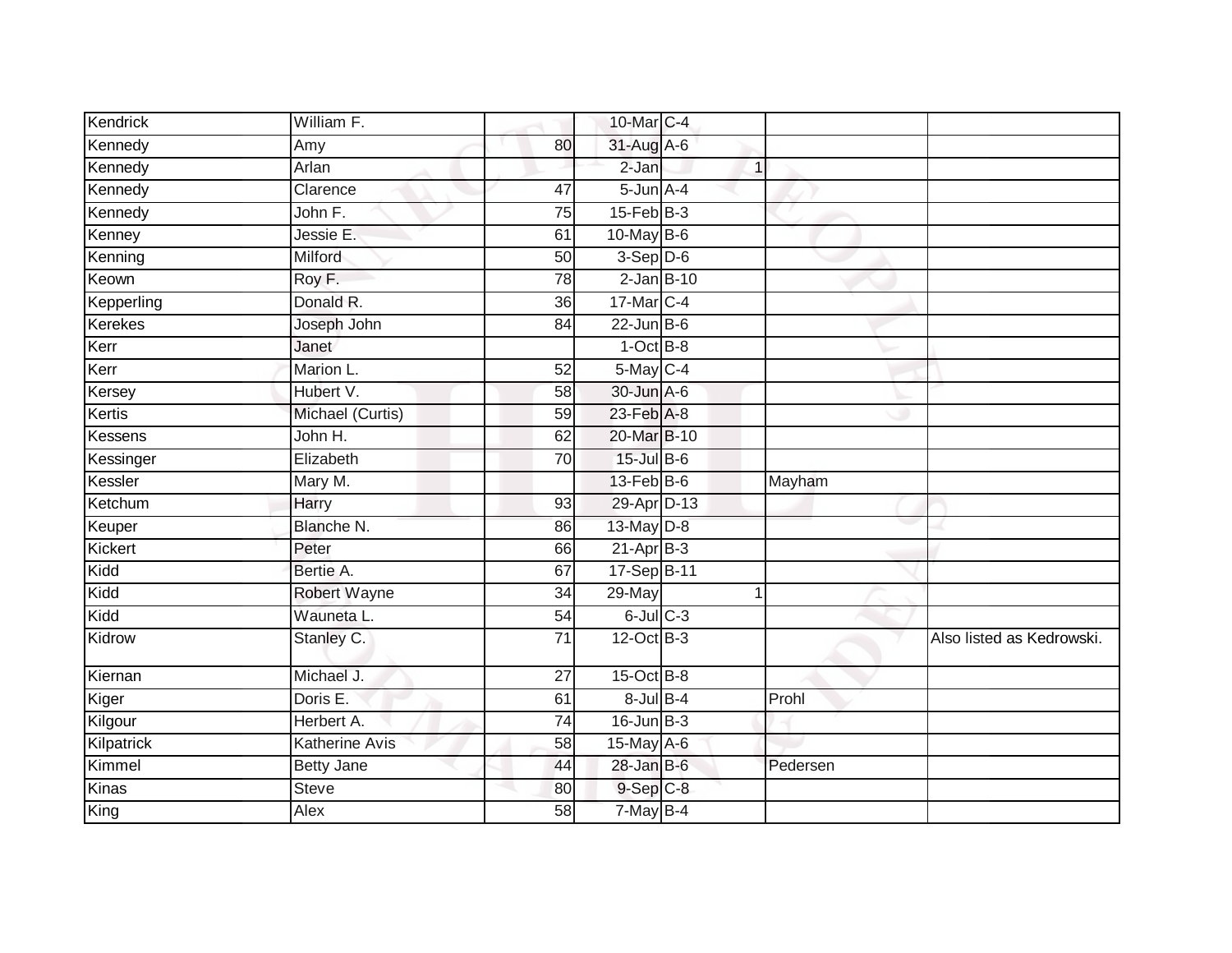| Kendrick   | William F.          |                 | 10-Mar C-4        |          |                           |
|------------|---------------------|-----------------|-------------------|----------|---------------------------|
|            |                     |                 |                   |          |                           |
| Kennedy    | Amy                 | 80              | 31-Aug A-6        |          |                           |
| Kennedy    | Arlan               |                 | $2-Jan$           | 1        |                           |
| Kennedy    | Clarence            | 47              | $5 - Jun$ $A - 4$ |          |                           |
| Kennedy    | John F.             | $\overline{75}$ | $15$ -Feb $B$ -3  |          |                           |
| Kenney     | Jessie E.           | 61              | $10$ -May B-6     |          |                           |
| Kenning    | Milford             | 50              | $3-Sep$ D-6       |          |                           |
| Keown      | Roy F.              | 78              | $2$ -Jan $B-10$   |          |                           |
| Kepperling | Donald R.           | 36              | 17-Mar C-4        |          |                           |
| Kerekes    | Joseph John         | 84              | $22$ -Jun $B$ -6  |          |                           |
| Kerr       | Janet               |                 | $1$ -Oct $B-8$    |          |                           |
| Kerr       | Marion L.           | 52              | 5-May C-4         |          |                           |
| Kersey     | Hubert V.           | 58              | 30-Jun A-6        |          |                           |
| Kertis     | Michael (Curtis)    | 59              | $23$ -Feb $A-8$   |          |                           |
| Kessens    | John H.             | 62              | 20-Mar B-10       |          |                           |
| Kessinger  | Elizabeth           | 70              | $15$ -Jul B-6     |          |                           |
| Kessler    | Mary M.             |                 | $13$ -Feb $B$ -6  | Mayham   |                           |
| Ketchum    | Harry               | 93              | 29-Apr D-13       |          |                           |
| Keuper     | Blanche N.          | 86              | 13-May D-8        |          |                           |
| Kickert    | Peter               | 66              | $21-AprB-3$       |          |                           |
| Kidd       | Bertie A.           | 67              | 17-Sep B-11       |          |                           |
| Kidd       | <b>Robert Wayne</b> | 34              | 29-May            | 1        |                           |
| Kidd       | Wauneta L.          | 54              | $6$ -Jul $C$ -3   |          |                           |
| Kidrow     | Stanley C.          | $\overline{71}$ | $12$ -Oct B-3     |          | Also listed as Kedrowski. |
| Kiernan    | Michael J.          | $\overline{27}$ | $15$ -Oct B-8     |          |                           |
| Kiger      | Doris E.            | 61              | $8$ -Jul $B-4$    | Prohl    |                           |
| Kilgour    | Herbert A.          | $\overline{74}$ | $16$ -Jun $B-3$   |          |                           |
| Kilpatrick | Katherine Avis      | 58              | 15-May A-6        |          |                           |
| Kimmel     | <b>Betty Jane</b>   | 44              | $28$ -Jan B-6     | Pedersen |                           |
| Kinas      | <b>Steve</b>        | 80              | $9-Sep$ $C-8$     |          |                           |
| King       | Alex                | 58              | 7-May B-4         |          |                           |
|            |                     |                 |                   |          |                           |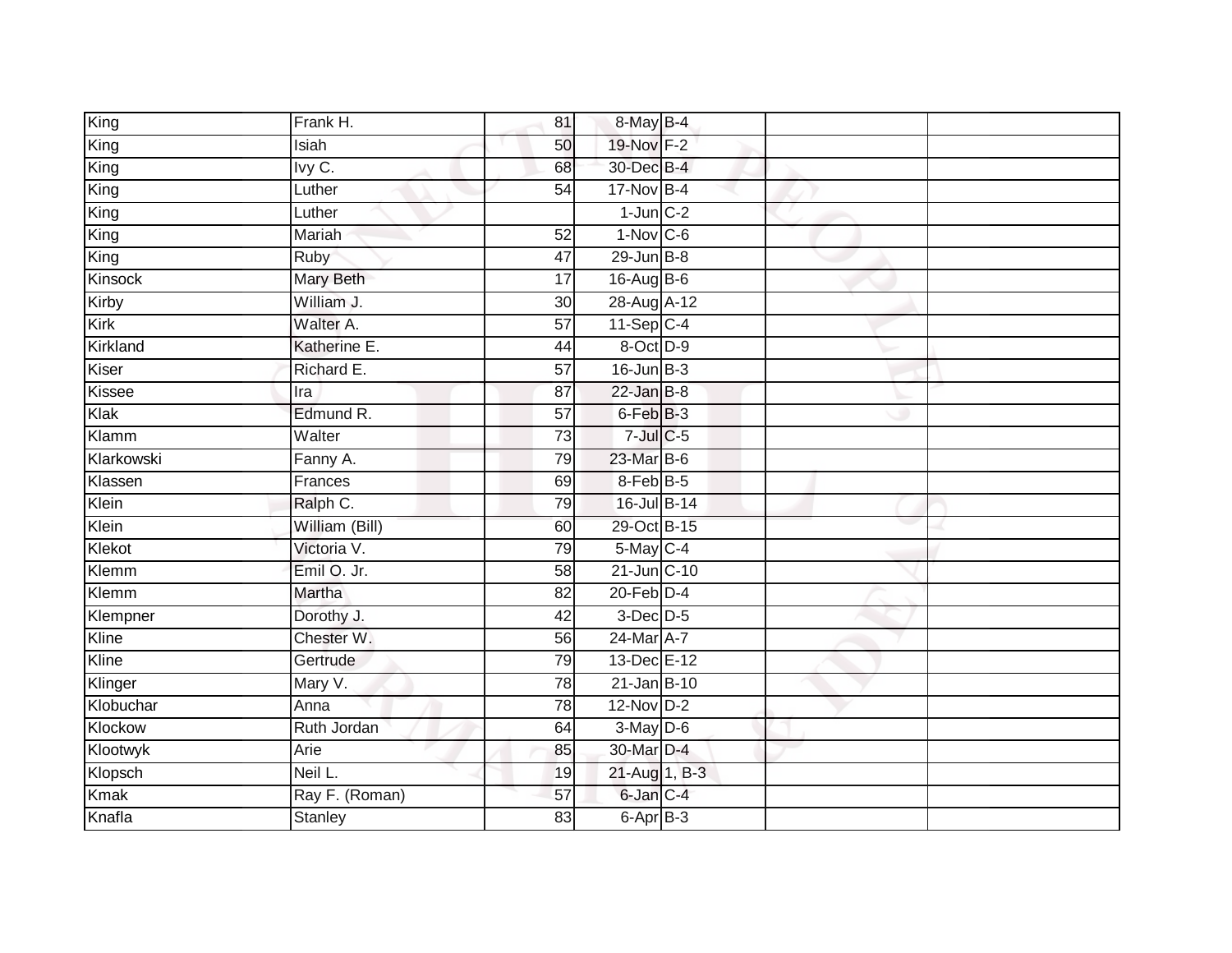| King        | Frank H.       | 81              | 8-May B-4              |  |  |
|-------------|----------------|-----------------|------------------------|--|--|
| King        | Isiah          | 50              | 19-Nov F-2             |  |  |
| King        | Ivy C.         | 68              | 30-Dec B-4             |  |  |
| King        | Luther         | 54              | 17-Nov B-4             |  |  |
| King        | Luther         |                 | $1$ -Jun $C-2$         |  |  |
| King        | Mariah         | $\overline{52}$ | $1-Nov$ C-6            |  |  |
| King        | Ruby           | 47              | $29$ -Jun $B - 8$      |  |  |
| Kinsock     | Mary Beth      | 17              | 16-Aug B-6             |  |  |
| Kirby       | William J.     | 30              | 28-Aug A-12            |  |  |
| Kirk        | Walter A.      | $\overline{57}$ | $11-Sep C-4$           |  |  |
| Kirkland    | Katherine E.   | 44              | 8-Oct D-9              |  |  |
| Kiser       | Richard E.     | 57              | $16$ -Jun $B-3$        |  |  |
| Kissee      | Ira            | 87              | $22$ -Jan B-8          |  |  |
| Klak        | Edmund R.      | 57              | 6-Feb <sup>B-3</sup>   |  |  |
| Klamm       | Walter         | $\overline{73}$ | $7$ -Jul $C$ -5        |  |  |
| Klarkowski  | Fanny A.       | 79              | 23-Mar B-6             |  |  |
| Klassen     | Frances        | 69              | $8$ -Feb $B$ -5        |  |  |
| Klein       | Ralph C.       | 79              | 16-Jul B-14            |  |  |
| Klein       | William (Bill) | 60              | 29-Oct B-15            |  |  |
| Klekot      | Victoria V.    | 79              | $5$ -May $C-4$         |  |  |
| Klemm       | Emil O. Jr.    | 58              | 21-Jun C-10            |  |  |
| Klemm       | Martha         | 82              | $20$ -Feb $D-4$        |  |  |
| Klempner    | Dorothy J.     | 42              | $3$ -Dec $D-5$         |  |  |
| Kline       | Chester W.     | 56              | 24-Mar A-7             |  |  |
| Kline       | Gertrude       | 79              | 13-Dec E-12            |  |  |
| Klinger     | Mary V.        | 78              | 21-Jan B-10            |  |  |
| Klobuchar   | Anna           | 78              | $12-Nov$ D-2           |  |  |
| Klockow     | Ruth Jordan    | 64              | $\overline{3-May}$ D-6 |  |  |
| Klootwyk    | Arie           | 85              | 30-Mar D-4             |  |  |
| Klopsch     | Neil L.        | 19              | 21-Aug 1, B-3          |  |  |
| <b>Kmak</b> | Ray F. (Roman) | 57              | 6-Jan C-4              |  |  |
| Knafla      | Stanley        | 83              | 6-Apr B-3              |  |  |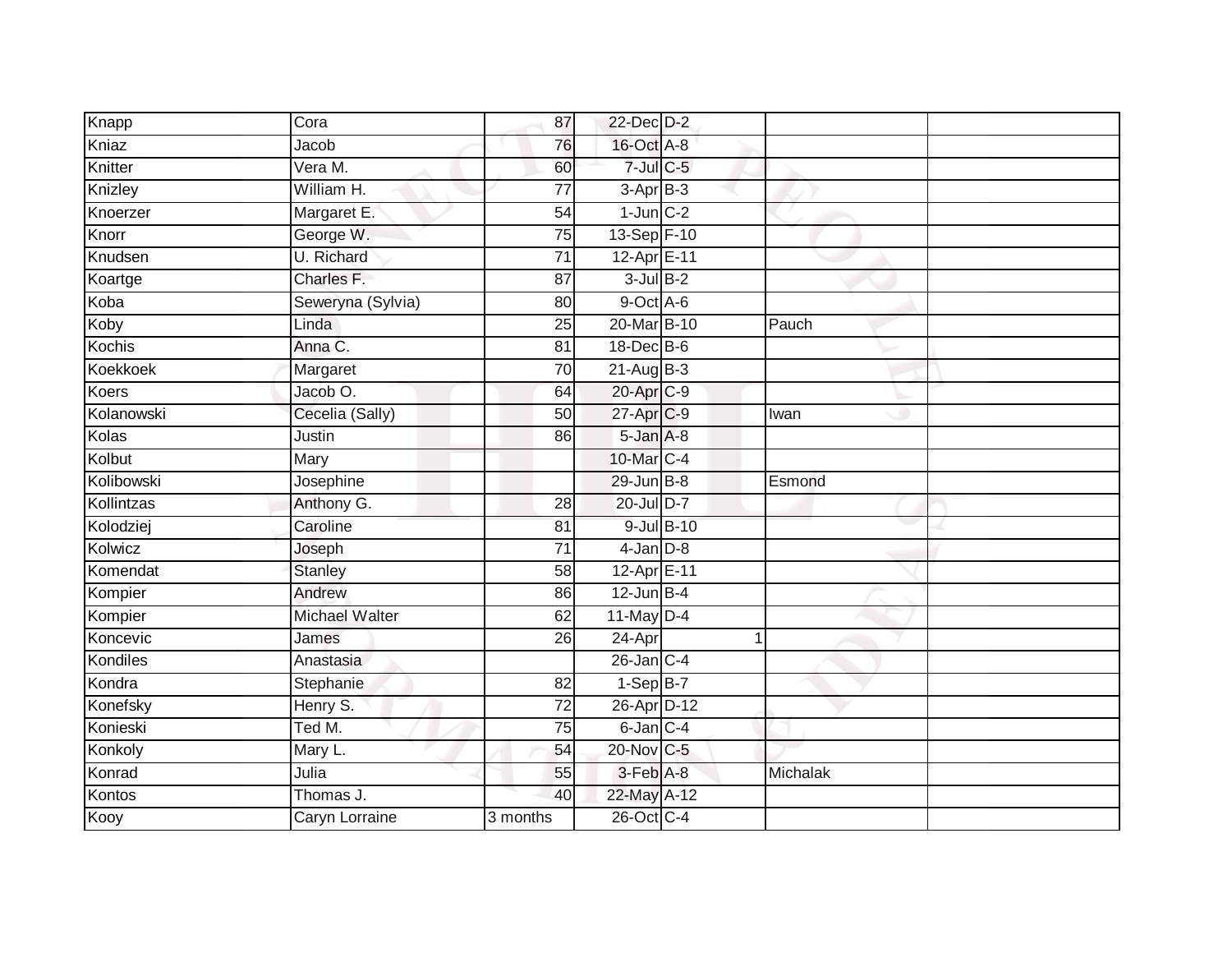| Knapp           | Cora                  | 87              | 22-Dec D-2      |            |          |  |
|-----------------|-----------------------|-----------------|-----------------|------------|----------|--|
| Kniaz           | Jacob                 | 76              | 16-Oct A-8      |            |          |  |
| Knitter         | Vera M.               | 60              | $7$ -Jul C-5    |            |          |  |
| Knizley         | William H.            | 77              | $3-AprB-3$      |            |          |  |
| Knoerzer        | Margaret E.           | $\overline{54}$ | $1$ -Jun $C-2$  |            |          |  |
| Knorr           | George W.             | 75              | 13-Sep F-10     |            |          |  |
| Knudsen         | <b>U.</b> Richard     | 71              | 12-Apr E-11     |            |          |  |
| Koartge         | Charles F.            | 87              | $3$ -Jul $B-2$  |            |          |  |
| Koba            | Seweryna (Sylvia)     | 80              | 9-Oct A-6       |            |          |  |
| Koby            | Linda                 | $\overline{25}$ | 20-Mar B-10     |            | Pauch    |  |
| Kochis          | Anna C.               | 81              | 18-Dec B-6      |            |          |  |
| <b>Koekkoek</b> | Margaret              | $\overline{70}$ | $21-Aug$ B-3    |            |          |  |
| <b>Koers</b>    | Jacob O.              | 64              | 20-Apr C-9      |            |          |  |
| Kolanowski      | Cecelia (Sally)       | 50              | 27-Apr C-9      |            | Iwan     |  |
| Kolas           | Justin                | 86              | 5-Jan A-8       |            |          |  |
| Kolbut          | Mary                  |                 | 10-Mar C-4      |            |          |  |
| Kolibowski      | Josephine             |                 | 29-Jun B-8      |            | Esmond   |  |
| Kollintzas      | Anthony G.            | 28              | 20-Jul D-7      |            |          |  |
| Kolodziej       | Caroline              | 81              |                 | 9-Jul B-10 |          |  |
| Kolwicz         | Joseph                | 71              | $4$ -Jan $D-8$  |            |          |  |
| Komendat        | <b>Stanley</b>        | 58              | 12-Apr E-11     |            |          |  |
| Kompier         | Andrew                | 86              | $12$ -Jun B-4   |            |          |  |
| Kompier         | Michael Walter        | 62              | $11$ -May D-4   |            |          |  |
| Koncevic        | James                 | 26              | 24-Apr          |            | 1        |  |
| Kondiles        | Anastasia             |                 | $26$ -Jan $C-4$ |            |          |  |
| Kondra          | Stephanie             | 82              | $1-Sep$ B-7     |            |          |  |
| Konefsky        | Henry S.              | 72              | 26-Apr D-12     |            |          |  |
| Konieski        | Ted M.                | 75              | 6-Jan C-4       |            |          |  |
| Konkoly         | Mary L.               | 54              | 20-Nov C-5      |            |          |  |
| Konrad          | Julia                 | 55              | 3-Feb A-8       |            | Michalak |  |
| Kontos          | Thomas J.             | 40              | 22-May A-12     |            |          |  |
| Kooy            | <b>Caryn Lorraine</b> | 3 months        | 26-Oct C-4      |            |          |  |
|                 |                       |                 |                 |            |          |  |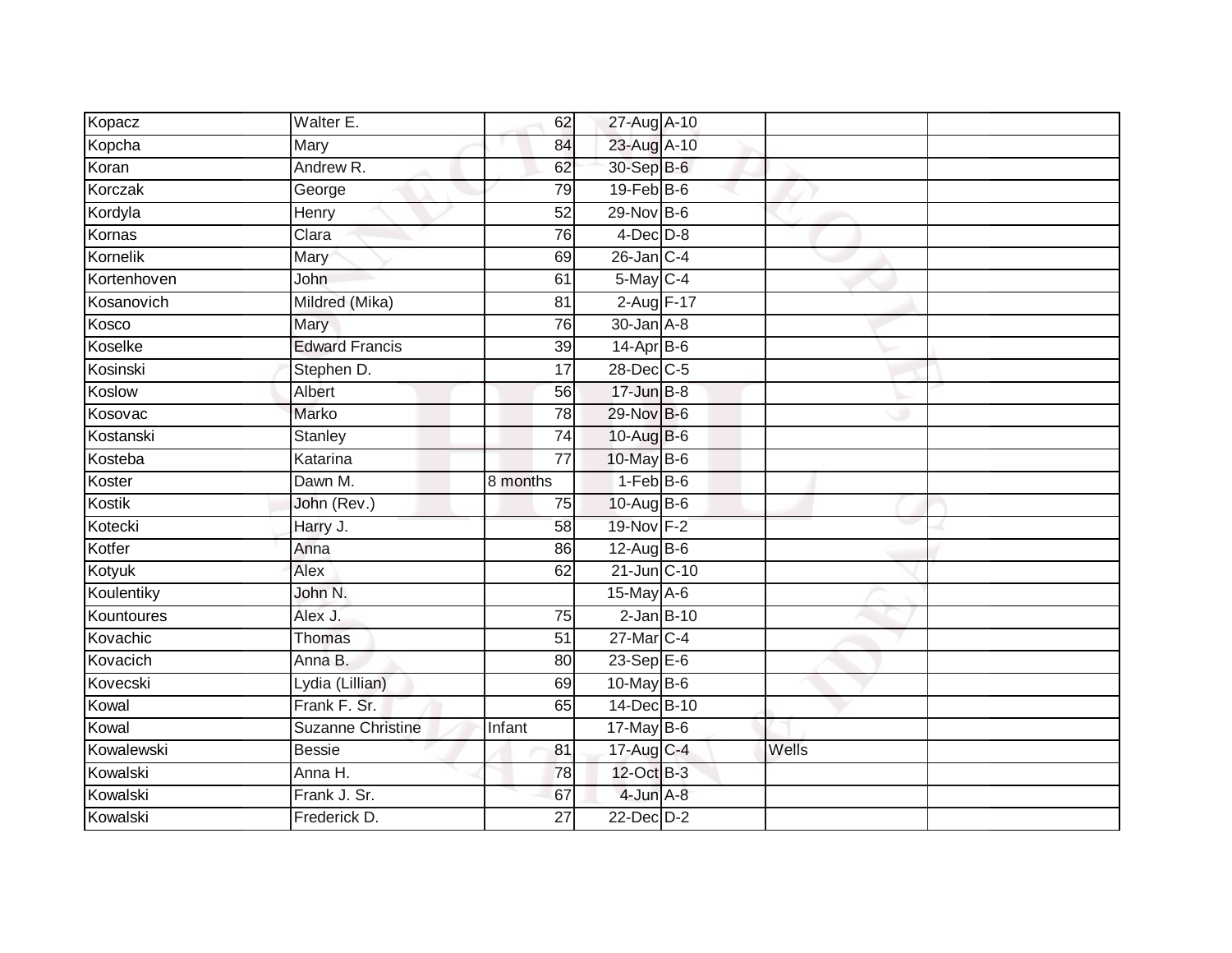| Kopacz      | Walter E.                | 62              | 27-Aug A-10      |                 |       |  |
|-------------|--------------------------|-----------------|------------------|-----------------|-------|--|
| Kopcha      | Mary                     | 84              | 23-Aug A-10      |                 |       |  |
| Koran       | Andrew R.                | 62              | 30-Sep B-6       |                 |       |  |
| Korczak     | George                   | 79              | 19-Feb B-6       |                 |       |  |
| Kordyla     | Henry                    | $\overline{52}$ | 29-Nov B-6       |                 |       |  |
| Kornas      | Clara                    | 76              | $4$ -Dec $D-8$   |                 |       |  |
| Kornelik    | Mary                     | 69              | $26$ -Jan $C-4$  |                 |       |  |
| Kortenhoven | John                     | 61              | 5-May C-4        |                 |       |  |
| Kosanovich  | Mildred (Mika)           | 81              | 2-Aug F-17       |                 |       |  |
| Kosco       | Mary                     | 76              | 30-Jan A-8       |                 |       |  |
| Koselke     | <b>Edward Francis</b>    | 39              | $14-Apr$ B-6     |                 |       |  |
| Kosinski    | Stephen D.               | $\overline{17}$ | 28-Dec C-5       |                 |       |  |
| Koslow      | Albert                   | 56              | $17 - Jun$ B-8   |                 |       |  |
| Kosovac     | Marko                    | 78              | 29-Nov B-6       |                 |       |  |
| Kostanski   | Stanley                  | $\overline{74}$ | 10-Aug B-6       |                 |       |  |
| Kosteba     | Katarina                 | $\overline{77}$ | 10-May B-6       |                 |       |  |
| Koster      | Dawn M.                  | 8 months        | $1-FebB-6$       |                 |       |  |
| Kostik      | John (Rev.)              | 75              | $10-AugB-6$      |                 |       |  |
| Kotecki     | Harry J.                 | 58              | 19-Nov F-2       |                 |       |  |
| Kotfer      | Anna                     | 86              | 12-Aug B-6       |                 |       |  |
| Kotyuk      | Alex                     | 62              | $21$ -Jun $C-10$ |                 |       |  |
| Koulentiky  | John N.                  |                 | 15-May A-6       |                 |       |  |
| Kountoures  | Alex J.                  | 75              |                  | $2$ -Jan $B-10$ |       |  |
| Kovachic    | Thomas                   | $\overline{51}$ | $27$ -Mar $C-4$  |                 |       |  |
| Kovacich    | Anna B.                  | 80              | $23 - SepE-6$    |                 |       |  |
| Kovecski    | Lydia (Lillian)          | 69              | 10-May B-6       |                 |       |  |
| Kowal       | Frank F. Sr.             | 65              | 14-Dec B-10      |                 |       |  |
| Kowal       | <b>Suzanne Christine</b> | Infant          | $17$ -May B-6    |                 |       |  |
| Kowalewski  | <b>Bessie</b>            | 81              | 17-Aug C-4       |                 | Wells |  |
| Kowalski    | Anna H.                  | 78              | 12-Oct B-3       |                 |       |  |
| Kowalski    | Frank J. Sr.             | 67              | $4$ -Jun $A-8$   |                 |       |  |
| Kowalski    | Frederick D.             | 27              | $22$ -Dec $D-2$  |                 |       |  |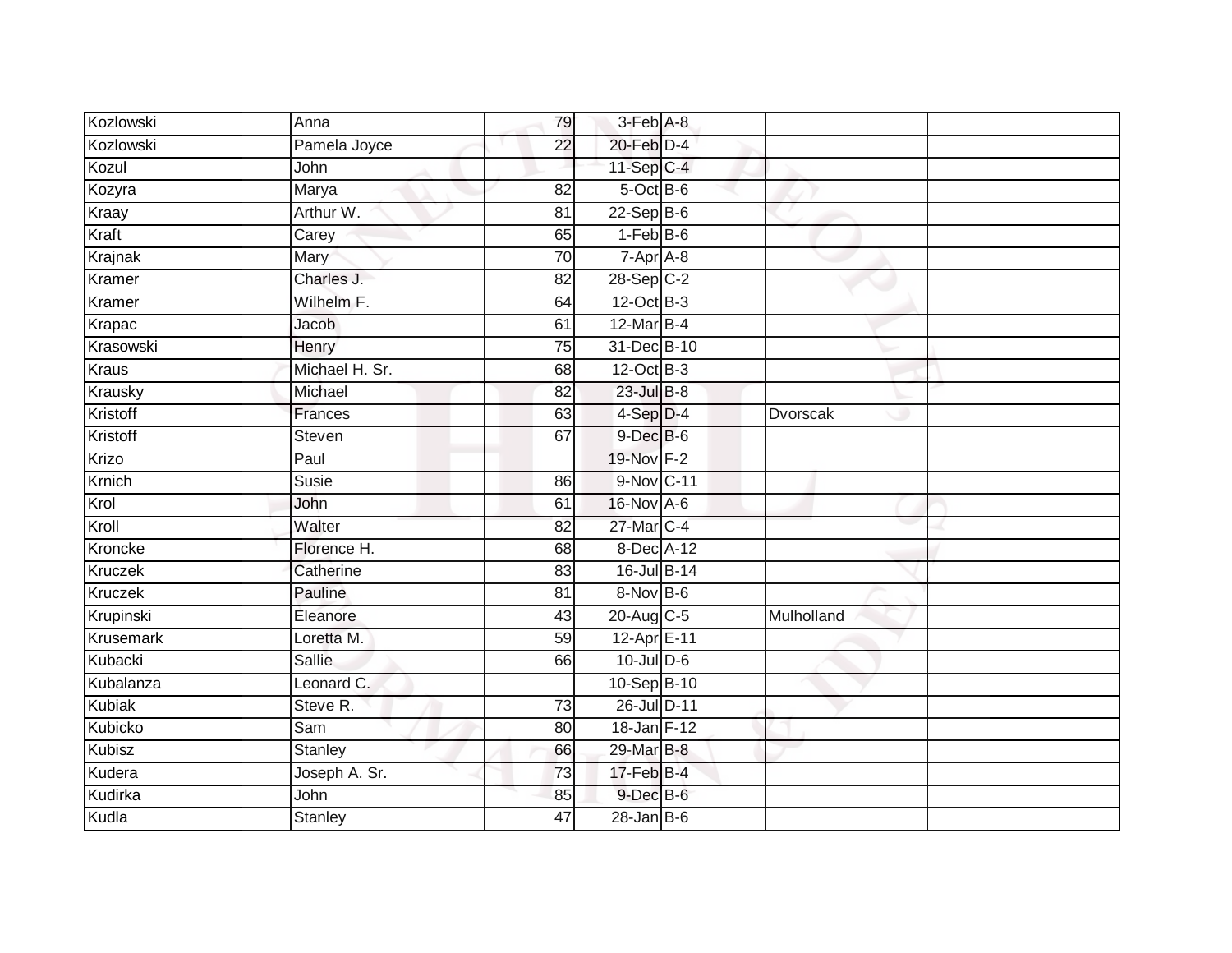| Kozlowski     | Anna           | 79              | 3-Feb A-8       |            |  |
|---------------|----------------|-----------------|-----------------|------------|--|
| Kozlowski     | Pamela Joyce   | 22              | 20-Feb D-4      |            |  |
| Kozul         | John           |                 | 11-Sep C-4      |            |  |
| Kozyra        | Marya          | 82              | 5-Oct B-6       |            |  |
| Kraay         | Arthur W.      | $\overline{81}$ | $22-SepB-6$     |            |  |
| Kraft         | Carey          | 65              | $1-FebB-6$      |            |  |
| Krajnak       | Mary           | 70              | $7-Apr$ A-8     |            |  |
| Kramer        | Charles J.     | 82              | 28-Sep C-2      |            |  |
| Kramer        | Wilhelm F.     | 64              | 12-Oct B-3      |            |  |
| Krapac        | <b>Jacob</b>   | 61              | $12$ -Mar B-4   |            |  |
| Krasowski     | Henry          | 75              | 31-Dec B-10     |            |  |
| <b>Kraus</b>  | Michael H. Sr. | 68              | $12$ -Oct B-3   |            |  |
| Krausky       | Michael        | 82              | $23$ -Jul B-8   |            |  |
| Kristoff      | Frances        | 63              | $4-Sep$ $D-4$   | Dvorscak   |  |
| Kristoff      | Steven         | 67              | $9$ -Dec $B$ -6 |            |  |
| Krizo         | Paul           |                 | 19-Nov F-2      |            |  |
| Krnich        | <b>Susie</b>   | 86              | 9-Nov C-11      |            |  |
| Krol          | John           | 61              | 16-Nov A-6      |            |  |
| Kroll         | Walter         | 82              | 27-Mar C-4      |            |  |
| Kroncke       | Florence H.    | 68              | 8-Dec A-12      |            |  |
| Kruczek       | Catherine      | 83              | 16-Jul B-14     |            |  |
| Kruczek       | Pauline        | 81              | 8-Nov B-6       |            |  |
| Krupinski     | Eleanore       | 43              | 20-Aug C-5      | Mulholland |  |
| Krusemark     | Loretta M.     | 59              | 12-Apr E-11     |            |  |
| Kubacki       | <b>Sallie</b>  | 66              | $10$ -Jul $D-6$ |            |  |
| Kubalanza     | Leonard C.     |                 | 10-Sep B-10     |            |  |
| <b>Kubiak</b> | Steve R.       | $\overline{73}$ | 26-Jul D-11     |            |  |
| Kubicko       | Sam            | 80              | 18-Jan F-12     |            |  |
| Kubisz        | <b>Stanley</b> | 66              | 29-Mar B-8      |            |  |
| Kudera        | Joseph A. Sr.  | 73              | 17-Feb B-4      |            |  |
| Kudirka       | John           | 85              | $9$ -Dec $B$ -6 |            |  |
| Kudla         | <b>Stanley</b> | 47              | $28$ -Jan B-6   |            |  |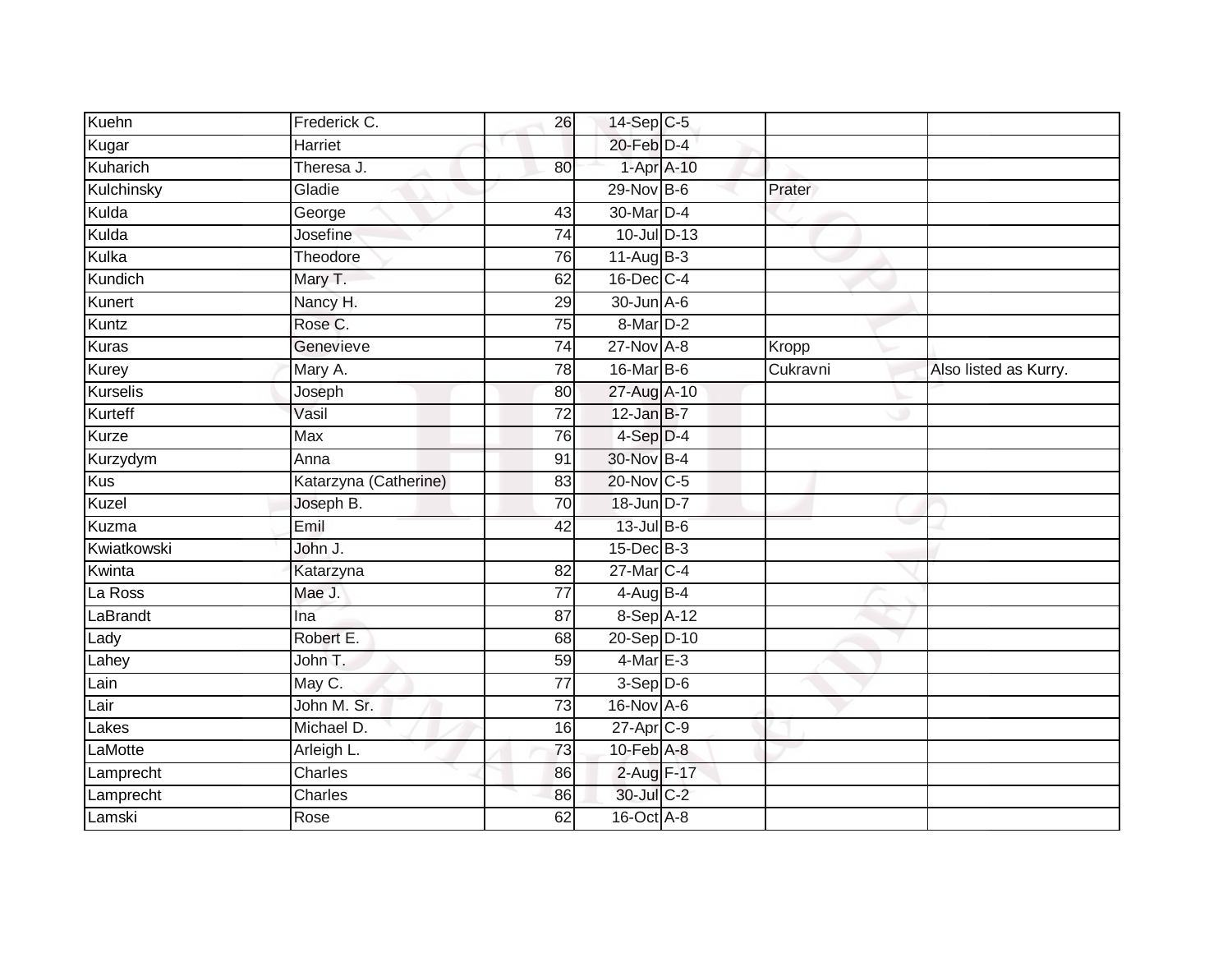| Kuehn           | Frederick C.          | 26              | 14-Sep C-5            |          |                       |
|-----------------|-----------------------|-----------------|-----------------------|----------|-----------------------|
| Kugar           | Harriet               |                 | 20-Feb D-4            |          |                       |
| Kuharich        | Theresa J.            | 80              | 1-Apr A-10            |          |                       |
| Kulchinsky      | Gladie                |                 | 29-Nov B-6            | Prater   |                       |
| Kulda           | George                | $\overline{43}$ | 30-Mar D-4            |          |                       |
| Kulda           | Josefine              | 74              | 10-Jul D-13           |          |                       |
| Kulka           | Theodore              | 76              | $11-AugB-3$           |          |                       |
| Kundich         | Mary T.               | 62              | 16-Dec C-4            |          |                       |
| Kunert          | Nancy H.              | 29              | 30-Jun A-6            |          |                       |
| Kuntz           | Rose C.               | 75              | 8-Mar D-2             |          |                       |
| <b>Kuras</b>    | Genevieve             | 74              | 27-Nov A-8            | Kropp    |                       |
| <b>Kurey</b>    | Mary A.               | 78              | 16-Mar B-6            | Cukravni | Also listed as Kurry. |
| <b>Kurselis</b> | Joseph                | 80              | 27-Aug A-10           |          |                       |
| Kurteff         | Vasil                 | 72              | $12$ -Jan B-7         |          |                       |
| Kurze           | <b>Max</b>            | 76              | 4-Sep D-4             |          |                       |
| Kurzydym        | Anna                  | 91              | 30-Nov B-4            |          |                       |
| <b>Kus</b>      | Katarzyna (Catherine) | 83              | 20-Nov C-5            |          |                       |
| Kuzel           | Joseph B.             | 70              | 18-Jun D-7            |          |                       |
| Kuzma           | Emil                  | 42              | $13$ -Jul B-6         |          |                       |
| Kwiatkowski     | John J.               |                 | $15$ -Dec $B$ -3      |          |                       |
| Kwinta          | Katarzyna             | 82              | 27-Mar C-4            |          |                       |
| La Ross         | Mae J.                | 77              | $4-AugB-4$            |          |                       |
| LaBrandt        | Ina                   | 87              | 8-Sep A-12            |          |                       |
| Lady            | Robert E.             | 68              | 20-Sep D-10           |          |                       |
| Lahey           | John T.               | 59              | $4$ -Mar $E-3$        |          |                       |
| Lain            | May C.                | 77              | $3-Sep$ D-6           |          |                       |
| Lair            | John M. Sr.           | $\overline{73}$ | 16-Nov A-6            |          |                       |
| Lakes           | Michael D.            | 16              | 27-Apr <sub>C-9</sub> |          |                       |
| LaMotte         | Arleigh L.            | 73              | $10-Feb$ A-8          |          |                       |
| Lamprecht       | Charles               | 86              | $2$ -Aug $F-17$       |          |                       |
| Lamprecht       | Charles               | 86              | 30-Jul C-2            |          |                       |
| Lamski          | Rose                  | 62              | 16-Oct A-8            |          |                       |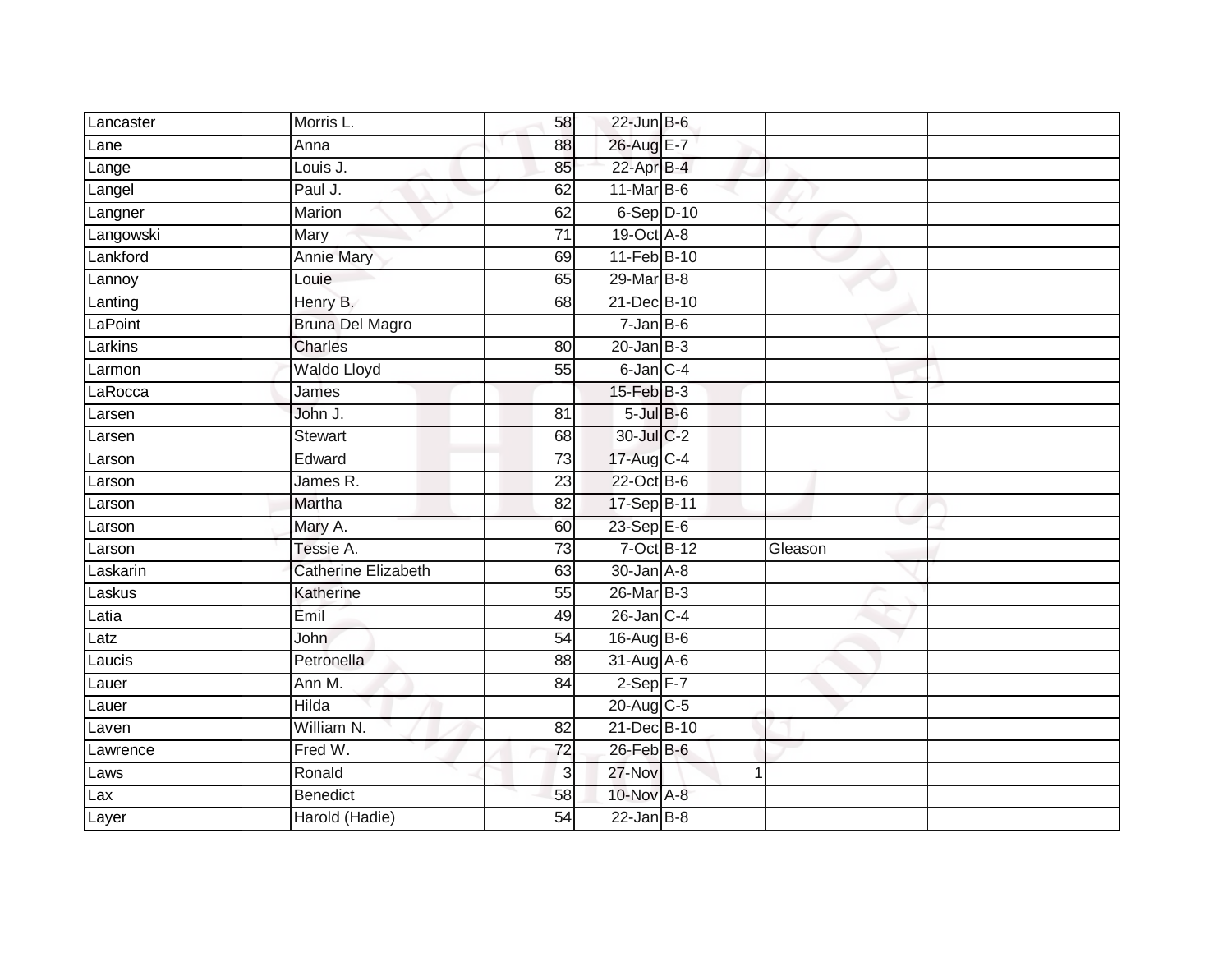| Lancaster | Morris L.                  | 58              | $22$ -Jun B-6           |              |         |  |
|-----------|----------------------------|-----------------|-------------------------|--------------|---------|--|
| Lane      | Anna                       | 88              | 26-Aug E-7              |              |         |  |
| Lange     | Louis J.                   | 85              | 22-Apr B-4              |              |         |  |
| Langel    | Paul J.                    | 62              | $11$ -Mar $B$ -6        |              |         |  |
| Langner   | Marion                     | 62              | $6-Sep$ D-10            |              |         |  |
| Langowski | Mary                       | $\overline{71}$ | 19-Oct A-8              |              |         |  |
| Lankford  | <b>Annie Mary</b>          | 69              | 11-Feb B-10             |              |         |  |
| Lannoy    | Louie                      | 65              | 29-Mar B-8              |              |         |  |
| Lanting   | Henry B.                   | 68              | 21-Dec B-10             |              |         |  |
| LaPoint   | <b>Bruna Del Magro</b>     |                 | $7 - Jan$ B-6           |              |         |  |
| Larkins   | <b>Charles</b>             | 80              | $20$ -Jan $B-3$         |              |         |  |
| Larmon    | Waldo Lloyd                | 55              | $6$ -Jan $C-4$          |              |         |  |
| LaRocca   | James                      |                 | $15$ -Feb $B$ -3        |              |         |  |
| Larsen    | John J.                    | 81              | $5$ -Jul $B$ -6         |              |         |  |
| Larsen    | Stewart                    | 68              | 30-Jul C-2              |              |         |  |
| Larson    | Edward                     | 73              | $17-Aug$ <sub>C-4</sub> |              |         |  |
| Larson    | James R.                   | $\overline{23}$ | 22-Oct B-6              |              |         |  |
| Larson    | Martha                     | 82              | 17-Sep B-11             |              |         |  |
| Larson    | Mary A.                    | 60              | 23-Sep E-6              |              |         |  |
| Larson    | Tessie A.                  | $\overline{73}$ | $7-Oct$ B-12            |              | Gleason |  |
| Laskarin  | <b>Catherine Elizabeth</b> | 63              | $30 - Jan$ $A - 8$      |              |         |  |
| Laskus    | Katherine                  | 55              | 26-Mar B-3              |              |         |  |
| Latia     | Emil                       | 49              | $26$ -Jan $C-4$         |              |         |  |
| Latz      | John                       | 54              | $16$ -AugB-6            |              |         |  |
| Laucis    | Petronella                 | 88              | $31$ -Aug $A$ -6        |              |         |  |
| Lauer     | Ann M.                     | 84              | $2-Sep$ F-7             |              |         |  |
| Lauer     | <b>Hilda</b>               |                 | 20-Aug C-5              |              |         |  |
| Laven     | William N.                 | 82              | 21-Dec B-10             |              |         |  |
| Lawrence  | Fred W.                    | 72              | $26$ -Feb $B$ -6        |              |         |  |
| Laws      | Ronald                     | $\overline{3}$  | 27-Nov                  | $\mathbf{1}$ |         |  |
| Lax       | <b>Benedict</b>            | 58              | 10-Nov A-8              |              |         |  |
| Layer     | Harold (Hadie)             | $\overline{54}$ | $22$ -Jan B-8           |              |         |  |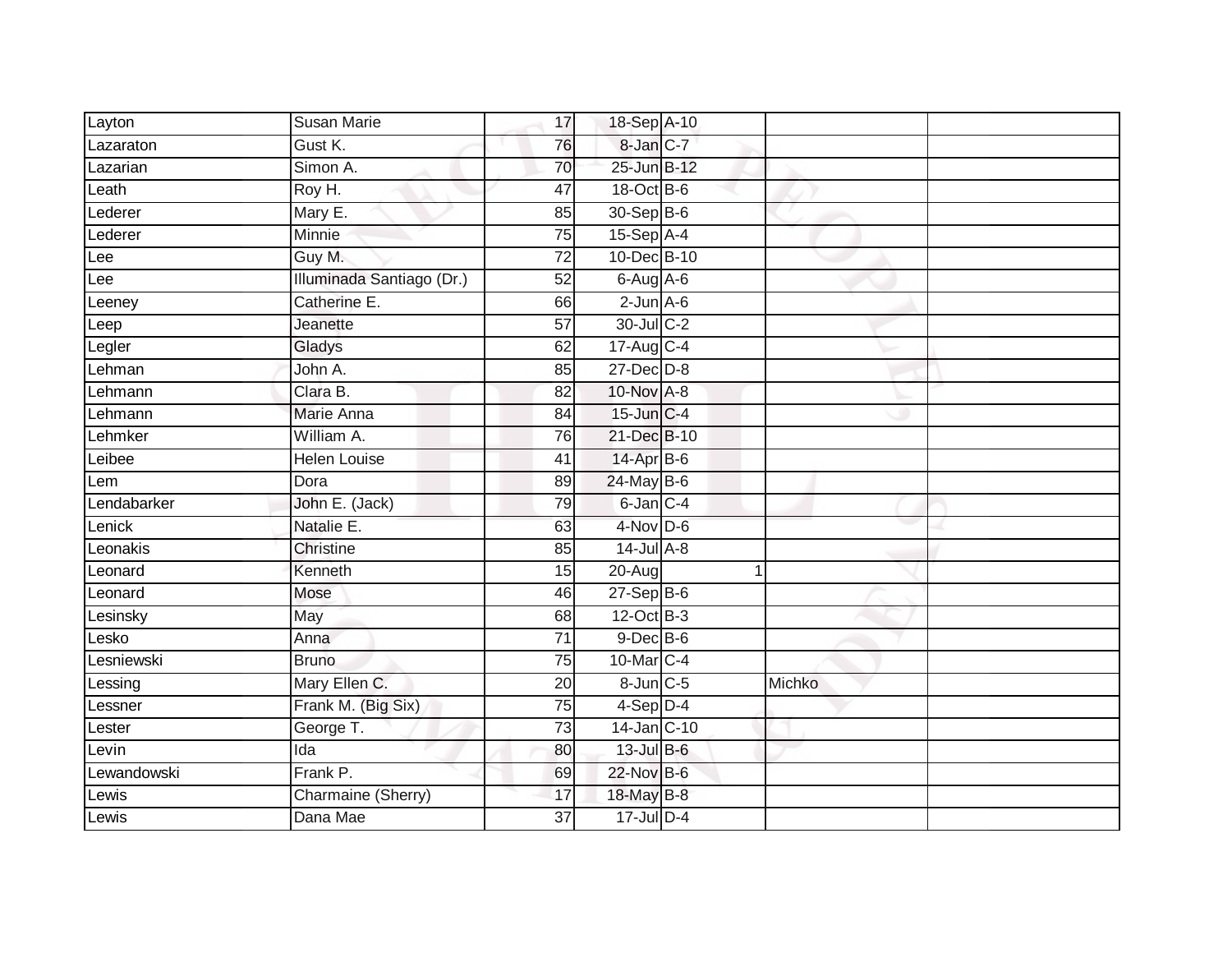| Layton      | <b>Susan Marie</b>        | 17              | 18-Sep A-10      |        |  |
|-------------|---------------------------|-----------------|------------------|--------|--|
| Lazaraton   | Gust K.                   | 76              | 8-Jan C-7        |        |  |
| Lazarian    | Simon A.                  | 70              | 25-Jun B-12      |        |  |
| Leath       | Roy H.                    | 47              | 18-Oct B-6       |        |  |
| Lederer     | Mary E.                   | 85              | 30-Sep B-6       |        |  |
| Lederer     | Minnie                    | 75              | $15-Sep$ A-4     |        |  |
| Lee         | Guy M.                    | $\overline{72}$ | 10-Dec B-10      |        |  |
| Lee         | Illuminada Santiago (Dr.) | 52              | $6$ -Aug $A$ -6  |        |  |
| Leeney      | Catherine E.              | 66              | $2$ -Jun $A - 6$ |        |  |
| Leep        | Jeanette                  | $\overline{57}$ | 30-Jul C-2       |        |  |
| Legler      | Gladys                    | 62              | 17-Aug C-4       |        |  |
| Lehman      | John A.                   | 85              | $27$ -Dec $D-8$  |        |  |
| Lehmann     | Clara B.                  | 82              | 10-Nov A-8       |        |  |
| Lehmann     | Marie Anna                | 84              | 15-Jun C-4       |        |  |
| Lehmker     | William A.                | 76              | 21-Dec B-10      |        |  |
| Leibee      | <b>Helen Louise</b>       | 41              | 14-Apr B-6       |        |  |
| Lem         | Dora                      | 89              | 24-May B-6       |        |  |
| Lendabarker | John E. (Jack)            | 79              | $6$ -Jan $C$ -4  |        |  |
| Lenick      | Natalie E.                | 63              | 4-Nov D-6        |        |  |
| Leonakis    | Christine                 | 85              | $14$ -Jul $A-8$  |        |  |
| Leonard     | Kenneth                   | 15              | 20-Aug           |        |  |
| Leonard     | Mose                      | 46              | $27-Sep$ B-6     |        |  |
| Lesinsky    | May                       | 68              | 12-Oct B-3       |        |  |
| Lesko       | Anna                      | $\overline{71}$ | $9$ -Dec $B$ -6  |        |  |
| Lesniewski  | <b>Bruno</b>              | 75              | 10-Mar C-4       |        |  |
| Lessing     | Mary Ellen C.             | 20              | 8-Jun C-5        | Michko |  |
| Lessner     | Frank M. (Big Six)        | 75              | $4-Sep$ D-4      |        |  |
| Lester      | George T.                 | 73              | 14-Jan C-10      |        |  |
| Levin       | Ida                       | 80              | 13-Jul B-6       |        |  |
| Lewandowski | Frank P.                  | 69              | 22-Nov B-6       |        |  |
| Lewis       | Charmaine (Sherry)        | 17              | 18-May B-8       |        |  |
| Lewis       | Dana Mae                  | 37              | $17$ -Jul $D-4$  |        |  |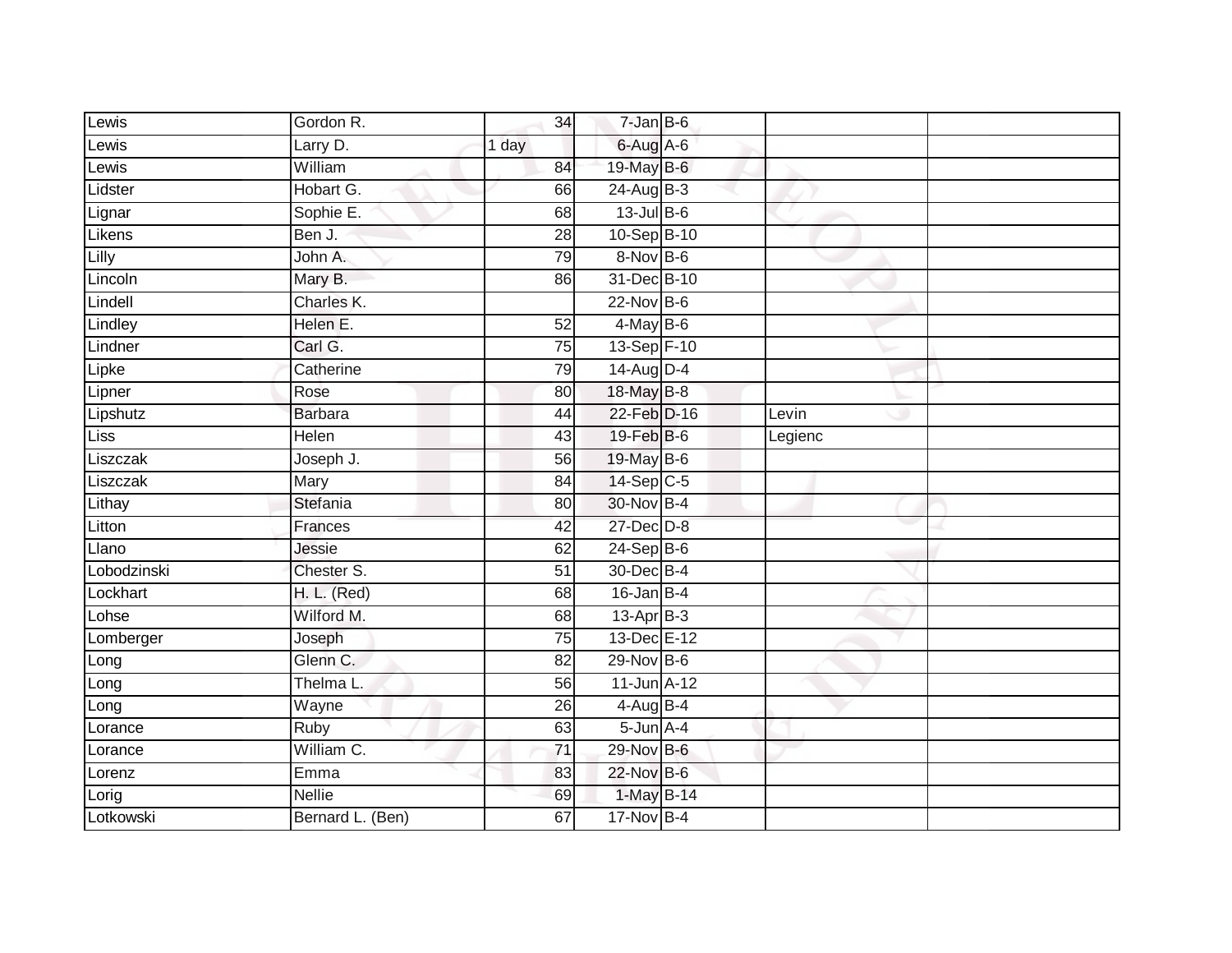| Lewis       | Gordon R.          | 34    | $7 - Jan$ $B - 6$     |         |  |
|-------------|--------------------|-------|-----------------------|---------|--|
| Lewis       | Larry D.           | 1 day | 6-Aug A-6             |         |  |
| Lewis       | William            | 84    | 19-May B-6            |         |  |
| Lidster     | Hobart G.          | 66    | 24-Aug B-3            |         |  |
| Lignar      | Sophie E.          | 68    | 13-Jul B-6            |         |  |
| Likens      | Ben J.             | 28    | 10-Sep B-10           |         |  |
| Lilly       | John A.            | 79    | $8-Nov$ B-6           |         |  |
| Lincoln     | Mary B.            | 86    | 31-Dec B-10           |         |  |
| Lindell     | Charles K.         |       | 22-Nov B-6            |         |  |
| Lindley     | Helen E.           | 52    | $4$ -May $B$ -6       |         |  |
| Lindner     | Carl G.            | 75    | 13-Sep F-10           |         |  |
| Lipke       | Catherine          | 79    | $14$ -Aug D-4         |         |  |
| Lipner      | Rose               | 80    | 18-May B-8            |         |  |
| Lipshutz    | <b>Barbara</b>     | 44    | 22-Feb D-16           | Levin   |  |
| Liss        | <b>Helen</b>       | 43    | 19-Feb B-6            | Legienc |  |
| Liszczak    | Joseph J.          | 56    | 19-May B-6            |         |  |
| Liszczak    | Mary               | 84    | $14-Sep C-5$          |         |  |
| Lithay      | Stefania           | 80    | 30-Nov B-4            |         |  |
| Litton      | Frances            | 42    | $27 - Dec$ $D-8$      |         |  |
| Llano       | Jessie             | 62    | $24-Sep$ B-6          |         |  |
| Lobodzinski | Chester S.         | 51    | 30-Dec B-4            |         |  |
| Lockhart    | <b>H. L. (Red)</b> | 68    | $16$ -Jan B-4         |         |  |
| Lohse       | Wilford M.         | 68    | 13-Apr B-3            |         |  |
| Lomberger   | Joseph             | 75    | 13-Dec E-12           |         |  |
| Long        | Glenn C.           | 82    | 29-Nov B-6            |         |  |
| Long        | Thelma L.          | 56    | 11-Jun A-12           |         |  |
| Long        | Wayne              | 26    | $4-\overline{AugB-4}$ |         |  |
| Lorance     | Ruby               | 63    | $5 - Jun$ $A - 4$     |         |  |
| Lorance     | William C.         | 71    | $29-Nov$ B-6          |         |  |
| Lorenz      | Emma               | 83    | 22-Nov B-6            |         |  |
| Lorig       | Nellie             | 69    | 1-May B-14            |         |  |
| Lotkowski   | Bernard L. (Ben)   | 67    | 17-Nov B-4            |         |  |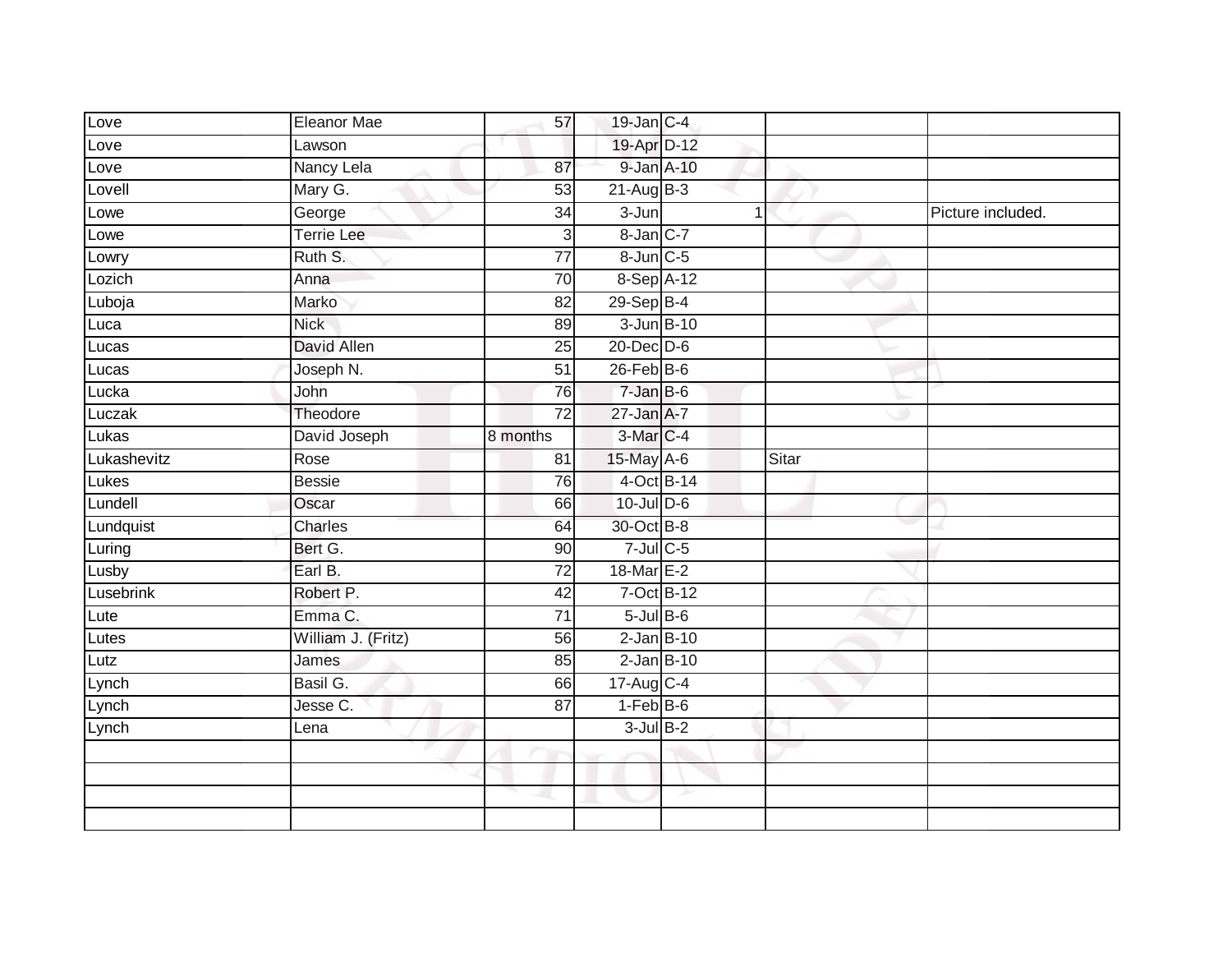| Love             | Eleanor Mae        | 57              | $19$ -Jan $C-4$   |                  |       |                   |
|------------------|--------------------|-----------------|-------------------|------------------|-------|-------------------|
| Love             | Lawson             |                 | 19-Apr D-12       |                  |       |                   |
| Love             | Nancy Lela         | 87              |                   | 9-Jan A-10       |       |                   |
| Lovell           | Mary G.            | 53              | $21 - Aug$ $B-3$  |                  |       |                   |
| Lowe             | George             | 34              | $3 - Jun$         |                  |       | Picture included. |
| Lowe             | <b>Terrie Lee</b>  | 3               | 8-Jan C-7         |                  |       |                   |
| Lowry            | Ruth S.            | $\overline{77}$ | $8$ -Jun $C$ -5   |                  |       |                   |
| Lozich           | Anna               | 70              |                   | 8-Sep A-12       |       |                   |
| Luboja           | Marko              | 82              | $29-Sep$ B-4      |                  |       |                   |
| Luca             | <b>Nick</b>        | 89              |                   | $3 - Jun$ $B-10$ |       |                   |
| Lucas            | David Allen        | 25              | $20$ -Dec $D-6$   |                  |       |                   |
| Lucas            | Joseph N.          | 51              | $26$ -Feb $B$ -6  |                  |       |                   |
| Lucka            | John               | 76              | $7 - Jan$ $B - 6$ |                  |       |                   |
| Luczak           | Theodore           | 72              | $27 - Jan A - 7$  |                  |       |                   |
| Lukas            | David Joseph       | 8 months        | 3-Mar C-4         |                  |       |                   |
| Lukashevitz      | Rose               | 81              | 15-May A-6        |                  | Sitar |                   |
| Lukes            | <b>Bessie</b>      | 76              |                   | 4-Oct B-14       |       |                   |
| Lundell          | Oscar              | 66              | 10-Jul D-6        |                  |       |                   |
| Lundquist        | Charles            | 64              | 30-Oct B-8        |                  |       |                   |
| Luring           | Bert G.            | 90              | $7$ -Jul $C$ -5   |                  |       |                   |
| Lusby            | Earl B.            | 72              | 18-Mar E-2        |                  |       |                   |
| <b>Lusebrink</b> | Robert P.          | 42              |                   | $7-Oct$ B-12     |       |                   |
| Lute             | Emma C.            | 71              | $5$ -Jul $B$ -6   |                  |       |                   |
| Lutes            | William J. (Fritz) | 56              |                   | $2$ -Jan $B-10$  |       |                   |
| Lutz             | James              | 85              |                   | $2$ -Jan $B-10$  |       |                   |
| Lynch            | Basil G.           | 66              | 17-Aug C-4        |                  |       |                   |
| Lynch            | Jesse C.           | 87              | $1-FebB-6$        |                  |       |                   |
| Lynch            | Lena               |                 | $3$ -Jul $B-2$    |                  |       |                   |
|                  |                    |                 |                   |                  |       |                   |
|                  |                    |                 |                   |                  |       |                   |
|                  |                    |                 |                   |                  |       |                   |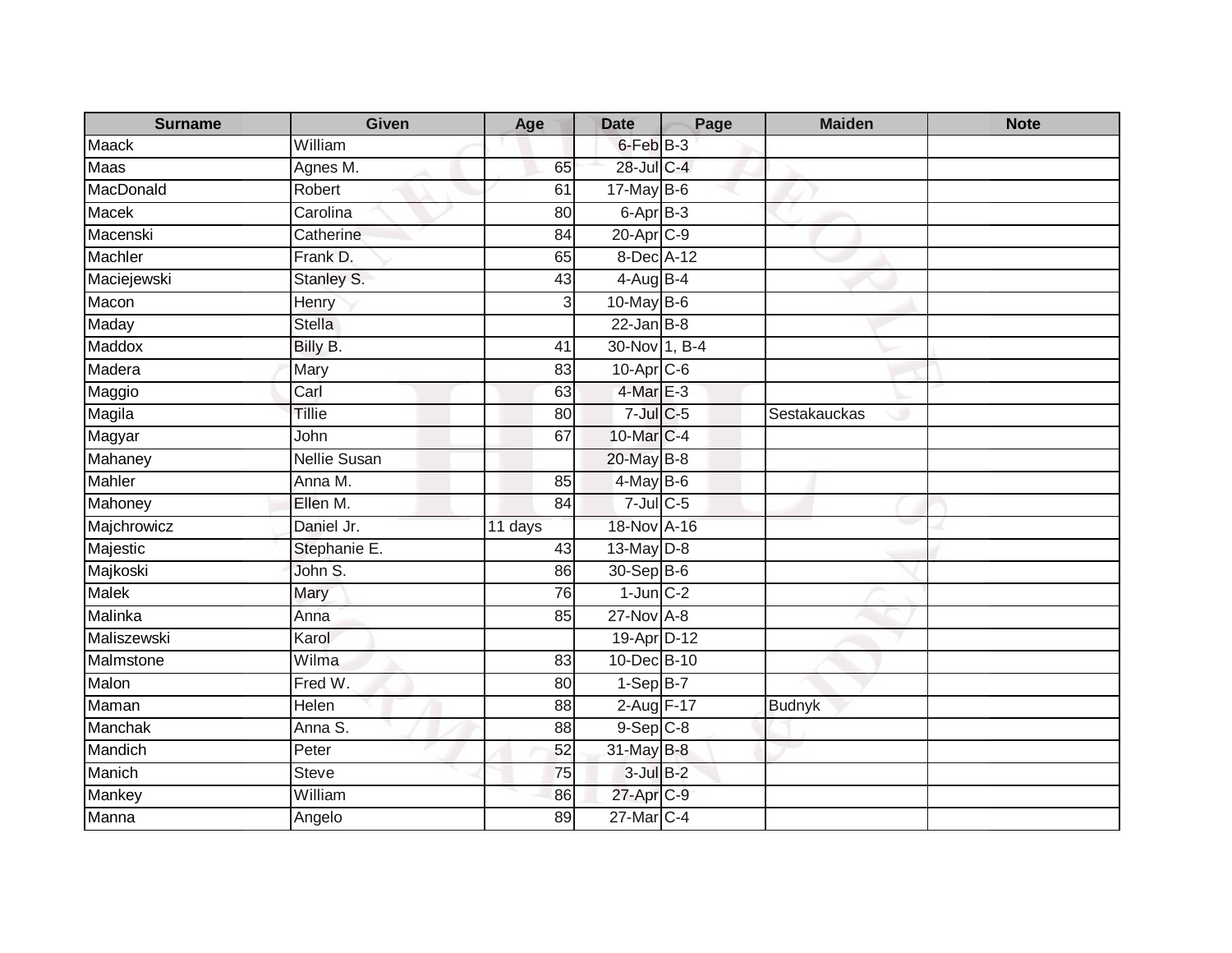| <b>Surname</b> | <b>Given</b>        | Age             | <b>Date</b>     | Page | <b>Maiden</b> | <b>Note</b> |
|----------------|---------------------|-----------------|-----------------|------|---------------|-------------|
| Maack          | William             |                 | 6-Feb B-3       |      |               |             |
| <b>Maas</b>    | Agnes M.            | 65              | 28-Jul C-4      |      |               |             |
| MacDonald      | Robert              | 61              | $17$ -May $B-6$ |      |               |             |
| <b>Macek</b>   | Carolina            | 80              | 6-Apr B-3       |      |               |             |
| Macenski       | Catherine           | 84              | 20-Apr C-9      |      |               |             |
| Machler        | Frank D.            | 65              | 8-Dec A-12      |      |               |             |
| Maciejewski    | Stanley S.          | 43              | $4-AugB-4$      |      |               |             |
| Macon          | Henry               | $\overline{3}$  | 10-May B-6      |      |               |             |
| Maday          | <b>Stella</b>       |                 | $22$ -Jan $B-8$ |      |               |             |
| Maddox         | Billy B.            | 41              | 30-Nov 1, B-4   |      |               |             |
| Madera         | Mary                | 83              | 10-Apr C-6      |      |               |             |
| Maggio         | Carl                | 63              | 4-Mar E-3       |      |               |             |
| Magila         | <b>Tillie</b>       | 80              | $7$ -Jul $C$ -5 |      | Sestakauckas  |             |
| Magyar         | John                | 67              | 10-Mar C-4      |      |               |             |
| Mahaney        | <b>Nellie Susan</b> |                 | 20-May B-8      |      |               |             |
| Mahler         | Anna M.             | $\overline{85}$ | $4$ -May B-6    |      |               |             |
| Mahoney        | Ellen M.            | 84              | $7$ -Jul C-5    |      |               |             |
| Majchrowicz    | Daniel Jr.          | 11 days         | 18-Nov A-16     |      |               |             |
| Majestic       | Stephanie E.        | 43              | 13-May D-8      |      |               |             |
| Majkoski       | John S.             | 86              | 30-Sep B-6      |      |               |             |
| Malek          | Mary                | 76              | $1$ -Jun $C-2$  |      |               |             |
| Malinka        | Anna                | 85              | 27-Nov A-8      |      |               |             |
| Maliszewski    | Karol               |                 | 19-Apr D-12     |      |               |             |
| Malmstone      | Wilma               | 83              | 10-Dec B-10     |      |               |             |
| Malon          | Fred W.             | 80              | $1-SepB-7$      |      |               |             |
| Maman          | <b>Helen</b>        | 88              | 2-Aug F-17      |      | <b>Budnyk</b> |             |
| Manchak        | Anna S.             | 88              | $9-$ Sep $C-8$  |      |               |             |
| Mandich        | Peter               | 52              | 31-May B-8      |      |               |             |
| Manich         | <b>Steve</b>        | 75              | $3$ -Jul $B-2$  |      |               |             |
| Mankey         | William             | 86              | 27-Apr C-9      |      |               |             |
| Manna          | Angelo              | 89              | 27-Mar C-4      |      |               |             |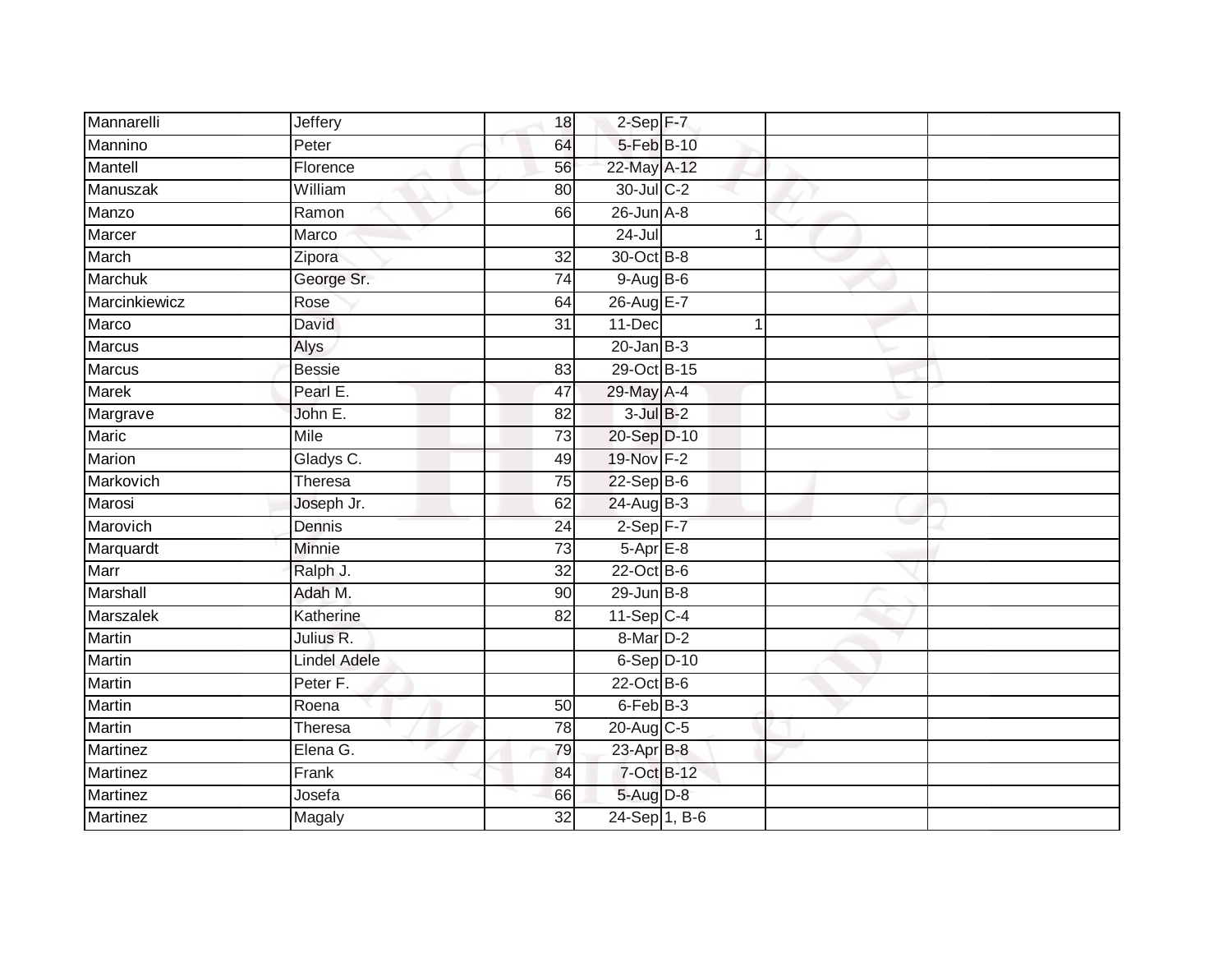| Mannarelli      | Jeffery             | 18              | $2-Sep$ F-7          |  |
|-----------------|---------------------|-----------------|----------------------|--|
| Mannino         | Peter               | 64              | 5-Feb B-10           |  |
| Mantell         | Florence            | 56              | 22-May A-12          |  |
| Manuszak        | William             | 80              | 30-Jul C-2           |  |
| Manzo           | Ramon               | 66              | $26$ -Jun $A-8$      |  |
| Marcer          | Marco               |                 | $24 -$ Jul           |  |
| March           | Zipora              | 32              | 30-Oct B-8           |  |
| Marchuk         | George Sr.          | 74              | $9-AugB-6$           |  |
| Marcinkiewicz   | Rose                | 64              | 26-Aug E-7           |  |
| Marco           | <b>David</b>        | $\overline{31}$ | 11-Dec<br>1          |  |
| <b>Marcus</b>   | Alys                |                 | $20$ -Jan $B-3$      |  |
| Marcus          | <b>Bessie</b>       | 83              | 29-Oct B-15          |  |
| <b>Marek</b>    | Pearl E.            | 47              | 29-May A-4           |  |
| Margrave        | John E.             | 82              | $3$ -Jul $B-2$       |  |
| Maric           | <b>Mile</b>         | $\overline{73}$ | 20-Sep D-10          |  |
| Marion          | Gladys C.           | 49              | 19-Nov F-2           |  |
| Markovich       | Theresa             | $\overline{75}$ | $22-Sep$ B-6         |  |
| Marosi          | Joseph Jr.          | 62              | $24-AugB-3$          |  |
| Marovich        | Dennis              | 24              | $2-Sep$ F-7          |  |
| Marquardt       | <b>Minnie</b>       | $\overline{73}$ | $5-AprE-8$           |  |
| Marr            | Ralph J.            | 32              | $22$ -Oct B-6        |  |
| Marshall        | Adah M.             | 90              | $29$ -Jun $B-8$      |  |
| Marszalek       | Katherine           | 82              | $11-Sep C-4$         |  |
| Martin          | Julius R.           |                 | 8-Mar <sub>D-2</sub> |  |
| <b>Martin</b>   | <b>Lindel Adele</b> |                 | $6-Sep$ D-10         |  |
| <b>Martin</b>   | Peter F.            |                 | $22$ -Oct B-6        |  |
| <b>Martin</b>   | Roena               | 50              | $6$ -Feb $B-3$       |  |
| Martin          | Theresa             | 78              | 20-Aug C-5           |  |
| <b>Martinez</b> | Elena G.            | 79              | 23-Apr B-8           |  |
| Martinez        | Frank               | 84              | 7-Oct B-12           |  |
| Martinez        | Josefa              | 66              | 5-Aug D-8            |  |
| <b>Martinez</b> | Magaly              | $\overline{32}$ | 24-Sep 1, B-6        |  |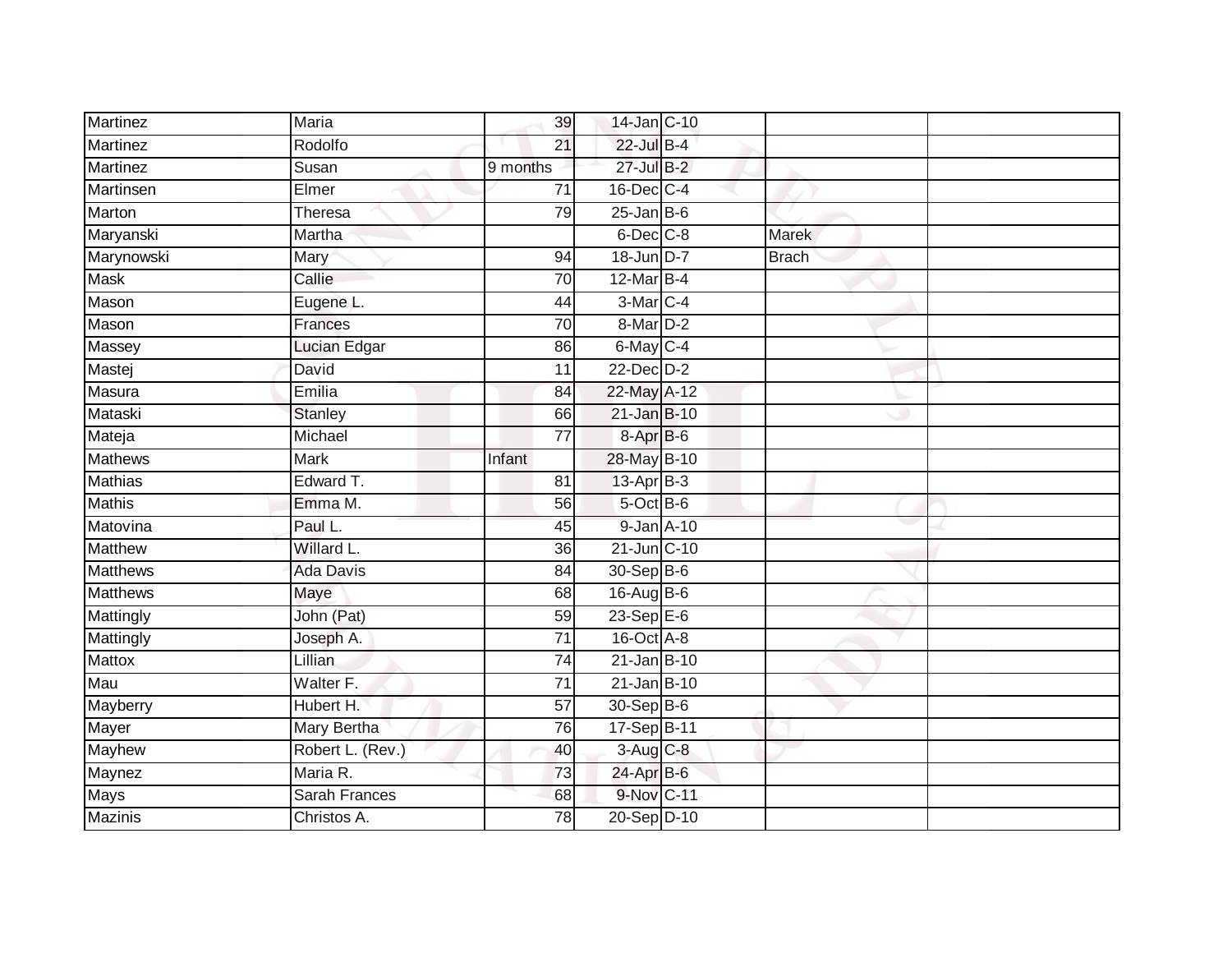| <b>Martinez</b> | Maria            | 39              | 14-Jan C-10      |              |  |
|-----------------|------------------|-----------------|------------------|--------------|--|
| Martinez        | Rodolfo          | $\overline{21}$ | 22-Jul B-4       |              |  |
| <b>Martinez</b> | Susan            | 9 months        | 27-Jul B-2       |              |  |
| Martinsen       | Elmer            | $\overline{71}$ | 16-Dec C-4       |              |  |
| Marton          | Theresa          | 79              | $25$ -Jan B-6    |              |  |
| Maryanski       | Martha           |                 | 6-Dec C-8        | <b>Marek</b> |  |
| Marynowski      | Mary             | 94              | $18 - Jun$ D-7   | <b>Brach</b> |  |
| Mask            | Callie           | 70              | 12-Mar B-4       |              |  |
| Mason           | Eugene L.        | 44              | 3-Mar C-4        |              |  |
| Mason           | Frances          | 70              | 8-Mar D-2        |              |  |
| Massey          | Lucian Edgar     | 86              | 6-May C-4        |              |  |
| Mastej          | David            | 11              | $22$ -Dec $D-2$  |              |  |
| <b>Masura</b>   | Emilia           | 84              | 22-May A-12      |              |  |
| Mataski         | <b>Stanley</b>   | 66              | 21-Jan B-10      |              |  |
| Mateja          | Michael          | $\overline{77}$ | 8-Apr B-6        |              |  |
| Mathews         | <b>Mark</b>      | Infant          | 28-May B-10      |              |  |
| <b>Mathias</b>  | Edward T.        | 81              | $13-Apr$ B-3     |              |  |
| <b>Mathis</b>   | Emma M.          | 56              | 5-Oct B-6        |              |  |
| Matovina        | Paul L.          | 45              | 9-Jan A-10       |              |  |
| <b>Matthew</b>  | Willard L.       | 36              | 21-Jun C-10      |              |  |
| <b>Matthews</b> | <b>Ada Davis</b> | 84              | 30-Sep B-6       |              |  |
| <b>Matthews</b> | Maye             | 68              | 16-Aug B-6       |              |  |
| Mattingly       | John (Pat)       | 59              | $23-Sep$ E-6     |              |  |
| Mattingly       | Joseph A.        | $\overline{71}$ | 16-Oct A-8       |              |  |
| Mattox          | Lillian          | 74              | $21$ -Jan $B-10$ |              |  |
| Mau             | Walter F.        | $\overline{71}$ | 21-Jan B-10      |              |  |
| Mayberry        | Hubert H.        | $\overline{57}$ | 30-Sep B-6       |              |  |
| Mayer           | Mary Bertha      | 76              | 17-Sep B-11      |              |  |
| Mayhew          | Robert L. (Rev.) | 40              | 3-Aug C-8        |              |  |
| Maynez          | Maria R.         | 73              | 24-Apr B-6       |              |  |
| Mays            | Sarah Frances    | 68              | 9-Nov C-11       |              |  |
| Mazinis         | Christos A.      | 78              | 20-Sep D-10      |              |  |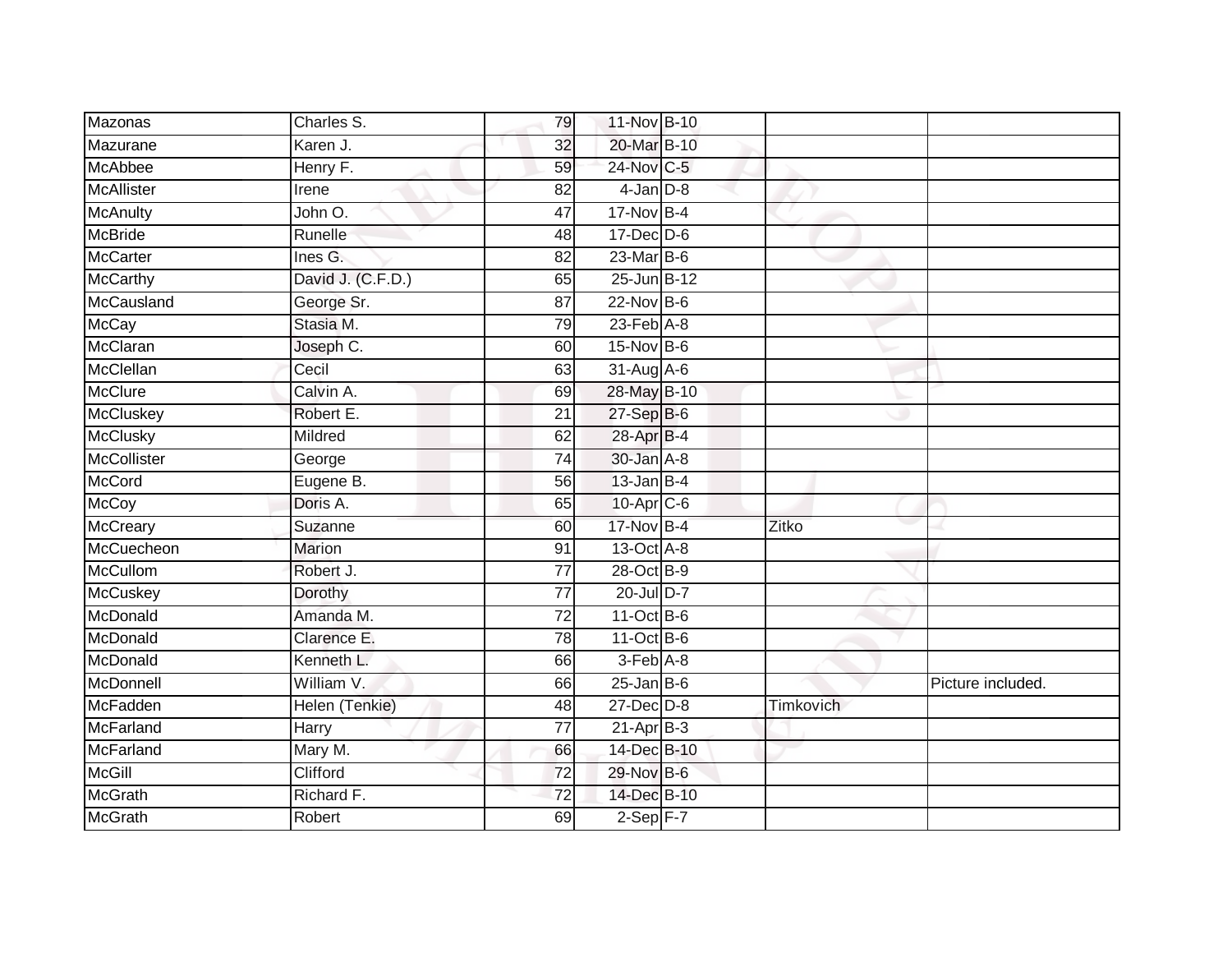| Mazonas           | Charles S.        | 79              | 11-Nov B-10                 |                  |                   |
|-------------------|-------------------|-----------------|-----------------------------|------------------|-------------------|
| Mazurane          | Karen J.          | 32              | 20-Mar B-10                 |                  |                   |
| <b>McAbbee</b>    | Henry F.          | 59              | 24-Nov C-5                  |                  |                   |
| <b>McAllister</b> | Irene             | 82              | $4$ -Jan $D-8$              |                  |                   |
| <b>McAnulty</b>   | John O.           | 47              | 17-Nov B-4                  |                  |                   |
| <b>McBride</b>    | Runelle           | 48              | $17$ -Dec $D$ -6            |                  |                   |
| <b>McCarter</b>   | Ines G.           | 82              | $23$ -Mar $ B-6 $           |                  |                   |
| <b>McCarthy</b>   | David J. (C.F.D.) | 65              | 25-Jun B-12                 |                  |                   |
| McCausland        | George Sr.        | 87              | 22-Nov B-6                  |                  |                   |
| <b>McCay</b>      | Stasia M.         | 79              | $23$ -Feb $\overline{A}$ -8 |                  |                   |
| McClaran          | Joseph C.         | 60              | $15-Nov$ B-6                |                  |                   |
| McClellan         | Cecil             | 63              | 31-Aug A-6                  |                  |                   |
| <b>McClure</b>    | Calvin A.         | 69              | 28-May B-10                 |                  |                   |
| <b>McCluskey</b>  | Robert E.         | 21              | 27-Sep B-6                  |                  |                   |
| <b>McClusky</b>   | Mildred           | 62              | 28-Apr B-4                  |                  |                   |
| McCollister       | George            | 74              | 30-Jan A-8                  |                  |                   |
| <b>McCord</b>     | Eugene B.         | 56              | $13$ -Jan $B-4$             |                  |                   |
| <b>McCoy</b>      | Doris A.          | 65              | 10-Apr C-6                  |                  |                   |
| <b>McCreary</b>   | Suzanne           | 60              | 17-Nov B-4                  | Zitko            |                   |
| McCuecheon        | <b>Marion</b>     | 91              | 13-Oct A-8                  |                  |                   |
| <b>McCullom</b>   | Robert J.         | 77              | 28-Oct B-9                  |                  |                   |
| <b>McCuskey</b>   | Dorothy           | $\overline{77}$ | 20-Jul D-7                  |                  |                   |
| McDonald          | Amanda M.         | 72              | $11-Oct$ B-6                |                  |                   |
| McDonald          | Clarence E.       | 78              | $11-Oct$ B-6                |                  |                   |
| McDonald          | Kenneth L.        | 66              | 3-Feb A-8                   |                  |                   |
| McDonnell         | William V.        | 66              | $25$ -Jan B-6               |                  | Picture included. |
| McFadden          | Helen (Tenkie)    | 48              | $27 - Dec$ $D-8$            | <b>Timkovich</b> |                   |
| McFarland         | Harry             | 77              | $21-Apr$ B-3                |                  |                   |
| McFarland         | Mary M.           | 66              | 14-Dec B-10                 |                  |                   |
| <b>McGill</b>     | Clifford          | $\overline{72}$ | 29-Nov B-6                  |                  |                   |
| <b>McGrath</b>    | Richard F.        | 72              | 14-Dec B-10                 |                  |                   |
| <b>McGrath</b>    | Robert            | 69              | $2-Sep$ F-7                 |                  |                   |
|                   |                   |                 |                             |                  |                   |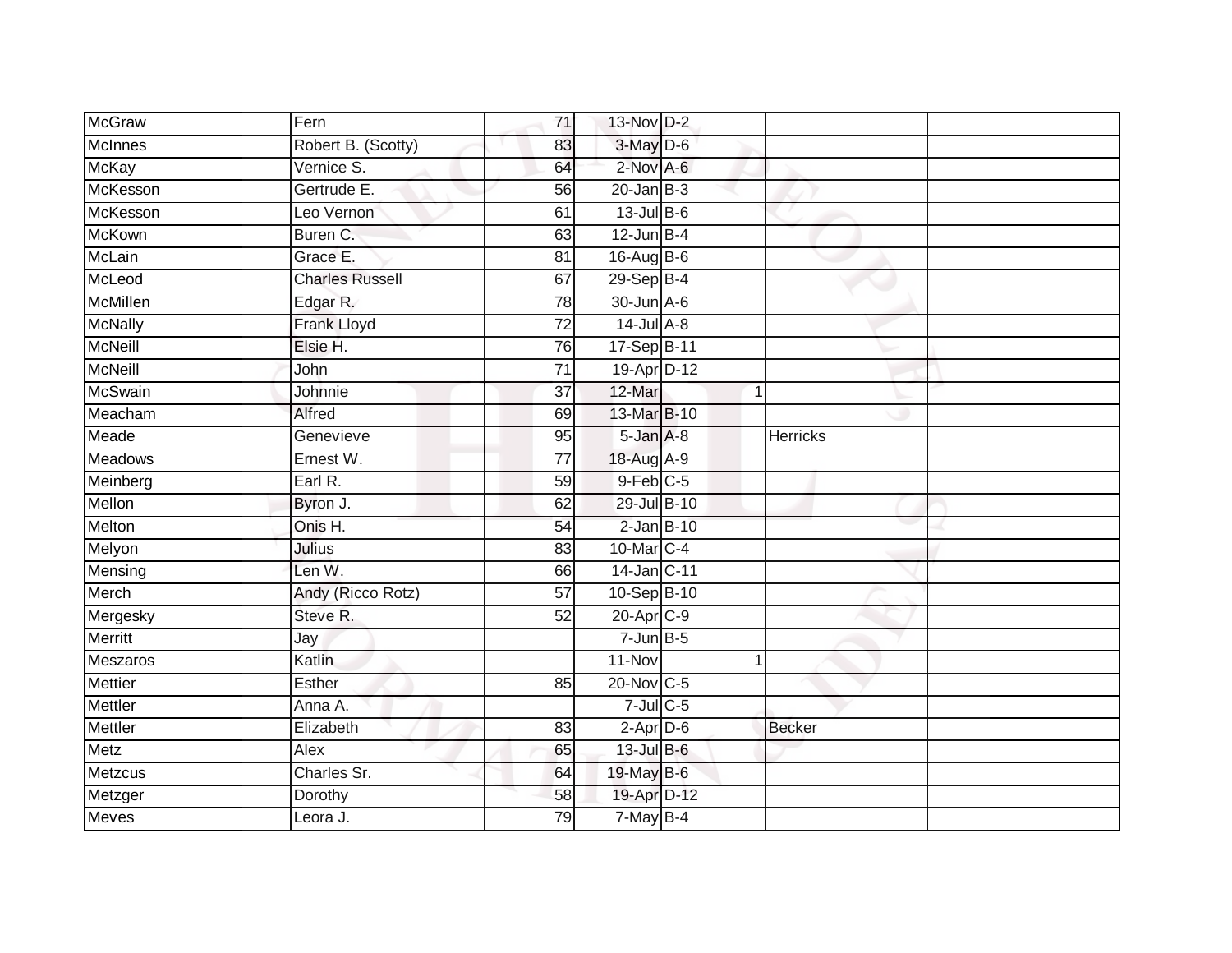| <b>McGraw</b>   | Fern                   | 71              | 13-Nov D-2       |   |                 |
|-----------------|------------------------|-----------------|------------------|---|-----------------|
| McInnes         | Robert B. (Scotty)     | 83              | 3-May D-6        |   |                 |
| <b>McKay</b>    | Vernice S.             | 64              | 2-Nov A-6        |   |                 |
| McKesson        | Gertrude E.            | 56              | $20$ -Jan B-3    |   |                 |
| McKesson        | Leo Vernon             | 61              | $13$ -Jul $B$ -6 |   |                 |
| <b>McKown</b>   | Buren C.               | 63              | $12$ -Jun B-4    |   |                 |
| McLain          | Grace E.               | 81              | $16$ -AugB-6     |   |                 |
| McLeod          | <b>Charles Russell</b> | 67              | 29-Sep B-4       |   |                 |
| <b>McMillen</b> | Edgar R.               | 78              | 30-Jun A-6       |   |                 |
| <b>McNally</b>  | Frank Lloyd            | $\overline{72}$ | $14$ -Jul $A-8$  |   |                 |
| <b>McNeill</b>  | Elsie H.               | 76              | 17-Sep B-11      |   |                 |
| <b>McNeill</b>  | John                   | $\overline{71}$ | 19-Apr D-12      |   |                 |
| <b>McSwain</b>  | Johnnie                | 37              | 12-Mar           | 1 |                 |
| Meacham         | Alfred                 | 69              | 13-Mar B-10      |   |                 |
| Meade           | Genevieve              | 95              | 5-Jan A-8        |   | <b>Herricks</b> |
| <b>Meadows</b>  | Ernest W.              | $\overline{77}$ | 18-Aug A-9       |   |                 |
| Meinberg        | Earl R.                | 59              | $9$ -Feb $C$ -5  |   |                 |
| Mellon          | Byron J.               | 62              | 29-Jul B-10      |   |                 |
| Melton          | Onis H.                | 54              | $2$ -Jan $B-10$  |   |                 |
| Melyon          | Julius                 | 83              | 10-Mar C-4       |   |                 |
| Mensing         | Len W.                 | 66              | 14-Jan C-11      |   |                 |
| Merch           | Andy (Ricco Rotz)      | 57              | 10-Sep B-10      |   |                 |
| Mergesky        | Steve R.               | 52              | 20-Apr C-9       |   |                 |
| <b>Merritt</b>  | Jay                    |                 | $7 - Jun$ B-5    |   |                 |
| Meszaros        | Katlin                 |                 | 11-Nov           |   |                 |
| <b>Mettier</b>  | Esther                 | 85              | 20-Nov C-5       |   |                 |
| <b>Mettler</b>  | Anna A.                |                 | $7$ -Jul $C$ -5  |   |                 |
| Mettler         | Elizabeth              | 83              | $2$ -Apr $D-6$   |   | <b>Becker</b>   |
| Metz            | Alex                   | 65              | 13-Jul B-6       |   |                 |
| Metzcus         | Charles Sr.            | 64              | 19-May B-6       |   |                 |
| Metzger         | Dorothy                | 58              | 19-Apr D-12      |   |                 |
| <b>Meves</b>    | Leora J.               | 79              | $7$ -May $B-4$   |   |                 |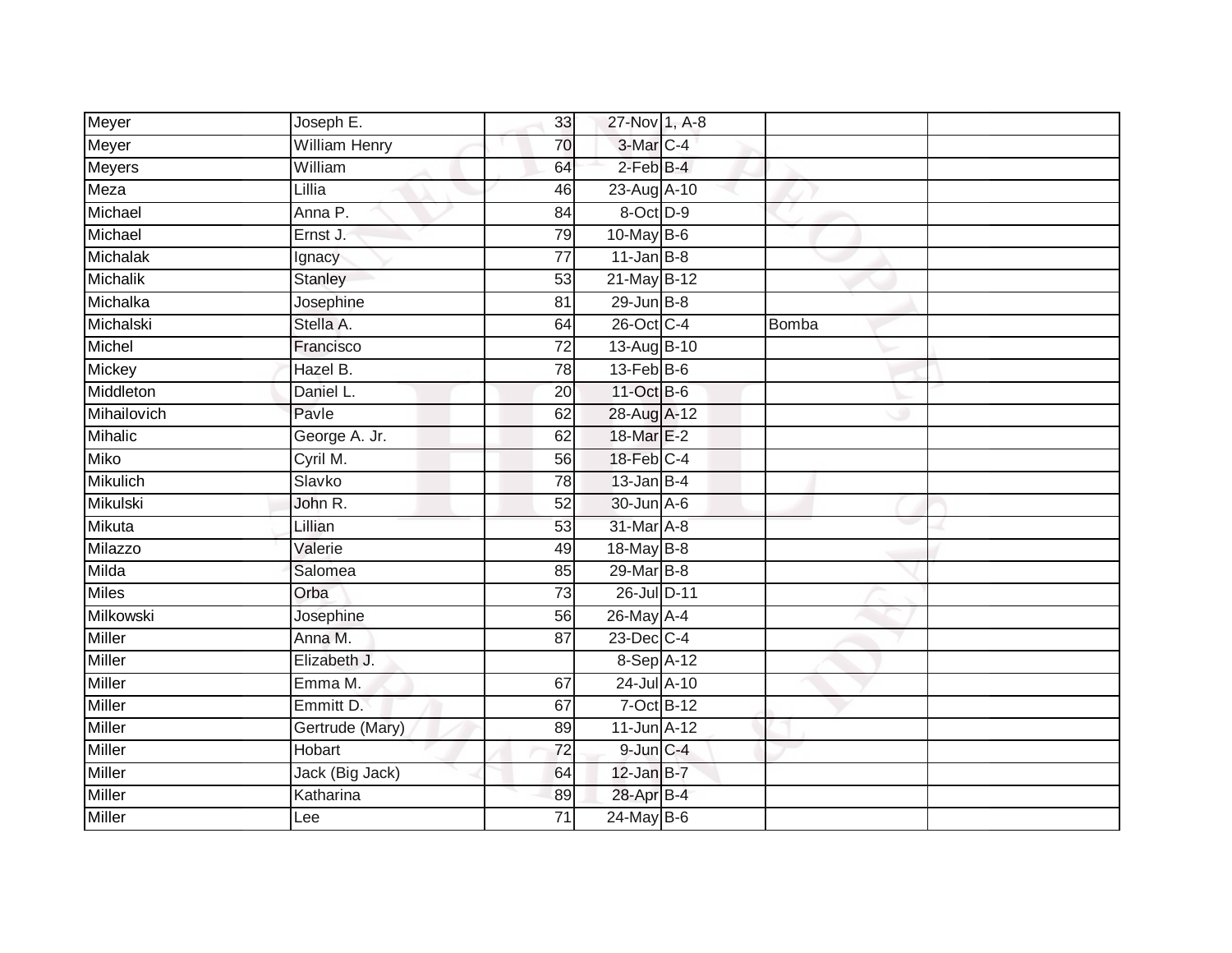| Meyer           | Joseph E.            | 33              | 27-Nov 1, A-8    |       |  |
|-----------------|----------------------|-----------------|------------------|-------|--|
| Meyer           | <b>William Henry</b> | 70              | 3-Mar C-4        |       |  |
| <b>Meyers</b>   | William              | 64              | $2$ -Feb $B-4$   |       |  |
| Meza            | Lillia               | 46              | 23-Aug A-10      |       |  |
| Michael         | Anna P.              | $\overline{84}$ | 8-Oct D-9        |       |  |
| Michael         | Ernst J.             | 79              | $10$ -May B-6    |       |  |
| Michalak        | Ignacy               | $\overline{77}$ | $11$ -Jan B-8    |       |  |
| Michalik        | Stanley              | 53              | 21-May B-12      |       |  |
| Michalka        | Josephine            | 81              | $29$ -Jun B-8    |       |  |
| Michalski       | Stella A.            | 64              | 26-Oct C-4       | Bomba |  |
| Michel          | Francisco            | $\overline{72}$ | 13-Aug B-10      |       |  |
| Mickey          | Hazel B.             | 78              | $13$ -Feb $B$ -6 |       |  |
| Middleton       | Daniel L.            | 20              | 11-Oct B-6       |       |  |
| Mihailovich     | Pavle                | 62              | 28-Aug A-12      |       |  |
| <b>Mihalic</b>  | George A. Jr.        | 62              | 18-Mar E-2       |       |  |
| <b>Miko</b>     | Cyril M.             | 56              | 18-Feb C-4       |       |  |
| <b>Mikulich</b> | Slavko               | 78              | $13$ -Jan B-4    |       |  |
| Mikulski        | John R.              | 52              | 30-Jun A-6       |       |  |
| Mikuta          | Lillian              | 53              | 31-Mar A-8       |       |  |
| Milazzo         | Valerie              | 49              | 18-May B-8       |       |  |
| Milda           | Salomea              | 85              | 29-Mar B-8       |       |  |
| <b>Miles</b>    | Orba                 | 73              | 26-Jul D-11      |       |  |
| Milkowski       | Josephine            | 56              | 26-May A-4       |       |  |
| Miller          | Anna M.              | 87              | $23$ -Dec $C-4$  |       |  |
| <b>Miller</b>   | Elizabeth J.         |                 | 8-Sep A-12       |       |  |
| Miller          | Emma M.              | 67              | 24-Jul A-10      |       |  |
| <b>Miller</b>   | Emmitt D.            | 67              | 7-Oct B-12       |       |  |
| <b>Miller</b>   | Gertrude (Mary)      | 89              | 11-Jun A-12      |       |  |
| <b>Miller</b>   | Hobart               | $\overline{72}$ | 9-Jun C-4        |       |  |
| Miller          | Jack (Big Jack)      | 64              | $12$ -Jan B-7    |       |  |
| Miller          | Katharina            | 89              | 28-Apr B-4       |       |  |
| Miller          | Lee                  | $\overline{71}$ | $24$ -May B-6    |       |  |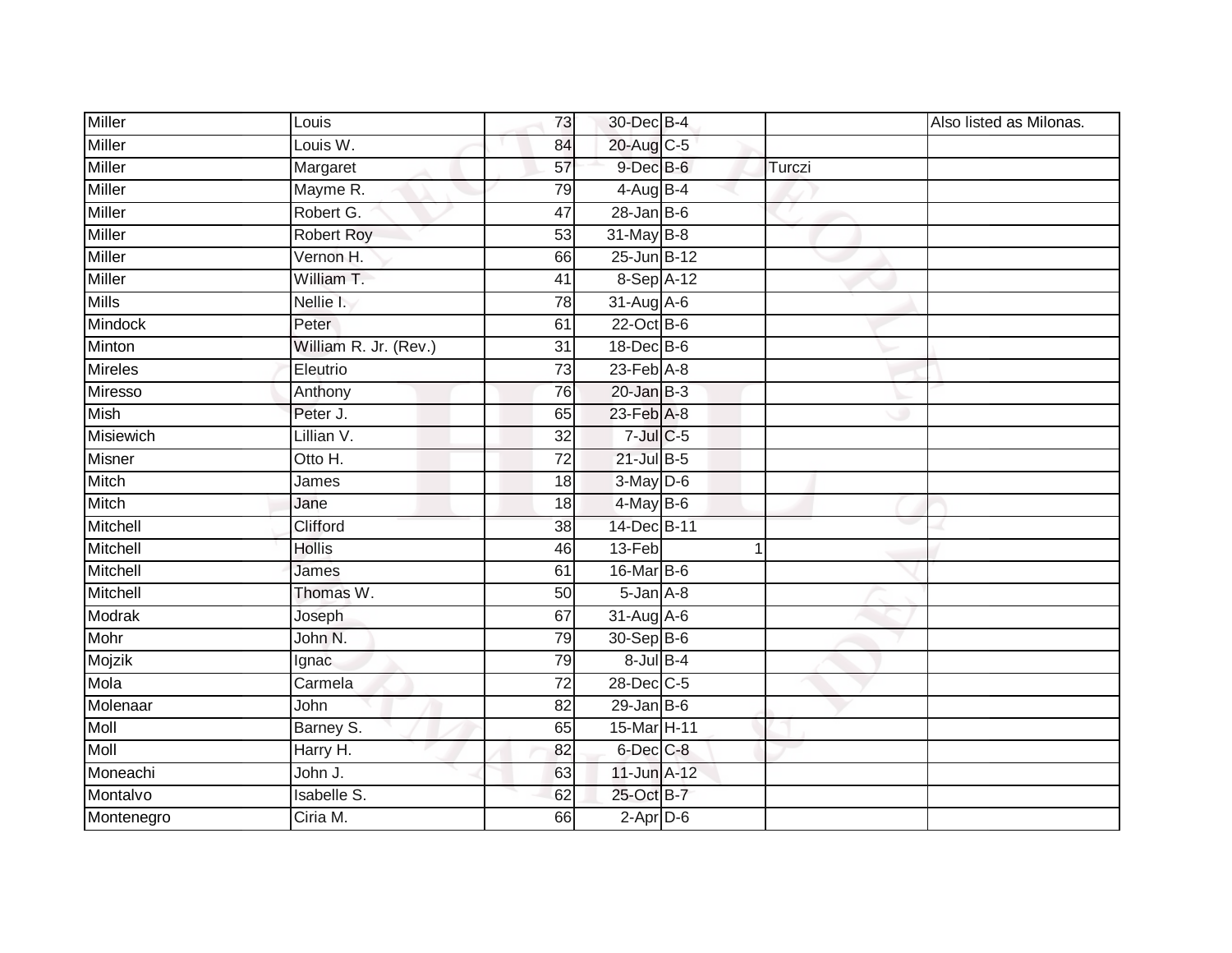| <b>Miller</b>  | Louis                 | 73              | 30-Dec B-4       |             |        | Also listed as Milonas. |
|----------------|-----------------------|-----------------|------------------|-------------|--------|-------------------------|
| <b>Miller</b>  | Louis W.              | 84              | 20-Aug C-5       |             |        |                         |
| <b>Miller</b>  | Margaret              | 57              | $9$ -Dec $B$ -6  |             | Turczi |                         |
| Miller         | Mayme R.              | 79              | 4-Aug B-4        |             |        |                         |
| Miller         | Robert G.             | 47              | $28 - Jan$ $B-6$ |             |        |                         |
| Miller         | <b>Robert Roy</b>     | 53              | 31-May B-8       |             |        |                         |
| Miller         | Vernon H.             | 66              | 25-Jun B-12      |             |        |                         |
| <b>Miller</b>  | William T.            | $\overline{41}$ | 8-Sep A-12       |             |        |                         |
| <b>Mills</b>   | Nellie I.             | 78              | 31-Aug A-6       |             |        |                         |
| <b>Mindock</b> | Peter                 | 61              | $22$ -Oct B-6    |             |        |                         |
| Minton         | William R. Jr. (Rev.) | 31              | 18-Dec B-6       |             |        |                         |
| <b>Mireles</b> | Eleutrio              | 73              | $23$ -Feb $A-8$  |             |        |                         |
| Miresso        | Anthony               | 76              | $20$ -Jan $B-3$  |             |        |                         |
| <b>Mish</b>    | Peter J.              | 65              | 23-Feb A-8       |             |        |                         |
| Misiewich      | Lillian V.            | $\overline{32}$ | $7$ -Jul $C$ -5  |             |        |                         |
| Misner         | Otto H.               | $\overline{72}$ | $21$ -Jul B-5    |             |        |                         |
| Mitch          | James                 | $\overline{18}$ | 3-May D-6        |             |        |                         |
| Mitch          | Jane                  | 18              | $4$ -May $B$ -6  |             |        |                         |
| Mitchell       | Clifford              | 38              | 14-Dec B-11      |             |        |                         |
| Mitchell       | <b>Hollis</b>         | 46              | $13-Feb$         | $\mathbf 1$ |        |                         |
| Mitchell       | James                 | 61              | 16-Mar B-6       |             |        |                         |
| Mitchell       | Thomas W.             | 50              | $5 - Jan A - 8$  |             |        |                         |
| Modrak         | Joseph                | 67              | 31-Aug A-6       |             |        |                         |
| Mohr           | John N.               | 79              | 30-Sep B-6       |             |        |                         |
| Mojzik         | Ignac                 | 79              | $8$ -Jul $B-4$   |             |        |                         |
| Mola           | Carmela               | 72              | 28-Dec C-5       |             |        |                         |
| Molenaar       | John                  | $\overline{82}$ | $29$ -Jan B-6    |             |        |                         |
| Moll           | Barney S.             | 65              | 15-Mar H-11      |             |        |                         |
| <b>Moll</b>    | Harry H.              | 82              | 6-Dec C-8        |             |        |                         |
| Moneachi       | John J.               | 63              | 11-Jun A-12      |             |        |                         |
| Montalvo       | <b>Isabelle S.</b>    | 62              | 25-Oct B-7       |             |        |                         |
| Montenegro     | Ciria M.              | 66              | $2$ -Apr $D-6$   |             |        |                         |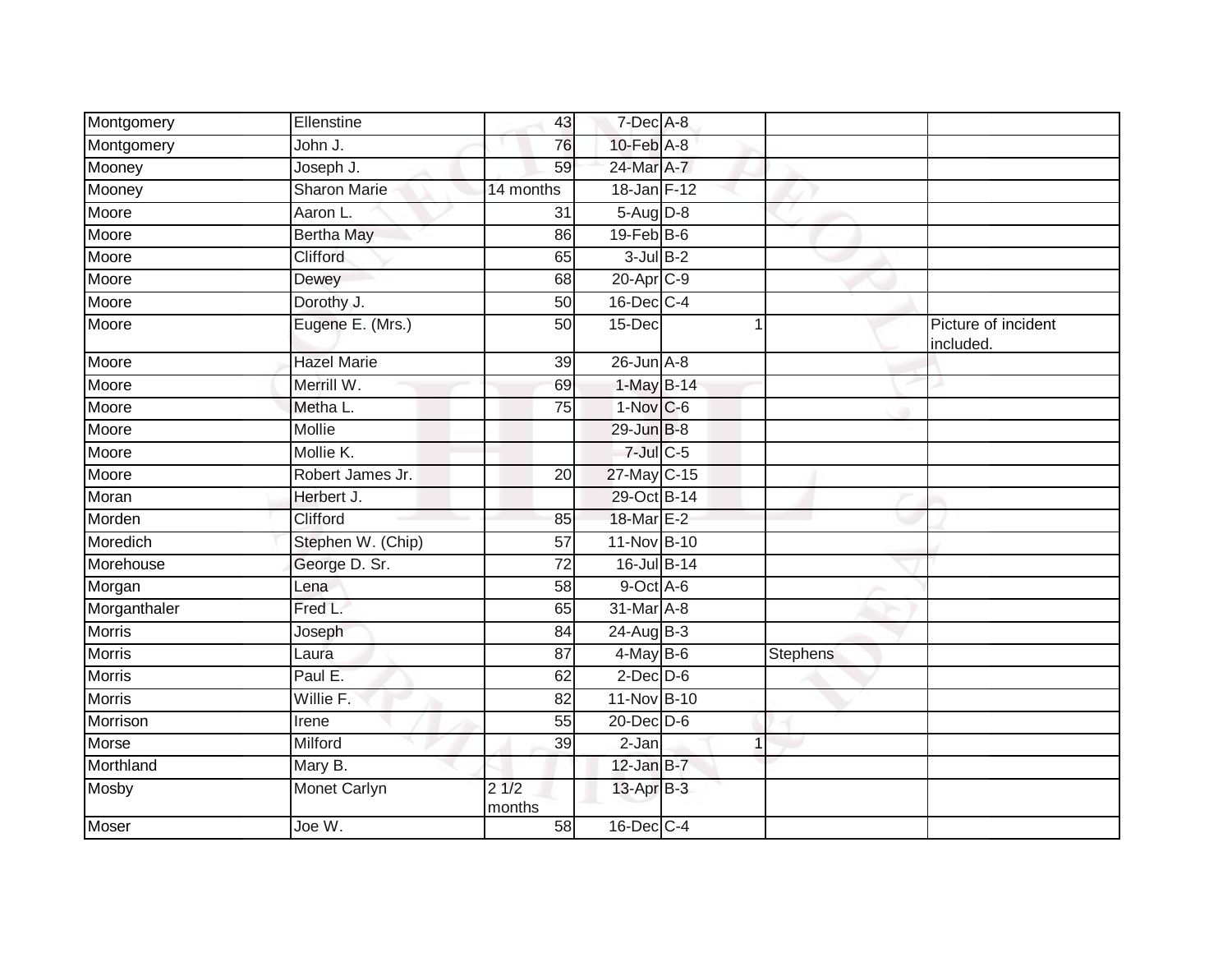| Montgomery    | Ellenstine          | 43                      | 7-Dec A-8             |          |                                  |
|---------------|---------------------|-------------------------|-----------------------|----------|----------------------------------|
| Montgomery    | John J.             | 76                      | $10$ -Feb $A-8$       |          |                                  |
| Mooney        | Joseph J.           | 59                      | 24-Mar A-7            |          |                                  |
| Mooney        | <b>Sharon Marie</b> | 14 months               | 18-Jan F-12           |          |                                  |
| Moore         | Aaron L.            | 31                      | 5-Aug D-8             |          |                                  |
| Moore         | <b>Bertha May</b>   | 86                      | $19$ -Feb $B$ -6      |          |                                  |
| Moore         | Clifford            | 65                      | $3$ -Jul $B-2$        |          |                                  |
| Moore         | Dewey               | 68                      | 20-Apr <sub>C-9</sub> |          |                                  |
| Moore         | Dorothy J.          | 50                      | 16-Dec C-4            |          |                                  |
| Moore         | Eugene E. (Mrs.)    | 50                      | 15-Dec                |          | Picture of incident<br>included. |
| Moore         | <b>Hazel Marie</b>  | 39                      | $26$ -Jun $A-8$       |          |                                  |
| Moore         | Merrill W.          | 69                      | 1-May B-14            |          |                                  |
| Moore         | Metha L.            | $\overline{75}$         | $1-Nov$ C-6           |          |                                  |
| Moore         | <b>Mollie</b>       |                         | 29-Jun B-8            |          |                                  |
| Moore         | Mollie K.           |                         | $7$ -Jul $C$ -5       |          |                                  |
| Moore         | Robert James Jr.    | 20                      | 27-May C-15           |          |                                  |
| Moran         | Herbert J.          |                         | 29-Oct B-14           |          |                                  |
| Morden        | Clifford            | 85                      | 18-Mar E-2            |          |                                  |
| Moredich      | Stephen W. (Chip)   | 57                      | 11-Nov B-10           |          |                                  |
| Morehouse     | George D. Sr.       | $\overline{72}$         | 16-Jul B-14           |          |                                  |
| Morgan        | Lena                | 58                      | 9-Oct A-6             |          |                                  |
| Morganthaler  | Fred L.             | 65                      | 31-Mar A-8            |          |                                  |
| <b>Morris</b> | Joseph              | 84                      | 24-Aug B-3            |          |                                  |
| <b>Morris</b> | Laura               | 87                      | $4$ -May B-6          | Stephens |                                  |
| <b>Morris</b> | Paul E.             | 62                      | $2$ -Dec $D$ -6       |          |                                  |
| <b>Morris</b> | Willie F.           | 82                      | 11-Nov B-10           |          |                                  |
| Morrison      | Irene               | 55                      | 20-Dec D-6            |          |                                  |
| <b>Morse</b>  | Milford             | 39                      | $\overline{2}$ -Jan   |          |                                  |
| Morthland     | Mary B.             |                         | $12$ -Jan $B-7$       |          |                                  |
| Mosby         | Monet Carlyn        | $2\sqrt{1/2}$<br>months | 13-Apr B-3            |          |                                  |
| <b>Moser</b>  | Joe W.              | 58                      | 16-Dec C-4            |          |                                  |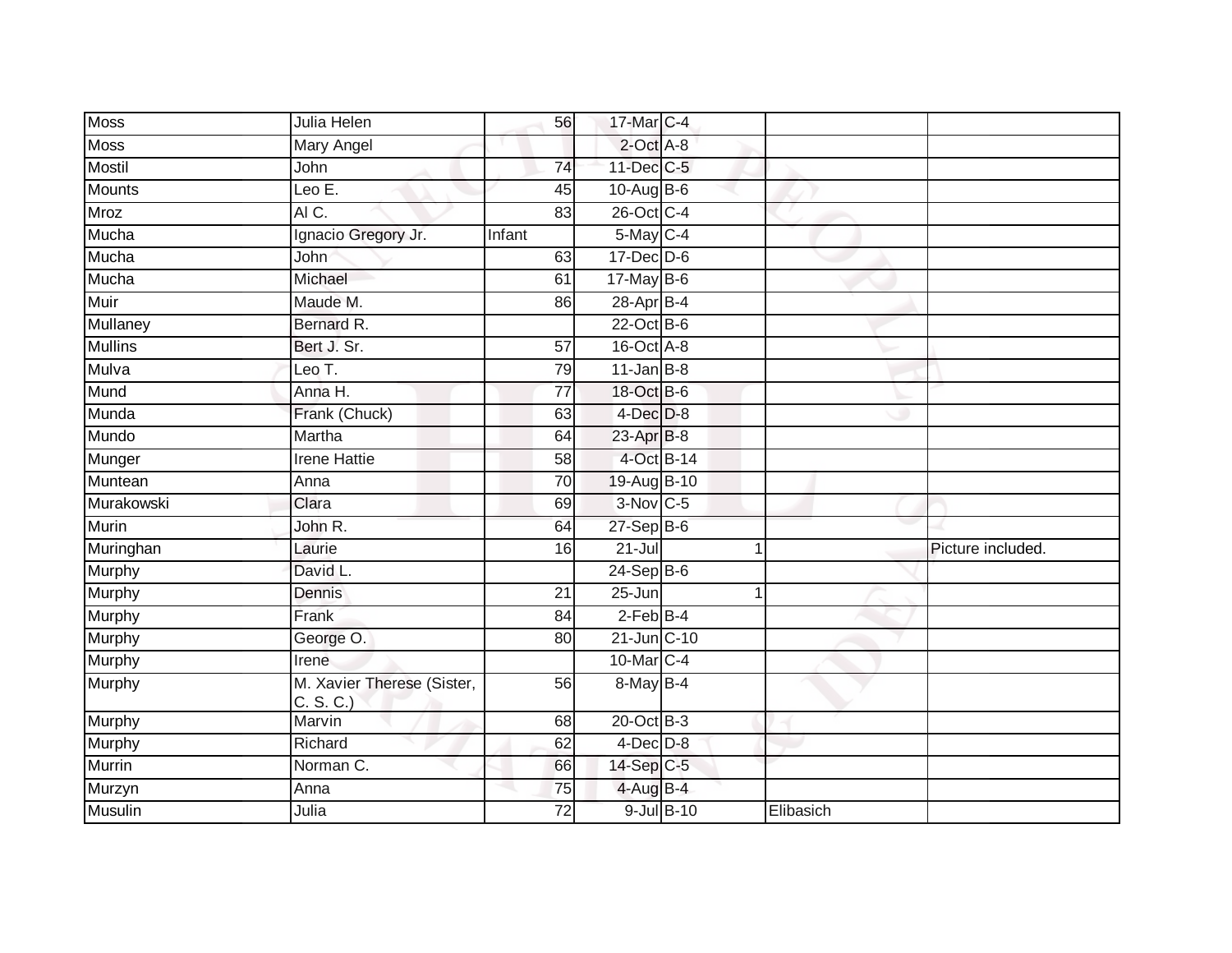| <b>Moss</b>    | Julia Helen                             | 56              | 17-Mar C-4             |            |           |                   |
|----------------|-----------------------------------------|-----------------|------------------------|------------|-----------|-------------------|
| <b>Moss</b>    | <b>Mary Angel</b>                       |                 | 2-Oct A-8              |            |           |                   |
| Mostil         | John                                    | 74              | 11-Dec C-5             |            |           |                   |
| <b>Mounts</b>  | Leo E.                                  | 45              | $10-Aug$ B-6           |            |           |                   |
| <b>Mroz</b>    | AIC.                                    | 83              | 26-Oct C-4             |            |           |                   |
| Mucha          | Ignacio Gregory Jr.                     | Infant          | 5-May C-4              |            |           |                   |
| Mucha          | John                                    | 63              | $17$ -Dec $ D-6$       |            |           |                   |
| Mucha          | Michael                                 | 61              | $17$ -May B-6          |            |           |                   |
| Muir           | Maude M.                                | 86              | 28-Apr B-4             |            |           |                   |
| Mullaney       | Bernard R.                              |                 | $22$ -Oct B-6          |            |           |                   |
| <b>Mullins</b> | Bert J. Sr.                             | $\overline{57}$ | 16-Oct A-8             |            |           |                   |
| Mulva          | Leo T.                                  | 79              | $11$ -Jan B-8          |            |           |                   |
| Mund           | Anna H.                                 | 77              | 18-Oct B-6             |            |           |                   |
| Munda          | Frank (Chuck)                           | 63              | $4$ -Dec $D-8$         |            |           |                   |
| Mundo          | Martha                                  | 64              | 23-Apr B-8             |            |           |                   |
| Munger         | <b>Irene Hattie</b>                     | 58              | 4-Oct B-14             |            |           |                   |
| Muntean        | Anna                                    | $\overline{70}$ | 19-Aug B-10            |            |           |                   |
| Murakowski     | Clara                                   | 69              | $3-Nov$ <sub>C-5</sub> |            |           |                   |
| Murin          | John R.                                 | 64              | $27-Sep$ B-6           |            |           |                   |
| Muringhan      | Laurie                                  | 16              | $21 -$ Jul             |            | 1         | Picture included. |
| Murphy         | David L.                                |                 | $24-Sep B-6$           |            |           |                   |
| <b>Murphy</b>  | Dennis                                  | $\overline{21}$ | $25 - Jun$             |            | 1         |                   |
| Murphy         | Frank                                   | 84              | $2-FebB-4$             |            |           |                   |
| Murphy         | George O.                               | 80              | $21$ -Jun $C-10$       |            |           |                   |
| Murphy         | Irene                                   |                 | 10-Mar C-4             |            |           |                   |
| Murphy         | M. Xavier Therese (Sister,<br>C. S. C.) | 56              | 8-May B-4              |            |           |                   |
| <b>Murphy</b>  | Marvin                                  | 68              | $20$ -Oct $B-3$        |            |           |                   |
| Murphy         | Richard                                 | 62              | $4$ -Dec $D-8$         |            |           |                   |
| Murrin         | Norman C.                               | 66              | 14-Sep C-5             |            |           |                   |
| Murzyn         | Anna                                    | 75              | $4$ -Aug B-4           |            |           |                   |
| <b>Musulin</b> | Julia                                   | 72              |                        | 9-Jul B-10 | Elibasich |                   |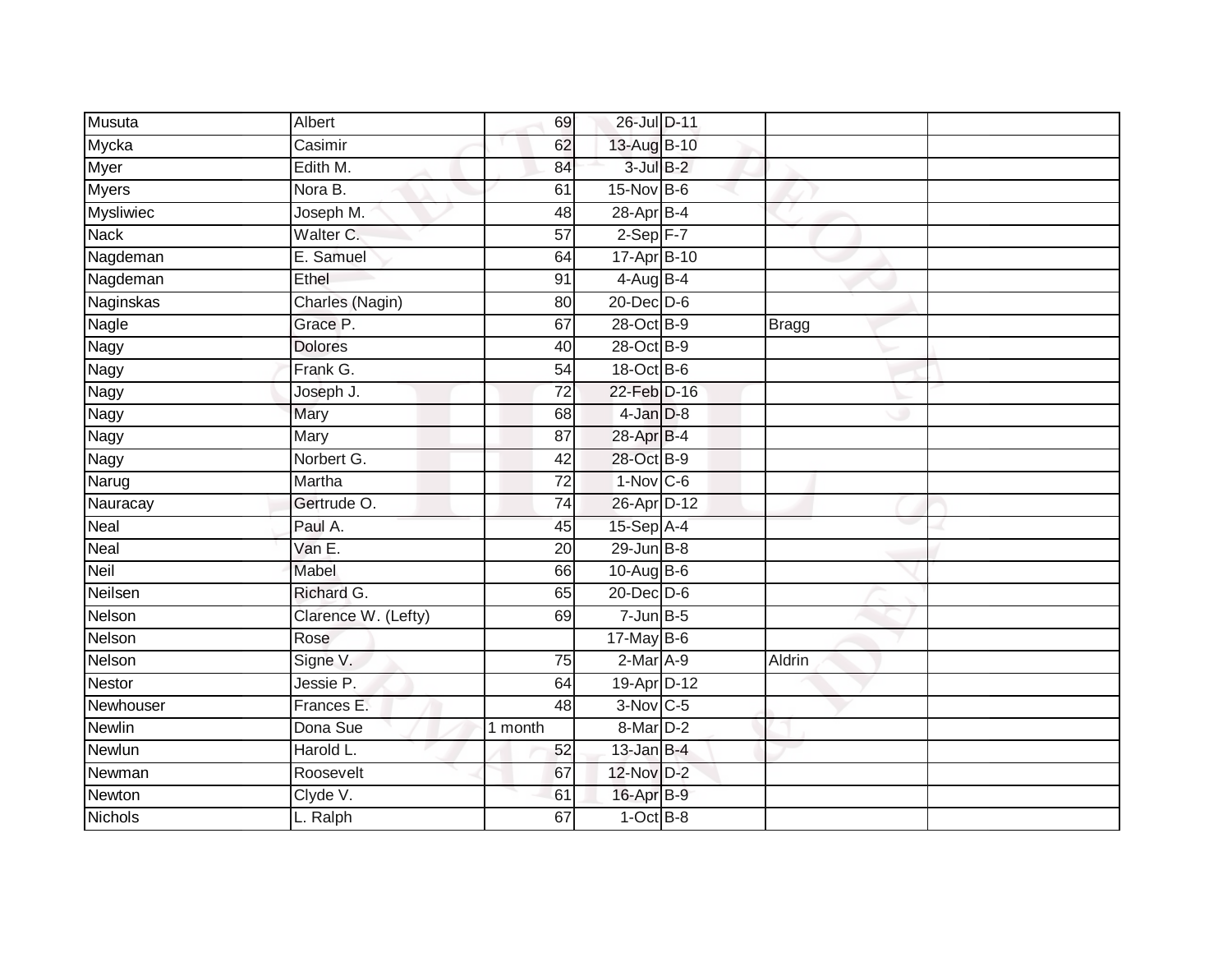| Musuta           | Albert              | 69              | 26-Jul D-11     |              |
|------------------|---------------------|-----------------|-----------------|--------------|
| Mycka            | Casimir             | 62              | 13-Aug B-10     |              |
| <b>Myer</b>      | Edith M.            | 84              | $3$ -Jul $B-2$  |              |
| <b>Myers</b>     | Nora B.             | 61              | $15$ -Nov $B-6$ |              |
| <b>Mysliwiec</b> | Joseph M.           | 48              | $28$ -Apr $B-4$ |              |
| <b>Nack</b>      | Walter C.           | $\overline{57}$ | $2-Sep$ F-7     |              |
| Nagdeman         | E. Samuel           | 64              | 17-Apr B-10     |              |
| Nagdeman         | Ethel               | 91              | $4$ -Aug B-4    |              |
| Naginskas        | Charles (Nagin)     | 80              | 20-Dec D-6      |              |
| Nagle            | Grace P.            | 67              | 28-Oct B-9      | <b>Bragg</b> |
| Nagy             | <b>Dolores</b>      | 40              | 28-Oct B-9      |              |
| Nagy             | Frank G.            | 54              | 18-Oct B-6      |              |
| Nagy             | Joseph J.           | 72              | 22-Feb D-16     |              |
| Nagy             | <b>Mary</b>         | 68              | $4$ -Jan $D-8$  |              |
| <b>Nagy</b>      | Mary                | 87              | 28-Apr B-4      |              |
| Nagy             | Norbert G.          | 42              | 28-Oct B-9      |              |
| Narug            | Martha              | 72              | $1-Nov$ C-6     |              |
| Nauracay         | Gertrude O.         | 74              | 26-Apr D-12     |              |
| Neal             | Paul A.             | 45              | 15-Sep A-4      |              |
| Neal             | Van E.              | 20              | $29$ -Jun $B-8$ |              |
| Neil             | Mabel               | 66              | 10-Aug B-6      |              |
| Neilsen          | Richard G.          | 65              | 20-Dec D-6      |              |
| Nelson           | Clarence W. (Lefty) | 69              | $7 - Jun$ B-5   |              |
| Nelson           | Rose                |                 | $17$ -May B-6   |              |
| Nelson           | Signe V.            | 75              | $2$ -Mar $A-9$  | Aldrin       |
| <b>Nestor</b>    | Jessie P.           | 64              | 19-Apr D-12     |              |
| Newhouser        | Frances E.          | 48              | 3-Nov C-5       |              |
| Newlin           | Dona Sue            | 1 month         | 8-Mar D-2       |              |
| Newlun           | Harold L.           | 52              | $13$ -Jan B-4   |              |
| Newman           | Roosevelt           | 67              | 12-Nov D-2      |              |
| Newton           | Clyde V.            | 61              | 16-Apr B-9      |              |
| <b>Nichols</b>   | L. Ralph            | 67              | $1-OctB-8$      |              |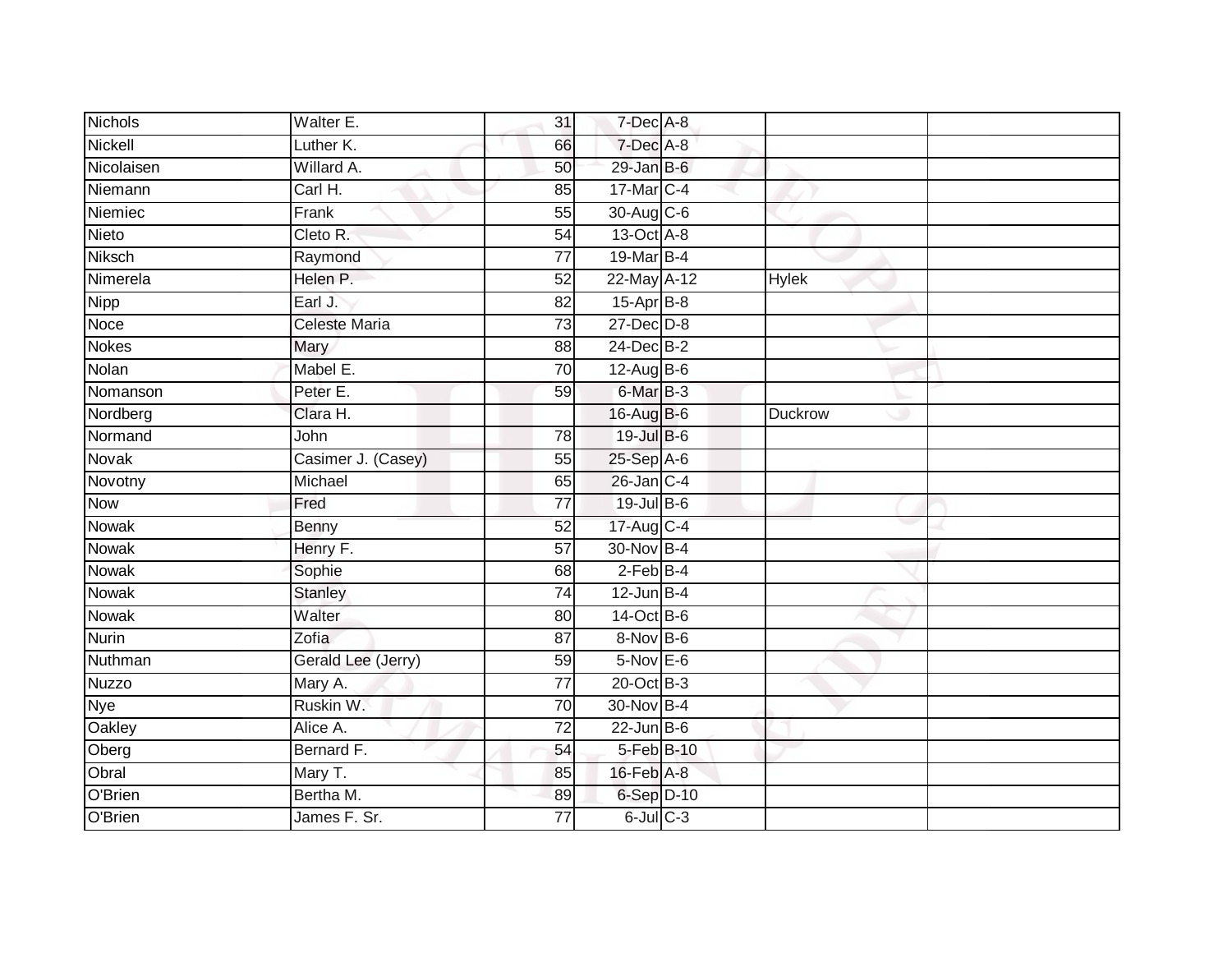| <b>Nichols</b> | Walter E.            | 31              | 7-Dec A-8        |              |  |
|----------------|----------------------|-----------------|------------------|--------------|--|
| Nickell        | Luther K.            | 66              | 7-Dec A-8        |              |  |
| Nicolaisen     | Willard A.           | 50              | 29-Jan B-6       |              |  |
| Niemann        | Carl H.              | 85              | 17-Mar C-4       |              |  |
| Niemiec        | Frank                | $\overline{55}$ | 30-Aug C-6       |              |  |
| Nieto          | Cleto R.             | 54              | 13-Oct A-8       |              |  |
| Niksch         | Raymond              | $\overline{77}$ | 19-Mar B-4       |              |  |
| Nimerela       | Helen P.             | 52              | 22-May A-12      | <b>Hylek</b> |  |
| Nipp           | Earl J.              | 82              | $15-Apr$ B-8     |              |  |
| Noce           | <b>Celeste Maria</b> | 73              | $27 - Dec$ $D-8$ |              |  |
| <b>Nokes</b>   | Mary                 | 88              | 24-Dec B-2       |              |  |
| Nolan          | Mabel E.             | 70              | 12-Aug B-6       |              |  |
| Nomanson       | Peter E.             | 59              | 6-Mar B-3        |              |  |
| Nordberg       | Clara H.             |                 | 16-Aug B-6       | Duckrow      |  |
| Normand        | John                 | 78              | 19-Jul B-6       |              |  |
| Novak          | Casimer J. (Casey)   | 55              | 25-Sep A-6       |              |  |
| Novotny        | Michael              | 65              | 26-Jan C-4       |              |  |
| <b>Now</b>     | Fred                 | $\overline{77}$ | 19-Jul B-6       |              |  |
| Nowak          | Benny                | 52              | 17-Aug C-4       |              |  |
| <b>Nowak</b>   | Henry F.             | $\overline{57}$ | 30-Nov B-4       |              |  |
| <b>Nowak</b>   | Sophie               | 68              | $2$ -Feb B-4     |              |  |
| Nowak          | <b>Stanley</b>       | 74              | $12$ -Jun B-4    |              |  |
| Nowak          | Walter               | 80              | 14-Oct B-6       |              |  |
| <b>Nurin</b>   | Zofia                | 87              | 8-Nov B-6        |              |  |
| Nuthman        | Gerald Lee (Jerry)   | 59              | 5-Nov E-6        |              |  |
| <b>Nuzzo</b>   | Mary A.              | 77              | 20-Oct B-3       |              |  |
| Nye            | Ruskin W.            | 70              | 30-Nov B-4       |              |  |
| Oakley         | Alice A.             | $\overline{72}$ | $22$ -Jun B-6    |              |  |
| Oberg          | Bernard F.           | 54              | 5-Feb B-10       |              |  |
| Obral          | Mary T.              | 85              | 16-Feb A-8       |              |  |
| O'Brien        | Bertha M.            | 89              | $6-Sep$ D-10     |              |  |
| O'Brien        | James F. Sr.         | $\overline{77}$ | $6$ -Jul $C$ -3  |              |  |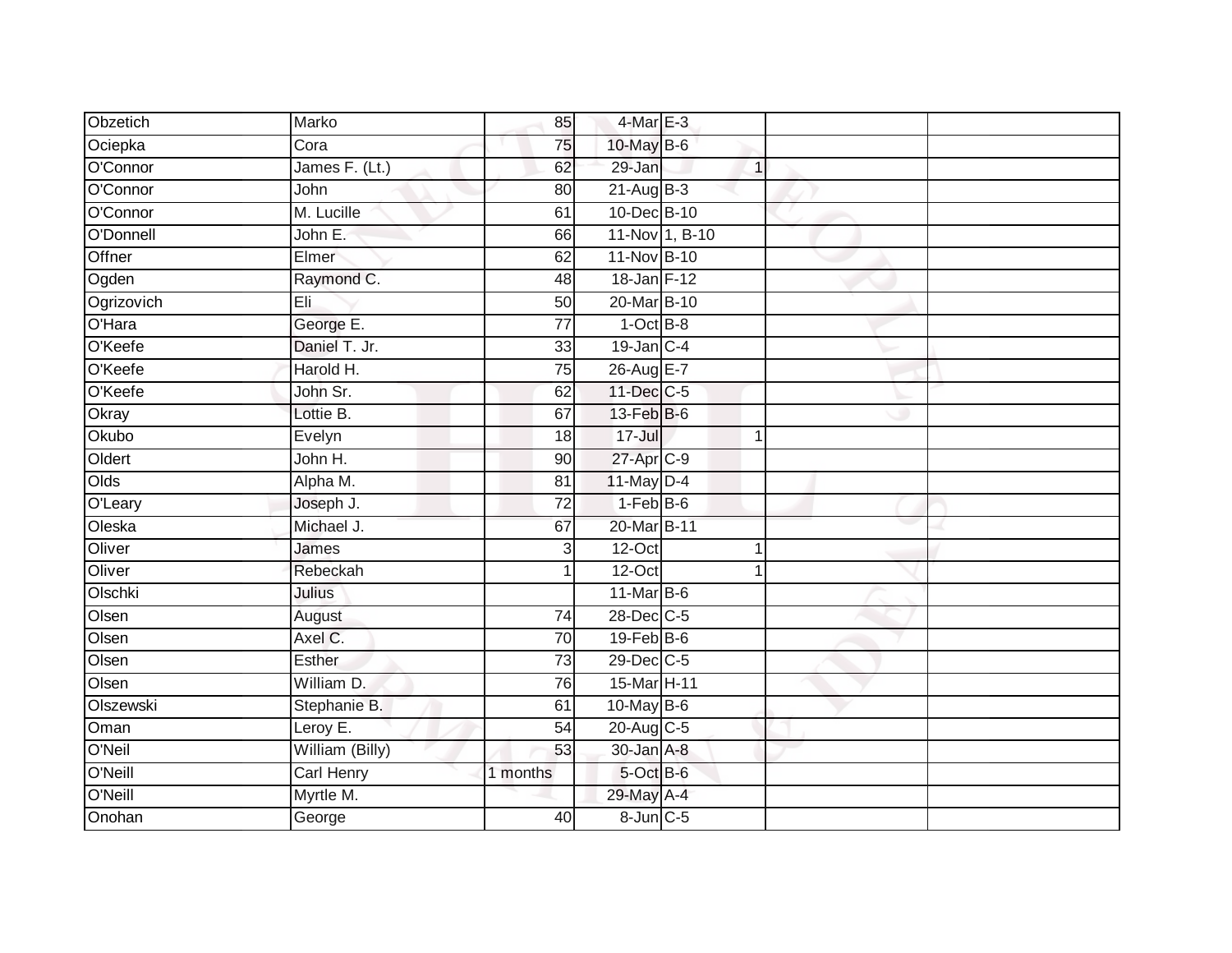| Obzetich   | Marko             | 85              | 4-Mar E-3             |                |  |
|------------|-------------------|-----------------|-----------------------|----------------|--|
| Ociepka    | Cora              | 75              | 10-May B-6            |                |  |
| O'Connor   | James F. (Lt.)    | 62              | 29-Jan                | 1              |  |
| O'Connor   | John              | 80              | $21-AugB-3$           |                |  |
| O'Connor   | M. Lucille        | 61              | 10-Dec B-10           |                |  |
| O'Donnell  | John E.           | 66              |                       | 11-Nov 1, B-10 |  |
| Offner     | Elmer             | 62              | 11-Nov B-10           |                |  |
| Ogden      | Raymond C.        | 48              | 18-Jan F-12           |                |  |
| Ogrizovich | Eli               | 50              | 20-Mar B-10           |                |  |
| O'Hara     | George E.         | $\overline{77}$ | $1$ -Oct $B-8$        |                |  |
| O'Keefe    | Daniel T. Jr.     | 33              | $19$ -Jan $C-4$       |                |  |
| O'Keefe    | Harold H.         | $\overline{75}$ | 26-Aug E-7            |                |  |
| O'Keefe    | John Sr.          | 62              | 11-Dec C-5            |                |  |
| Okray      | Lottie B.         | 67              | 13-Feb B-6            |                |  |
| Okubo      | Evelyn            | 18              | 17-Jul                | 1              |  |
| Oldert     | John H.           | $\overline{90}$ | 27-Apr <sub>C-9</sub> |                |  |
| Olds       | Alpha M.          | 81              | 11-May D-4            |                |  |
| O'Leary    | Joseph J.         | 72              | $1-FebB-6$            |                |  |
| Oleska     | Michael J.        | 67              | 20-Mar B-11           |                |  |
| Oliver     | James             | $\overline{3}$  | $12$ -Oct             | 1              |  |
| Oliver     | Rebeckah          | 1               | 12-Oct                |                |  |
| Olschki    | Julius            |                 | $11$ -Mar B-6         |                |  |
| Olsen      | August            | 74              | 28-Dec C-5            |                |  |
| Olsen      | Axel C.           | 70              | $19$ -Feb $B$ -6      |                |  |
| Olsen      | Esther            | $\overline{73}$ | 29-Dec C-5            |                |  |
| Olsen      | William D.        | 76              | 15-Mar H-11           |                |  |
| Olszewski  | Stephanie B.      | 61              | 10-May B-6            |                |  |
| Oman       | Leroy E.          | 54              | 20-Aug C-5            |                |  |
| O'Neil     | William (Billy)   | 53              | 30-Jan A-8            |                |  |
| O'Neill    | <b>Carl Henry</b> | 1 months        | 5-Oct B-6             |                |  |
| O'Neill    | Myrtle M.         |                 | 29-May A-4            |                |  |
| Onohan     | George            | 40              | 8-Jun C-5             |                |  |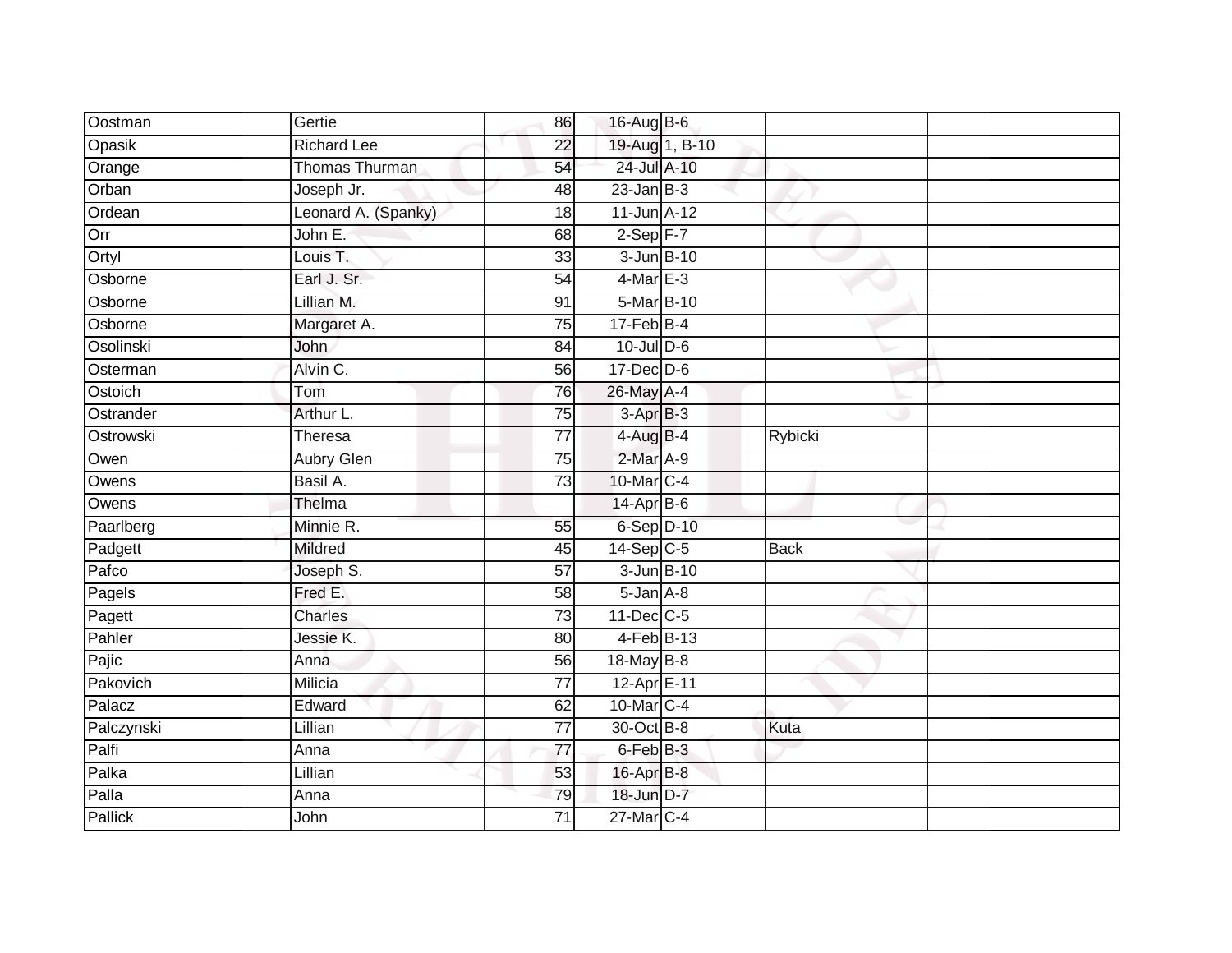| Oostman    | Gertie                | 86              | 16-Aug B-6           |                |             |  |
|------------|-----------------------|-----------------|----------------------|----------------|-------------|--|
| Opasik     | <b>Richard Lee</b>    | 22              |                      | 19-Aug 1, B-10 |             |  |
| Orange     | <b>Thomas Thurman</b> | 54              | 24-Jul A-10          |                |             |  |
| Orban      | Joseph Jr.            | 48              | $23$ -Jan B-3        |                |             |  |
| Ordean     | Leonard A. (Spanky)   | $\overline{18}$ | $11$ -Jun $A-12$     |                |             |  |
| Orr        | John E.               | 68              | $2-Sep$ $F-7$        |                |             |  |
| Ortyl      | Louis T.              | 33              | 3-Jun B-10           |                |             |  |
| Osborne    | Earl J. Sr.           | 54              | $4$ -Mar $E-3$       |                |             |  |
| Osborne    | Lillian M.            | 91              | 5-Mar B-10           |                |             |  |
| Osborne    | Margaret A.           | 75              | $17$ -Feb $B$ -4     |                |             |  |
| Osolinski  | John                  | 84              | $10$ -Jul $D-6$      |                |             |  |
| Osterman   | Alvin C.              | 56              | 17-Dec D-6           |                |             |  |
| Ostoich    | Tom                   | 76              | 26-May A-4           |                |             |  |
| Ostrander  | Arthur L.             | 75              | 3-Apr <sub>B-3</sub> |                |             |  |
| Ostrowski  | Theresa               | $\overline{77}$ | $4-AugB-4$           |                | Rybicki     |  |
| Owen       | Aubry Glen            | 75              | 2-Mar A-9            |                |             |  |
| Owens      | Basil A.              | $\overline{73}$ | 10-Mar C-4           |                |             |  |
| Owens      | Thelma                |                 | 14-Apr B-6           |                |             |  |
| Paarlberg  | Minnie R.             | 55              | 6-Sep D-10           |                |             |  |
| Padgett    | <b>Mildred</b>        | $\overline{45}$ | $14-Sep$ C-5         |                | <b>Back</b> |  |
| Pafco      | Joseph S.             | $\overline{57}$ | 3-Jun B-10           |                |             |  |
| Pagels     | Fred E.               | 58              | $5 - Jan A - 8$      |                |             |  |
| Pagett     | <b>Charles</b>        | 73              | 11-Dec C-5           |                |             |  |
| Pahler     | Jessie K.             | 80              | $4$ -Feb $B$ -13     |                |             |  |
| Pajic      | Anna                  | 56              | 18-May B-8           |                |             |  |
| Pakovich   | Milicia               | 77              | 12-Apr E-11          |                |             |  |
| Palacz     | Edward                | 62              | 10-Mar C-4           |                |             |  |
| Palczynski | Lillian               | $\overline{77}$ | 30-Oct B-8           |                | Kuta        |  |
| Palfi      | Anna                  | 77              | 6-Feb B-3            |                |             |  |
| Palka      | Lillian               | 53              | 16-Apr B-8           |                |             |  |
| Palla      | Anna                  | 79              | 18-Jun D-7           |                |             |  |
| Pallick    | John                  | $\overline{71}$ | 27-Mar C-4           |                |             |  |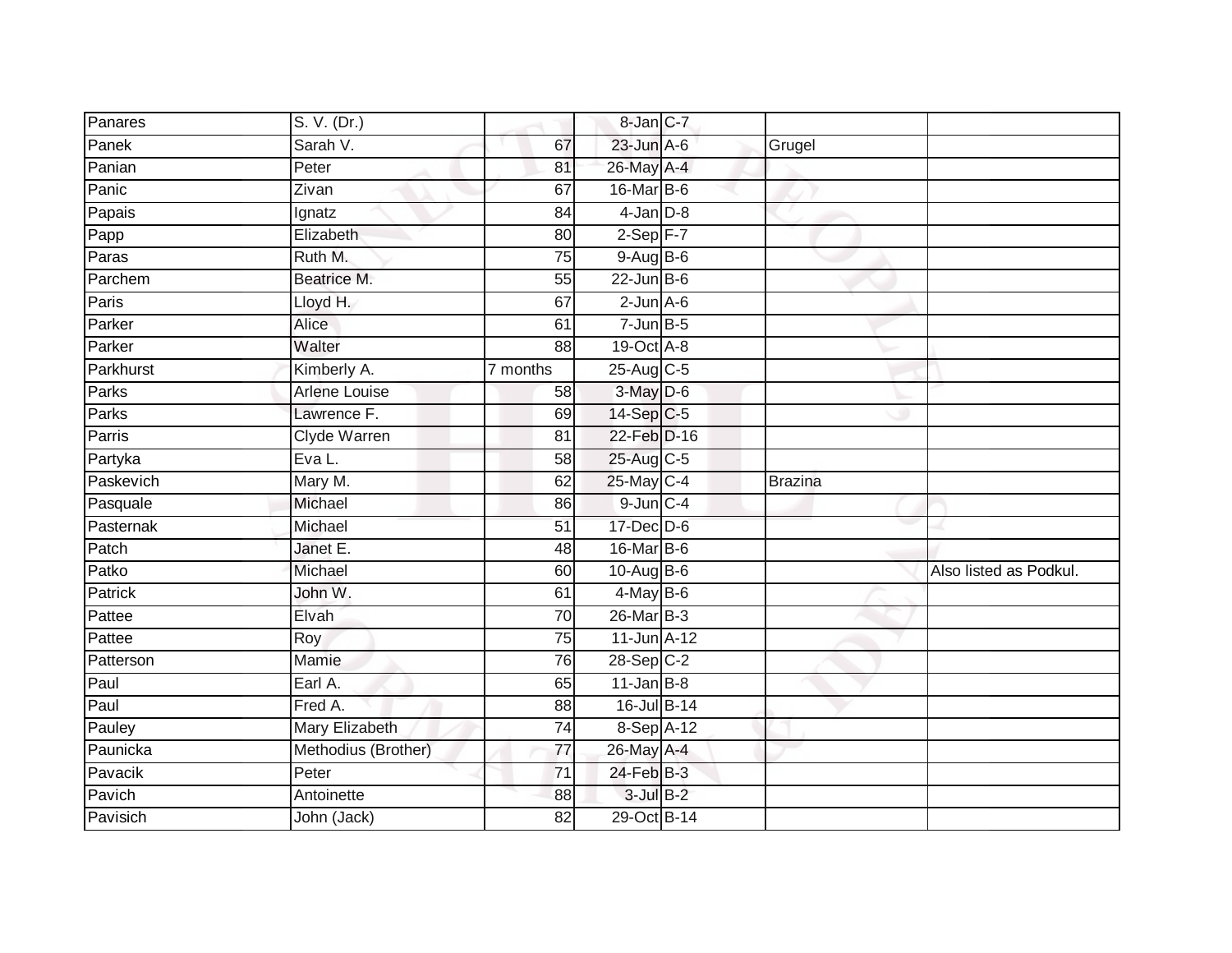| Panares        | S. V. (Dr.)          |                 | 8-Jan C-7               |                |                        |
|----------------|----------------------|-----------------|-------------------------|----------------|------------------------|
| Panek          | Sarah V.             | 67              | $23$ -Jun $A-6$         | Grugel         |                        |
| Panian         | Peter                | 81              | 26-May A-4              |                |                        |
| Panic          | Zivan                | 67              | $16$ -Mar $ B-6$        |                |                        |
| Papais         | Ignatz               | 84              | $4$ -Jan $D-8$          |                |                        |
| Papp           | Elizabeth            | 80              | $2-Sep$ F-7             |                |                        |
| Paras          | Ruth M.              | $\overline{75}$ | $9-Aug$ B-6             |                |                        |
| Parchem        | Beatrice M.          | 55              | $22$ -Jun B-6           |                |                        |
| Paris          | Lloyd H.             | 67              | $2$ -Jun $A - 6$        |                |                        |
| Parker         | Alice                | 61              | $7$ -Jun $B$ -5         |                |                        |
| Parker         | Walter               | 88              | 19-Oct A-8              |                |                        |
| Parkhurst      | Kimberly A.          | 7 months        | 25-Aug C-5              |                |                        |
| Parks          | <b>Arlene Louise</b> | 58              | $3-May$ D-6             |                |                        |
| Parks          | Lawrence F.          | 69              | 14-Sep C-5              |                |                        |
| Parris         | <b>Clyde Warren</b>  | 81              | 22-Feb D-16             |                |                        |
| Partyka        | Eva L.               | 58              | 25-Aug C-5              |                |                        |
| Paskevich      | Mary M.              | 62              | 25-May C-4              | <b>Brazina</b> |                        |
| Pasquale       | Michael              | 86              | $9$ -Jun $C - 4$        |                |                        |
| Pasternak      | Michael              | 51              | 17-Dec D-6              |                |                        |
| Patch          | Janet E.             | $\overline{48}$ | 16-Mar B-6              |                |                        |
| Patko          | Michael              | 60              | $10-Aug$ B-6            |                | Also listed as Podkul. |
| <b>Patrick</b> | John W.              | 61              | $4$ -May B-6            |                |                        |
| Pattee         | Elvah                | 70              | 26-Mar B-3              |                |                        |
| Pattee         | Roy                  | 75              | 11-Jun A-12             |                |                        |
| Patterson      | Mamie                | 76              | $28-Sep$ <sub>C-2</sub> |                |                        |
| Paul           | Earl A.              | 65              | $11$ -Jan B-8           |                |                        |
| Paul           | Fred A.              | 88              | 16-Jul B-14             |                |                        |
| Pauley         | Mary Elizabeth       | $\overline{74}$ | $8-Sep\overline{A-12}$  |                |                        |
| Paunicka       | Methodius (Brother)  | 77              | 26-May A-4              |                |                        |
| Pavacik        | Peter                | $\overline{71}$ | 24-Feb B-3              |                |                        |
| Pavich         | Antoinette           | 88              | $3$ -Jul $B-2$          |                |                        |
| Pavisich       | John (Jack)          | $\overline{82}$ | 29-Oct B-14             |                |                        |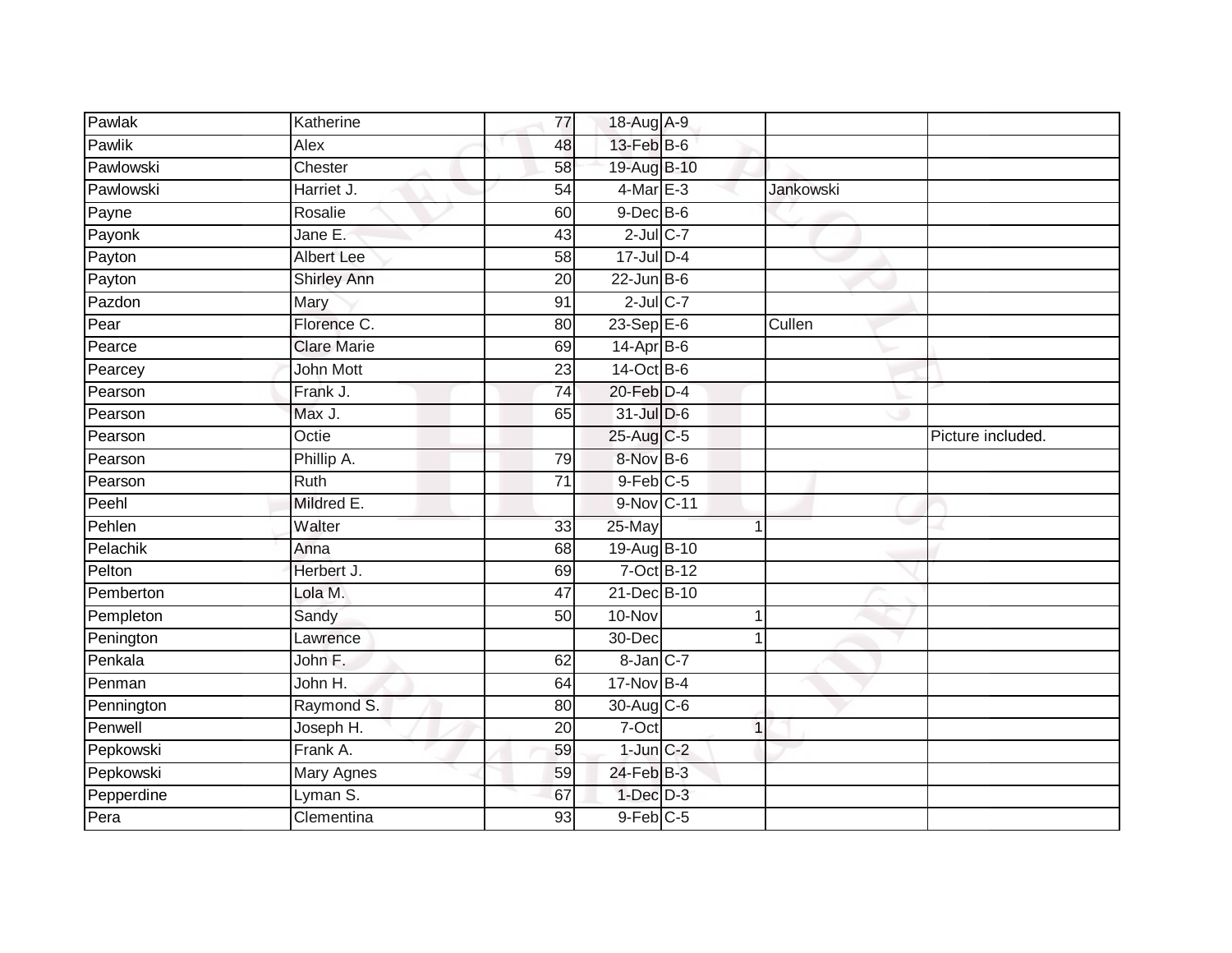| Pawlak     | Katherine          | 77              | 18-Aug A-9      |                  |                   |
|------------|--------------------|-----------------|-----------------|------------------|-------------------|
| Pawlik     | Alex               | 48              | 13-Feb B-6      |                  |                   |
| Pawlowski  | Chester            | 58              | 19-Aug B-10     |                  |                   |
| Pawlowski  | Harriet J.         | $\overline{54}$ | $4$ -Mar E-3    | <b>Jankowski</b> |                   |
| Payne      | Rosalie            | 60              | $9$ -Dec $B$ -6 |                  |                   |
| Payonk     | Jane E.            | 43              | $2$ -Jul C-7    |                  |                   |
| Payton     | <b>Albert Lee</b>  | 58              | 17-Jul D-4      |                  |                   |
| Payton     | Shirley Ann        | 20              | $22$ -Jun B-6   |                  |                   |
| Pazdon     | Mary               | 91              | $2$ -Jul $C-7$  |                  |                   |
| Pear       | Florence C.        | 80              | $23-SepE-6$     | Cullen           |                   |
| Pearce     | <b>Clare Marie</b> | 69              | $14-Apr$ B-6    |                  |                   |
| Pearcey    | <b>John Mott</b>   | 23              | 14-Oct B-6      |                  |                   |
| Pearson    | Frank J.           | $\overline{74}$ | $20$ -Feb $D-4$ |                  |                   |
| Pearson    | Max J.             | 65              | 31-Jul D-6      |                  |                   |
| Pearson    | Octie              |                 | 25-Aug C-5      |                  | Picture included. |
| Pearson    | Phillip A.         | 79              | 8-Nov B-6       |                  |                   |
| Pearson    | <b>Ruth</b>        | $\overline{71}$ | $9$ -Feb $C$ -5 |                  |                   |
| Peehl      | Mildred E.         |                 | 9-Nov C-11      |                  |                   |
| Pehlen     | Walter             | 33              | 25-May          | 1                |                   |
| Pelachik   | Anna               | 68              | 19-Aug B-10     |                  |                   |
| Pelton     | Herbert J.         | 69              | 7-Oct B-12      |                  |                   |
| Pemberton  | Lola M.            | $\overline{47}$ | 21-Dec B-10     |                  |                   |
| Pempleton  | Sandy              | 50              | 10-Nov          | 1                |                   |
| Penington  | Lawrence           |                 | 30-Dec          |                  |                   |
| Penkala    | John F.            | 62              | $8 - Jan$ $C-7$ |                  |                   |
| Penman     | John H.            | 64              | 17-Nov B-4      |                  |                   |
| Pennington | Raymond S.         | 80              | 30-Aug C-6      |                  |                   |
| Penwell    | Joseph H.          | 20              | 7-Oct           | 1                |                   |
| Pepkowski  | Frank A.           | 59              | $1$ -Jun $C-2$  |                  |                   |
| Pepkowski  | Mary Agnes         | 59              | 24-Feb B-3      |                  |                   |
| Pepperdine | Lyman S.           | 67              | $1-Dec$ D-3     |                  |                   |
| Pera       | Clementina         | 93              | $9$ -Feb $C$ -5 |                  |                   |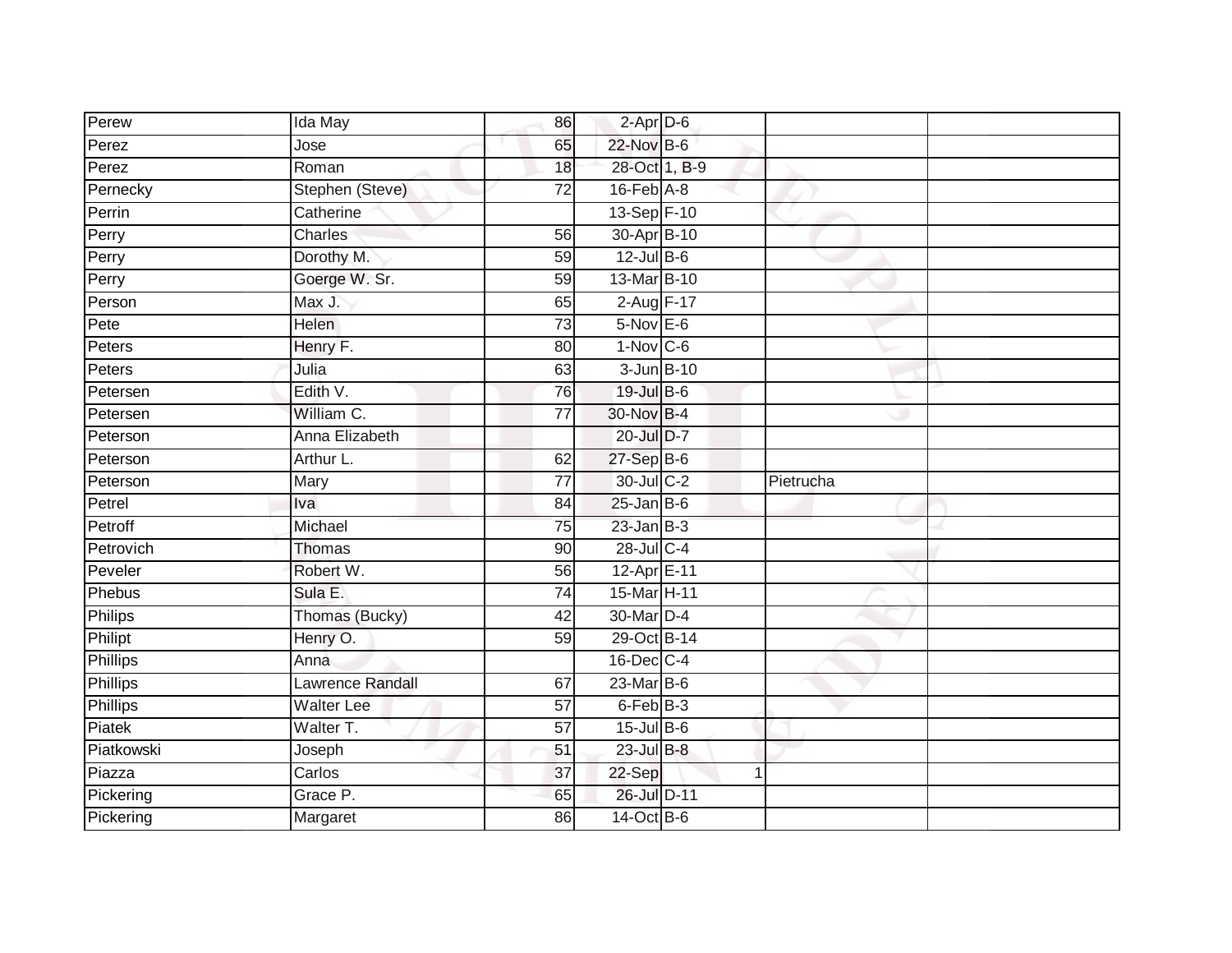| Perew                  | Ida May           | 86              | $2$ -Apr $D$ -6           |              |           |  |
|------------------------|-------------------|-----------------|---------------------------|--------------|-----------|--|
| Perez                  | Jose              | 65              | 22-Nov B-6                |              |           |  |
| Perez                  | Roman             | 18              | 28-Oct 1, B-9             |              |           |  |
| Pernecky               | Stephen (Steve)   | 72              | $16$ -Feb $A$ -8          |              |           |  |
| Perrin                 | Catherine         |                 | 13-Sep F-10               |              |           |  |
| Perry                  | Charles           | 56              | 30-Apr B-10               |              |           |  |
| Perry                  | Dorothy M.        | 59              | $12$ -Jul $B-6$           |              |           |  |
| Perry                  | Goerge W. Sr.     | 59              | 13-Mar B-10               |              |           |  |
| Person                 | Max J.            | 65              | $2$ -Aug $F-17$           |              |           |  |
| Pete                   | <b>Helen</b>      | $\overline{73}$ | $5-Nov$ E-6               |              |           |  |
| Peters                 | Henry F.          | 80              | $1-Nov$ C-6               |              |           |  |
| Peters                 | Julia             | 63              | 3-Jun B-10                |              |           |  |
| Petersen               | Edith V.          | 76              | 19-Jul B-6                |              |           |  |
| Petersen               | William C.        | 77              | 30-Nov B-4                |              |           |  |
| Peterson               | Anna Elizabeth    |                 | 20-Jul D-7                |              |           |  |
| Peterson               | Arthur L.         | 62              | 27-Sep B-6                |              |           |  |
|                        |                   |                 |                           |              |           |  |
| Peterson               | Mary              | 77              | 30-Jul C-2                |              | Pietrucha |  |
| Petrel                 | Iva               | 84              | $25$ -Jan B-6             |              |           |  |
| Petroff                | Michael           | 75              | $23$ -Jan $B-3$           |              |           |  |
| Petrovich              | <b>Thomas</b>     | 90              | 28-Jul C-4                |              |           |  |
| Peveler                | Robert W.         | 56              | 12-Apr E-11               |              |           |  |
| Phebus                 | Sula E.           | $\overline{74}$ | 15-Mar H-11               |              |           |  |
| Philips                | Thomas (Bucky)    | 42              | 30-Mar D-4                |              |           |  |
| Philipt                | Henry O.          | 59              | 29-Oct B-14               |              |           |  |
| Phillips               | Anna              |                 | 16-Dec C-4                |              |           |  |
| <b>Phillips</b>        | Lawrence Randall  | 67              | $23$ -Mar $B-6$           |              |           |  |
| <b>Phillips</b>        | <b>Walter Lee</b> | $\overline{57}$ | 6-Feb B-3                 |              |           |  |
| Piatek                 | Walter T.         | $\overline{57}$ | $15$ -Jul B-6             |              |           |  |
| Piatkowski             | Joseph            | 51              | 23-Jul B-8                |              |           |  |
| Piazza                 | Carlos            | 37              | 22-Sep                    | $\mathbf{1}$ |           |  |
| Pickering<br>Pickering | Grace P.          | 65              | 26-Jul D-11<br>14-Oct B-6 |              |           |  |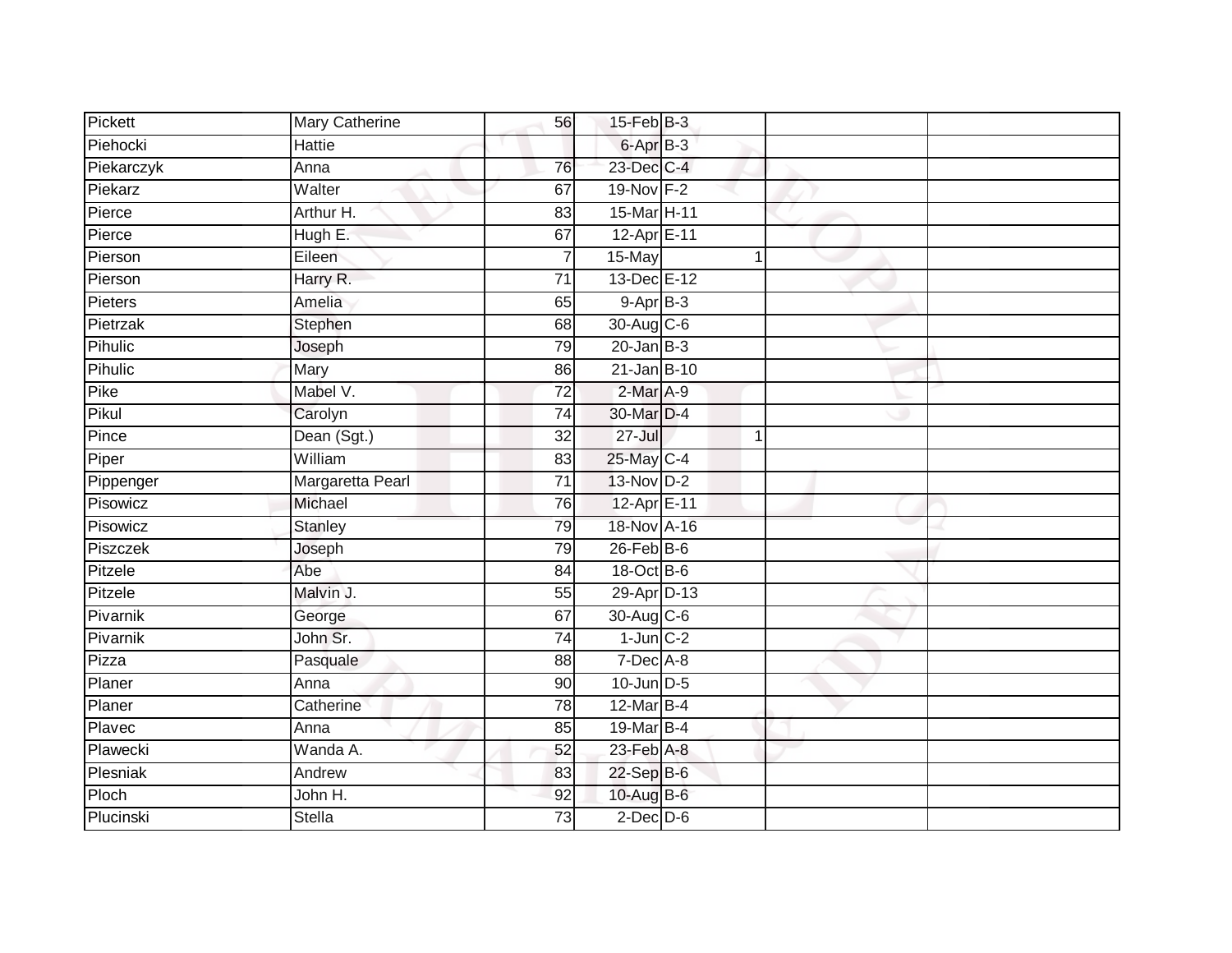| Pickett    | Mary Catherine   | 56              | $15$ -Feb $B$ -3       |  |  |
|------------|------------------|-----------------|------------------------|--|--|
| Piehocki   | Hattie           |                 | $6 -$ Apr $B - 3$      |  |  |
| Piekarczyk | Anna             | 76              | 23-Dec C-4             |  |  |
| Piekarz    | Walter           | 67              | 19-Nov F-2             |  |  |
| Pierce     | Arthur H.        | 83              | 15-Mar <sub>H-11</sub> |  |  |
| Pierce     | Hugh E.          | 67              | 12-Apr E-11            |  |  |
| Pierson    | Eileen           | $\overline{7}$  | 15-May                 |  |  |
| Pierson    | Harry R.         | $\overline{71}$ | 13-Dec E-12            |  |  |
| Pieters    | Amelia           | 65              | $9-AprB-3$             |  |  |
| Pietrzak   | Stephen          | 68              | 30-Aug C-6             |  |  |
| Pihulic    | Joseph           | 79              | $20$ -Jan B-3          |  |  |
| Pihulic    | Mary             | 86              | $21$ -Jan B-10         |  |  |
| Pike       | Mabel V.         | 72              | 2-Mar A-9              |  |  |
| Pikul      | Carolyn          | 74              | 30-Mar D-4             |  |  |
| Pince      | Dean (Sgt.)      | 32              | $27 -$ Jul             |  |  |
| Piper      | William          | 83              | 25-May C-4             |  |  |
| Pippenger  | Margaretta Pearl | $\overline{71}$ | 13-Nov D-2             |  |  |
| Pisowicz   | Michael          | 76              | 12-Apr E-11            |  |  |
| Pisowicz   | <b>Stanley</b>   | 79              | 18-Nov A-16            |  |  |
| Piszczek   | Joseph           | 79              | $26$ -Feb $B$ -6       |  |  |
| Pitzele    | Abe              | 84              | 18-Oct B-6             |  |  |
| Pitzele    | Malvin J.        | 55              | 29-Apr D-13            |  |  |
| Pivarnik   | George           | 67              | 30-Aug C-6             |  |  |
| Pivarnik   | John Sr.         | 74              | $1$ -Jun $C-2$         |  |  |
| Pizza      | Pasquale         | 88              | 7-Dec A-8              |  |  |
| Planer     | Anna             | 90              | $10$ -Jun $D-5$        |  |  |
| Planer     | Catherine        | 78              | $12$ -Mar $B-4$        |  |  |
| Plavec     | Anna             | 85              | 19-Mar B-4             |  |  |
| Plawecki   | Wanda A.         | 52              | $23$ -Feb $A-8$        |  |  |
| Plesniak   | Andrew           | 83              | 22-Sep B-6             |  |  |
| Ploch      | John H.          | 92              | $10$ -Aug $B$ -6       |  |  |
| Plucinski  | <b>Stella</b>    | 73              | $2$ -Dec $D$ -6        |  |  |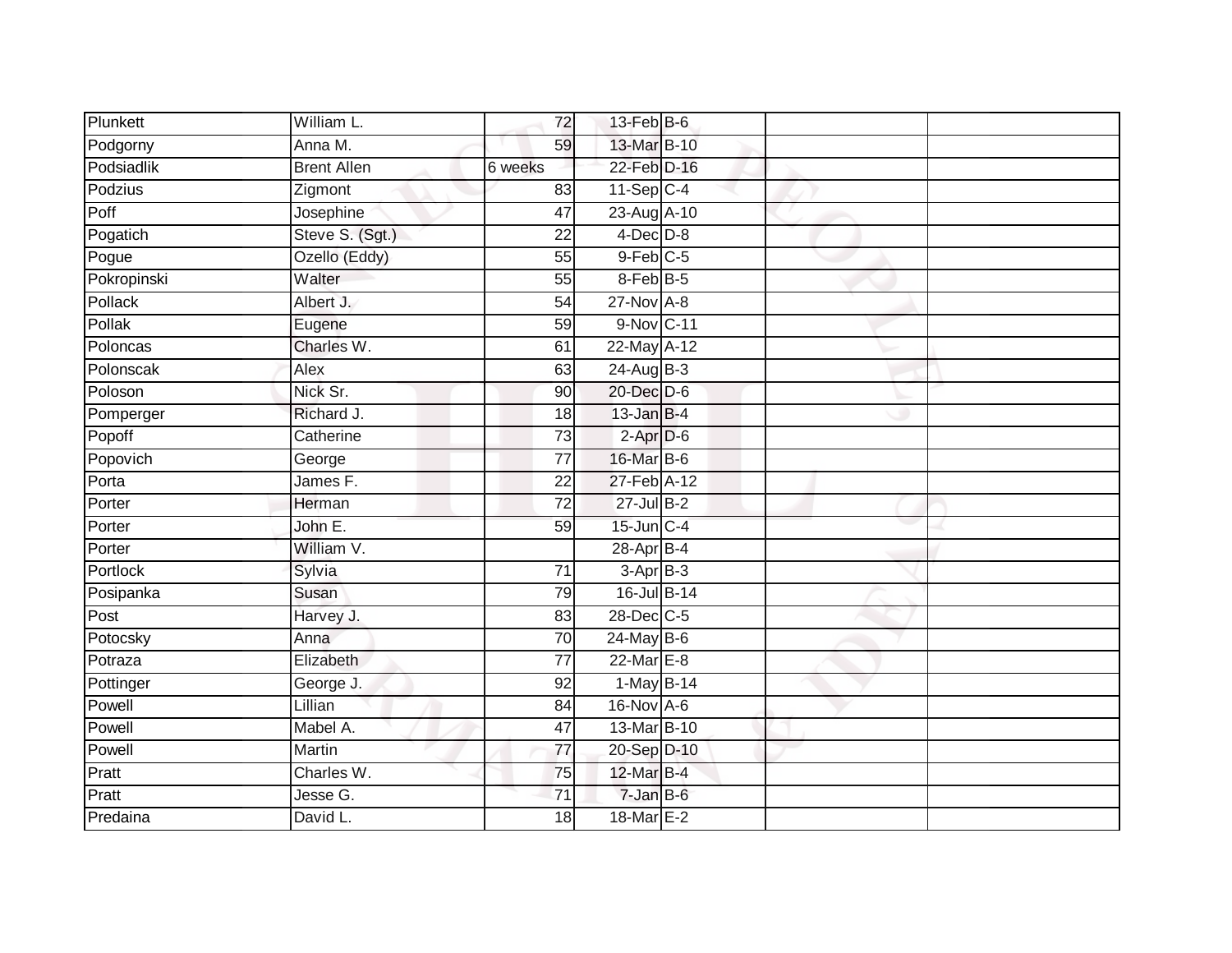| Plunkett    | William L.         | 72              | $13$ -Feb $B$ -6       |  |  |
|-------------|--------------------|-----------------|------------------------|--|--|
| Podgorny    | Anna M.            | 59              | 13-Mar B-10            |  |  |
| Podsiadlik  | <b>Brent Allen</b> | 6 weeks         | 22-Feb D-16            |  |  |
| Podzius     | Zigmont            | 83              | $11-Sep C-4$           |  |  |
| Poff        | Josephine          | $\overline{47}$ | 23-Aug A-10            |  |  |
| Pogatich    | Steve S. (Sgt.)    | 22              | $4$ -Dec $D-8$         |  |  |
| Pogue       | Ozello (Eddy)      | 55              | $9-Feb$ <sub>C-5</sub> |  |  |
| Pokropinski | Walter             | 55              | 8-Feb B-5              |  |  |
| Pollack     | Albert J.          | 54              | 27-Nov A-8             |  |  |
| Pollak      | Eugene             | 59              | 9-Nov C-11             |  |  |
| Poloncas    | Charles W.         | 61              | 22-May A-12            |  |  |
| Polonscak   | Alex               | 63              | 24-Aug B-3             |  |  |
| Poloson     | Nick Sr.           | 90              | 20-Dec D-6             |  |  |
| Pomperger   | Richard J.         | 18              | $13$ -Jan B-4          |  |  |
| Popoff      | Catherine          | 73              | $2-AprD-6$             |  |  |
| Popovich    | George             | $\overline{77}$ | 16-Mar B-6             |  |  |
| Porta       | James F.           | $\overline{22}$ | 27-Feb A-12            |  |  |
| Porter      | Herman             | 72              | $27 -$ Jul B-2         |  |  |
| Porter      | John E.            | 59              | $15$ -Jun $C-4$        |  |  |
| Porter      | William V.         |                 | 28-Apr B-4             |  |  |
| Portlock    | Sylvia             | 71              | $3-AprB-3$             |  |  |
| Posipanka   | Susan              | 79              | 16-Jul B-14            |  |  |
| Post        | Harvey J.          | 83              | 28-Dec C-5             |  |  |
| Potocsky    | Anna               | 70              | $24$ -May B-6          |  |  |
| Potraza     | Elizabeth          | 77              | 22-Mar E-8             |  |  |
| Pottinger   | George J.          | 92              | 1-May B-14             |  |  |
| Powell      | Lillian            | $\overline{84}$ | 16-Nov A-6             |  |  |
| Powell      | Mabel A.           | 47              | 13-Mar B-10            |  |  |
| Powell      | Martin             | $\overline{77}$ | 20-Sep D-10            |  |  |
| Pratt       | Charles W.         | 75              | 12-Mar B-4             |  |  |
| Pratt       | Jesse G.           | 71              | 7-Jan B-6              |  |  |
| Predaina    | David L.           | 18              | 18-Mar E-2             |  |  |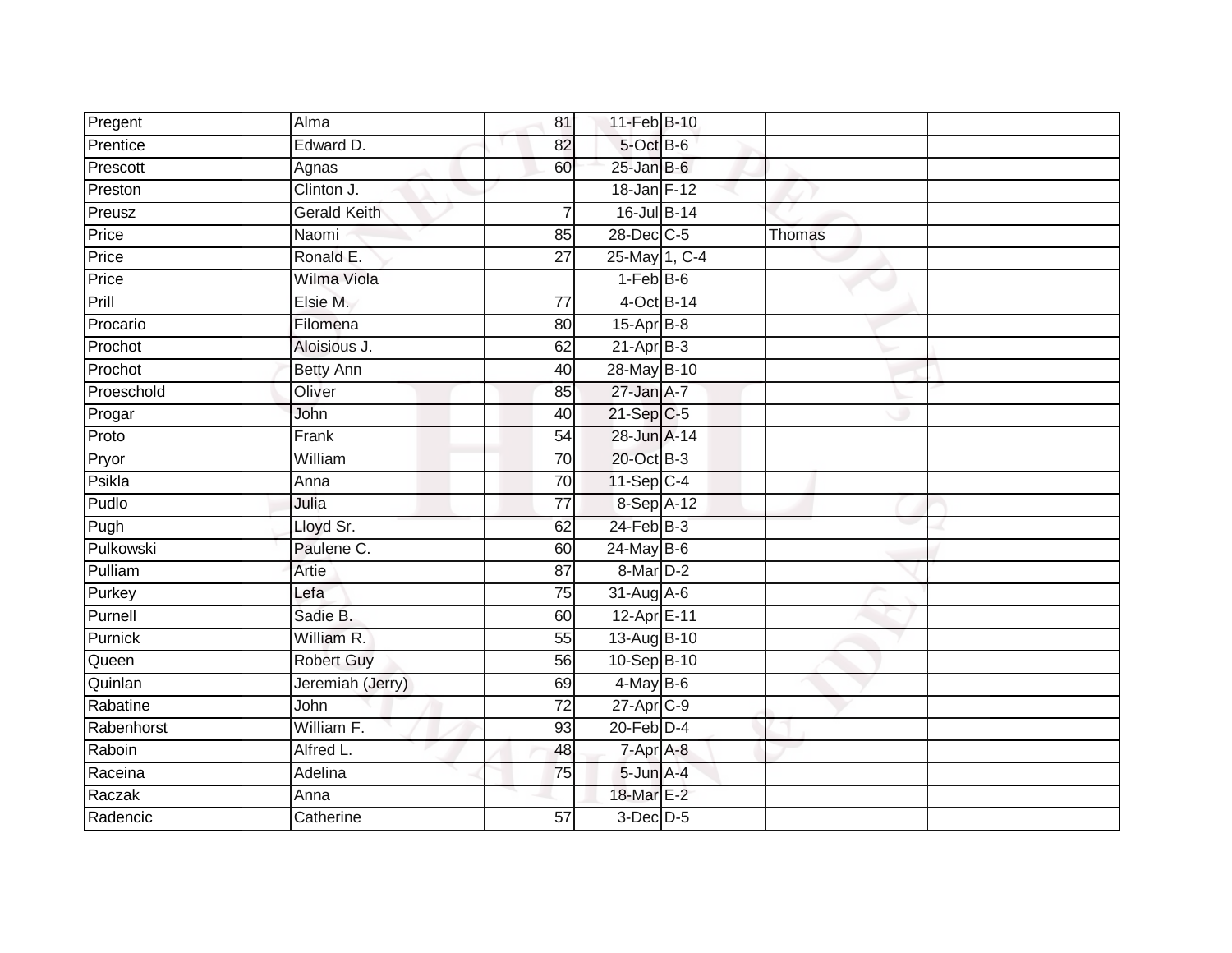| Pregent    | Alma                | 81              | 11-Feb B-10     |        |  |
|------------|---------------------|-----------------|-----------------|--------|--|
| Prentice   | Edward D.           | 82              | 5-Oct B-6       |        |  |
| Prescott   | Agnas               | 60              | $25$ -Jan B-6   |        |  |
| Preston    | Clinton J.          |                 | 18-Jan F-12     |        |  |
| Preusz     | <b>Gerald Keith</b> | 7               | 16-Jul B-14     |        |  |
| Price      | Naomi               | 85              | 28-Dec C-5      | Thomas |  |
| Price      | Ronald E.           | $\overline{27}$ | 25-May 1, C-4   |        |  |
| Price      | Wilma Viola         |                 | $1-FebB-6$      |        |  |
| Prill      | Elsie M.            | $\overline{77}$ | 4-Oct B-14      |        |  |
| Procario   | Filomena            | 80              | $15-Apr$ B-8    |        |  |
| Prochot    | Aloisious J.        | 62              | $21-Apr$ B-3    |        |  |
| Prochot    | <b>Betty Ann</b>    | 40              | 28-May B-10     |        |  |
| Proeschold | Oliver              | 85              | $27$ -Jan $A-7$ |        |  |
| Progar     | John                | 40              | $21-Sep$ C-5    |        |  |
| Proto      | Frank               | $\overline{54}$ | 28-Jun A-14     |        |  |
| Pryor      | William             | 70              | 20-Oct B-3      |        |  |
| Psikla     | Anna                | 70              | $11-Sep C-4$    |        |  |
| Pudlo      | Julia               | 77              | 8-Sep A-12      |        |  |
| Pugh       | Lloyd Sr.           | 62              | $24$ -Feb $B-3$ |        |  |
| Pulkowski  | Paulene C.          | 60              | 24-May B-6      |        |  |
| Pulliam    | Artie               | 87              | 8-Mar D-2       |        |  |
| Purkey     | Lefa                | 75              | 31-Aug A-6      |        |  |
| Purnell    | Sadie B.            | 60              | 12-Apr E-11     |        |  |
| Purnick    | William R.          | 55              | 13-Aug B-10     |        |  |
| Queen      | <b>Robert Guy</b>   | 56              | 10-Sep B-10     |        |  |
| Quinlan    | Jeremiah (Jerry)    | 69              | $4$ -May B-6    |        |  |
| Rabatine   | John                | $\overline{72}$ | 27-Apr C-9      |        |  |
| Rabenhorst | William F.          | 93              | $20$ -Feb $D-4$ |        |  |
| Raboin     | Alfred L.           | 48              | $7 - Apr$ $A-8$ |        |  |
| Raceina    | Adelina             | 75              | 5-Jun A-4       |        |  |
| Raczak     | Anna                |                 | 18-Mar E-2      |        |  |
| Radencic   | Catherine           | 57              | $3$ -Dec $D-5$  |        |  |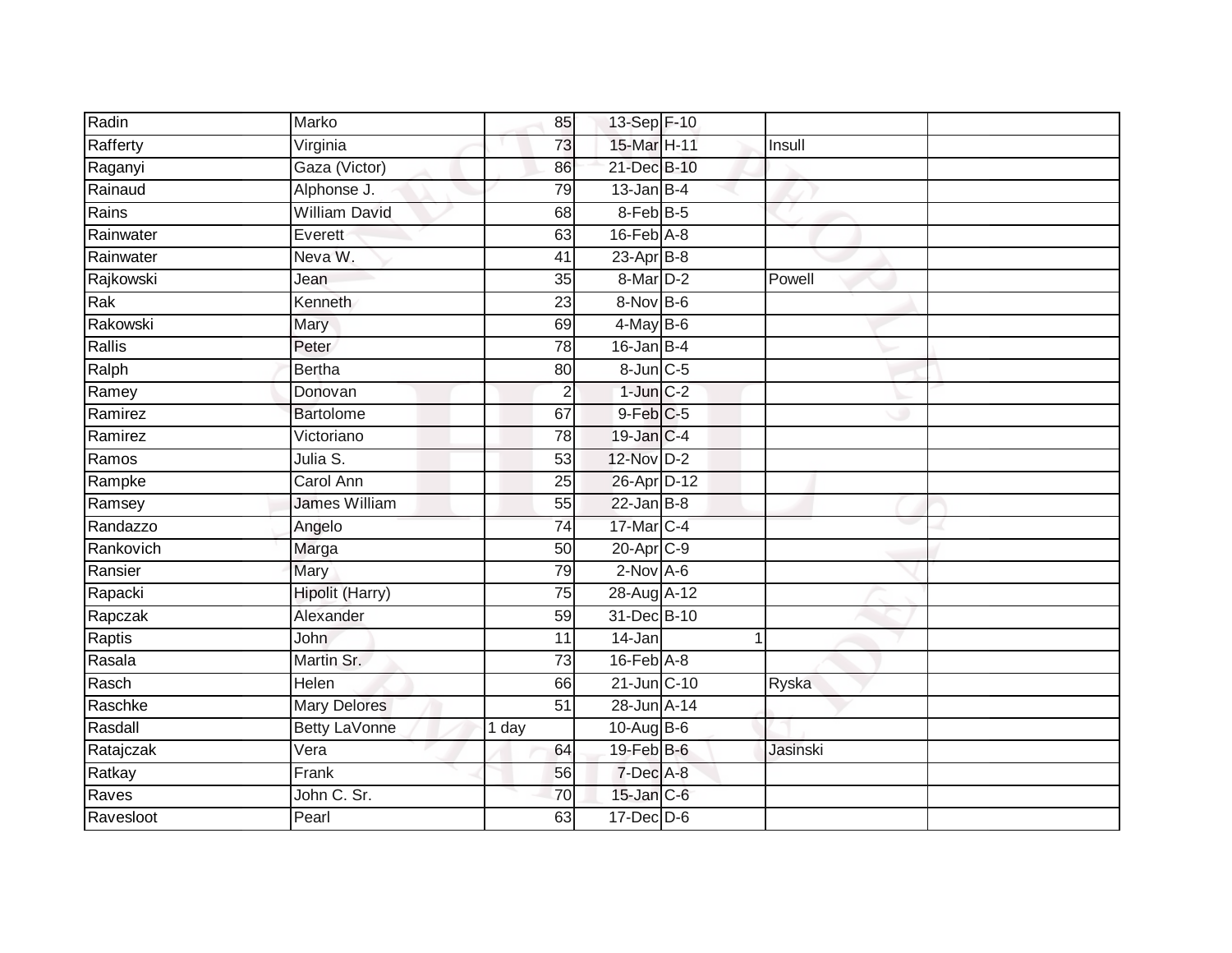| Radin     | Marko                | 85              | 13-Sep F-10      |              |          |
|-----------|----------------------|-----------------|------------------|--------------|----------|
| Rafferty  | Virginia             | 73              | 15-Mar H-11      |              | Insull   |
| Raganyi   | Gaza (Victor)        | 86              | 21-Dec B-10      |              |          |
| Rainaud   | Alphonse J.          | 79              | $13$ -Jan $B-4$  |              |          |
| Rains     | <b>William David</b> | 68              | 8-Feb B-5        |              |          |
| Rainwater | Everett              | 63              | $16$ -Feb $A$ -8 |              |          |
| Rainwater | Neva W.              | 41              | $23$ -Apr $B$ -8 |              |          |
| Rajkowski | Jean                 | 35              | 8-Mar D-2        |              | Powell   |
| Rak       | Kenneth              | 23              | 8-Nov B-6        |              |          |
| Rakowski  | Mary                 | 69              | $4$ -May B-6     |              |          |
| Rallis    | Peter                | 78              | $16$ -Jan B-4    |              |          |
| Ralph     | <b>Bertha</b>        | 80              | $8$ -Jun $C$ -5  |              |          |
| Ramey     | Donovan              | $\overline{2}$  | $1$ -Jun $C-2$   |              |          |
| Ramirez   | <b>Bartolome</b>     | 67              | $9$ -Feb $C$ -5  |              |          |
| Ramirez   | Victoriano           | 78              | 19-Jan C-4       |              |          |
| Ramos     | Julia S.             | 53              | 12-Nov D-2       |              |          |
| Rampke    | Carol Ann            | $\overline{25}$ | 26-Apr D-12      |              |          |
| Ramsey    | <b>James William</b> | 55              | $22$ -Jan B-8    |              |          |
| Randazzo  | Angelo               | $\overline{74}$ | 17-Mar C-4       |              |          |
| Rankovich | Marga                | 50              | 20-Apr C-9       |              |          |
| Ransier   | Mary                 | 79              | $2-Nov$ A-6      |              |          |
| Rapacki   | Hipolit (Harry)      | 75              | 28-Aug A-12      |              |          |
| Rapczak   | Alexander            | 59              | 31-Dec B-10      |              |          |
| Raptis    | <b>John</b>          | 11              | 14-Jan           | $\mathbf{1}$ |          |
| Rasala    | Martin Sr.           | 73              | $16$ -Feb $A$ -8 |              |          |
| Rasch     | Helen                | 66              | $21$ -Jun $C-10$ |              | Ryska    |
| Raschke   | <b>Mary Delores</b>  | $\overline{51}$ | 28-Jun A-14      |              |          |
| Rasdall   | <b>Betty LaVonne</b> | 1 day           | 10-Aug $B$ -6    |              |          |
| Ratajczak | Vera                 | 64              | $19$ -Feb $B$ -6 |              | Jasinski |
| Ratkay    | Frank                | 56              | 7-Dec A-8        |              |          |
| Raves     | John C. Sr.          | 70              | $15$ -Jan $C$ -6 |              |          |
| Ravesloot | Pearl                | 63              | 17-Dec D-6       |              |          |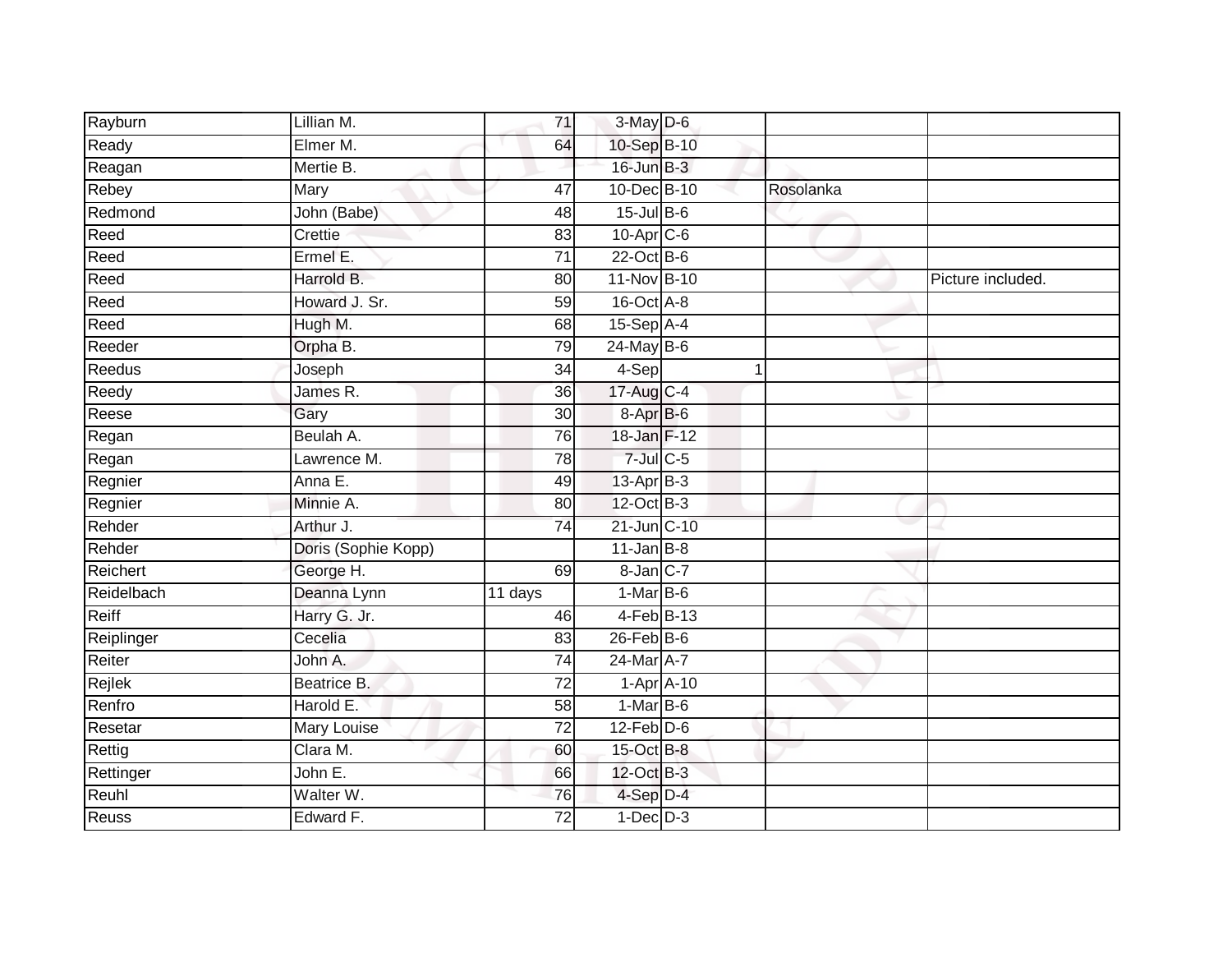| Rayburn      | Lillian M.          | 71              | 3-May D-6        |              |                   |
|--------------|---------------------|-----------------|------------------|--------------|-------------------|
| Ready        | Elmer M.            | 64              | 10-Sep B-10      |              |                   |
| Reagan       | Mertie B.           |                 | $16$ -Jun $B-3$  |              |                   |
| Rebey        | Mary                | 47              | 10-Dec B-10      | Rosolanka    |                   |
| Redmond      | John (Babe)         | 48              | $15$ -Jul B-6    |              |                   |
| Reed         | Crettie             | 83              | 10-Apr C-6       |              |                   |
| Reed         | Ermel E.            | $\overline{71}$ | $22$ -Oct B-6    |              |                   |
| Reed         | Harrold B.          | 80              | 11-Nov B-10      |              | Picture included. |
| Reed         | Howard J. Sr.       | 59              | $16$ -Oct $A$ -8 |              |                   |
| Reed         | Hugh M.             | 68              | 15-Sep A-4       |              |                   |
| Reeder       | Orpha B.            | 79              | $24$ -May B-6    |              |                   |
| Reedus       | Joseph              | 34              | 4-Sep            | $\mathbf{1}$ |                   |
| Reedy        | James R.            | 36              | 17-Aug C-4       |              |                   |
| Reese        | Gary                | 30              | 8-Apr B-6        |              |                   |
| Regan        | Beulah A.           | 76              | 18-Jan F-12      |              |                   |
| Regan        | Lawrence M.         | 78              | $7$ -Jul $C$ -5  |              |                   |
| Regnier      | Anna E.             | 49              | $13$ -Apr $B-3$  |              |                   |
| Regnier      | Minnie A.           | 80              | 12-Oct B-3       |              |                   |
| Rehder       | Arthur J.           | $\overline{74}$ | 21-Jun C-10      |              |                   |
| Rehder       | Doris (Sophie Kopp) |                 | $11$ -Jan B-8    |              |                   |
| Reichert     | George H.           | 69              | 8-Jan C-7        |              |                   |
| Reidelbach   | Deanna Lynn         | 11 days         | $1-MarB-6$       |              |                   |
| Reiff        | Harry G. Jr.        | 46              | $4$ -Feb $B$ -13 |              |                   |
| Reiplinger   | Cecelia             | 83              | $26$ -Feb $B$ -6 |              |                   |
| Reiter       | John A.             | 74              | 24-Mar A-7       |              |                   |
| Rejlek       | Beatrice B.         | 72              | $1-Apr$ $A-10$   |              |                   |
| Renfro       | Harold E.           | 58              | $1-MarB-6$       |              |                   |
| Resetar      | Mary Louise         | $\overline{72}$ | $12$ -Feb $D-6$  |              |                   |
| Rettig       | Clara M.            | 60              | 15-Oct B-8       |              |                   |
| Rettinger    | John $E$ .          | 66              | 12-Oct B-3       |              |                   |
| Reuhl        | Walter W.           | $\overline{76}$ | 4-Sep D-4        |              |                   |
| <b>Reuss</b> | Edward F.           | $\overline{72}$ | $1-Dec$ $D-3$    |              |                   |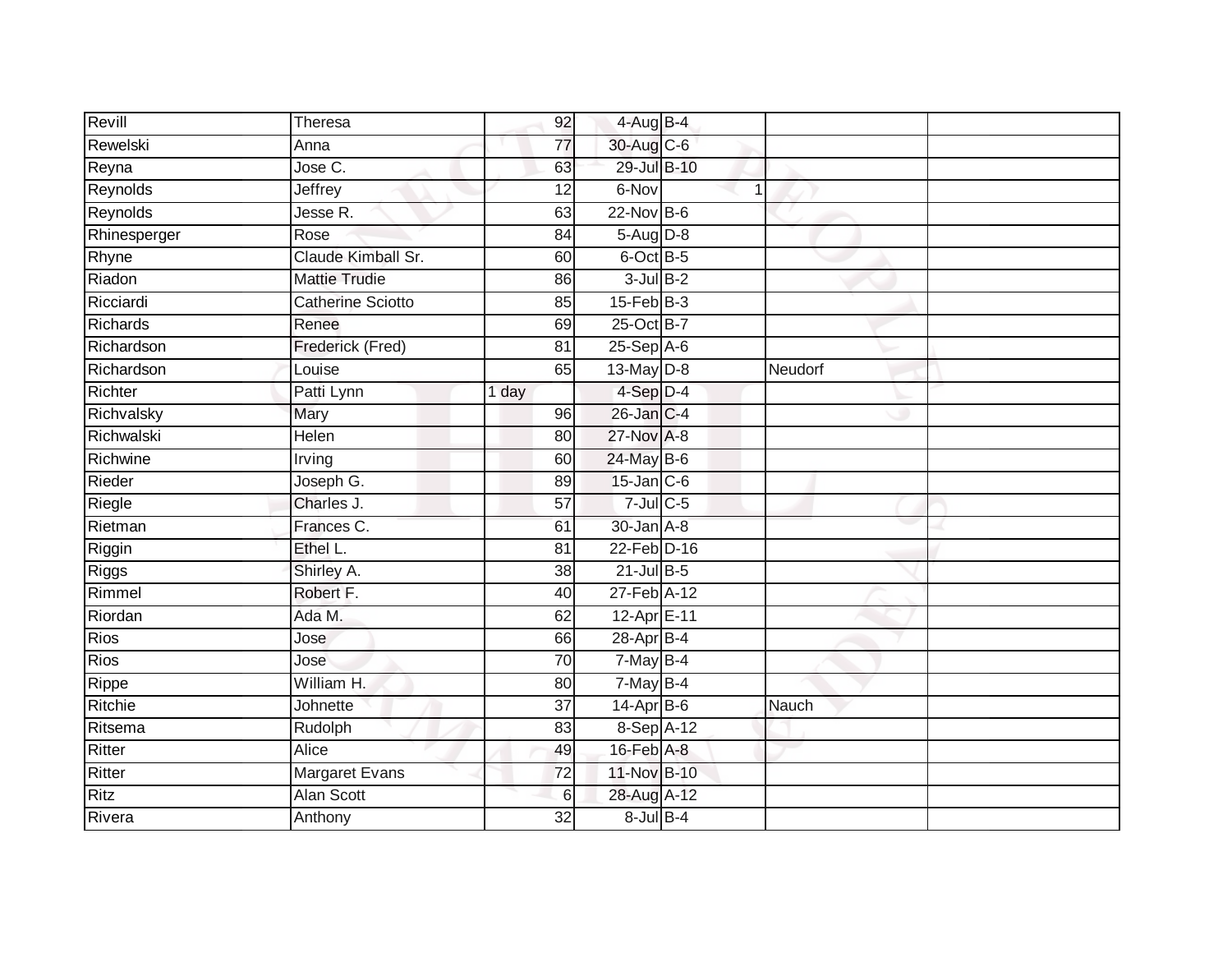| Revill       | Theresa                  | 92              | 4-Aug B-4              |         |  |
|--------------|--------------------------|-----------------|------------------------|---------|--|
| Rewelski     | Anna                     | $\overline{77}$ | 30-Aug C-6             |         |  |
| Reyna        | Jose C.                  | 63              | 29-Jul B-10            |         |  |
| Reynolds     | Jeffrey                  | 12              | 6-Nov                  | 1       |  |
| Reynolds     | Jesse R.                 | 63              | $22$ -Nov $B-6$        |         |  |
| Rhinesperger | Rose                     | 84              | 5-Aug D-8              |         |  |
| Rhyne        | Claude Kimball Sr.       | 60              | 6-Oct B-5              |         |  |
| Riadon       | <b>Mattie Trudie</b>     | 86              | $3$ -Jul $B-2$         |         |  |
| Ricciardi    | <b>Catherine Sciotto</b> | 85              | $15$ -Feb $B$ -3       |         |  |
| Richards     | Renee                    | 69              | 25-Oct B-7             |         |  |
| Richardson   | Frederick (Fred)         | 81              | $25-Sep$ A-6           |         |  |
| Richardson   | Louise                   | 65              | 13-May D-8             | Neudorf |  |
| Richter      | Patti Lynn               | 1 day           | 4-Sep D-4              |         |  |
| Richvalsky   | Mary                     | 96              | 26-Jan C-4             |         |  |
| Richwalski   | <b>Helen</b>             | $\overline{80}$ | 27-Nov A-8             |         |  |
| Richwine     | Irving                   | 60              | 24-May B-6             |         |  |
| Rieder       | Joseph G.                | 89              | 15-Jan C-6             |         |  |
| Riegle       | Charles J.               | 57              | $7$ -Jul $C$ -5        |         |  |
| Rietman      | Frances C.               | 61              | 30-Jan A-8             |         |  |
| Riggin       | Ethel L.                 | $\overline{81}$ | 22-Feb D-16            |         |  |
| Riggs        | Shirley A.               | 38              | $21$ -Jul B-5          |         |  |
| Rimmel       | Robert F.                | 40              | 27-Feb A-12            |         |  |
| Riordan      | Ada M.                   | 62              | 12-Apr <sub>E-11</sub> |         |  |
| <b>Rios</b>  | Jose                     | 66              | 28-Apr B-4             |         |  |
| Rios         | Jose                     | 70              | 7-May B-4              |         |  |
| Rippe        | William H.               | 80              | $7$ -May B-4           |         |  |
| Ritchie      | Johnette                 | $\overline{37}$ | $14-Apr$ B-6           | Nauch   |  |
| Ritsema      | Rudolph                  | 83              | 8-Sep A-12             |         |  |
| Ritter       | Alice                    | 49              | 16-Feb A-8             |         |  |
| Ritter       | Margaret Evans           | 72              | 11-Nov B-10            |         |  |
| <b>Ritz</b>  | Alan Scott               | 6               | 28-Aug A-12            |         |  |
| Rivera       | Anthony                  | 32              | $8$ -Jul $B-4$         |         |  |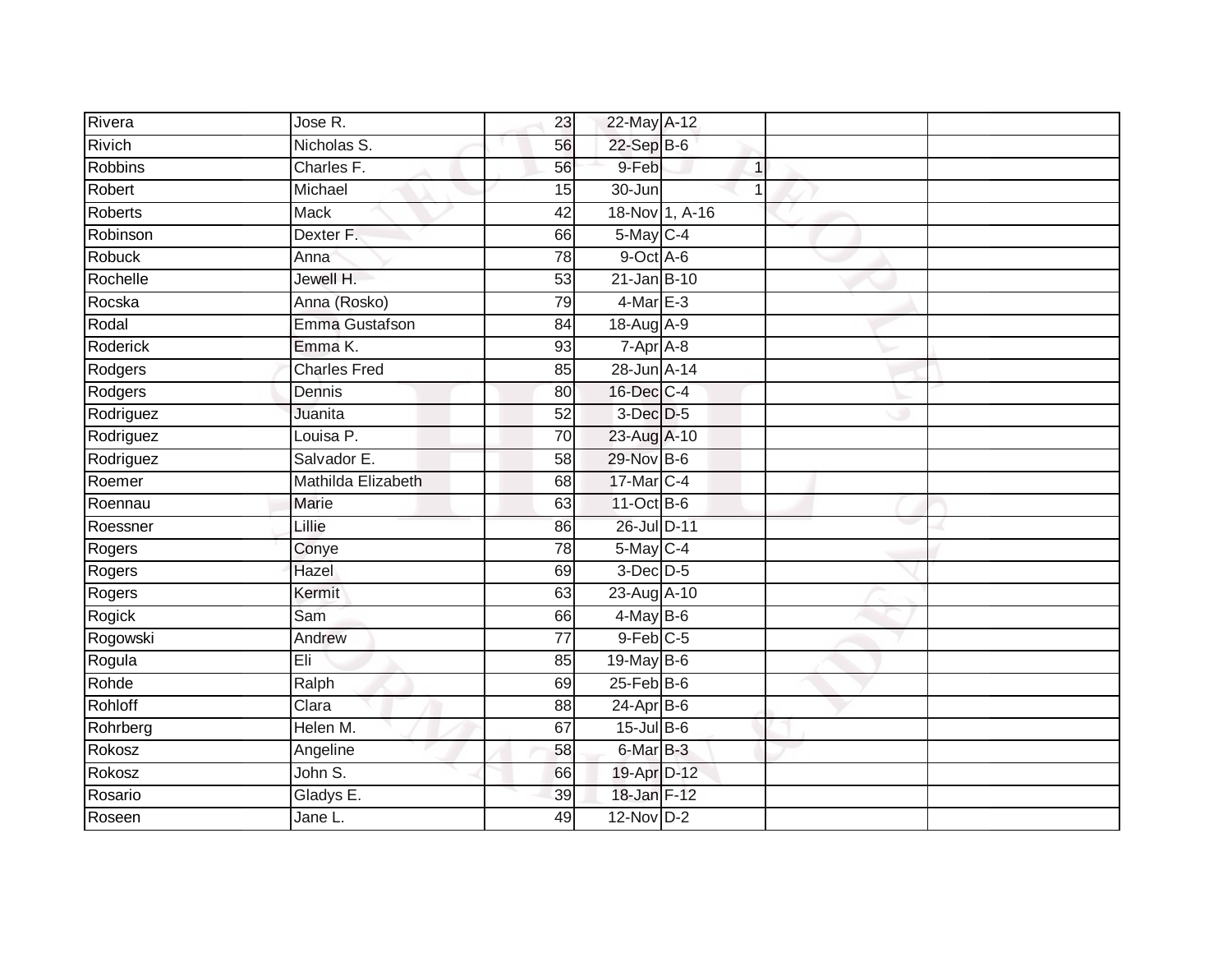| Rivera         | Jose R.             | 23              | 22-May A-12           |                |  |
|----------------|---------------------|-----------------|-----------------------|----------------|--|
| Rivich         | Nicholas S.         | 56              | $22-Sep$ B-6          |                |  |
| <b>Robbins</b> | Charles F.          | 56              | 9-Feb                 | $\mathbf{1}$   |  |
| Robert         | Michael             | 15              | 30-Jun                | $\overline{1}$ |  |
| Roberts        | <b>Mack</b>         | 42              | 18-Nov 1, A-16        |                |  |
| Robinson       | Dexter F.           | 66              | $5$ -May $C-4$        |                |  |
| Robuck         | Anna                | $\overline{78}$ | 9-Oct A-6             |                |  |
| Rochelle       | Jewell H.           | 53              | 21-Jan B-10           |                |  |
| Rocska         | Anna (Rosko)        | 79              | $4$ -Mar E-3          |                |  |
| Rodal          | Emma Gustafson      | 84              | 18-Aug A-9            |                |  |
| Roderick       | Emma K.             | 93              | 7-Apr A-8             |                |  |
| Rodgers        | <b>Charles Fred</b> | 85              | 28-Jun A-14           |                |  |
| Rodgers        | Dennis              | 80              | 16-Dec C-4            |                |  |
| Rodriguez      | Juanita             | 52              | 3-Dec D-5             |                |  |
| Rodriguez      | Louisa P.           | 70              | 23-Aug A-10           |                |  |
| Rodriguez      | Salvador E.         | 58              | 29-Nov B-6            |                |  |
| Roemer         | Mathilda Elizabeth  | 68              | 17-Mar C-4            |                |  |
| Roennau        | <b>Marie</b>        | 63              | 11-Oct B-6            |                |  |
| Roessner       | Lillie              | 86              | 26-Jul D-11           |                |  |
| Rogers         | Conye               | 78              | 5-May C-4             |                |  |
| Rogers         | Hazel               | 69              | $3$ -Dec $D-5$        |                |  |
| Rogers         | Kermit              | 63              | 23-Aug A-10           |                |  |
| Rogick         | Sam                 | 66              | $4$ -May B-6          |                |  |
| Rogowski       | Andrew              | 77              | $9$ -Feb $C$ -5       |                |  |
| Rogula         | Eli                 | 85              | 19-May $B-6$          |                |  |
| Rohde          | Ralph               | 69              | $25$ -Feb $B$ -6      |                |  |
| Rohloff        | Clara               | 88              | $24-Apr$ B-6          |                |  |
| Rohrberg       | Helen M.            | 67              | $15$ -Jul B-6         |                |  |
| Rokosz         | Angeline            | 58              | 6-Mar <sub>B</sub> -3 |                |  |
| Rokosz         | John S.             | 66              | 19-Apr D-12           |                |  |
| Rosario        | Gladys E.           | 39              | 18-Jan F-12           |                |  |
| Roseen         | Jane L.             | 49              | $12-Nov$ D-2          |                |  |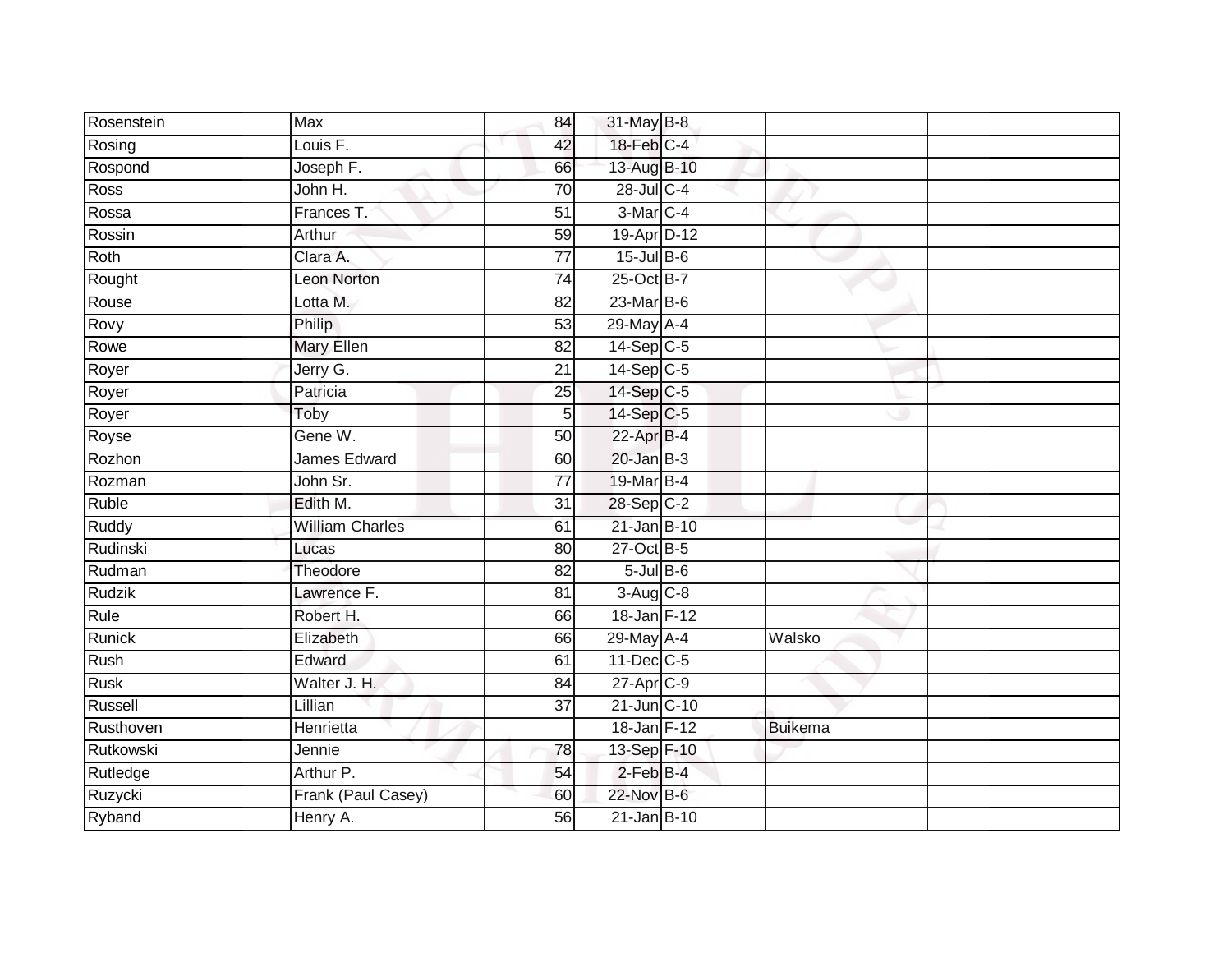| Rosenstein    | Max                    | 84              | 31-May B-8              |         |  |
|---------------|------------------------|-----------------|-------------------------|---------|--|
| Rosing        | Louis <sub>F.</sub>    | 42              | 18-Feb C-4              |         |  |
| Rospond       | Joseph F.              | 66              | 13-Aug B-10             |         |  |
| Ross          | John H.                | 70              | 28-Jul C-4              |         |  |
| Rossa         | Frances T.             | $\overline{51}$ | 3-Mar C-4               |         |  |
| Rossin        | Arthur                 | 59              | 19-Apr D-12             |         |  |
| Roth          | Clara A.               | $\overline{77}$ | $15$ -Jul B-6           |         |  |
| Rought        | <b>Leon Norton</b>     | 74              | 25-Oct B-7              |         |  |
| Rouse         | Lotta M.               | 82              | 23-Mar B-6              |         |  |
| Rovy          | Philip                 | 53              | 29-May A-4              |         |  |
| Rowe          | <b>Mary Ellen</b>      | 82              | $14-Sep$ <sub>C-5</sub> |         |  |
| Royer         | Jerry G.               | 21              | $14-Sep$ C-5            |         |  |
| Royer         | Patricia               | 25              | 14-Sep C-5              |         |  |
| Royer         | Toby                   | 5               | 14-Sep C-5              |         |  |
| Royse         | Gene W.                | $\overline{50}$ | 22-Apr B-4              |         |  |
| Rozhon        | James Edward           | 60              | $20$ -Jan B-3           |         |  |
| Rozman        | John Sr.               | 77              | 19-Mar B-4              |         |  |
| Ruble         | Edith M.               | 31              | 28-Sep C-2              |         |  |
| Ruddy         | <b>William Charles</b> | 61              | 21-Jan B-10             |         |  |
| Rudinski      | Lucas                  | 80              | 27-Oct B-5              |         |  |
| Rudman        | Theodore               | 82              | $5$ -Jul $B$ -6         |         |  |
| Rudzik        | Lawrence F.            | $\overline{81}$ | $3-Aug$ $C-8$           |         |  |
| Rule          | Robert H.              | 66              | 18-Jan F-12             |         |  |
| <b>Runick</b> | Elizabeth              | 66              | 29-May A-4              | Walsko  |  |
| Rush          | Edward                 | 61              | 11-Dec C-5              |         |  |
| <b>Rusk</b>   | Walter J. H.           | 84              | 27-Apr C-9              |         |  |
| Russell       | Lillian                | $\overline{37}$ | 21-Jun C-10             |         |  |
| Rusthoven     | Henrietta              |                 | 18-Jan F-12             | Buikema |  |
| Rutkowski     | Jennie                 | 78              | 13-Sep F-10             |         |  |
| Rutledge      | Arthur P.              | 54              | $2$ -Feb $B-4$          |         |  |
| Ruzycki       | Frank (Paul Casey)     | 60              | 22-Nov B-6              |         |  |
| Ryband        | Henry A.               | 56              | 21-Jan B-10             |         |  |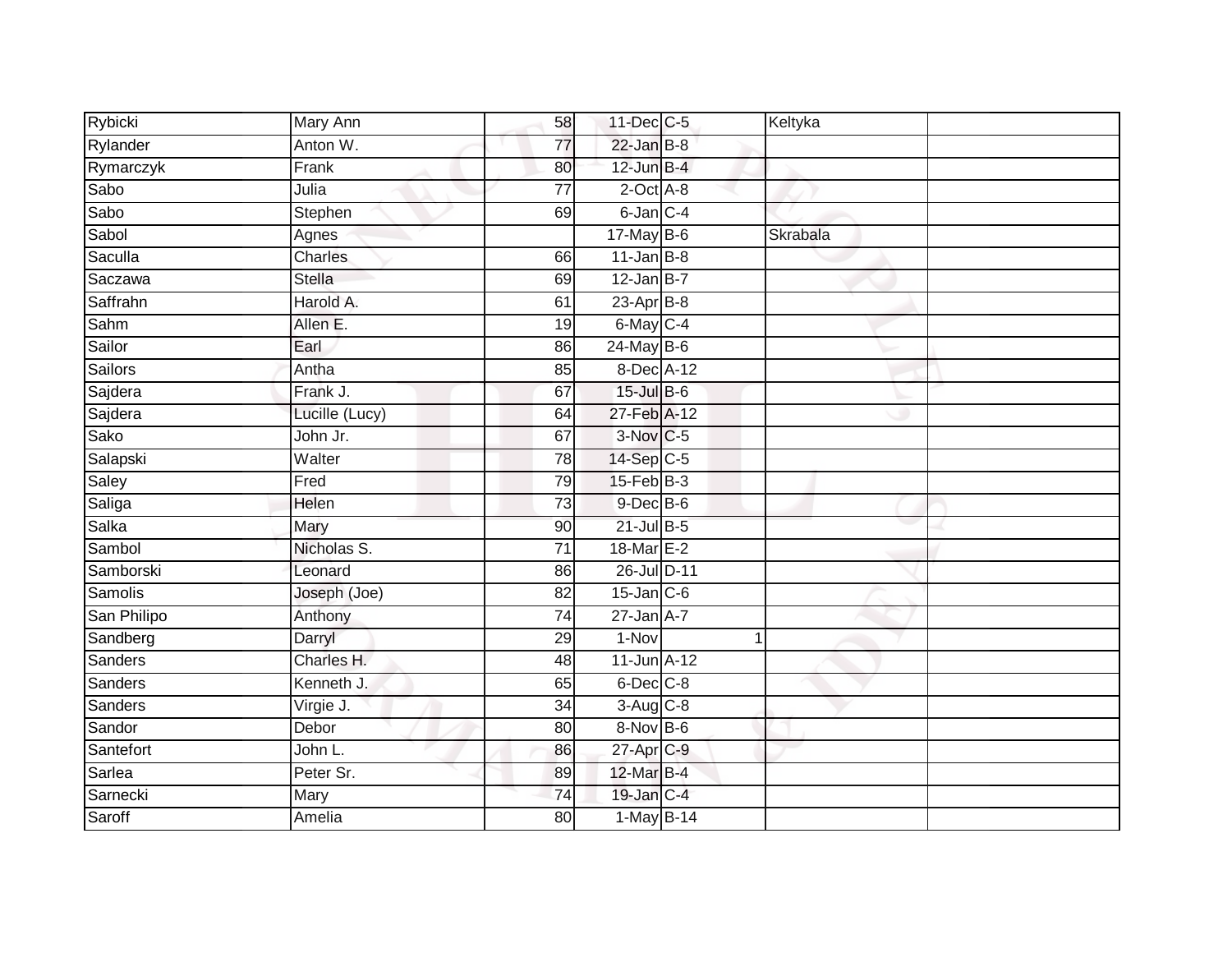| Rybicki     | Mary Ann       | 58              | 11-Dec C-5        | Keltyka      |  |
|-------------|----------------|-----------------|-------------------|--------------|--|
| Rylander    | Anton W.       | 77              | $22$ -Jan $B-8$   |              |  |
| Rymarczyk   | Frank          | 80              | $12$ -Jun $B-4$   |              |  |
| Sabo        | Julia          | 77              | $2$ -Oct $A$ -8   |              |  |
| Sabo        | Stephen        | 69              | 6-Jan C-4         |              |  |
| Sabol       | Agnes          |                 | 17-May B-6        | Skrabala     |  |
| Saculla     | <b>Charles</b> | 66              | $11$ -Jan B-8     |              |  |
| Saczawa     | <b>Stella</b>  | 69              | $12$ -Jan B-7     |              |  |
| Saffrahn    | Harold A.      | 61              | $23$ -Apr $B-8$   |              |  |
| Sahm        | Allen E.       | 19              | 6-May C-4         |              |  |
| Sailor      | Earl           | 86              | 24-May B-6        |              |  |
| Sailors     | Antha          | 85              | 8-Dec A-12        |              |  |
| Sajdera     | Frank J.       | 67              | 15-Jul B-6        |              |  |
| Sajdera     | Lucille (Lucy) | 64              | 27-Feb A-12       |              |  |
| Sako        | John Jr.       | 67              | 3-Nov C-5         |              |  |
| Salapski    | Walter         | 78              | 14-Sep C-5        |              |  |
| Saley       | Fred           | 79              | $15$ -Feb $ B-3 $ |              |  |
| Saliga      | Helen          | 73              | $9$ -Dec $B$ -6   |              |  |
| Salka       | Mary           | 90              | $21$ -Jul B-5     |              |  |
| Sambol      | Nicholas S.    | 71              | 18-Mar E-2        |              |  |
| Samborski   | Leonard        | 86              | 26-Jul D-11       |              |  |
| Samolis     | Joseph (Joe)   | $\overline{82}$ | $15$ -Jan $C$ -6  |              |  |
| San Philipo | Anthony        | 74              | $27$ -Jan $A-7$   |              |  |
| Sandberg    | Darryl         | 29              | $1-Nov$           | $\mathbf{1}$ |  |
| Sanders     | Charles H.     | 48              | $11$ -Jun $A-12$  |              |  |
| Sanders     | Kenneth J.     | 65              | 6-Dec C-8         |              |  |
| Sanders     | Virgie J.      | $\overline{34}$ | $3-Aug$ $C-8$     |              |  |
| Sandor      | Debor          | 80              | $8-Nov$ B-6       |              |  |
| Santefort   | John L.        | 86              | 27-Apr C-9        |              |  |
| Sarlea      | Peter Sr.      | 89              | 12-Mar B-4        |              |  |
| Sarnecki    | Mary           | 74              | 19-Jan C-4        |              |  |
| Saroff      | Amelia         | $\overline{80}$ | 1-May B-14        |              |  |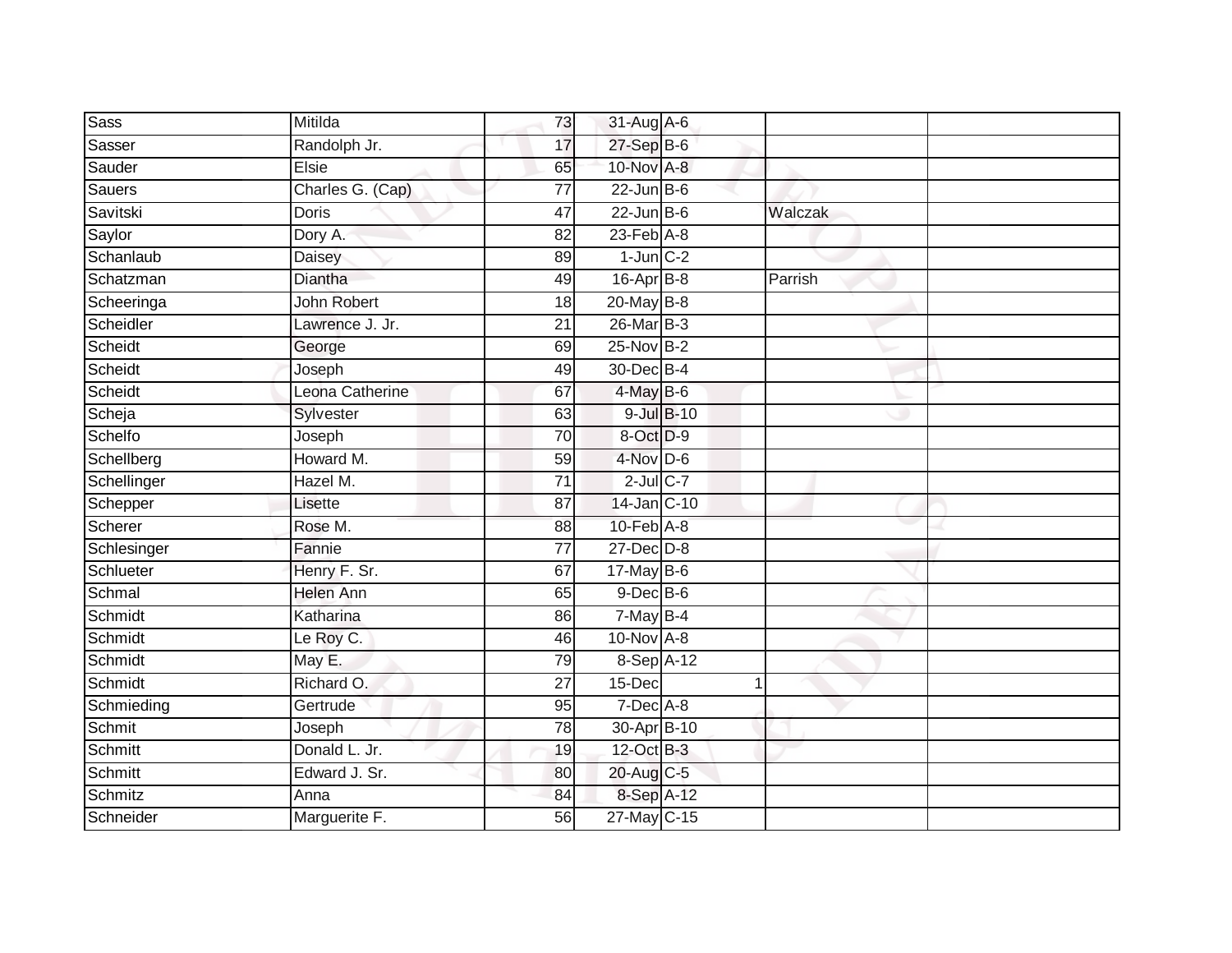| <b>Sass</b> | Mitilda            | 73              | 31-Aug A-6       |         |  |
|-------------|--------------------|-----------------|------------------|---------|--|
| Sasser      | Randolph Jr.       | 17              | 27-Sep B-6       |         |  |
| Sauder      | <b>Elsie</b>       | 65              | 10-Nov A-8       |         |  |
| Sauers      | Charles G. (Cap)   | 77              | $22$ -Jun B-6    |         |  |
| Savitski    | <b>Doris</b>       | 47              | $22$ -Jun B-6    | Walczak |  |
| Saylor      | Dory A.            | 82              | $23$ -Feb $A-8$  |         |  |
| Schanlaub   | Daisey             | 89              | $1$ -Jun $C-2$   |         |  |
| Schatzman   | Diantha            | 49              | 16-Apr B-8       | Parrish |  |
| Scheeringa  | <b>John Robert</b> | 18              | 20-May B-8       |         |  |
| Scheidler   | Lawrence J. Jr.    | $\overline{21}$ | 26-Mar B-3       |         |  |
| Scheidt     | George             | 69              | $25$ -Nov $B-2$  |         |  |
| Scheidt     | Joseph             | 49              | 30-Dec B-4       |         |  |
| Scheidt     | Leona Catherine    | 67              | $4$ -May B-6     |         |  |
| Scheja      | Sylvester          | 63              | $9$ -Jul $B$ -10 |         |  |
| Schelfo     | Joseph             | 70              | 8-Oct D-9        |         |  |
| Schellberg  | Howard M.          | 59              | 4-Nov D-6        |         |  |
| Schellinger | Hazel M.           | $\overline{71}$ | $2$ -Jul $C$ -7  |         |  |
| Schepper    | Lisette            | 87              | 14-Jan C-10      |         |  |
| Scherer     | Rose M.            | 88              | 10-Feb A-8       |         |  |
| Schlesinger | Fannie             | 77              | $27 - Dec$ $D-8$ |         |  |
| Schlueter   | Henry F. Sr.       | 67              | 17-May B-6       |         |  |
| Schmal      | <b>Helen Ann</b>   | 65              | $9$ -Dec $B$ -6  |         |  |
| Schmidt     | Katharina          | 86              | $7$ -May B-4     |         |  |
| Schmidt     | Le Roy C.          | 46              | 10-Nov A-8       |         |  |
| Schmidt     | May E.             | 79              | 8-Sep A-12       |         |  |
| Schmidt     | Richard O.         | 27              | $15$ -Dec        | 1       |  |
| Schmieding  | Gertrude           | 95              | $7$ -Dec $A$ -8  |         |  |
| Schmit      | Joseph             | 78              | 30-Apr B-10      |         |  |
| Schmitt     | Donald L. Jr.      | 19              | 12-Oct B-3       |         |  |
| Schmitt     | Edward J. Sr.      | 80              | 20-Aug C-5       |         |  |
| Schmitz     | Anna               | 84              | 8-Sep A-12       |         |  |
| Schneider   | Marguerite F.      | 56              | 27-May C-15      |         |  |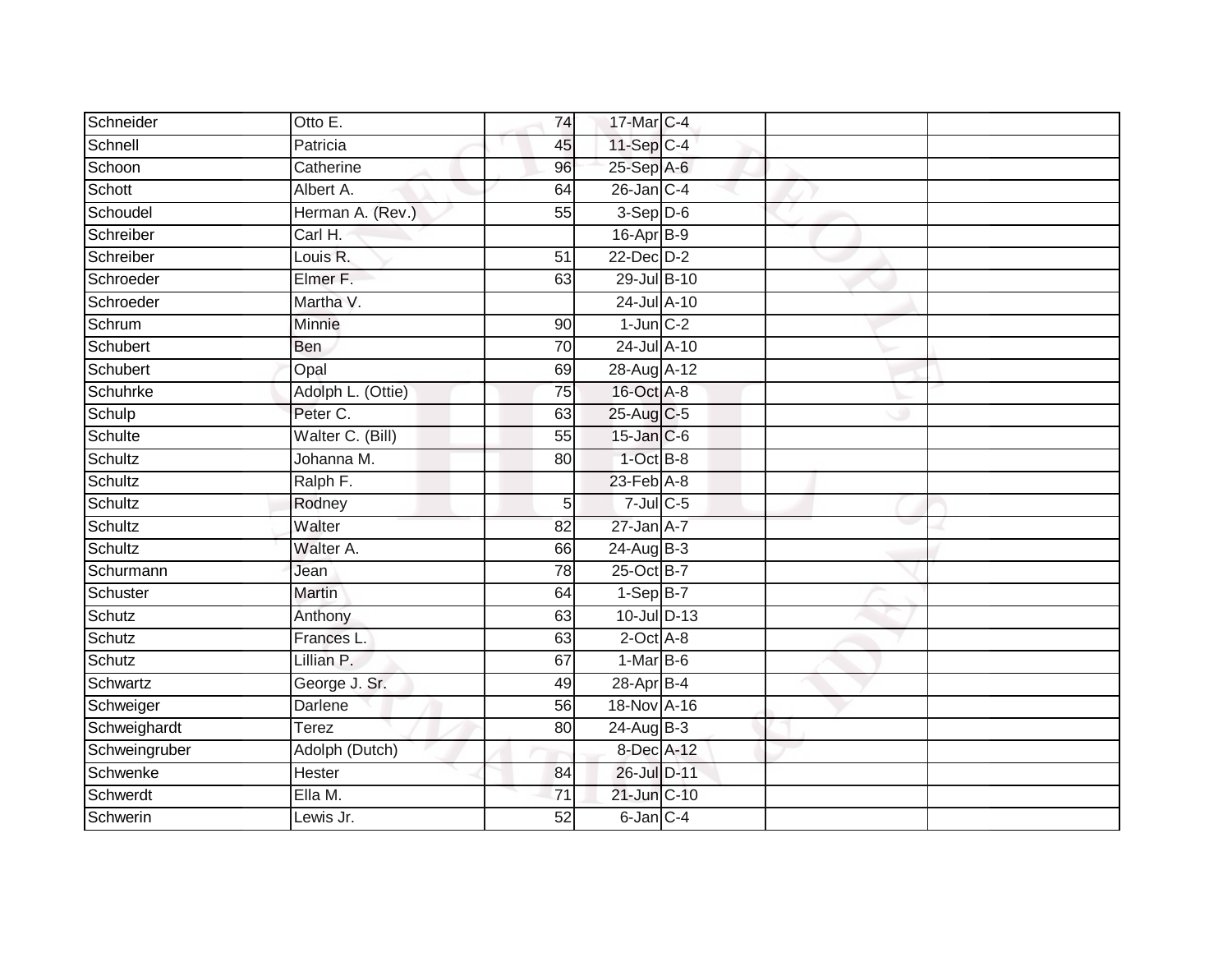| Schneider     | Otto E.           | 74              | 17-Mar C-4      |  |  |
|---------------|-------------------|-----------------|-----------------|--|--|
| Schnell       | Patricia          | 45              | 11-Sep C-4      |  |  |
| Schoon        | Catherine         | 96              | 25-Sep A-6      |  |  |
| Schott        | Albert A.         | 64              | $26$ -Jan $C-4$ |  |  |
| Schoudel      | Herman A. (Rev.)  | 55              | $3-Sep$ D-6     |  |  |
| Schreiber     | Carl H.           |                 | 16-Apr B-9      |  |  |
| Schreiber     | Louis R.          | 51              | 22-Dec D-2      |  |  |
| Schroeder     | Elmer F.          | 63              | 29-Jul B-10     |  |  |
| Schroeder     | Martha V.         |                 | 24-Jul A-10     |  |  |
| Schrum        | Minnie            | 90              | $1$ -Jun $C-2$  |  |  |
| Schubert      | <b>Ben</b>        | $\overline{70}$ | 24-Jul A-10     |  |  |
| Schubert      | Opal              | 69              | 28-Aug A-12     |  |  |
| Schuhrke      | Adolph L. (Ottie) | 75              | 16-Oct A-8      |  |  |
| Schulp        | Peter C.          | 63              | 25-Aug C-5      |  |  |
| Schulte       | Walter C. (Bill)  | 55              | 15-Jan C-6      |  |  |
| Schultz       | Johanna M.        | 80              | $1$ -Oct $B-8$  |  |  |
| Schultz       | Ralph F.          |                 | 23-Feb A-8      |  |  |
| Schultz       | Rodney            | 5               | $7$ -Jul $C$ -5 |  |  |
| Schultz       | Walter            | 82              | $27$ -Jan $A-7$ |  |  |
| Schultz       | Walter A.         | 66              | $24$ -Aug B-3   |  |  |
| Schurmann     | Jean              | 78              | 25-Oct B-7      |  |  |
| Schuster      | <b>Martin</b>     | 64              | $1-Sep$ B-7     |  |  |
| Schutz        | Anthony           | 63              | 10-Jul D-13     |  |  |
| Schutz        | Frances L.        | 63              | $2$ -Oct $A-8$  |  |  |
| Schutz        | Lillian P.        | 67              | $1-MarB-6$      |  |  |
| Schwartz      | George J. Sr.     | 49              | $28 - Apr$ B-4  |  |  |
| Schweiger     | Darlene           | 56              | 18-Nov A-16     |  |  |
| Schweighardt  | <b>Terez</b>      | 80              | 24-Aug B-3      |  |  |
| Schweingruber | Adolph (Dutch)    |                 | 8-Dec A-12      |  |  |
| Schwenke      | Hester            | 84              | 26-Jul D-11     |  |  |
| Schwerdt      | Ella M.           | 71              | 21-Jun C-10     |  |  |
| Schwerin      | Lewis Jr.         | 52              | $6$ -Jan $C$ -4 |  |  |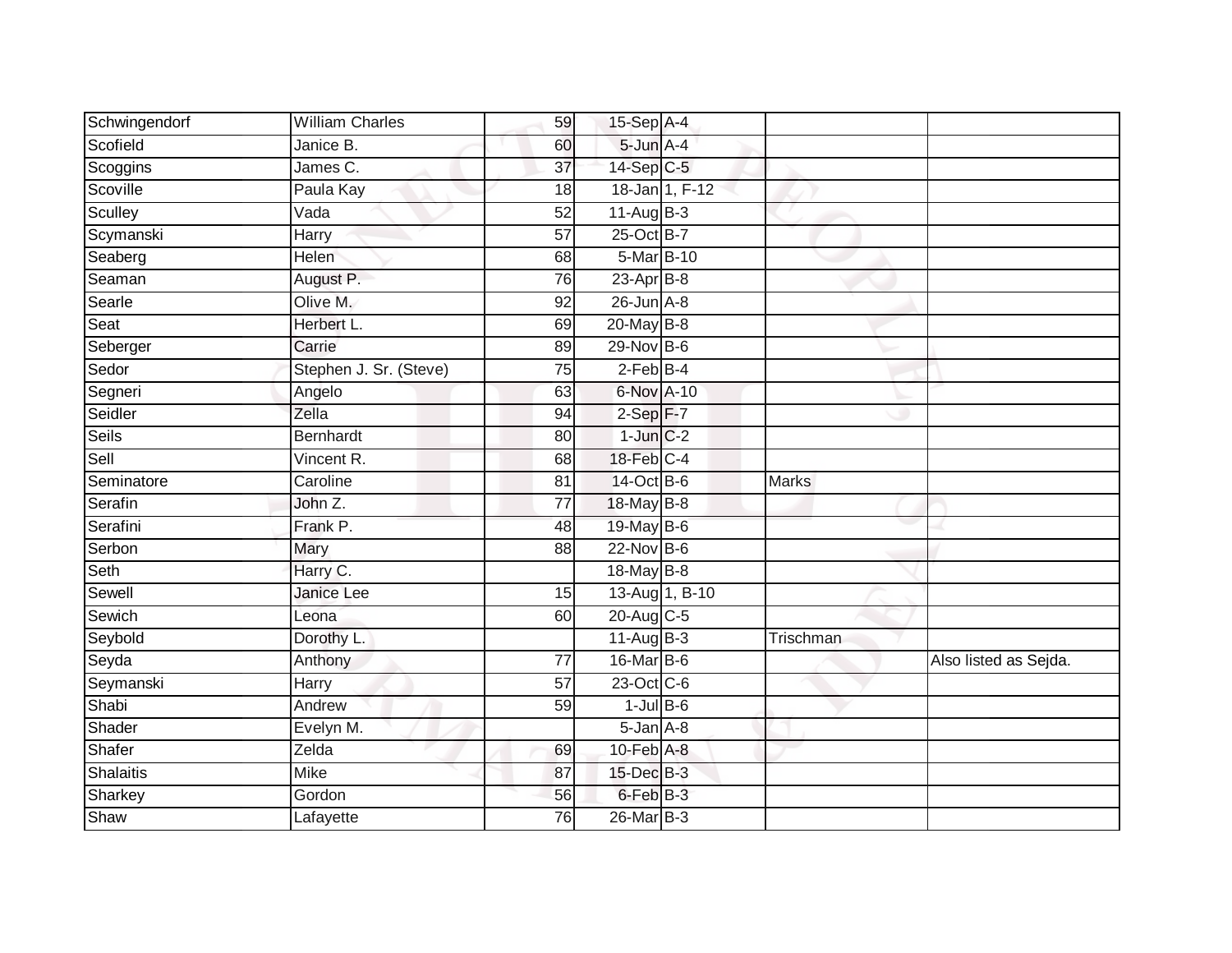| Schwingendorf | <b>William Charles</b> | 59              | 15-Sep A-4        |                |              |                       |
|---------------|------------------------|-----------------|-------------------|----------------|--------------|-----------------------|
| Scofield      | Janice B.              | 60              | $5$ -Jun $A$ -4   |                |              |                       |
| Scoggins      | James C.               | $\overline{37}$ | 14-Sep C-5        |                |              |                       |
| Scoville      | Paula Kay              | 18              |                   | 18-Jan 1, F-12 |              |                       |
| Sculley       | Vada                   | 52              | $11-Aug$ B-3      |                |              |                       |
| Scymanski     | Harry                  | $\overline{57}$ | 25-Oct B-7        |                |              |                       |
| Seaberg       | Helen                  | 68              | 5-Mar B-10        |                |              |                       |
| Seaman        | August P.              | 76              | 23-Apr B-8        |                |              |                       |
| Searle        | Olive M.               | 92              | $26$ -Jun $A-8$   |                |              |                       |
| Seat          | Herbert L.             | 69              | 20-May B-8        |                |              |                       |
| Seberger      | Carrie                 | 89              | 29-Nov B-6        |                |              |                       |
| Sedor         | Stephen J. Sr. (Steve) | 75              | $2$ -Feb B-4      |                |              |                       |
| Segneri       | Angelo                 | 63              | 6-Nov A-10        |                |              |                       |
| Seidler       | Zella                  | 94              | $2-Sep$ F-7       |                |              |                       |
| Seils         | <b>Bernhardt</b>       | 80              | $1$ -Jun $C-2$    |                |              |                       |
| Sell          | Vincent R.             | 68              | 18-Feb C-4        |                |              |                       |
| Seminatore    | Caroline               | 81              | 14-Oct B-6        |                | <b>Marks</b> |                       |
| Serafin       | John Z.                | 77              | 18-May B-8        |                |              |                       |
| Serafini      | Frank P.               | 48              | 19-May $B-6$      |                |              |                       |
| Serbon        | Mary                   | 88              | $22$ -Nov $B-6$   |                |              |                       |
| Seth          | Harry C.               |                 | 18-May B-8        |                |              |                       |
| Sewell        | Janice Lee             | 15              | 13-Aug 1, B-10    |                |              |                       |
| Sewich        | Leona                  | 60              | $20$ -Aug C-5     |                |              |                       |
| Seybold       | Dorothy L.             |                 | $11-AugB-3$       |                | Trischman    |                       |
| Seyda         | Anthony                | $\overline{77}$ | 16-Mar B-6        |                |              | Also listed as Sejda. |
| Seymanski     | Harry                  | 57              | 23-Oct C-6        |                |              |                       |
| Shabi         | Andrew                 | 59              | $1$ -Jul B-6      |                |              |                       |
| Shader        | Evelyn M.              |                 | $5 - Jan$ $A - 8$ |                |              |                       |
| Shafer        | Zelda                  | 69              | 10-Feb A-8        |                |              |                       |
| Shalaitis     | <b>Mike</b>            | 87              | 15-Dec B-3        |                |              |                       |
| Sharkey       | Gordon                 | 56              | 6-Feb B-3         |                |              |                       |
| Shaw          | Lafayette              | 76              | 26-Mar B-3        |                |              |                       |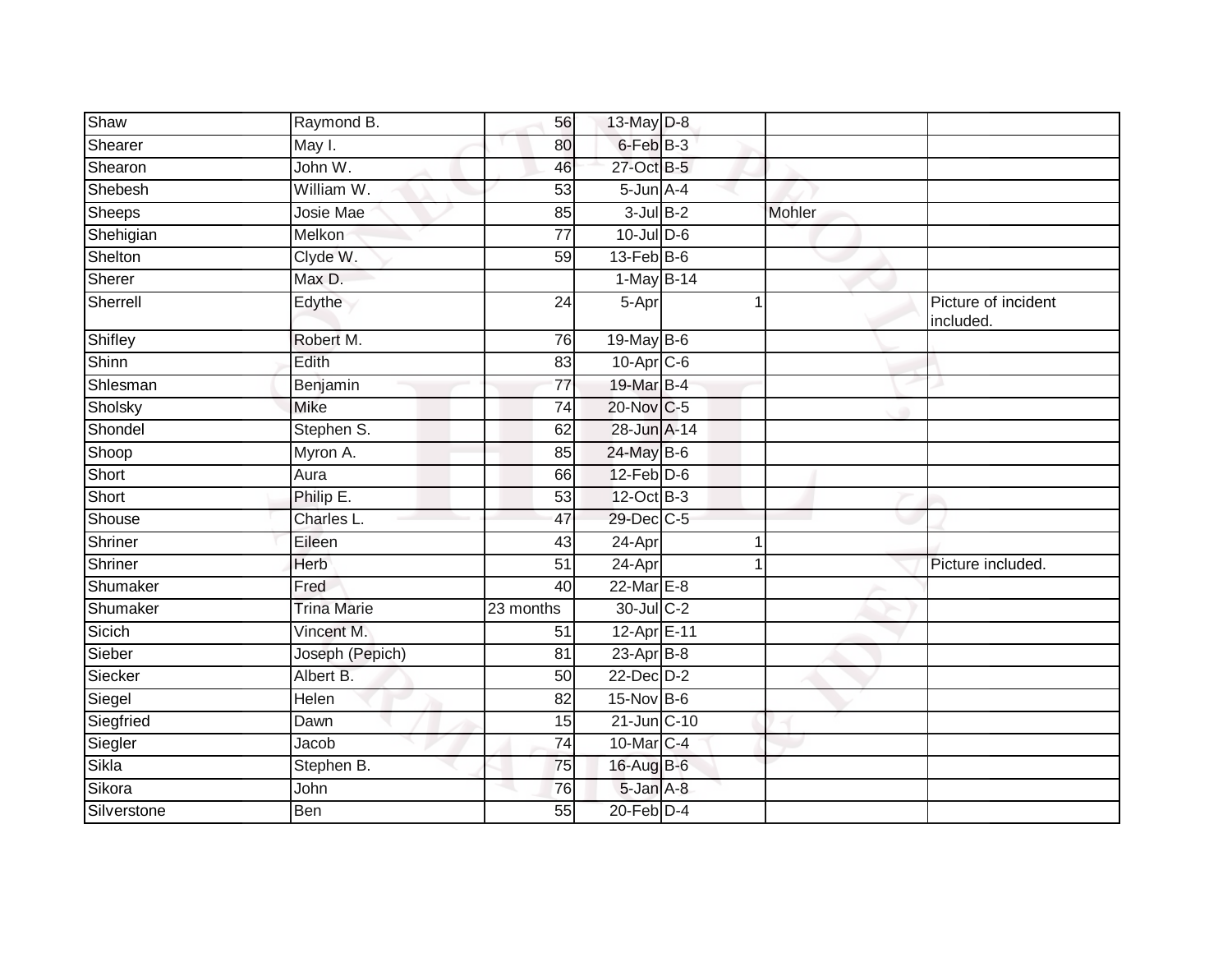| Shaw          | Raymond B.         | 56              | 13-May D-8       |        |                                 |
|---------------|--------------------|-----------------|------------------|--------|---------------------------------|
| Shearer       | May I.             | 80              | 6-Feb B-3        |        |                                 |
| Shearon       | John W.            | 46              | 27-Oct B-5       |        |                                 |
| Shebesh       | William W.         | 53              | $5$ -Jun $A-4$   |        |                                 |
| <b>Sheeps</b> | <b>Josie Mae</b>   | 85              | $3$ -Jul $B-2$   | Mohler |                                 |
| Shehigian     | Melkon             | 77              | $10$ -Jul $D-6$  |        |                                 |
| Shelton       | Clyde W.           | 59              | $13$ -Feb $B$ -6 |        |                                 |
| Sherer        | Max D.             |                 | 1-May B-14       |        |                                 |
| Sherrell      | Edythe             | 24              | 5-Apr            |        | Picture of incident<br>included |
| Shifley       | Robert M.          | 76              | 19-May B-6       |        |                                 |
| Shinn         | Edith              | 83              | $10$ -Apr $C$ -6 |        |                                 |
| Shlesman      | Benjamin           | $\overline{77}$ | 19-Mar B-4       |        |                                 |
| Sholsky       | <b>Mike</b>        | $\overline{74}$ | 20-Nov C-5       |        |                                 |
| Shondel       | Stephen S.         | 62              | 28-Jun A-14      |        |                                 |
| Shoop         | Myron A.           | 85              | 24-May B-6       |        |                                 |
| Short         | Aura               | 66              | $12$ -Feb $D-6$  |        |                                 |
| Short         | Philip E.          | 53              | 12-Oct B-3       |        |                                 |
| Shouse        | Charles L.         | 47              | 29-Dec C-5       |        |                                 |
| Shriner       | Eileen             | 43              | 24-Apr           |        |                                 |
| Shriner       | Herb               | 51              | 24-Apr           |        | Picture included.               |
| Shumaker      | Fred               | 40              | 22-Mar E-8       |        |                                 |
| Shumaker      | <b>Trina Marie</b> | 23 months       | 30-Jul C-2       |        |                                 |
| Sicich        | Vincent M.         | 51              | 12-Apr E-11      |        |                                 |
| Sieber        | Joseph (Pepich)    | 81              | $23$ -Apr $B-8$  |        |                                 |
| Siecker       | Albert B.          | 50              | $22$ -Dec $D-2$  |        |                                 |
| Siegel        | Helen              | 82              | $15-Nov$ B-6     |        |                                 |
| Siegfried     | Dawn               | 15              | 21-Jun C-10      |        |                                 |
| Siegler       | Jacob              | 74              | 10-Mar C-4       |        |                                 |
| Sikla         | Stephen B.         | 75              | 16-Aug B-6       |        |                                 |
| Sikora        | John               | 76              | 5-Jan A-8        |        |                                 |
| Silverstone   | Ben                | 55              | $20$ -Feb $D-4$  |        |                                 |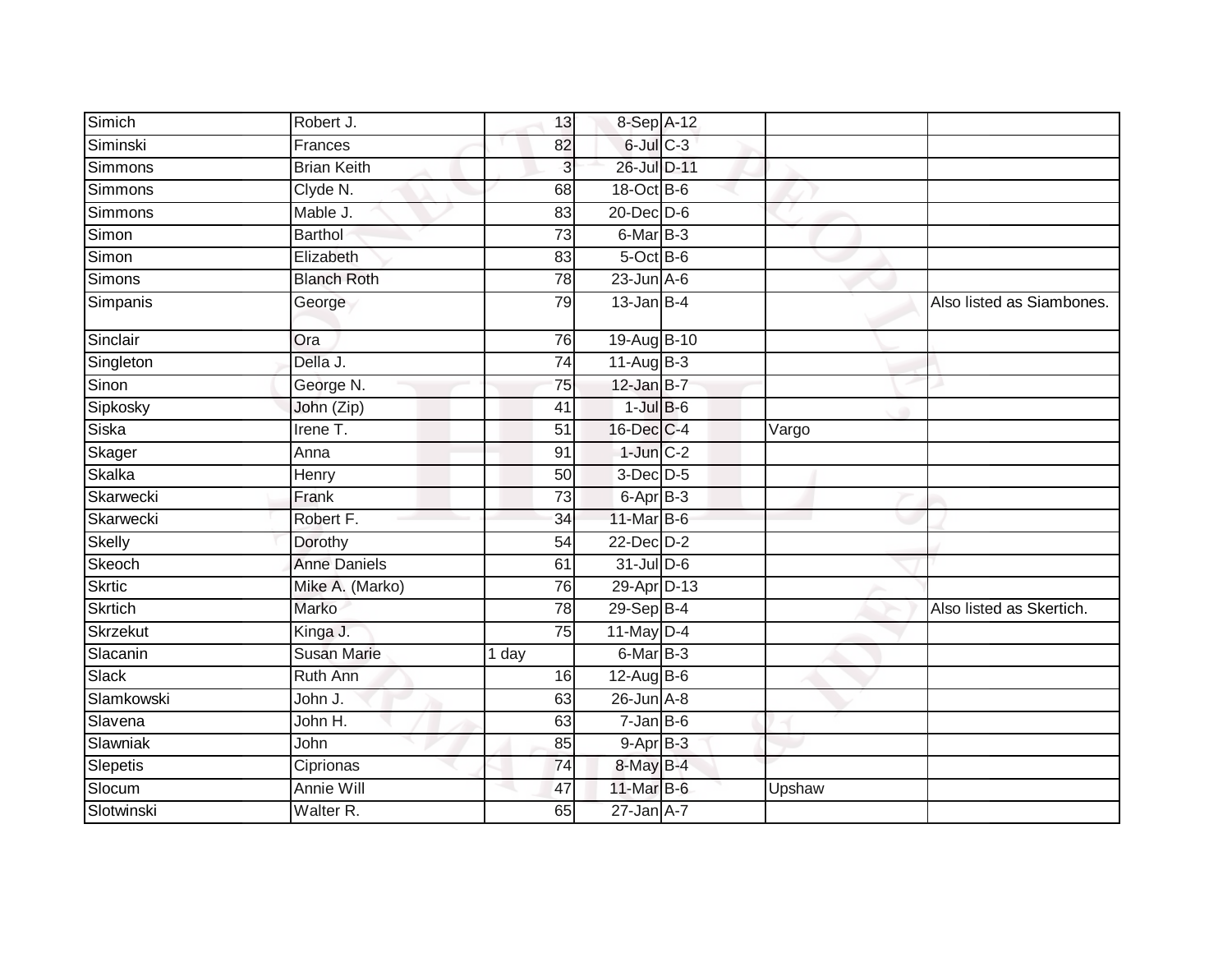| Simich         | Robert J.           | 13              | 8-Sep A-12        |        |                           |
|----------------|---------------------|-----------------|-------------------|--------|---------------------------|
| Siminski       | Frances             | 82              | $6$ -Jul $C$ -3   |        |                           |
| Simmons        | <b>Brian Keith</b>  | 3               | 26-Jul D-11       |        |                           |
| <b>Simmons</b> | Clyde N.            | 68              | 18-Oct B-6        |        |                           |
| Simmons        | Mable J.            | $\overline{83}$ | $20$ -Dec $D-6$   |        |                           |
| Simon          | <b>Barthol</b>      | 73              | 6-Mar B-3         |        |                           |
| Simon          | Elizabeth           | 83              | 5-Oct B-6         |        |                           |
| Simons         | <b>Blanch Roth</b>  | 78              | $23$ -Jun $A-6$   |        |                           |
| Simpanis       | George              | 79              | $13$ -Jan B-4     |        | Also listed as Siambones. |
| Sinclair       | Ora                 | 76              | 19-Aug B-10       |        |                           |
| Singleton      | Della J.            | $\overline{74}$ | $11-Aug$ B-3      |        |                           |
| Sinon          | George N.           | 75              | $12$ -Jan B-7     |        |                           |
| Sipkosky       | John (Zip)          | 41              | $1$ -Jul $B$ -6   |        |                           |
| Siska          | Irene T.            | 51              | 16-Dec C-4        | Vargo  |                           |
| Skager         | Anna                | 91              | $1$ -Jun $C-2$    |        |                           |
| Skalka         | Henry               | 50              | 3-Dec D-5         |        |                           |
| Skarwecki      | Frank               | 73              | 6-Apr B-3         |        |                           |
| Skarwecki      | Robert F.           | 34              | 11-Mar B-6        |        |                           |
| Skelly         | Dorothy             | 54              | 22-Dec D-2        |        |                           |
| Skeoch         | <b>Anne Daniels</b> | 61              | $31$ -Jul D-6     |        |                           |
| <b>Skrtic</b>  | Mike A. (Marko)     | 76              | 29-Apr D-13       |        |                           |
| <b>Skrtich</b> | Marko               | 78              | 29-Sep B-4        |        | Also listed as Skertich.  |
| Skrzekut       | Kinga J.            | 75              | $11$ -May $D-4$   |        |                           |
| Slacanin       | <b>Susan Marie</b>  | 1 day           | $6$ -Mar $B-3$    |        |                           |
| <b>Slack</b>   | <b>Ruth Ann</b>     | 16              | $12$ -Aug B-6     |        |                           |
| Slamkowski     | John J.             | 63              | 26-Jun A-8        |        |                           |
| Slavena        | John H.             | 63              | $7 - Jan$ $B - 6$ |        |                           |
| Slawniak       | John                | 85              | $9-AprB-3$        |        |                           |
| Slepetis       | Ciprionas           | 74              | 8-May B-4         |        |                           |
| Slocum         | Annie Will          | 47              | 11-Mar B-6        | Upshaw |                           |
| Slotwinski     | Walter R.           | 65              | $27$ -Jan $A$ -7  |        |                           |
|                |                     |                 |                   |        |                           |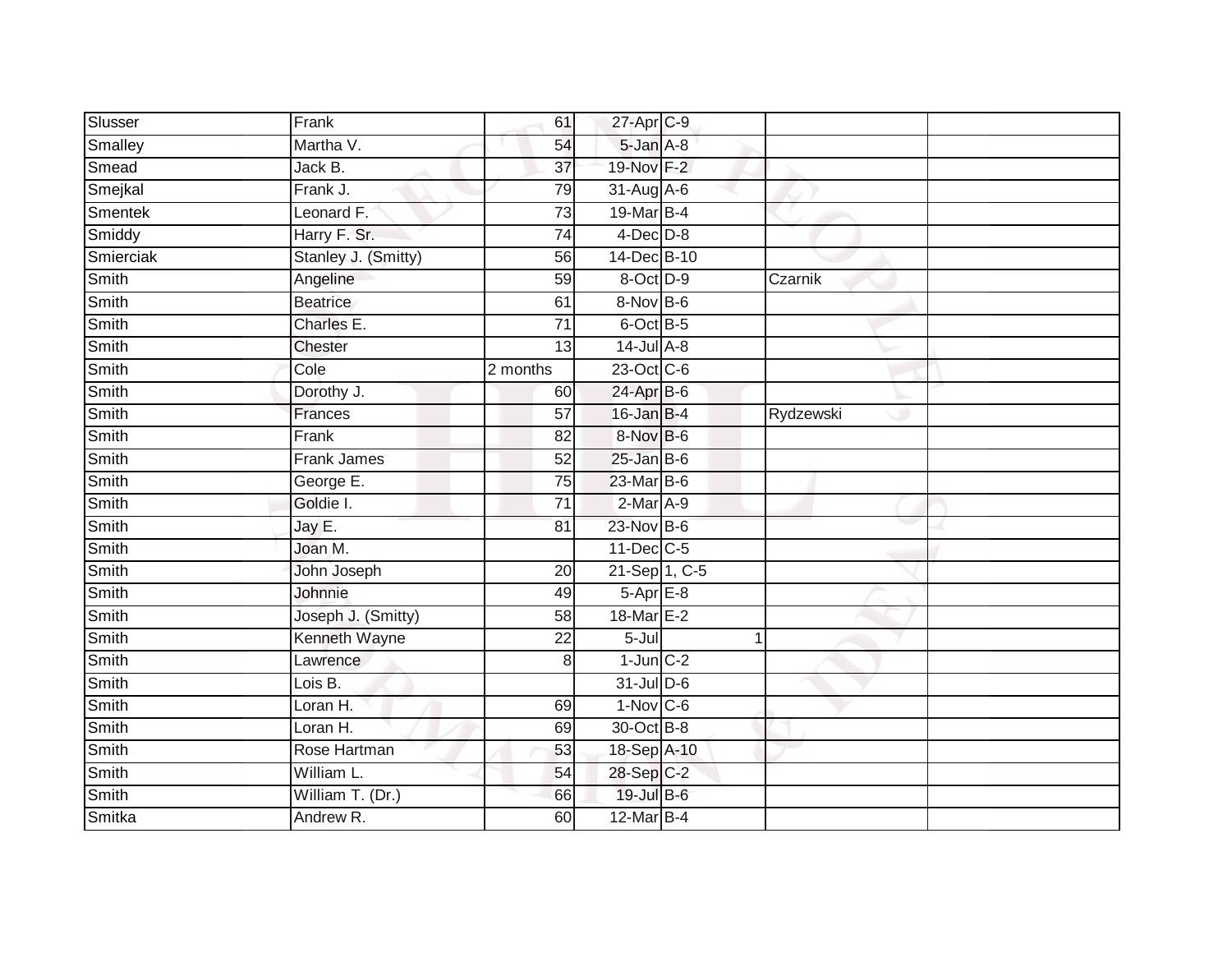| Slusser      | Frank               | 61              | 27-Apr C-9       |              |  |
|--------------|---------------------|-----------------|------------------|--------------|--|
| Smalley      | Martha V.           | 54              | 5-Jan A-8        |              |  |
| Smead        | Jack B.             | $\overline{37}$ | 19-Nov F-2       |              |  |
| Smejkal      | Frank J.            | 79              | $31$ -Aug $A$ -6 |              |  |
| Smentek      | Leonard F.          | $\overline{73}$ | 19-Mar B-4       |              |  |
| Smiddy       | Harry F. Sr.        | 74              | $4$ -Dec $D-8$   |              |  |
| Smierciak    | Stanley J. (Smitty) | 56              | 14-Dec B-10      |              |  |
| Smith        | Angeline            | 59              | 8-Oct D-9        | Czarnik      |  |
| Smith        | <b>Beatrice</b>     | 61              | 8-Nov B-6        |              |  |
| Smith        | Charles E.          | $\overline{71}$ | 6-Oct B-5        |              |  |
| Smith        | Chester             | 13              | $14$ -Jul $A-8$  |              |  |
| Smith        | Cole                | 2 months        | 23-Oct C-6       |              |  |
| Smith        | Dorothy J.          | 60              | $24$ -Apr $B$ -6 |              |  |
| Smith        | <b>Frances</b>      | 57              | $16$ -Jan B-4    | Rydzewski    |  |
| Smith        | Frank               | 82              | 8-Nov B-6        |              |  |
| Smith        | Frank James         | 52              | $25$ -Jan B-6    |              |  |
| Smith        | George E.           | $\overline{75}$ | 23-Mar B-6       |              |  |
| Smith        | Goldie I.           | $\overline{71}$ | $2-Mar A-9$      |              |  |
| Smith        | Jay E.              | 81              | 23-Nov B-6       |              |  |
| <b>Smith</b> | Joan M.             |                 | $11$ -Dec $C-5$  |              |  |
| Smith        | John Joseph         | 20              | 21-Sep 1, C-5    |              |  |
| Smith        | Johnnie             | 49              | $5-AprE-8$       |              |  |
| Smith        | Joseph J. (Smitty)  | 58              | 18-Mar E-2       |              |  |
| Smith        | Kenneth Wayne       | $\overline{22}$ | 5-Jul            | $\mathbf{1}$ |  |
| Smith        | Lawrence            | 8               | $1$ -Jun $C-2$   |              |  |
| Smith        | Lois B.             |                 | 31-Jul D-6       |              |  |
| Smith        | Loran H.            | 69              | $1-Nov$ C-6      |              |  |
| Smith        | Loran H.            | 69              | 30-Oct B-8       |              |  |
| Smith        | Rose Hartman        | 53              | 18-Sep A-10      |              |  |
| Smith        | William L.          | 54              | 28-Sep C-2       |              |  |
| Smith        | William T. (Dr.)    | 66              | 19-Jul B-6       |              |  |
| Smitka       | Andrew R.           | 60              | 12-Mar B-4       |              |  |
|              |                     |                 |                  |              |  |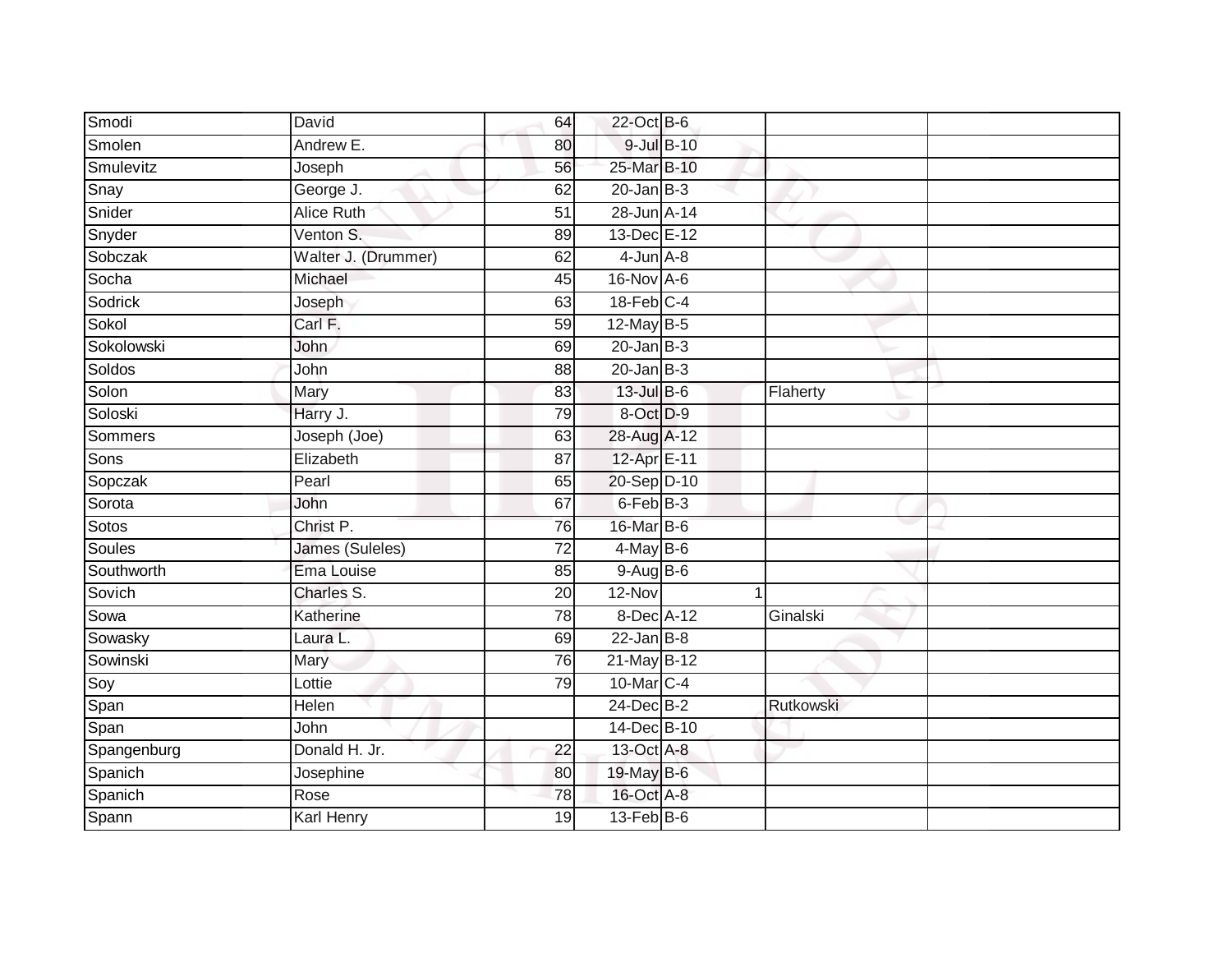| Smodi       | David                  | 64              | 22-Oct B-6       |            |           |  |
|-------------|------------------------|-----------------|------------------|------------|-----------|--|
| Smolen      | Andrew E.              | 80              |                  | 9-Jul B-10 |           |  |
| Smulevitz   | Joseph                 | 56              | 25-Mar B-10      |            |           |  |
| Snay        | George J.              | 62              | $20$ -Jan B-3    |            |           |  |
| Snider      | <b>Alice Ruth</b>      | $\overline{51}$ | 28-Jun A-14      |            |           |  |
| Snyder      | Venton S.              | 89              | 13-Dec E-12      |            |           |  |
| Sobczak     | Walter J. (Drummer)    | 62              | $4$ -Jun $A-8$   |            |           |  |
| Socha       | Michael                | 45              | 16-Nov A-6       |            |           |  |
| Sodrick     | Joseph                 | 63              | $18$ -Feb $C-4$  |            |           |  |
| Sokol       | Carl F.                | 59              | 12-May B-5       |            |           |  |
| Sokolowski  | John                   | 69              | $20$ -Jan B-3    |            |           |  |
| Soldos      | John                   | 88              | $20$ -Jan $B-3$  |            |           |  |
| Solon       | Mary                   | 83              | 13-Jul B-6       |            | Flaherty  |  |
| Soloski     | Harry J.               | 79              | 8-Oct D-9        |            |           |  |
| Sommers     | Joseph (Joe)           | 63              | 28-Aug A-12      |            |           |  |
| Sons        | Elizabeth              | $\overline{87}$ | 12-Apr E-11      |            |           |  |
| Sopczak     | Pearl                  | 65              | 20-Sep D-10      |            |           |  |
| Sorota      | John                   | 67              | 6-Feb B-3        |            |           |  |
| Sotos       | Christ P.              | 76              | 16-Mar B-6       |            |           |  |
| Soules      | <b>James (Suleles)</b> | $\overline{72}$ | $4$ -May $B$ -6  |            |           |  |
| Southworth  | Ema Louise             | 85              | $9-AugB-6$       |            |           |  |
| Sovich      | Charles S.             | 20              | $12-Nov$         |            |           |  |
| Sowa        | Katherine              | 78              | 8-Dec A-12       |            | Ginalski  |  |
| Sowasky     | Laura L.               | 69              | $22$ -Jan B-8    |            |           |  |
| Sowinski    | Mary                   | 76              | 21-May B-12      |            |           |  |
| Soy         | Lottie                 | 79              | 10-Mar C-4       |            |           |  |
| Span        | Helen                  |                 | $24$ -Dec $B-2$  |            | Rutkowski |  |
| Span        | John                   |                 | 14-Dec B-10      |            |           |  |
| Spangenburg | Donald H. Jr.          | 22              | 13-Oct A-8       |            |           |  |
| Spanich     | Josephine              | 80              | 19-May B-6       |            |           |  |
| Spanich     | Rose                   | 78              | 16-Oct A-8       |            |           |  |
| Spann       | <b>Karl Henry</b>      | 19              | $13$ -Feb $B$ -6 |            |           |  |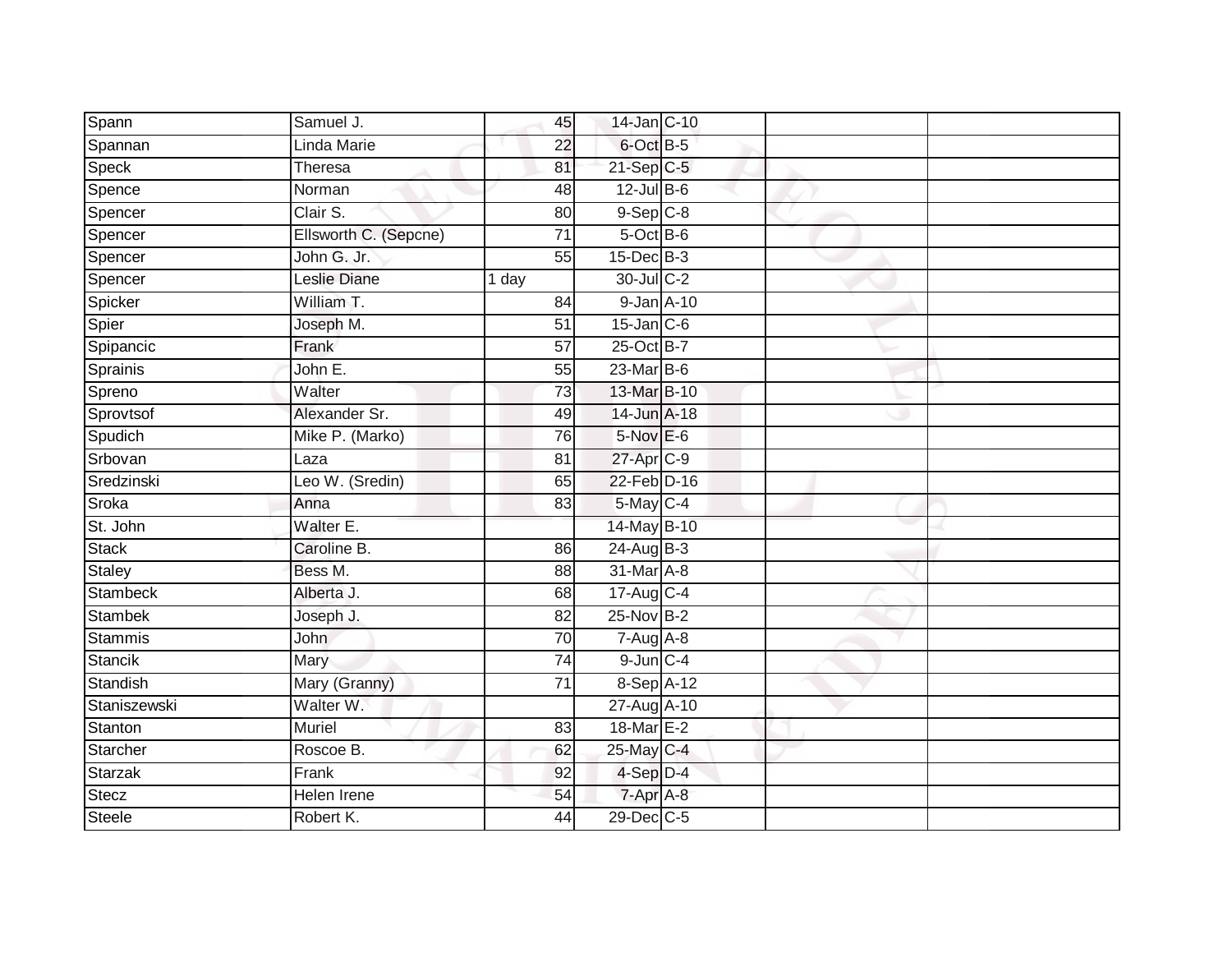| Spann         | Samuel J.             | 45              | 14-Jan C-10      |  |  |
|---------------|-----------------------|-----------------|------------------|--|--|
| Spannan       | Linda Marie           | 22              | 6-Oct B-5        |  |  |
| Speck         | Theresa               | 81              | $21-SepC-5$      |  |  |
| Spence        | Norman                | 48              | $12$ -Jul $B$ -6 |  |  |
| Spencer       | Clair S.              | $\overline{80}$ | $9-$ Sep $ C-8 $ |  |  |
| Spencer       | Ellsworth C. (Sepcne) | 71              | 5-Oct B-6        |  |  |
| Spencer       | John G. Jr.           | 55              | $15$ -Dec $B$ -3 |  |  |
| Spencer       | Leslie Diane          | 1 day           | 30-Jul C-2       |  |  |
| Spicker       | William T.            | 84              | 9-Jan A-10       |  |  |
| Spier         | Joseph M.             | $\overline{51}$ | $15$ -Jan $C$ -6 |  |  |
| Spipancic     | Frank                 | 57              | 25-Oct B-7       |  |  |
| Sprainis      | John E.               | 55              | 23-Mar B-6       |  |  |
| Spreno        | Walter                | 73              | 13-Mar B-10      |  |  |
| Sprovtsof     | Alexander Sr.         | 49              | $14$ -Jun $A-18$ |  |  |
| Spudich       | Mike P. (Marko)       | 76              | 5-Nov E-6        |  |  |
| Srbovan       | Laza                  | 81              | $27$ -Apr $C-9$  |  |  |
| Sredzinski    | Leo W. (Sredin)       | 65              | 22-Feb D-16      |  |  |
| Sroka         | Anna                  | 83              | 5-May C-4        |  |  |
| St. John      | Walter E.             |                 | 14-May B-10      |  |  |
| <b>Stack</b>  | Caroline B.           | 86              | $24$ -Aug $B-3$  |  |  |
| Staley        | Bess M.               | 88              | 31-Mar A-8       |  |  |
| Stambeck      | Alberta J.            | 68              | 17-Aug C-4       |  |  |
| Stambek       | Joseph J.             | 82              | 25-Nov B-2       |  |  |
| Stammis       | John                  | 70              | $7-Aug$ A-8      |  |  |
| Stancik       | Mary                  | $\overline{74}$ | $9$ -Jun $C - 4$ |  |  |
| Standish      | Mary (Granny)         | 71              | $8-Sep$ A-12     |  |  |
| Staniszewski  | Walter W.             |                 | 27-Aug A-10      |  |  |
| Stanton       | Muriel                | 83              | 18-Mar E-2       |  |  |
| Starcher      | Roscoe B.             | 62              | 25-May C-4       |  |  |
| Starzak       | Frank                 | 92              | 4-Sep D-4        |  |  |
| Stecz         | Helen Irene           | 54              | 7-Apr A-8        |  |  |
| <b>Steele</b> | Robert K.             | 44              | 29-Dec C-5       |  |  |
|               |                       |                 |                  |  |  |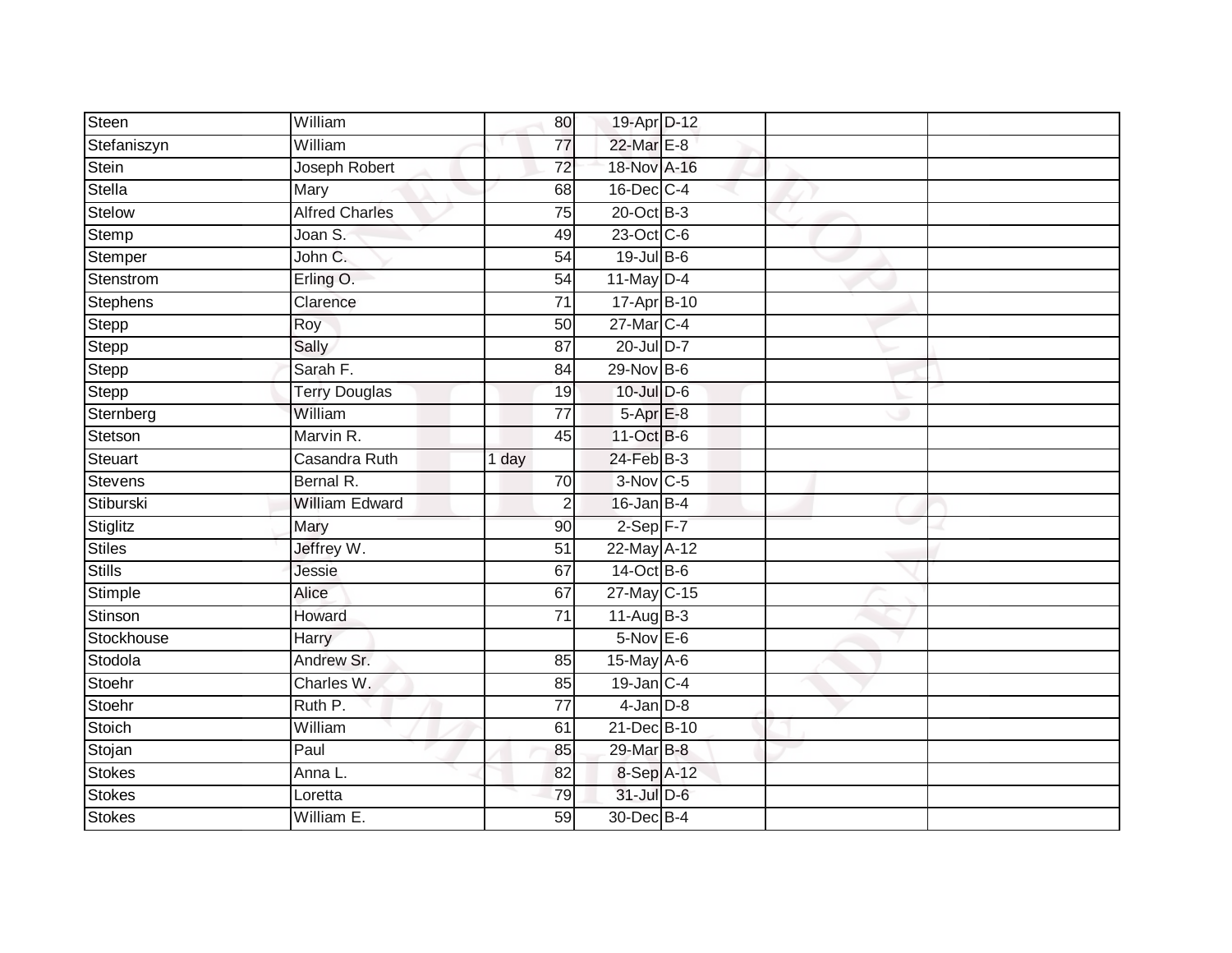| <b>Steen</b>    | William               | 80              | 19-Apr D-12     |  |  |
|-----------------|-----------------------|-----------------|-----------------|--|--|
| Stefaniszyn     | William               | 77              | 22-Mar E-8      |  |  |
| Stein           | Joseph Robert         | 72              | 18-Nov A-16     |  |  |
| <b>Stella</b>   | Mary                  | 68              | 16-Dec C-4      |  |  |
| Stelow          | <b>Alfred Charles</b> | $\overline{75}$ | $20$ -Oct $B-3$ |  |  |
| Stemp           | Joan S.               | 49              | 23-Oct C-6      |  |  |
| Stemper         | John C.               | 54              | 19-Jul B-6      |  |  |
| Stenstrom       | Erling O.             | 54              | $11$ -May D-4   |  |  |
| <b>Stephens</b> | Clarence              | $\overline{71}$ | 17-Apr B-10     |  |  |
| Stepp           | Roy                   | 50              | 27-Mar C-4      |  |  |
| Stepp           | Sally                 | 87              | $20$ -Jul D-7   |  |  |
| Stepp           | Sarah F.              | 84              | 29-Nov B-6      |  |  |
| Stepp           | <b>Terry Douglas</b>  | 19              | $10$ -Jul $D-6$ |  |  |
| Sternberg       | William               | 77              | 5-Apr E-8       |  |  |
| Stetson         | Marvin R.             | 45              | 11-Oct B-6      |  |  |
| Steuart         | Casandra Ruth         | 1 day           | 24-Feb B-3      |  |  |
| Stevens         | Bernal R.             | 70              | $3-Nov$ C-5     |  |  |
| Stiburski       | <b>William Edward</b> | $\overline{2}$  | $16$ -Jan B-4   |  |  |
| Stiglitz        | Mary                  | 90              | $2-Sep$ F-7     |  |  |
| <b>Stiles</b>   | Jeffrey W.            | $\overline{51}$ | 22-May A-12     |  |  |
| <b>Stills</b>   | Jessie                | 67              | 14-Oct B-6      |  |  |
| Stimple         | Alice                 | 67              | 27-May C-15     |  |  |
| Stinson         | Howard                | 71              | $11-AugB-3$     |  |  |
| Stockhouse      | Harry                 |                 | $5-Nov$ E-6     |  |  |
| Stodola         | Andrew Sr.            | 85              | $15$ -May A-6   |  |  |
| Stoehr          | Charles W.            | 85              | $19$ -Jan $C-4$ |  |  |
| Stoehr          | Ruth P.               | $\overline{77}$ | $4$ -Jan $D-8$  |  |  |
| Stoich          | William               | 61              | 21-Dec B-10     |  |  |
| Stojan          | Paul                  | 85              | 29-Mar B-8      |  |  |
| Stokes          | Anna L.               | 82              | 8-Sep A-12      |  |  |
| <b>Stokes</b>   | Loretta               | 79              | 31-Jul D-6      |  |  |
| <b>Stokes</b>   | William E.            | 59              | 30-Dec B-4      |  |  |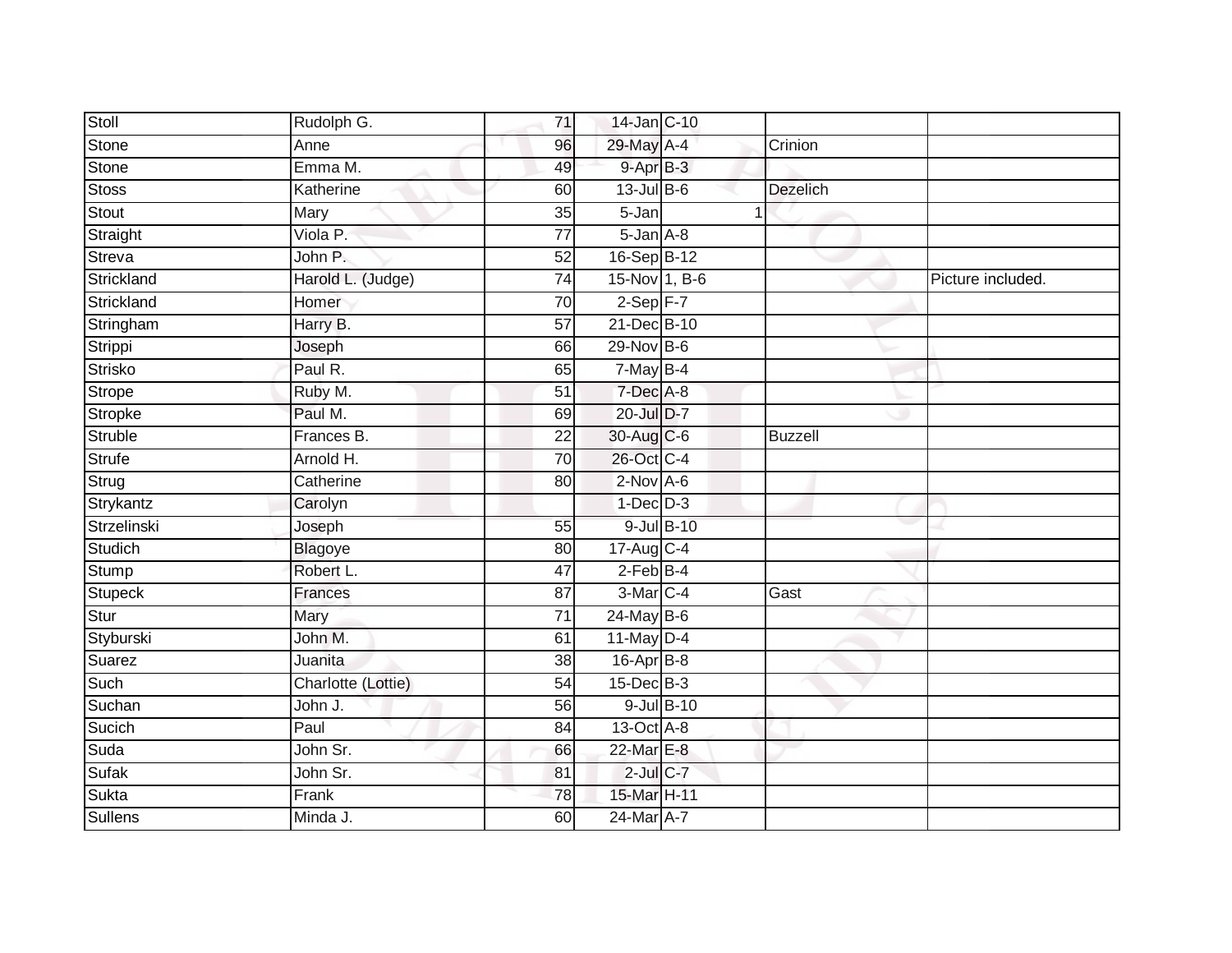| Stoll          | Rudolph G.         | 71              | 14-Jan C-10          |            |                |                   |
|----------------|--------------------|-----------------|----------------------|------------|----------------|-------------------|
| Stone          | Anne               | 96              | 29-May A-4           |            | Crinion        |                   |
| Stone          | Emma M.            | 49              | $9 - Apr$ $B-3$      |            |                |                   |
| <b>Stoss</b>   | Katherine          | 60              | $13$ -Jul $B-6$      |            | Dezelich       |                   |
| Stout          | Mary               | $\overline{35}$ | 5-Jan                |            |                |                   |
| Straight       | Viola P.           | $\overline{77}$ | $5 - Jan A - 8$      |            |                |                   |
| Streva         | John P.            | 52              | 16-Sep B-12          |            |                |                   |
| Strickland     | Harold L. (Judge)  | $\overline{74}$ | 15-Nov 1, B-6        |            |                | Picture included. |
| Strickland     | Homer              | 70              | $2-Sep$ F-7          |            |                |                   |
| Stringham      | Harry B.           | $\overline{57}$ | 21-Dec B-10          |            |                |                   |
| Strippi        | Joseph             | 66              | 29-Nov B-6           |            |                |                   |
| <b>Strisko</b> | Paul R.            | 65              | $7$ -May B-4         |            |                |                   |
| Strope         | Ruby M.            | 51              | 7-Dec A-8            |            |                |                   |
| Stropke        | Paul M.            | 69              | 20-Jul D-7           |            |                |                   |
| Struble        | Frances B.         | $\overline{22}$ | 30-Aug C-6           |            | <b>Buzzell</b> |                   |
| <b>Strufe</b>  | Arnold H.          | 70              | 26-Oct C-4           |            |                |                   |
| Strug          | Catherine          | 80              | $2$ -Nov $A-6$       |            |                |                   |
| Strykantz      | Carolyn            |                 | $1-Dec$ D-3          |            |                |                   |
| Strzelinski    | Joseph             | 55              |                      | 9-Jul B-10 |                |                   |
| Studich        | <b>Blagoye</b>     | 80              | 17-Aug C-4           |            |                |                   |
| Stump          | Robert L.          | 47              | $2$ -Feb $B-4$       |            |                |                   |
| <b>Stupeck</b> | Frances            | $\overline{87}$ | 3-Mar <sub>C-4</sub> |            | Gast           |                   |
| Stur           | Mary               | 71              | $24$ -May B-6        |            |                |                   |
| Styburski      | John M.            | 61              | 11-May $D-4$         |            |                |                   |
| Suarez         | Juanita            | 38              | 16-Apr B-8           |            |                |                   |
| Such           | Charlotte (Lottie) | $\overline{54}$ | $15$ -Dec $B$ -3     |            |                |                   |
| Suchan         | John J.            | 56              |                      | 9-Jul B-10 |                |                   |
| Sucich         | Paul               | 84              | 13-Oct A-8           |            |                |                   |
| Suda           | John Sr.           | 66              | 22-Mar E-8           |            |                |                   |
| Sufak          | John Sr.           | 81              | $2$ -Jul $C$ -7      |            |                |                   |
| Sukta          | Frank              | 78              | 15-Mar H-11          |            |                |                   |
| Sullens        | Minda J.           | 60              | 24-Mar A-7           |            |                |                   |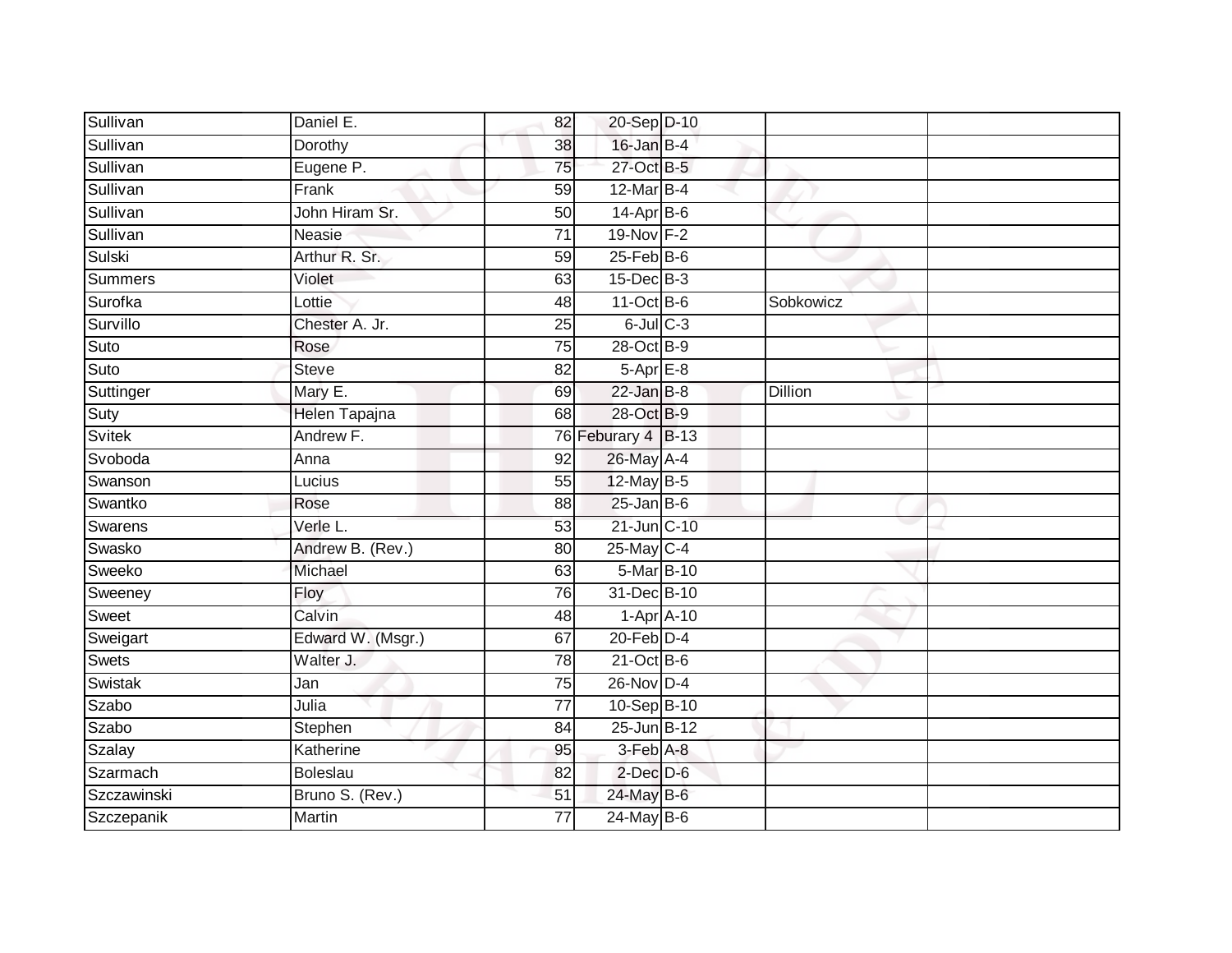| Sullivan      | Daniel E.         | 82              | 20-Sep D-10        |                |  |
|---------------|-------------------|-----------------|--------------------|----------------|--|
| Sullivan      | Dorothy           | 38              | 16-Jan B-4         |                |  |
| Sullivan      | Eugene P.         | 75              | 27-Oct B-5         |                |  |
| Sullivan      | Frank             | 59              | 12-Mar B-4         |                |  |
| Sullivan      | John Hiram Sr.    | 50              | $14$ -Apr $B$ -6   |                |  |
| Sullivan      | Neasie            | $\overline{71}$ | 19-Nov F-2         |                |  |
| Sulski        | Arthur R. Sr.     | 59              | 25-Feb B-6         |                |  |
| Summers       | Violet            | 63              | 15-Dec B-3         |                |  |
| Surofka       | Lottie            | 48              | 11-Oct B-6         | Sobkowicz      |  |
| Survillo      | Chester A. Jr.    | 25              | $6$ -Jul $C$ -3    |                |  |
| Suto          | Rose              | 75              | 28-Oct B-9         |                |  |
| Suto          | <b>Steve</b>      | 82              | $5-AprE-8$         |                |  |
| Suttinger     | Mary E.           | 69              | $22$ -Jan B-8      | <b>Dillion</b> |  |
| Suty          | Helen Tapajna     | 68              | 28-Oct B-9         |                |  |
| <b>Svitek</b> | Andrew F.         |                 | 76 Feburary 4 B-13 |                |  |
| Svoboda       | Anna              | 92              | 26-May A-4         |                |  |
| Swanson       | Lucius            | 55              | $12$ -May B-5      |                |  |
| Swantko       | Rose              | 88              | $25$ -Jan B-6      |                |  |
| Swarens       | Verle L.          | 53              | 21-Jun C-10        |                |  |
| Swasko        | Andrew B. (Rev.)  | 80              | 25-May C-4         |                |  |
| Sweeko        | Michael           | 63              | 5-Mar B-10         |                |  |
| Sweeney       | Floy              | $\overline{76}$ | 31-Dec B-10        |                |  |
| Sweet         | Calvin            | 48              | $1-Apr$ A-10       |                |  |
| Sweigart      | Edward W. (Msgr.) | 67              | $20$ -Feb $D-4$    |                |  |
| Swets         | Walter J.         | 78              | $21-Oct$ B-6       |                |  |
| Swistak       | Jan               | 75              | $26$ -Nov $D-4$    |                |  |
| Szabo         | Julia             | $\overline{77}$ | 10-Sep B-10        |                |  |
| Szabo         | Stephen           | 84              | 25-Jun B-12        |                |  |
| Szalay        | Katherine         | 95              | 3-Feb A-8          |                |  |
| Szarmach      | <b>Boleslau</b>   | 82              | $2$ -Dec $D-6$     |                |  |
| Szczawinski   | Bruno S. (Rev.)   | 51              | 24-May B-6         |                |  |
| Szczepanik    | <b>Martin</b>     | $\overline{77}$ | $24$ -May B-6      |                |  |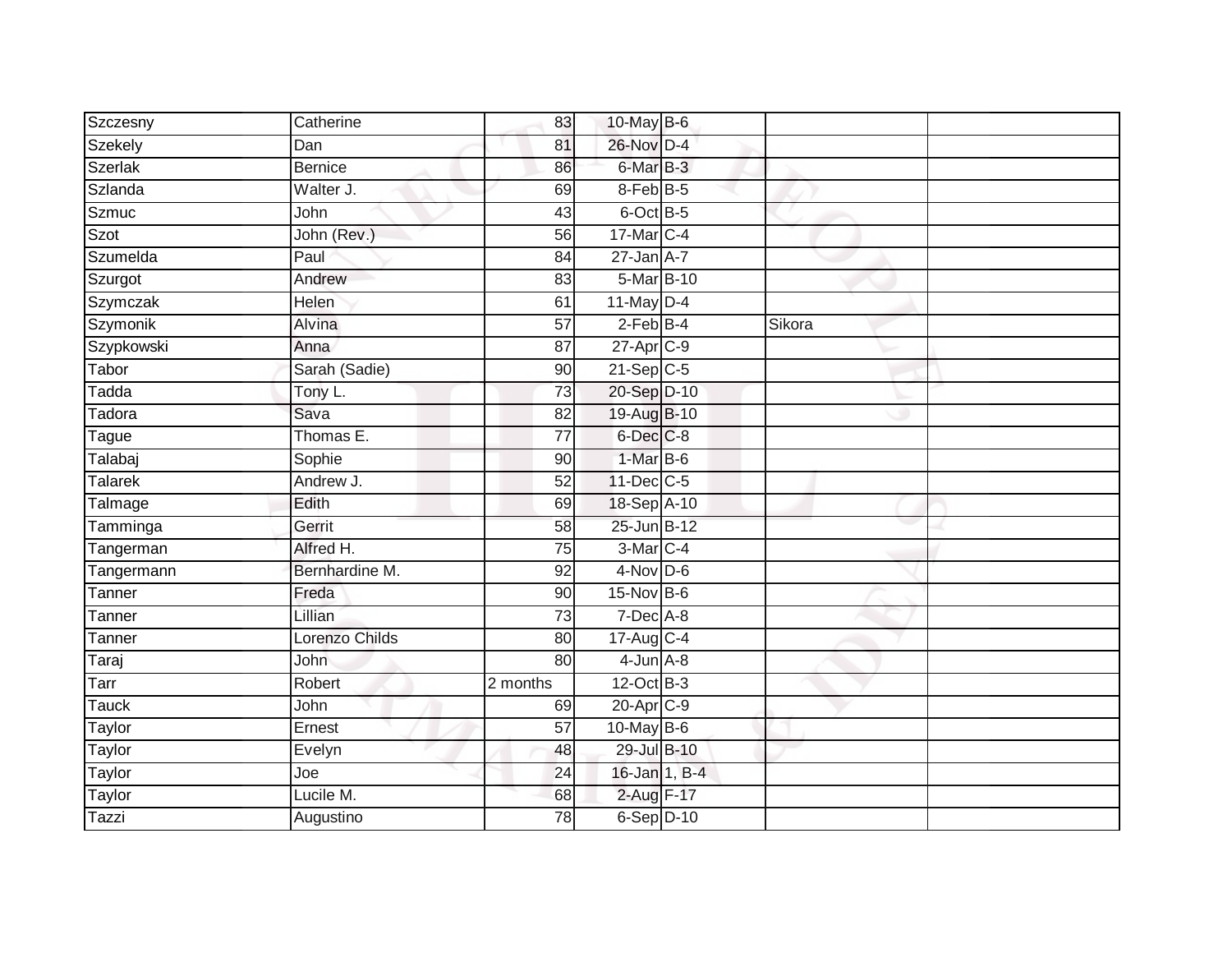| Szczesny       | Catherine      | 83              | 10-May B-6      |        |  |
|----------------|----------------|-----------------|-----------------|--------|--|
| Szekely        | Dan            | 81              | 26-Nov D-4      |        |  |
| <b>Szerlak</b> | <b>Bernice</b> | 86              | 6-Mar B-3       |        |  |
| Szlanda        | Walter J.      | 69              | 8-Feb B-5       |        |  |
| <b>Szmuc</b>   | John           | 43              | 6-Oct B-5       |        |  |
| Szot           | John (Rev.)    | 56              | 17-Mar C-4      |        |  |
| Szumelda       | Paul           | 84              | $27$ -Jan $A-7$ |        |  |
| Szurgot        | Andrew         | 83              | 5-Mar B-10      |        |  |
| Szymczak       | Helen          | 61              | 11-May D-4      |        |  |
| Szymonik       | Alvina         | $\overline{57}$ | $2-FebB-4$      | Sikora |  |
| Szypkowski     | Anna           | 87              | 27-Apr C-9      |        |  |
| Tabor          | Sarah (Sadie)  | 90              | $21-Sep$ C-5    |        |  |
| Tadda          | Tony L.        | 73              | 20-Sep D-10     |        |  |
| Tadora         | Sava           | 82              | 19-Aug B-10     |        |  |
| Tague          | Thomas E.      | $\overline{77}$ | 6-Dec C-8       |        |  |
| Talabaj        | Sophie         | 90              | 1-Mar B-6       |        |  |
| <b>Talarek</b> | Andrew J.      | 52              | 11-Dec C-5      |        |  |
| Talmage        | Edith          | 69              | 18-Sep A-10     |        |  |
| Tamminga       | Gerrit         | 58              | 25-Jun B-12     |        |  |
| Tangerman      | Alfred H.      | 75              | 3-Mar C-4       |        |  |
| Tangermann     | Bernhardine M. | 92              | $4-Nov$ D-6     |        |  |
| Tanner         | Freda          | 90              | 15-Nov B-6      |        |  |
| Tanner         | Lillian        | 73              | 7-Dec A-8       |        |  |
| Tanner         | Lorenzo Childs | 80              | 17-Aug C-4      |        |  |
| Taraj          | John           | 80              | $4$ -Jun $A$ -8 |        |  |
| Tarr           | Robert         | 2 months        | 12-Oct B-3      |        |  |
| <b>Tauck</b>   | John           | 69              | 20-Apr C-9      |        |  |
| Taylor         | Ernest         | 57              | 10-May $B-6$    |        |  |
| Taylor         | Evelyn         | 48              | 29-Jul B-10     |        |  |
| Taylor         | Joe            | 24              | 16-Jan 1, B-4   |        |  |
| Taylor         | Lucile M.      | 68              | 2-Aug F-17      |        |  |
| Tazzi          | Augustino      | $\overline{78}$ | $6-Sep$ D-10    |        |  |
|                |                |                 |                 |        |  |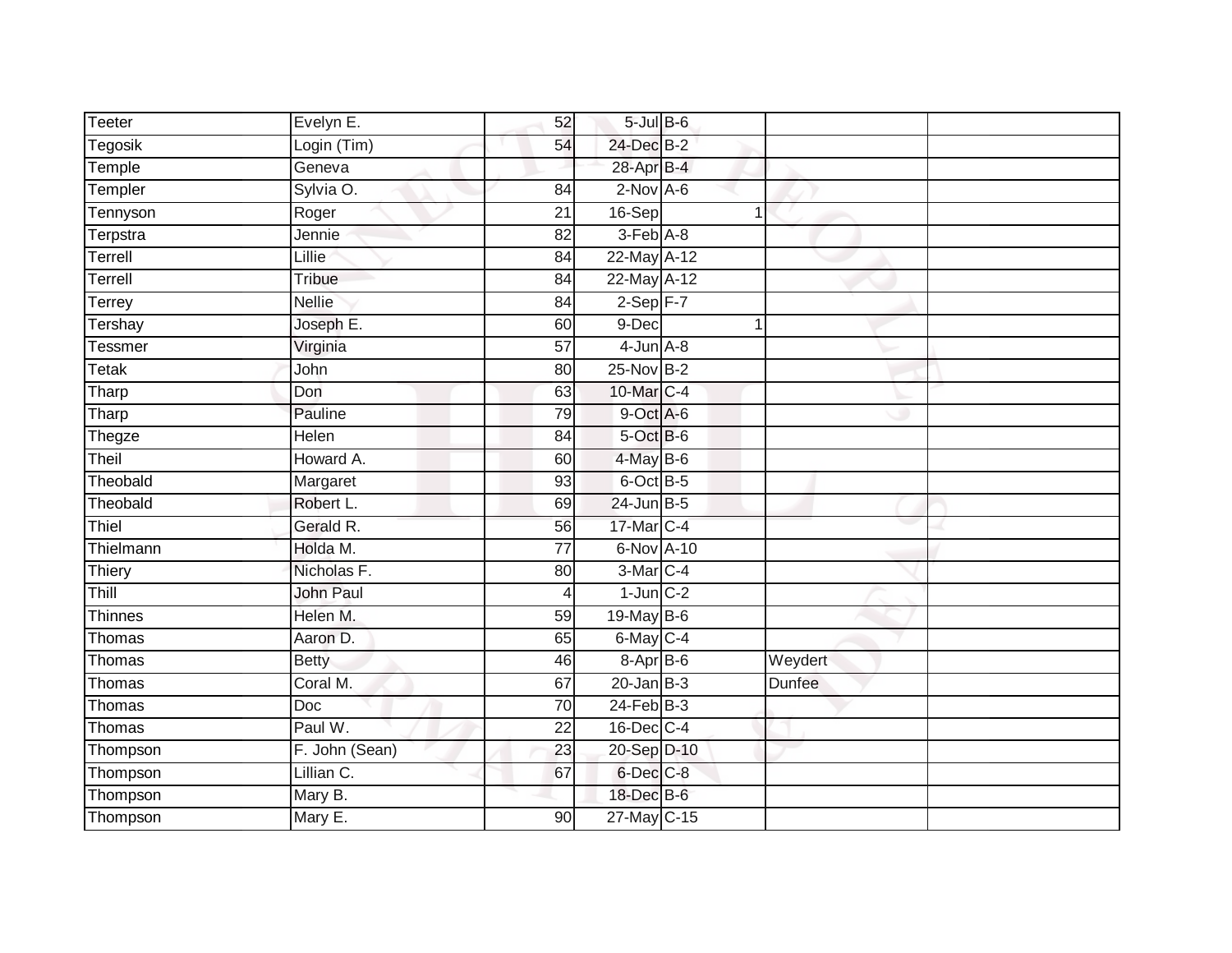| <b>Teeter</b> | Evelyn E.        | 52              | $5$ -Jul $B$ -6  |         |  |
|---------------|------------------|-----------------|------------------|---------|--|
| Tegosik       | Login (Tim)      | 54              | 24-Dec B-2       |         |  |
| Temple        | Geneva           |                 | 28-Apr B-4       |         |  |
| Templer       | Sylvia O.        | 84              | $2$ -Nov $A-6$   |         |  |
| Tennyson      | Roger            | $\overline{21}$ | 16-Sep           |         |  |
| Terpstra      | Jennie           | 82              | 3-Feb A-8        |         |  |
| Terrell       | Lillie           | 84              | 22-May A-12      |         |  |
| Terrell       | Tribue           | 84              | 22-May A-12      |         |  |
| Terrey        | <b>Nellie</b>    | 84              | $2-Sep$ F-7      |         |  |
| Tershay       | Joseph E.        | 60              | 9-Dec            |         |  |
| Tessmer       | Virginia         | 57              | $4$ -Jun $A$ -8  |         |  |
| <b>Tetak</b>  | John             | 80              | 25-Nov B-2       |         |  |
| Tharp         | Don              | 63              | 10-Mar C-4       |         |  |
| Tharp         | Pauline          | 79              | 9-Oct A-6        |         |  |
| Thegze        | Helen            | 84              | 5-Oct B-6        |         |  |
| Theil         | Howard A.        | 60              | $4$ -May $B$ -6  |         |  |
| Theobald      | Margaret         | 93              | 6-Oct B-5        |         |  |
| Theobald      | Robert L.        | 69              | $24$ -Jun B-5    |         |  |
| Thiel         | Gerald R.        | 56              | 17-Mar C-4       |         |  |
| Thielmann     | Holda M.         | $\overline{77}$ | 6-Nov A-10       |         |  |
| Thiery        | Nicholas F.      | 80              | 3-Mar C-4        |         |  |
| Thill         | <b>John Paul</b> | $\overline{4}$  | $1$ -Jun $C-2$   |         |  |
| Thinnes       | Helen M.         | 59              | 19-May B-6       |         |  |
| Thomas        | Aaron D.         | 65              | $6$ -May $C-4$   |         |  |
| Thomas        | <b>Betty</b>     | 46              | 8-Apr B-6        | Weydert |  |
| Thomas        | Coral M.         | 67              | $20 - Jan$ $B-3$ | Dunfee  |  |
| Thomas        | Doc              | 70              | $24$ -Feb $B-3$  |         |  |
| Thomas        | Paul W.          | 22              | $16$ -Dec $C-4$  |         |  |
| Thompson      | F. John (Sean)   | 23              | 20-Sep D-10      |         |  |
| Thompson      | Lillian C.       | 67              | $6$ -Dec $C$ -8  |         |  |
| Thompson      | Mary B.          |                 | 18-Dec B-6       |         |  |
| Thompson      | Mary E.          | 90              | $27$ -May C-15   |         |  |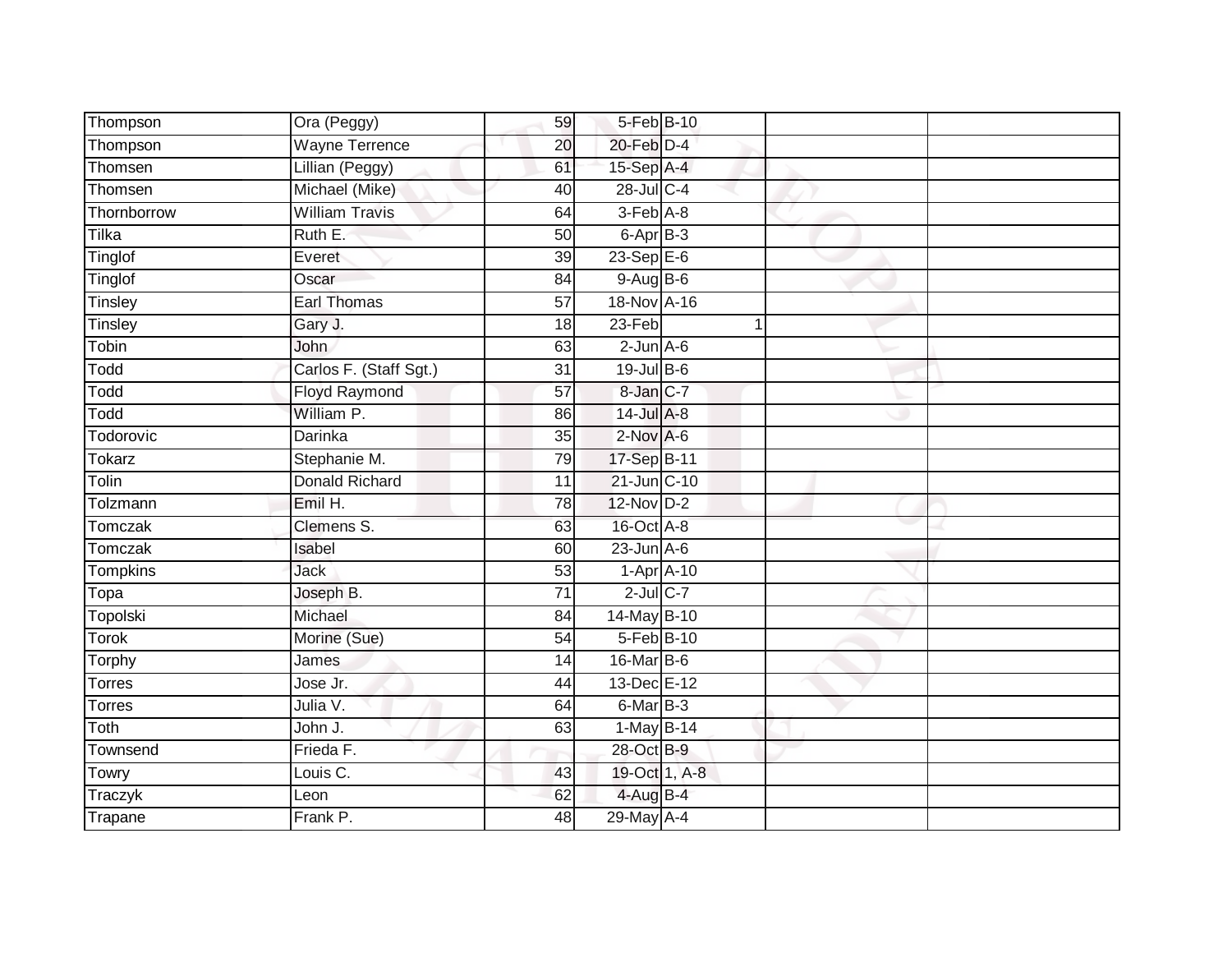| Thompson        | Ora (Peggy)            | 59              | 5-Feb B-10       |  |  |
|-----------------|------------------------|-----------------|------------------|--|--|
| Thompson        | <b>Wayne Terrence</b>  | 20              | 20-Feb D-4       |  |  |
| Thomsen         | Lillian (Peggy)        | 61              | 15-Sep A-4       |  |  |
| Thomsen         | Michael (Mike)         | 40              | 28-Jul C-4       |  |  |
| Thornborrow     | <b>William Travis</b>  | 64              | 3-Feb A-8        |  |  |
| Tilka           | Ruth E.                | 50              | 6-Apr B-3        |  |  |
| Tinglof         | Everet                 | 39              | 23-Sep E-6       |  |  |
| Tinglof         | Oscar                  | 84              | $9-AugB-6$       |  |  |
| Tinsley         | <b>Earl Thomas</b>     | 57              | 18-Nov A-16      |  |  |
| Tinsley         | Gary J.                | 18              | 23-Feb           |  |  |
| Tobin           | John                   | 63              | $2$ -Jun $A-6$   |  |  |
| Todd            | Carlos F. (Staff Sgt.) | 31              | 19-Jul B-6       |  |  |
| Todd            | <b>Floyd Raymond</b>   | 57              | 8-Jan C-7        |  |  |
| Todd            | William P.             | 86              | 14-Jul A-8       |  |  |
| Todorovic       | <b>Darinka</b>         | $\overline{35}$ | $2$ -Nov $A-6$   |  |  |
| <b>Tokarz</b>   | Stephanie M.           | 79              | 17-Sep B-11      |  |  |
| Tolin           | <b>Donald Richard</b>  | 11              | 21-Jun C-10      |  |  |
| Tolzmann        | Emil H.                | 78              | 12-Nov D-2       |  |  |
| Tomczak         | Clemens S.             | 63              | 16-Oct A-8       |  |  |
| Tomczak         | Isabel                 | 60              | $23$ -Jun $A-6$  |  |  |
| <b>Tompkins</b> | Jack                   | 53              | $1-Apr$ $A-10$   |  |  |
| Topa            | Joseph B.              | $\overline{71}$ | $2$ -Jul $C$ -7  |  |  |
| Topolski        | Michael                | 84              | 14-May B-10      |  |  |
| <b>Torok</b>    | Morine (Sue)           | 54              | 5-Feb B-10       |  |  |
| Torphy          | James                  | 14              | $16$ -Mar $ B-6$ |  |  |
| Torres          | Jose Jr.               | 44              | 13-Dec E-12      |  |  |
| <b>Torres</b>   | Julia V.               | 64              | 6-Mar B-3        |  |  |
| Toth            | John J.                | 63              | $1-May$ B-14     |  |  |
| Townsend        | Frieda F.              |                 | 28-Oct B-9       |  |  |
| Towry           | Louis C.               | 43              | 19-Oct 1, A-8    |  |  |
| Traczyk         | Leon                   | 62              | 4-Aug B-4        |  |  |
| Trapane         | Frank P.               | 48              | 29-May A-4       |  |  |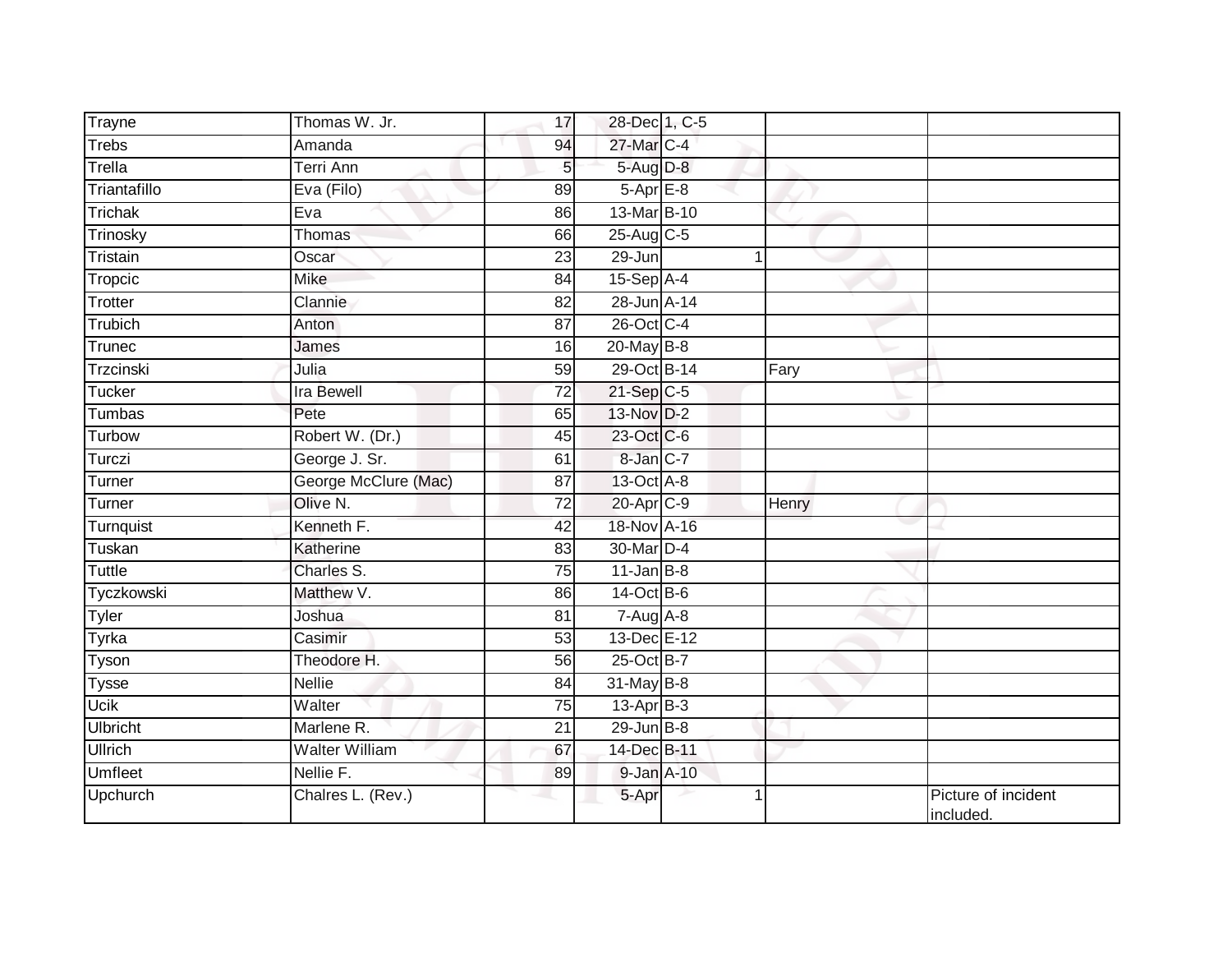| Trayne          | Thomas W. Jr.        | 17              | 28-Dec 1, C-5    |       |                                  |
|-----------------|----------------------|-----------------|------------------|-------|----------------------------------|
| <b>Trebs</b>    | Amanda               | 94              | 27-Mar C-4       |       |                                  |
| Trella          | Terri Ann            | 5               | 5-Aug D-8        |       |                                  |
| Triantafillo    | Eva (Filo)           | 89              | 5-Apr E-8        |       |                                  |
| Trichak         | Eva                  | 86              | 13-Mar B-10      |       |                                  |
| Trinosky        | Thomas               | 66              | 25-Aug C-5       |       |                                  |
| Tristain        | Oscar                | 23              | $29 - Jun$       |       |                                  |
| Tropcic         | Mike                 | 84              | $15-Sep$ A-4     |       |                                  |
| <b>Trotter</b>  | Clannie              | 82              | 28-Jun A-14      |       |                                  |
| Trubich         | Anton                | 87              | 26-Oct C-4       |       |                                  |
| Trunec          | James                | 16              | $20$ -May B-8    |       |                                  |
| Trzcinski       | Julia                | 59              | 29-Oct B-14      | Fary  |                                  |
| Tucker          | <b>Ira Bewell</b>    | 72              | $21-Sep$ C-5     |       |                                  |
| Tumbas          | Pete                 | 65              | 13-Nov D-2       |       |                                  |
| Turbow          | Robert W. (Dr.)      | 45              | 23-Oct C-6       |       |                                  |
| Turczi          | George J. Sr.        | 61              | 8-Jan C-7        |       |                                  |
| Turner          | George McClure (Mac) | $\overline{87}$ | 13-Oct A-8       |       |                                  |
| Turner          | Olive N.             | 72              | 20-Apr C-9       | Henry |                                  |
| Turnquist       | Kenneth F.           | 42              | 18-Nov A-16      |       |                                  |
| Tuskan          | Katherine            | 83              | 30-Mar D-4       |       |                                  |
| <b>Tuttle</b>   | Charles S.           | 75              | $11$ -Jan $B$ -8 |       |                                  |
| Tyczkowski      | Matthew V.           | 86              | 14-Oct B-6       |       |                                  |
| <b>Tyler</b>    | Joshua               | 81              | $7-AugA-8$       |       |                                  |
| Tyrka           | Casimir              | 53              | 13-Dec E-12      |       |                                  |
| Tyson           | Theodore H.          | 56              | 25-Oct B-7       |       |                                  |
| <b>Tysse</b>    | Nellie               | 84              | 31-May B-8       |       |                                  |
| <b>Ucik</b>     | Walter               | $\overline{75}$ | $13$ -Apr $B-3$  |       |                                  |
| <b>Ulbricht</b> | Marlene R.           | 21              | $29$ -Jun $B-8$  |       |                                  |
| <b>Ullrich</b>  | Walter William       | 67              | 14-Dec B-11      |       |                                  |
| <b>Umfleet</b>  | Nellie F.            | 89              | 9-Jan A-10       |       |                                  |
| Upchurch        | Chalres L. (Rev.)    |                 | 5-Apr            | 1     | Picture of incident<br>included. |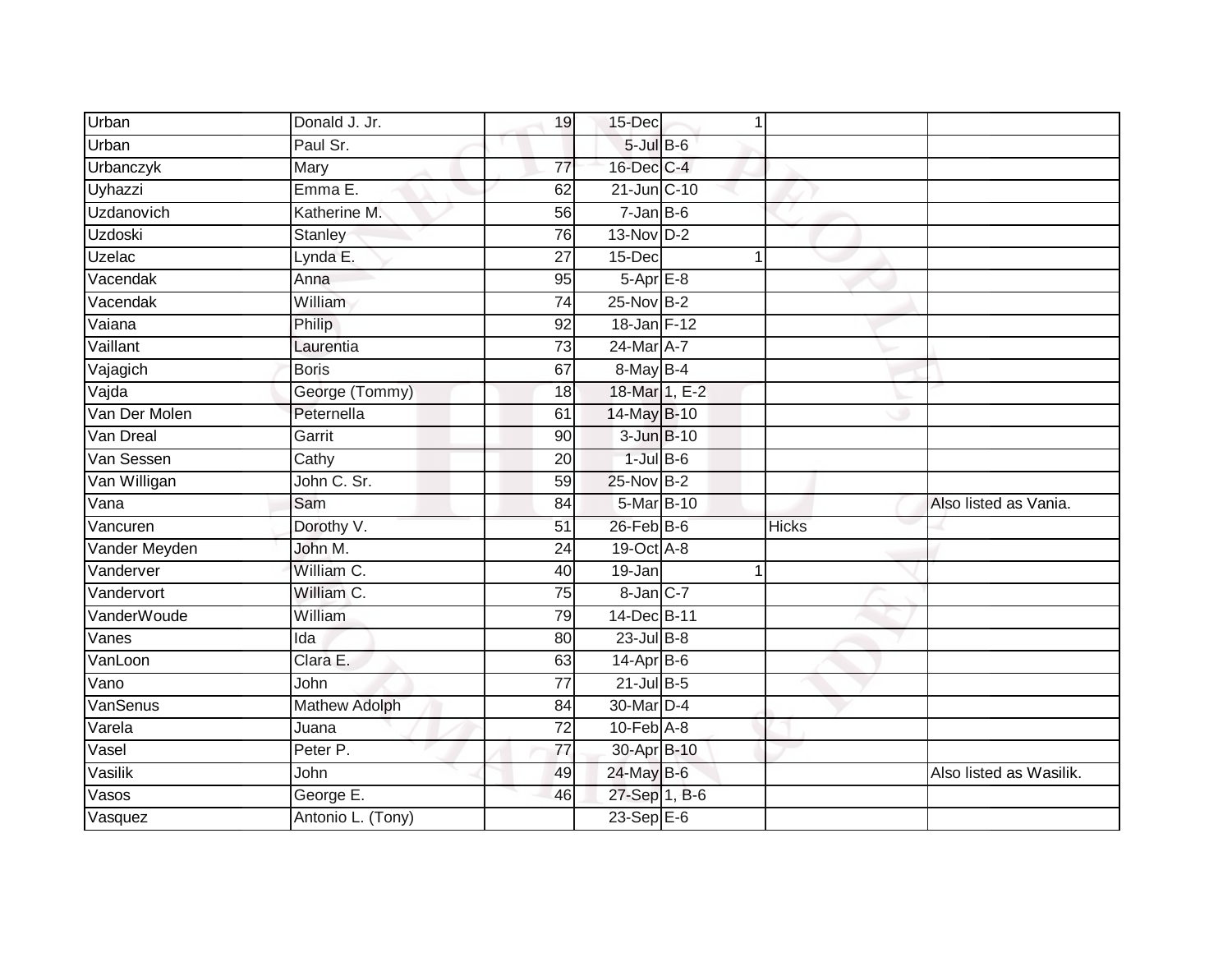| Urban          | Donald J. Jr.        | 19              | 15-Dec            | 1 |              |                         |
|----------------|----------------------|-----------------|-------------------|---|--------------|-------------------------|
| Urban          | Paul Sr.             |                 | $5$ -Jul $B$ -6   |   |              |                         |
| Urbanczyk      | Mary                 | $\overline{77}$ | 16-Dec C-4        |   |              |                         |
| Uyhazzi        | Emma E.              | 62              | 21-Jun C-10       |   |              |                         |
| Uzdanovich     | Katherine M.         | $\overline{56}$ | $7 - Jan$ $B - 6$ |   |              |                         |
| <b>Uzdoski</b> | Stanley              | 76              | $13-Nov$ D-2      |   |              |                         |
| Uzelac         | Lynda E.             | 27              | 15-Dec            |   |              |                         |
| Vacendak       | Anna                 | 95              | $5-AprE-8$        |   |              |                         |
| Vacendak       | William              | 74              | 25-Nov B-2        |   |              |                         |
| Vaiana         | Philip               | 92              | 18-Jan F-12       |   |              |                         |
| Vaillant       | Laurentia            | 73              | 24-Mar A-7        |   |              |                         |
| Vajagich       | <b>Boris</b>         | 67              | 8-May B-4         |   |              |                         |
| Vajda          | George (Tommy)       | 18              | 18-Mar 1, E-2     |   |              |                         |
| Van Der Molen  | Peternella           | 61              | 14-May B-10       |   |              |                         |
| Van Dreal      | Garrit               | 90              | 3-Jun B-10        |   |              |                         |
| Van Sessen     | Cathy                | 20              | $1$ -Jul $B$ -6   |   |              |                         |
| Van Willigan   | John C. Sr.          | 59              | 25-Nov B-2        |   |              |                         |
| Vana           | Sam                  | 84              | 5-Mar B-10        |   |              | Also listed as Vania.   |
| Vancuren       | Dorothy V.           | 51              | $26$ -Feb $B$ -6  |   | <b>Hicks</b> |                         |
| Vander Meyden  | John M.              | 24              | 19-Oct A-8        |   |              |                         |
| Vanderver      | William C.           | 40              | 19-Jan            |   |              |                         |
| Vandervort     | William C.           | 75              | 8-Jan C-7         |   |              |                         |
| VanderWoude    | William              | 79              | 14-Dec B-11       |   |              |                         |
| Vanes          | Ida                  | 80              | $23$ -Jul B-8     |   |              |                         |
| VanLoon        | Clara E.             | 63              | $14$ -Apr $B$ -6  |   |              |                         |
| Vano           | John                 | 77              | $21$ -Jul B-5     |   |              |                         |
| VanSenus       | <b>Mathew Adolph</b> | 84              | 30-Mar D-4        |   |              |                         |
| Varela         | Juana                | 72              | 10-Feb A-8        |   |              |                         |
| Vasel          | Peter P.             | 77              | 30-Apr B-10       |   |              |                         |
| Vasilik        | John                 | 49              | 24-May B-6        |   |              | Also listed as Wasilik. |
| Vasos          | George E.            | 46              | 27-Sep 1, B-6     |   |              |                         |
| Vasquez        | Antonio L. (Tony)    |                 | $23-Sep$ E-6      |   |              |                         |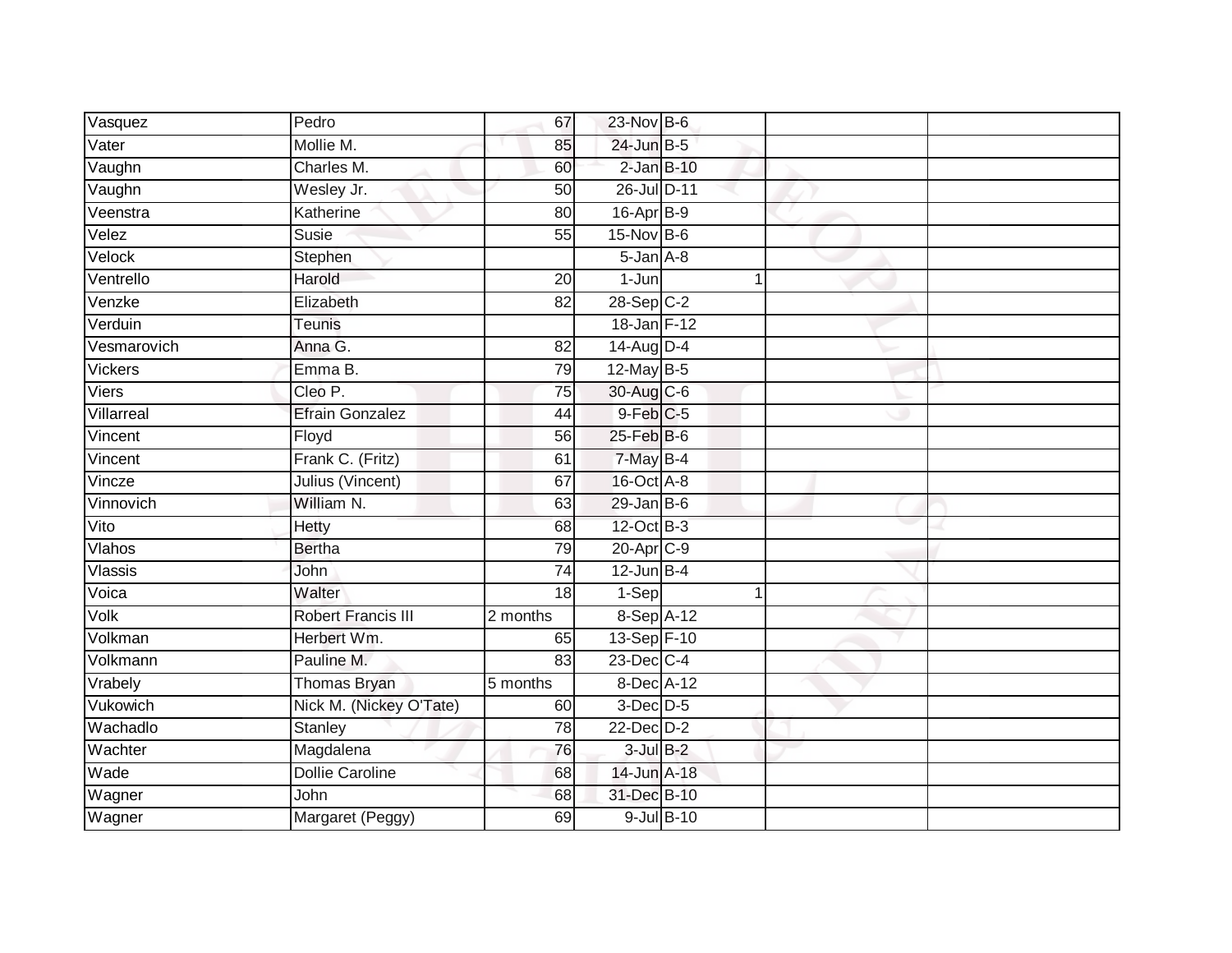| Vasquez        | Pedro                     | 67              | $23$ -Nov $B-6$  |            |  |
|----------------|---------------------------|-----------------|------------------|------------|--|
| Vater          | Mollie M.                 | 85              | 24-Jun B-5       |            |  |
| Vaughn         | Charles M.                | 60              | $2$ -Jan $B-10$  |            |  |
| Vaughn         | Wesley Jr.                | 50              | 26-Jul D-11      |            |  |
| Veenstra       | Katherine                 | 80              | 16-Apr B-9       |            |  |
| Velez          | Susie                     | 55              | $15$ -Nov $B-6$  |            |  |
| Velock         | Stephen                   |                 | 5-Jan A-8        |            |  |
| Ventrello      | Harold                    | 20              | $1 - Jun$        | 1          |  |
| Venzke         | Elizabeth                 | 82              | $28-Sep$ C-2     |            |  |
| Verduin        | <b>Teunis</b>             |                 | 18-Jan F-12      |            |  |
| Vesmarovich    | Anna G.                   | 82              | 14-Aug D-4       |            |  |
| <b>Vickers</b> | Emma B.                   | 79              | $12$ -May B-5    |            |  |
| Viers          | Cleo P.                   | 75              | 30-Aug C-6       |            |  |
| Villarreal     | <b>Efrain Gonzalez</b>    | 44              | $9$ -Feb $C$ -5  |            |  |
| Vincent        | Floyd                     | $\overline{56}$ | $25$ -Feb $B$ -6 |            |  |
| Vincent        | Frank C. (Fritz)          | 61              | $7$ -May B-4     |            |  |
| Vincze         | Julius (Vincent)          | 67              | 16-Oct A-8       |            |  |
| Vinnovich      | William N.                | 63              | $29$ -Jan B-6    |            |  |
| Vito           | Hetty                     | 68              | 12-Oct B-3       |            |  |
| Vlahos         | <b>Bertha</b>             | 79              | 20-Apr C-9       |            |  |
| Vlassis        | John                      | 74              | $12$ -Jun B-4    |            |  |
| Voica          | Walter                    | $\overline{18}$ | $1-Sep$          |            |  |
| Volk           | <b>Robert Francis III</b> | 2 months        | 8-Sep A-12       |            |  |
| Volkman        | Herbert Wm.               | 65              | 13-Sep F-10      |            |  |
| Volkmann       | Pauline M.                | 83              | $23$ -Dec $C-4$  |            |  |
| Vrabely        | <b>Thomas Bryan</b>       | 5 months        | $8$ -Dec A-12    |            |  |
| Vukowich       | Nick M. (Nickey O'Tate)   | 60              | $3$ -Dec $D-5$   |            |  |
| Wachadlo       | Stanley                   | 78              | $22$ -Dec $D-2$  |            |  |
| Wachter        | Magdalena                 | 76              | $3$ -Jul $B-2$   |            |  |
| Wade           | <b>Dollie Caroline</b>    | 68              | 14-Jun A-18      |            |  |
| Wagner         | John                      | 68              | 31-Dec B-10      |            |  |
| Wagner         | Margaret (Peggy)          | 69              |                  | 9-Jul B-10 |  |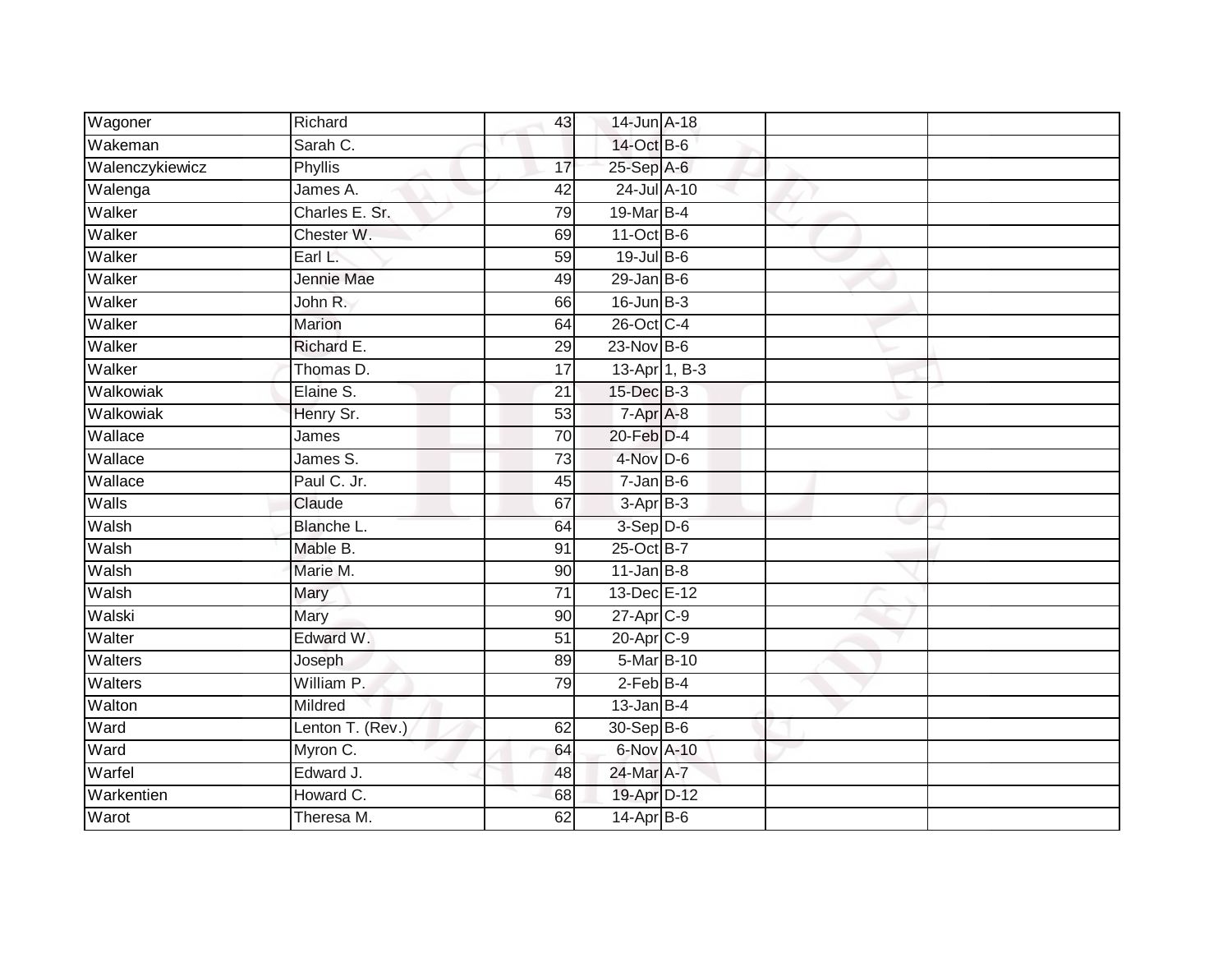| Wagoner         | Richard          | 43              | 14-Jun A-18           |               |  |
|-----------------|------------------|-----------------|-----------------------|---------------|--|
| Wakeman         | Sarah C.         |                 | 14-Oct B-6            |               |  |
| Walenczykiewicz | <b>Phyllis</b>   | 17              | 25-Sep A-6            |               |  |
| Walenga         | James A.         | 42              | 24-Jul A-10           |               |  |
| Walker          | Charles E. Sr.   | 79              | 19-Mar B-4            |               |  |
| Walker          | Chester W.       | 69              | $11-Oct$ B-6          |               |  |
| Walker          | Earl L.          | 59              | 19-Jul B-6            |               |  |
| Walker          | Jennie Mae       | 49              | $29$ -Jan B-6         |               |  |
| Walker          | John R.          | 66              | $16$ -Jun $B-3$       |               |  |
| Walker          | Marion           | 64              | 26-Oct C-4            |               |  |
| Walker          | Richard E.       | 29              | 23-Nov B-6            |               |  |
| Walker          | Thomas D.        | $\overline{17}$ |                       | 13-Apr 1, B-3 |  |
| Walkowiak       | Elaine S.        | 21              | 15-Dec B-3            |               |  |
| Walkowiak       | Henry Sr.        | 53              | $7 - Apr$ $A-8$       |               |  |
| Wallace         | James            | 70              | $20$ -Feb $D-4$       |               |  |
| Wallace         | James S.         | $\overline{73}$ | 4-Nov D-6             |               |  |
| Wallace         | Paul C. Jr.      | 45              | $7 - Jan$ $B - 6$     |               |  |
| Walls           | Claude           | 67              | $3-AprB-3$            |               |  |
| Walsh           | Blanche L.       | 64              | $3-Sep$ $D-6$         |               |  |
| Walsh           | Mable B.         | 91              | 25-Oct B-7            |               |  |
| Walsh           | Marie M.         | 90              | $11$ -Jan B-8         |               |  |
| Walsh           | Mary             | $\overline{71}$ | 13-Dec E-12           |               |  |
| Walski          | Mary             | 90              | 27-Apr C-9            |               |  |
| Walter          | Edward W.        | $\overline{51}$ | 20-Apr <sub>C-9</sub> |               |  |
| Walters         | Joseph           | 89              | 5-Mar B-10            |               |  |
| Walters         | William P.       | 79              | $2$ -Feb $B-4$        |               |  |
| Walton          | Mildred          |                 | $13$ -Jan B-4         |               |  |
| Ward            | Lenton T. (Rev.) | 62              | 30-Sep B-6            |               |  |
| Ward            | Myron C.         | 64              | 6-Nov A-10            |               |  |
| Warfel          | Edward J.        | 48              | 24-Mar A-7            |               |  |
| Warkentien      | Howard C.        | 68              | 19-Apr D-12           |               |  |
| Warot           | Theresa M.       | 62              | 14-Apr B-6            |               |  |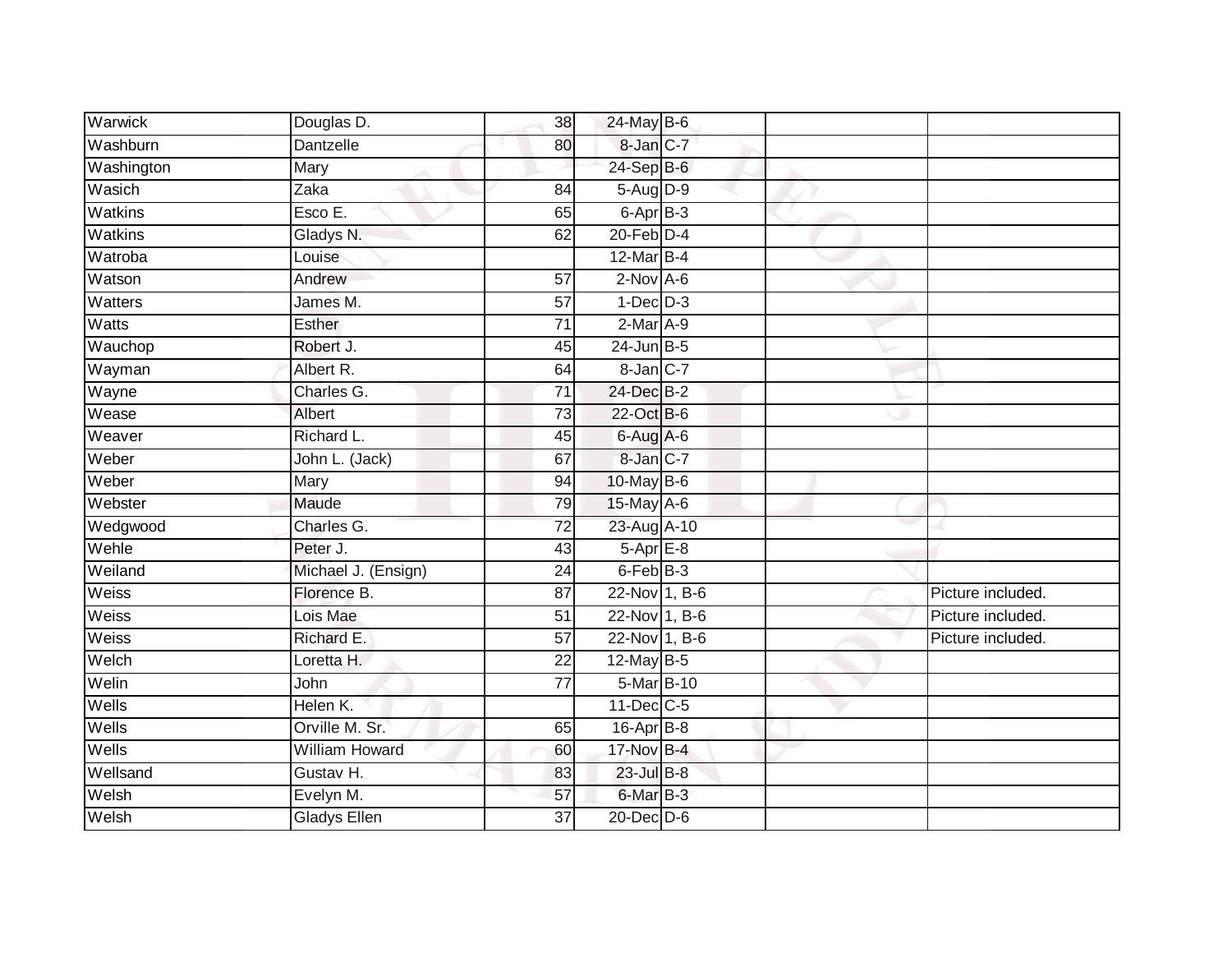| Warwick        | Douglas D.            | 38              | 24-May B-6        |  |                   |
|----------------|-----------------------|-----------------|-------------------|--|-------------------|
| Washburn       | <b>Dantzelle</b>      | 80              | 8-Jan C-7         |  |                   |
| Washington     | Mary                  |                 | 24-Sep B-6        |  |                   |
| Wasich         | Zaka                  | 84              | 5-Aug D-9         |  |                   |
| Watkins        | Esco E.               | 65              | 6-Apr B-3         |  |                   |
| Watkins        | Gladys N.             | 62              | $20$ -Feb $D-4$   |  |                   |
| Watroba        | Louise                |                 | $12$ -Mar B-4     |  |                   |
| Watson         | Andrew                | 57              | $2-Nov$ A-6       |  |                   |
| <b>Watters</b> | James M.              | $\overline{57}$ | $1-Dec$ $D-3$     |  |                   |
| Watts          | Esther                | $\overline{71}$ | $2-Mar A-9$       |  |                   |
| Wauchop        | Robert J.             | 45              | $24$ -Jun B-5     |  |                   |
| Wayman         | Albert R.             | 64              | $8 - Jan$ $C - 7$ |  |                   |
| Wayne          | Charles G.            | $\overline{71}$ | 24-Dec B-2        |  |                   |
| Wease          | Albert                | 73              | 22-Oct B-6        |  |                   |
| Weaver         | Richard L.            | $\overline{45}$ | 6-Aug A-6         |  |                   |
| Weber          | John L. (Jack)        | 67              | 8-Jan C-7         |  |                   |
| Weber          | Mary                  | $\overline{94}$ | $10$ -May B-6     |  |                   |
| Webster        | Maude                 | 79              | 15-May A-6        |  |                   |
| Wedgwood       | Charles G.            | 72              | 23-Aug A-10       |  |                   |
| Wehle          | Peter J.              | 43              | $5-AprE-8$        |  |                   |
| Weiland        | Michael J. (Ensign)   | 24              | $6$ -Feb $B$ -3   |  |                   |
| <b>Weiss</b>   | Florence B.           | $\overline{87}$ | 22-Nov 1, B-6     |  | Picture included. |
| Weiss          | Lois Mae              | 51              | 22-Nov 1, B-6     |  | Picture included. |
| Weiss          | Richard E.            | 57              | $22$ -Nov 1, B-6  |  | Picture included. |
| Welch          | Loretta H.            | 22              | 12-May B-5        |  |                   |
| Welin          | John                  | $\overline{77}$ | 5-Mar B-10        |  |                   |
| Wells          | Helen K.              |                 | $11$ -Dec $C$ -5  |  |                   |
| Wells          | Orville M. Sr.        | 65              | $16$ -Apr $B$ -8  |  |                   |
| Wells          | <b>William Howard</b> | 60              | 17-Nov B-4        |  |                   |
| Wellsand       | Gustav H.             | 83              | 23-Jul B-8        |  |                   |
| Welsh          | Evelyn M.             | 57              | 6-Mar B-3         |  |                   |
| Welsh          | <b>Gladys Ellen</b>   | 37              | $20$ -Dec $D-6$   |  |                   |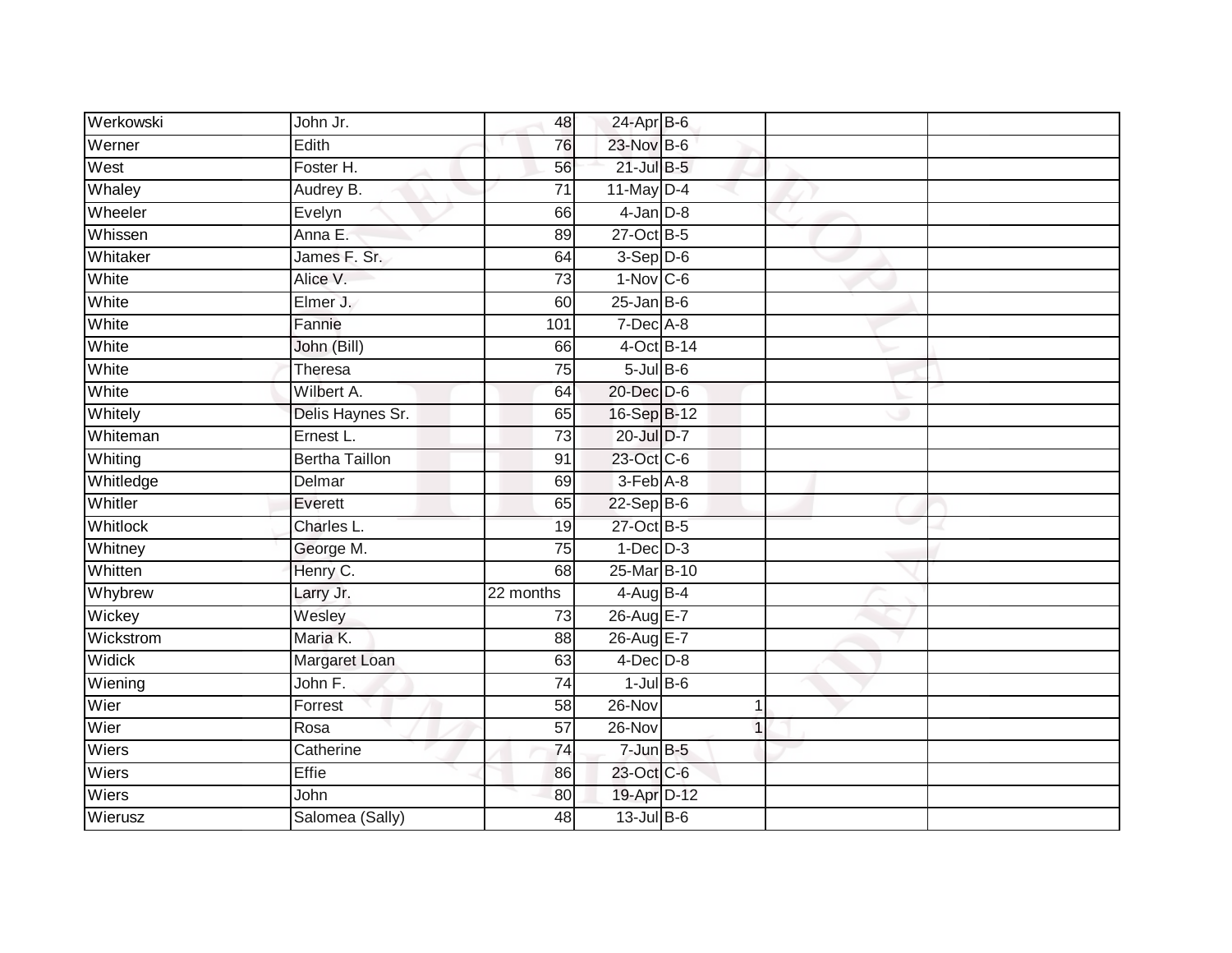| Werkowski       | John Jr.              | 48              | $24$ -Apr $B$ -6 |                |  |
|-----------------|-----------------------|-----------------|------------------|----------------|--|
| Werner          | Edith                 | 76              | 23-Nov B-6       |                |  |
| West            | Foster H.             | 56              | $21$ -Jul B-5    |                |  |
| Whaley          | Audrey B.             | 71              | $11$ -May D-4    |                |  |
| Wheeler         | Evelyn                | 66              | $4$ -Jan $D-8$   |                |  |
| Whissen         | Anna E.               | 89              | 27-Oct B-5       |                |  |
| Whitaker        | James F. Sr.          | 64              | $3-Sep D-6$      |                |  |
| White           | Alice V.              | 73              | $1-Nov$ C-6      |                |  |
| White           | Elmer J.              | 60              | $25$ -Jan B-6    |                |  |
| White           | Fannie                | 101             | 7-Dec A-8        |                |  |
| White           | John (Bill)           | 66              | $4$ -Oct B-14    |                |  |
| White           | Theresa               | $\overline{75}$ | $5$ -Jul $B$ -6  |                |  |
| White           | Wilbert A.            | 64              | 20-Dec D-6       |                |  |
| Whitely         | Delis Haynes Sr.      | 65              | 16-Sep B-12      |                |  |
| Whiteman        | Ernest L.             | $\overline{73}$ | 20-Jul D-7       |                |  |
| Whiting         | <b>Bertha Taillon</b> | 91              | 23-Oct C-6       |                |  |
| Whitledge       | Delmar                | 69              | 3-Feb A-8        |                |  |
| Whitler         | Everett               | 65              | 22-Sep B-6       |                |  |
| <b>Whitlock</b> | Charles L.            | 19              | 27-Oct B-5       |                |  |
| Whitney         | George M.             | 75              | $1-Dec$ $D-3$    |                |  |
| Whitten         | Henry C.              | 68              | 25-Mar B-10      |                |  |
| Whybrew         | Larry Jr.             | 22 months       | 4-Aug B-4        |                |  |
| Wickey          | Wesley                | 73              | 26-Aug E-7       |                |  |
| Wickstrom       | Maria K.              | 88              | 26-Aug E-7       |                |  |
| Widick          | Margaret Loan         | 63              | $4$ -Dec $D-8$   |                |  |
| Wiening         | John F.               | 74              | $1$ -Jul $B$ -6  |                |  |
| Wier            | Forrest               | 58              | $26 - Nov$       | 1              |  |
| Wier            | Rosa                  | 57              | 26-Nov           | $\overline{1}$ |  |
| Wiers           | Catherine             | 74              | $7 - Jun$ B-5    |                |  |
| Wiers           | Effie                 | 86              | 23-Oct C-6       |                |  |
| Wiers           | John                  | 80              | 19-Apr D-12      |                |  |
| Wierusz         | Salomea (Sally)       | 48              | $13$ -Jul $B-6$  |                |  |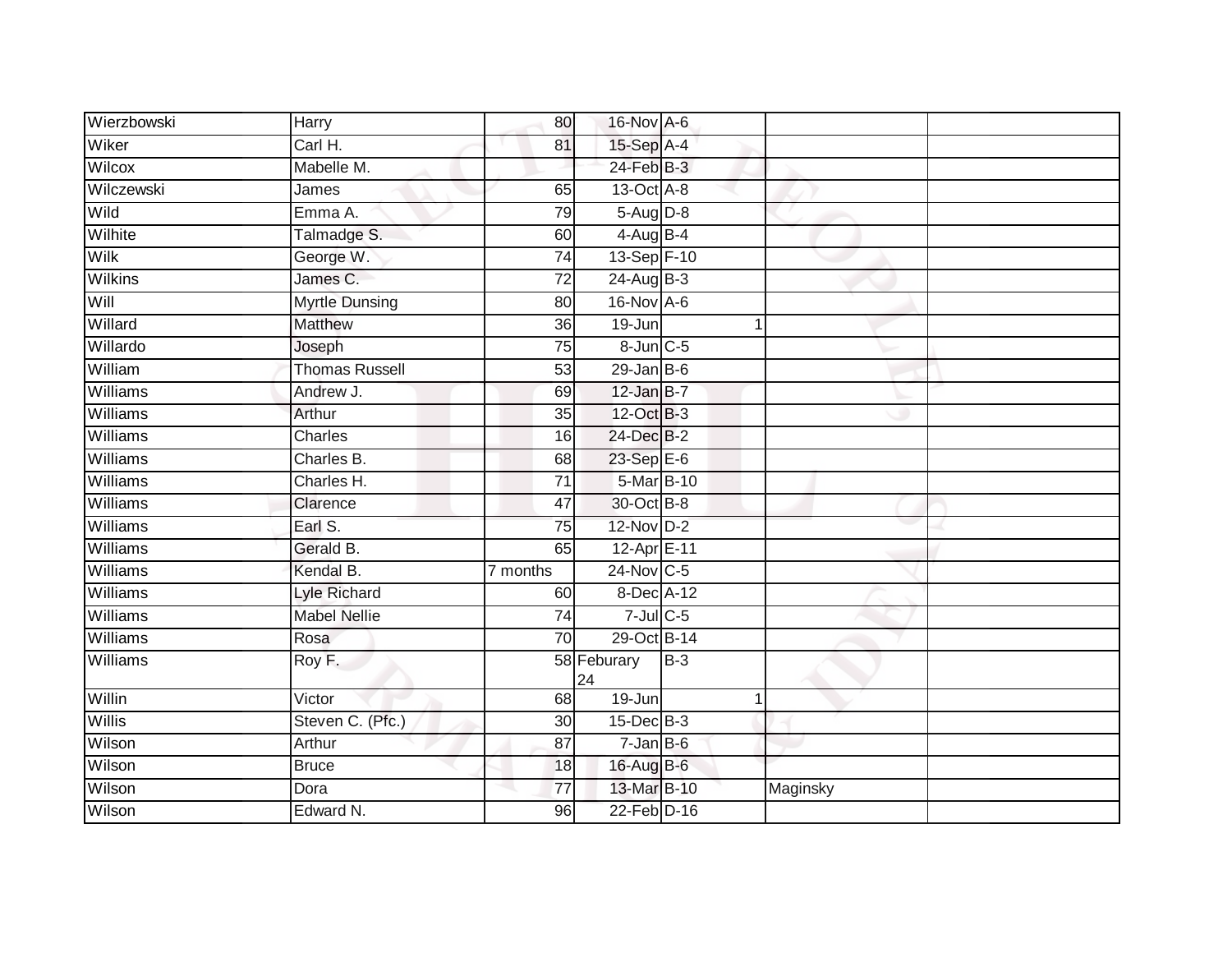| Wierzbowski     | Harry                 | 80              | 16-Nov A-6             |       |          |  |
|-----------------|-----------------------|-----------------|------------------------|-------|----------|--|
| Wiker           | Carl H.               | 81              | 15-Sep A-4             |       |          |  |
| Wilcox          | Mabelle M.            |                 | 24-Feb B-3             |       |          |  |
| Wilczewski      | James                 | 65              | 13-Oct A-8             |       |          |  |
| Wild            | Emma A.               | 79              | $5-Aug$ $D-8$          |       |          |  |
| Wilhite         | Talmadge S.           | 60              | $4$ -Aug B-4           |       |          |  |
| <b>Wilk</b>     | George W.             | 74              | 13-Sep F-10            |       |          |  |
| <b>Wilkins</b>  | James C.              | 72              | $24$ -Aug B-3          |       |          |  |
| Will            | <b>Myrtle Dunsing</b> | 80              | 16-Nov A-6             |       |          |  |
| Willard         | <b>Matthew</b>        | $\overline{36}$ | 19-Jun                 |       |          |  |
| Willardo        | Joseph                | $\overline{75}$ | $8$ -Jun $C$ -5        |       |          |  |
| William         | <b>Thomas Russell</b> | 53              | $29$ -Jan B-6          |       |          |  |
| <b>Williams</b> | Andrew J.             | 69              | $12$ -Jan B-7          |       |          |  |
| Williams        | Arthur                | 35              | 12-Oct B-3             |       |          |  |
| Williams        | <b>Charles</b>        | 16              | 24-Dec B-2             |       |          |  |
| Williams        | Charles B.            | 68              | 23-Sep E-6             |       |          |  |
| Williams        | Charles H.            | $\overline{71}$ | 5-Mar B-10             |       |          |  |
| Williams        | Clarence              | 47              | 30-Oct B-8             |       |          |  |
| Williams        | Earl S.               | 75              | 12-Nov D-2             |       |          |  |
| Williams        | Gerald B.             | 65              | 12-Apr <sub>E-11</sub> |       |          |  |
| Williams        | Kendal B.             | 7 months        | 24-Nov C-5             |       |          |  |
| Williams        | <b>Lyle Richard</b>   | 60              | 8-Dec A-12             |       |          |  |
| Williams        | <b>Mabel Nellie</b>   | 74              | $7$ -Jul $C$ -5        |       |          |  |
| <b>Williams</b> | Rosa                  | 70              | 29-Oct B-14            |       |          |  |
| <b>Williams</b> | Roy F.                |                 | 58 Feburary<br>24      | $B-3$ |          |  |
| Willin          | Victor                | 68              | 19-Jun                 |       |          |  |
| <b>Willis</b>   | Steven C. (Pfc.)      | 30              | $15$ -Dec $B$ -3       |       |          |  |
| Wilson          | Arthur                | 87              | $7 - Jan$ B-6          |       |          |  |
| Wilson          | <b>Bruce</b>          | 18              | 16-Aug B-6             |       |          |  |
| Wilson          | Dora                  | 77              | 13-Mar B-10            |       | Maginsky |  |
| Wilson          | Edward N.             | 96              | 22-Feb D-16            |       |          |  |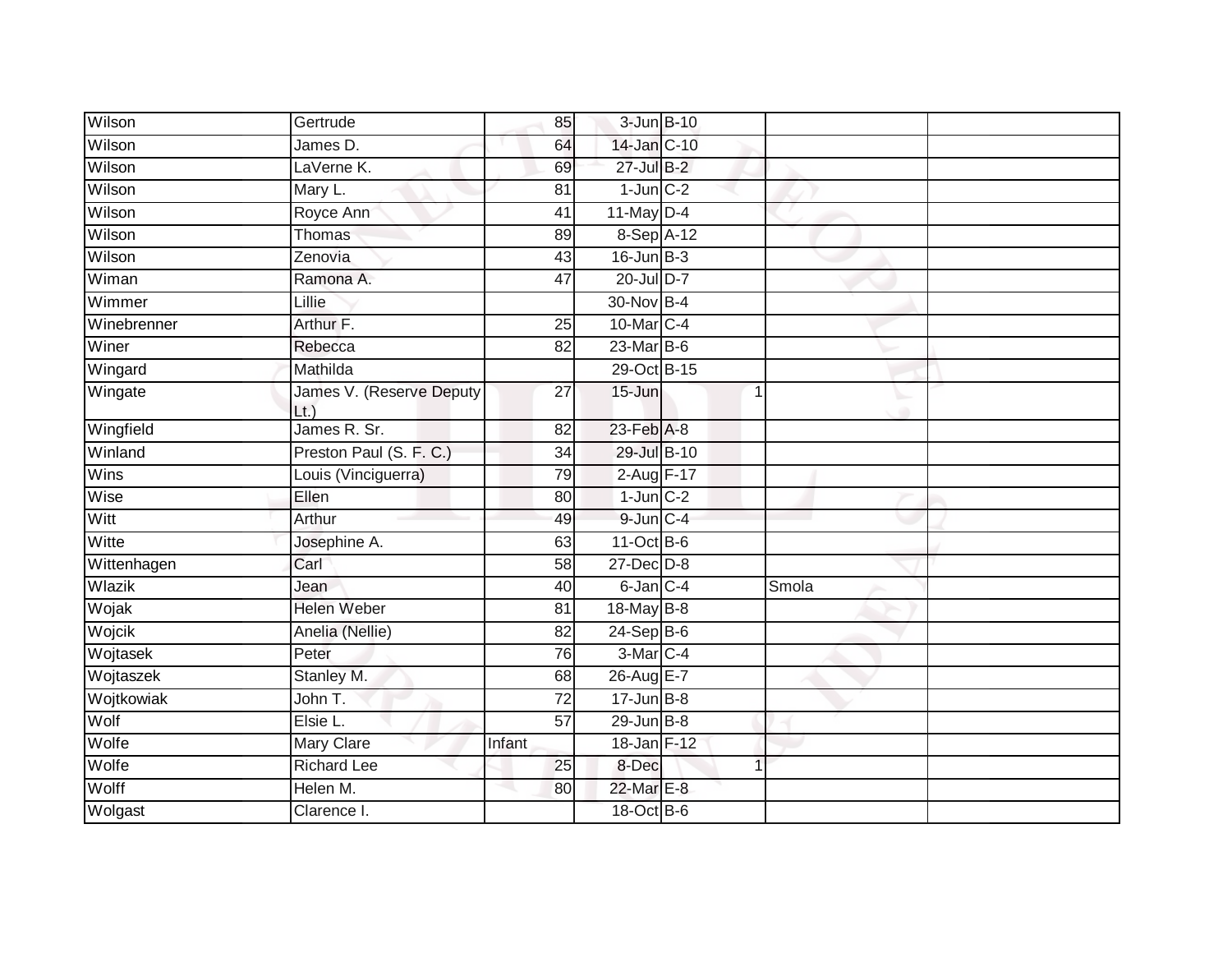| Wilson      | Gertrude                        | 85              | 3-Jun B-10        |   |       |  |
|-------------|---------------------------------|-----------------|-------------------|---|-------|--|
| Wilson      | James D.                        | 64              | 14-Jan C-10       |   |       |  |
| Wilson      | LaVerne K.                      | 69              | 27-Jul B-2        |   |       |  |
| Wilson      | Mary L.                         | 81              | $1$ -Jun $C-2$    |   |       |  |
| Wilson      | Royce Ann                       | 41              | $11$ -May D-4     |   |       |  |
| Wilson      | Thomas                          | 89              | 8-Sep A-12        |   |       |  |
| Wilson      | Zenovia                         | 43              | $16$ -Jun $B-3$   |   |       |  |
| Wiman       | Ramona A.                       | 47              | $20$ -Jul D-7     |   |       |  |
| Wimmer      | Lillie                          |                 | 30-Nov B-4        |   |       |  |
| Winebrenner | Arthur F.                       | $\overline{25}$ | 10-Mar C-4        |   |       |  |
| Winer       | Rebecca                         | 82              | $23$ -Mar $B-6$   |   |       |  |
| Wingard     | Mathilda                        |                 | 29-Oct B-15       |   |       |  |
| Wingate     | James V. (Reserve Deputy<br>Lt. | 27              | $15 - Jun$        | 1 |       |  |
| Wingfield   | James R. Sr.                    | 82              | $23$ -Feb $A-8$   |   |       |  |
| Winland     | Preston Paul (S. F. C.)         | 34              | 29-Jul B-10       |   |       |  |
| Wins        | Louis (Vinciguerra)             | 79              | 2-Aug F-17        |   |       |  |
| Wise        | Ellen                           | 80              | $1$ -Jun $C-2$    |   |       |  |
| Witt        | Arthur                          | 49              | $9$ -Jun $C - 4$  |   |       |  |
| Witte       | Josephine A.                    | 63              | $11-Oct$ B-6      |   |       |  |
| Wittenhagen | Carl                            | 58              | $27$ -Dec $D-8$   |   |       |  |
| Wlazik      | Jean                            | 40              | $6$ -Jan $C$ -4   |   | Smola |  |
| Wojak       | <b>Helen Weber</b>              | 81              | 18-May B-8        |   |       |  |
| Wojcik      | Anelia (Nellie)                 | 82              | $24 - SepB-6$     |   |       |  |
| Wojtasek    | Peter                           | 76              | 3-Mar C-4         |   |       |  |
| Wojtaszek   | Stanley M.                      | 68              | 26-Aug E-7        |   |       |  |
| Wojtkowiak  | John T.                         | $\overline{72}$ | $17 - Jun$ B-8    |   |       |  |
| Wolf        | Elsie L.                        | 57              | $29$ -Jun $B - 8$ |   |       |  |
| Wolfe       | Mary Clare                      | Infant          | 18-Jan F-12       |   |       |  |
| Wolfe       | <b>Richard Lee</b>              | 25              | 8-Dec             | 1 |       |  |
| Wolff       | Helen M.                        | 80              | 22-Mar E-8        |   |       |  |
| Wolgast     | Clarence I.                     |                 | 18-Oct B-6        |   |       |  |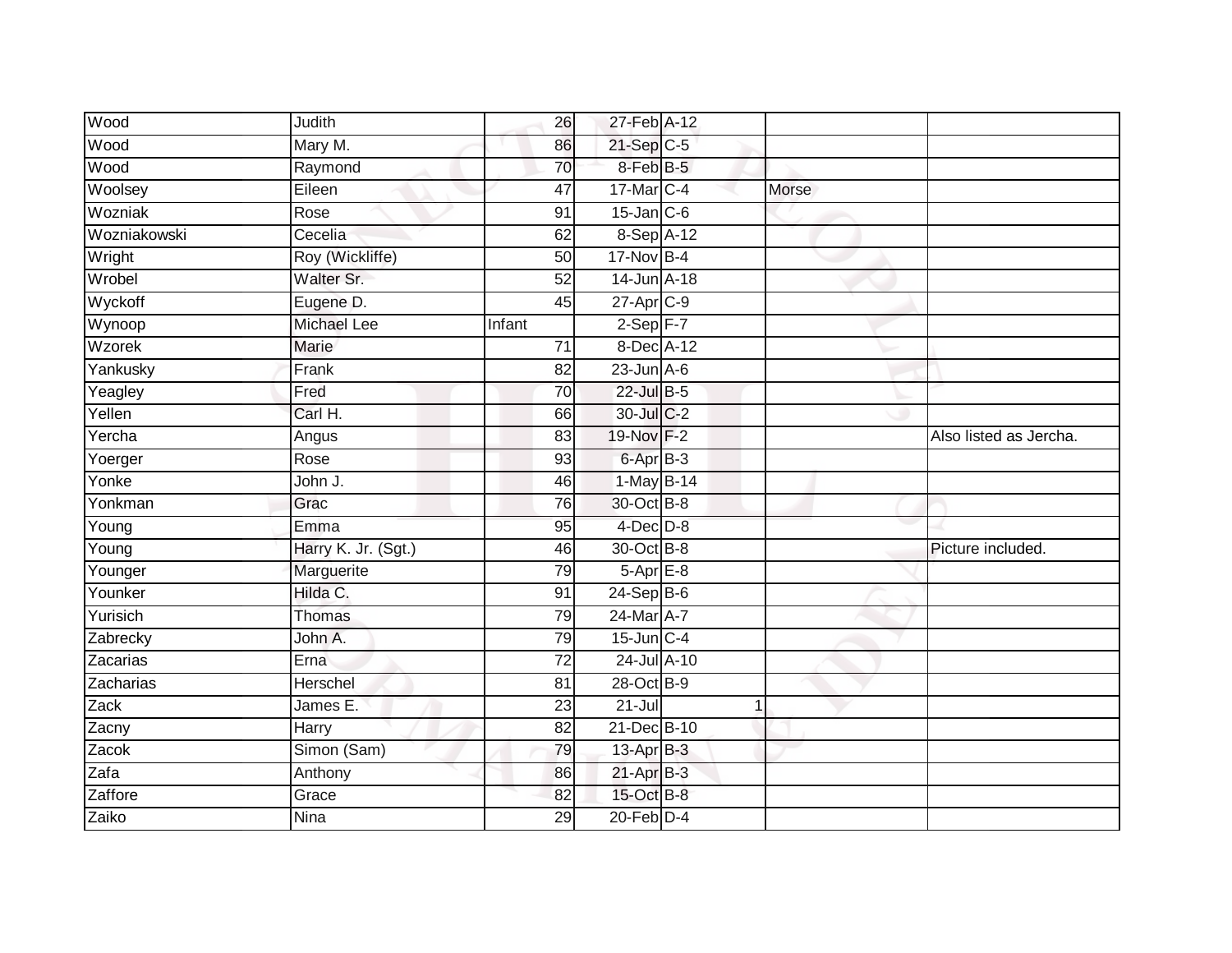| Wood         | Judith              | 26              | 27-Feb A-12          |              |                        |
|--------------|---------------------|-----------------|----------------------|--------------|------------------------|
| Wood         | Mary M.             | 86              | $21-SepC-5$          |              |                        |
| Wood         | Raymond             | 70              | 8-Feb B-5            |              |                        |
| Woolsey      | Eileen              | 47              | 17-Mar C-4           | Morse        |                        |
| Wozniak      | Rose                | $\overline{91}$ | $15$ -Jan $ C-6 $    |              |                        |
| Wozniakowski | Cecelia             | 62              | 8-Sep A-12           |              |                        |
| Wright       | Roy (Wickliffe)     | 50              | 17-Nov B-4           |              |                        |
| Wrobel       | Walter Sr.          | $\overline{52}$ | 14-Jun A-18          |              |                        |
| Wyckoff      | Eugene D.           | 45              | 27-Apr C-9           |              |                        |
| Wynoop       | Michael Lee         | Infant          | $2-Sep$ F-7          |              |                        |
| Wzorek       | <b>Marie</b>        | 71              | $8$ -Dec $A$ -12     |              |                        |
| Yankusky     | Frank               | 82              | $23$ -Jun $A-6$      |              |                        |
| Yeagley      | Fred                | 70              | $22$ -Jul B-5        |              |                        |
| Yellen       | Carl H.             | 66              | 30-Jul C-2           |              |                        |
| Yercha       | Angus               | 83              | 19-Nov F-2           |              | Also listed as Jercha. |
| Yoerger      | Rose                | 93              | 6-Apr <sub>B-3</sub> |              |                        |
| Yonke        | John J.             | 46              | 1-May B-14           |              |                        |
| Yonkman      | Grac                | 76              | 30-Oct B-8           |              |                        |
| Young        | Emma                | 95              | $4$ -Dec $D-8$       |              |                        |
| Young        | Harry K. Jr. (Sgt.) | 46              | 30-Oct B-8           |              | Picture included.      |
| Younger      | Marguerite          | 79              | $5-AprE-8$           |              |                        |
| Younker      | Hilda C.            | 91              | $24-Sep$ B-6         |              |                        |
| Yurisich     | Thomas              | 79              | 24-Mar A-7           |              |                        |
| Zabrecky     | John A.             | 79              | $15$ -Jun $C-4$      |              |                        |
| Zacarias     | Erna                | 72              | 24-Jul A-10          |              |                        |
| Zacharias    | Herschel            | 81              | 28-Oct B-9           |              |                        |
| Zack         | James E.            | $\overline{23}$ | $21 -$ Jul           | $\mathbf{1}$ |                        |
| Zacny        | <b>Harry</b>        | 82              | 21-Dec B-10          |              |                        |
| Zacok        | Simon (Sam)         | 79              | 13-Apr B-3           |              |                        |
| Zafa         | Anthony             | 86              | $21-AprB-3$          |              |                        |
| Zaffore      | Grace               | 82              | 15-Oct B-8           |              |                        |
| Zaiko        | <b>Nina</b>         | 29              | $20$ -Feb $D-4$      |              |                        |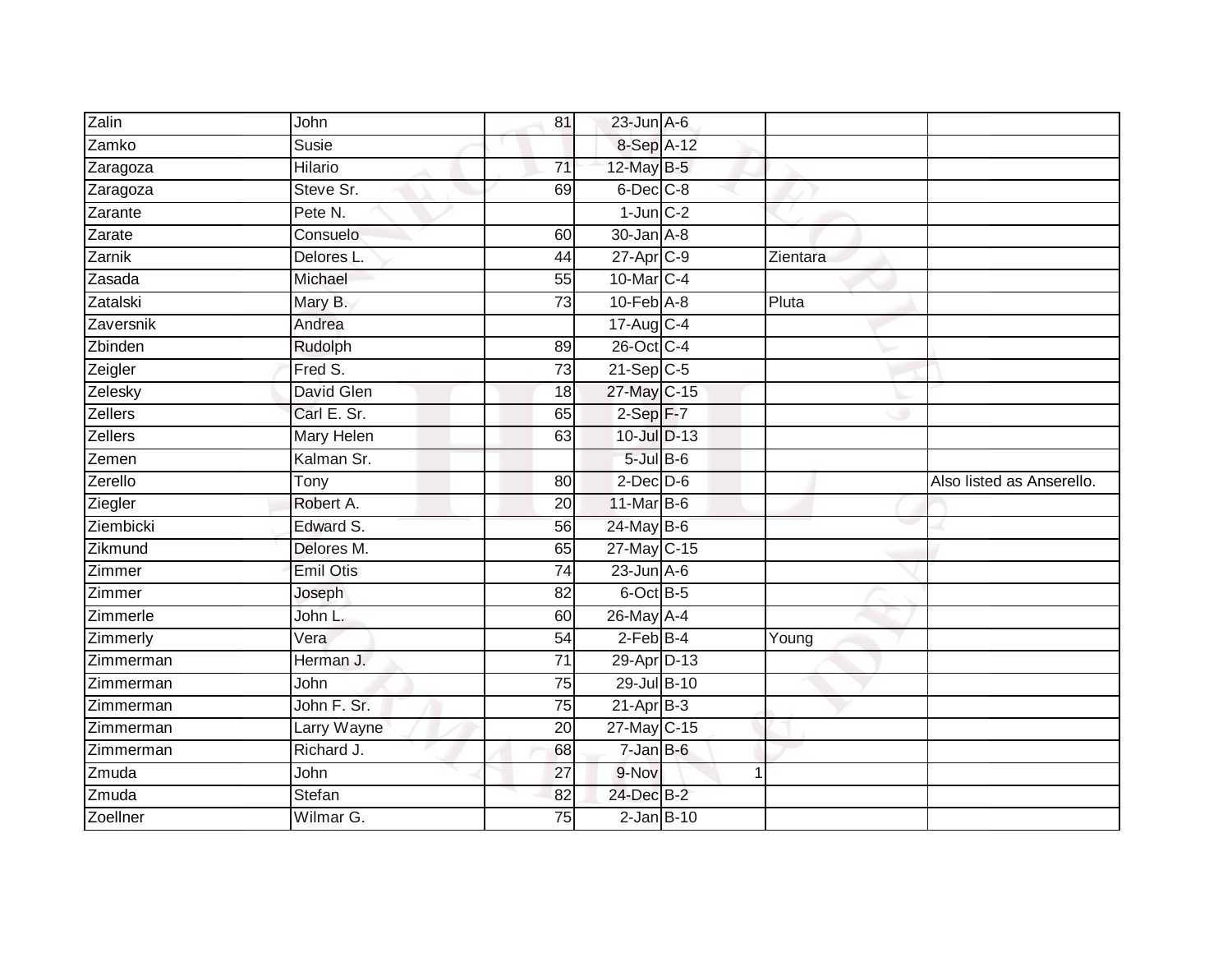| Zalin          | John              | 81              | $23$ -Jun $A-6$   |          |                           |
|----------------|-------------------|-----------------|-------------------|----------|---------------------------|
| Zamko          | Susie             |                 | 8-Sep A-12        |          |                           |
| Zaragoza       | <b>Hilario</b>    | $\overline{71}$ | 12-May B-5        |          |                           |
| Zaragoza       | Steve Sr.         | 69              | $6$ -Dec $C$ -8   |          |                           |
| Zarante        | Pete N.           |                 | $1$ -Jun $C-2$    |          |                           |
| Zarate         | Consuelo          | 60              | 30-Jan A-8        |          |                           |
| Zarnik         | Delores L.        | 44              | $27$ -Apr $C-9$   | Zientara |                           |
| Zasada         | Michael           | 55              | 10-Mar C-4        |          |                           |
| Zatalski       | Mary B.           | 73              | $10$ -Feb $A$ -8  | Pluta    |                           |
| Zaversnik      | Andrea            |                 | 17-Aug C-4        |          |                           |
| Zbinden        | Rudolph           | 89              | 26-Oct C-4        |          |                           |
| Zeigler        | Fred S.           | 73              | $21-Sep$ C-5      |          |                           |
| Zelesky        | <b>David Glen</b> | 18              | 27-May C-15       |          |                           |
| Zellers        | Carl E. Sr.       | 65              | $2-Sep$ F-7       |          |                           |
| <b>Zellers</b> | Mary Helen        | 63              | 10-Jul D-13       |          |                           |
| Zemen          | Kalman Sr.        |                 | $5$ -Jul $B$ -6   |          |                           |
| Zerello        | Tony              | 80              | $2$ -Dec $D-6$    |          | Also listed as Anserello. |
| Ziegler        | Robert A.         | 20              | 11-Mar B-6        |          |                           |
| Ziembicki      | Edward S.         | 56              | 24-May B-6        |          |                           |
| Zikmund        | Delores M.        | 65              | 27-May C-15       |          |                           |
| Zimmer         | <b>Emil Otis</b>  | 74              | $23$ -Jun $A$ -6  |          |                           |
| Zimmer         | Joseph            | $\overline{82}$ | 6-Oct B-5         |          |                           |
| Zimmerle       | John L.           | 60              | 26-May A-4        |          |                           |
| Zimmerly       | Vera              | 54              | $2$ -Feb $B-4$    | Young    |                           |
| Zimmerman      | Herman J.         | 71              | 29-Apr D-13       |          |                           |
| Zimmerman      | John              | 75              | 29-Jul B-10       |          |                           |
| Zimmerman      | John F. Sr.       | 75              | $21-AprB-3$       |          |                           |
| Zimmerman      | Larry Wayne       | 20              | 27-May C-15       |          |                           |
| Zimmerman      | Richard J.        | 68              | $7 - Jan$ $B - 6$ |          |                           |
| Zmuda          | John              | 27              | 9-Nov             | 1        |                           |
| Zmuda          | Stefan            | 82              | 24-Dec B-2        |          |                           |
| Zoellner       | Wilmar G.         | 75              | $2$ -Jan $B-10$   |          |                           |